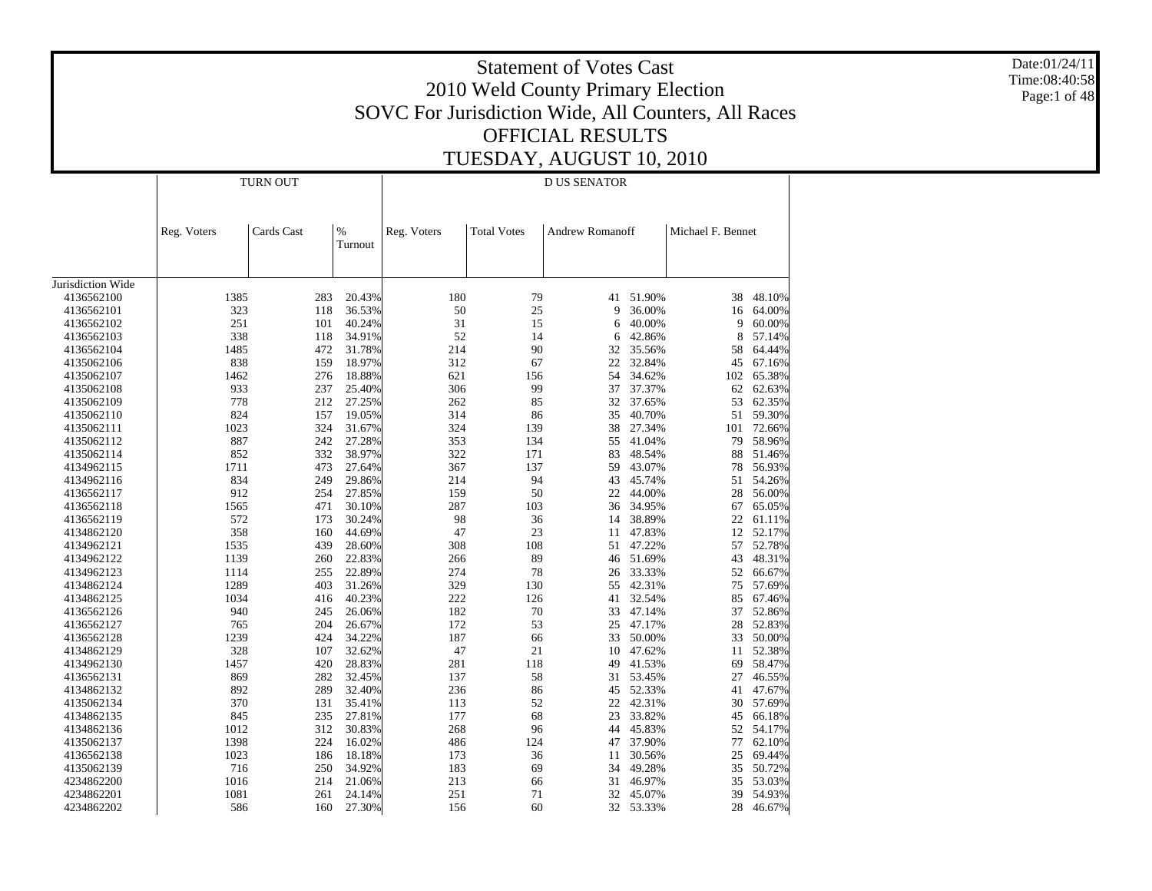Date:01/24/11 Time:08:40:58 Page:1 of 48

|                   |             | TURN OUT   |                 |             |                    | D US SENATOR           |        |                   |        |
|-------------------|-------------|------------|-----------------|-------------|--------------------|------------------------|--------|-------------------|--------|
|                   | Reg. Voters | Cards Cast | $\%$<br>Turnout | Reg. Voters | <b>Total Votes</b> | <b>Andrew Romanoff</b> |        | Michael F. Bennet |        |
| Jurisdiction Wide |             |            |                 |             |                    |                        |        |                   |        |
| 4136562100        | 1385        | 283        | 20.43%          | 180         | 79                 | 41                     | 51.90% | 38                | 48.10% |
| 4136562101        | 323         | 118        | 36.53%          | 50          | 25                 | 9                      | 36.00% | 16                | 64.00% |
| 4136562102        | 251         | 101        | 40.24%          | 31          | 15                 | 6                      | 40.00% | 9                 | 60.00% |
| 4136562103        | 338         | 118        | 34.91%          | 52          | 14                 | 6                      | 42.86% | 8                 | 57.14% |
| 4136562104        | 1485        | 472        | 31.78%          | 214         | 90                 | 32                     | 35.56% | 58                | 64.44% |
| 4135062106        | 838         | 159        | 18.97%          | 312         | 67                 | 22                     | 32.84% | 45                | 67.16% |
| 4135062107        | 1462        | 276        | 18.88%          | 621         | 156                | 54                     | 34.62% | 102               | 65.38% |
| 4135062108        | 933         | 237        | 25.40%          | 306         | 99                 | 37                     | 37.37% | 62                | 62.63% |
| 4135062109        | 778         | 212        | 27.25%          | 262         | 85                 | 32                     | 37.65% | 53                | 62.35% |
| 4135062110        | 824         | 157        | 19.05%          | 314         | 86                 | 35                     | 40.70% | 51                | 59.30% |
| 4135062111        | 1023        | 324        | 31.67%          | 324         | 139                | 38                     | 27.34% | 101               | 72.66% |
| 4135062112        | 887         | 242        | 27.28%          | 353         | 134                | 55                     | 41.04% | 79                | 58.96% |
| 4135062114        | 852         | 332        | 38.97%          | 322         | 171                | 83                     | 48.54% | 88                | 51.46% |
| 4134962115        | 1711        | 473        | 27.64%          | 367         | 137                | 59                     | 43.07% | 78                | 56.93% |
| 4134962116        | 834         | 249        | 29.86%          | 214         | 94                 | 43                     | 45.74% | 51                | 54.26% |
| 4136562117        | 912         | 254        | 27.85%          | 159         | 50                 | 22                     | 44.00% | 28                | 56.00% |
| 4136562118        | 1565        | 471        | 30.10%          | 287         | 103                | 36                     | 34.95% | 67                | 65.05% |
| 4136562119        | 572         | 173        | 30.24%          | 98          | 36                 | 14                     | 38.89% | 22                | 61.11% |
| 4134862120        | 358         | 160        | 44.69%          | 47          | 23                 | 11                     | 47.83% | 12                | 52.17% |
| 4134962121        | 1535        | 439        | 28.60%          | 308         | 108                | 51                     | 47.22% | 57                | 52.78% |
| 4134962122        | 1139        | 260        | 22.83%          | 266         | 89                 | 46                     | 51.69% | 43                | 48.31% |
| 4134962123        | 1114        | 255        | 22.89%          | 274         | 78                 | 26                     | 33.33% | 52                | 66.67% |
| 4134862124        | 1289        | 403        | 31.26%          | 329         | 130                | 55                     | 42.31% | 75                | 57.69% |
| 4134862125        | 1034        | 416        | 40.23%          | 222         | 126                | 41                     | 32.54% | 85                | 67.46% |
| 4136562126        | 940         | 245        | 26.06%          | 182         | 70                 | 33                     | 47.14% | 37                | 52.86% |
| 4136562127        | 765         | 204        | 26.67%          | 172         | 53                 | 25                     | 47.17% | 28                | 52.83% |
| 4136562128        | 1239        | 424        | 34.22%          | 187         | 66                 | 33                     | 50.00% | 33                | 50.00% |
| 4134862129        | 328         | 107        | 32.62%          | 47          | 21                 | 10                     | 47.62% | 11                | 52.38% |
| 4134962130        | 1457        | 420        | 28.83%          | 281         | 118                | 49                     | 41.53% | 69                | 58.47% |
| 4136562131        | 869         | 282        | 32.45%          | 137         | 58                 | 31                     | 53.45% | 27                | 46.55% |
| 4134862132        | 892         | 289        | 32.40%          | 236         | 86                 | 45                     | 52.33% | 41                | 47.67% |
| 4135062134        | 370         | 131        | 35.41%          | 113         | 52                 | 22                     | 42.31% | 30                | 57.69% |
| 4134862135        | 845         | 235        | 27.81%          | 177         | 68                 | 23                     | 33.82% | 45                | 66.18% |
| 4134862136        | 1012        | 312        | 30.83%          | 268         | 96                 | 44                     | 45.83% | 52                | 54.17% |
| 4135062137        | 1398        | 224        | 16.02%          | 486         | 124                | 47                     | 37.90% | 77                | 62.10% |
| 4136562138        | 1023        | 186        | 18.18%          | 173         | 36                 | 11                     | 30.56% | 25                | 69.44% |
| 4135062139        | 716         | 250        | 34.92%          | 183         | 69                 | 34                     | 49.28% | 35                | 50.72% |
| 4234862200        | 1016        | 214        | 21.06%          | 213         | 66                 | 31                     | 46.97% | 35                | 53.03% |
| 4234862201        | 1081        | 261        | 24.14%          | 251         | 71                 | 32                     | 45.07% | 39                | 54.93% |
| 4234862202        | 586         | 160        | 27.30%          | 156         | 60                 | 32                     | 53.33% | 28                | 46.67% |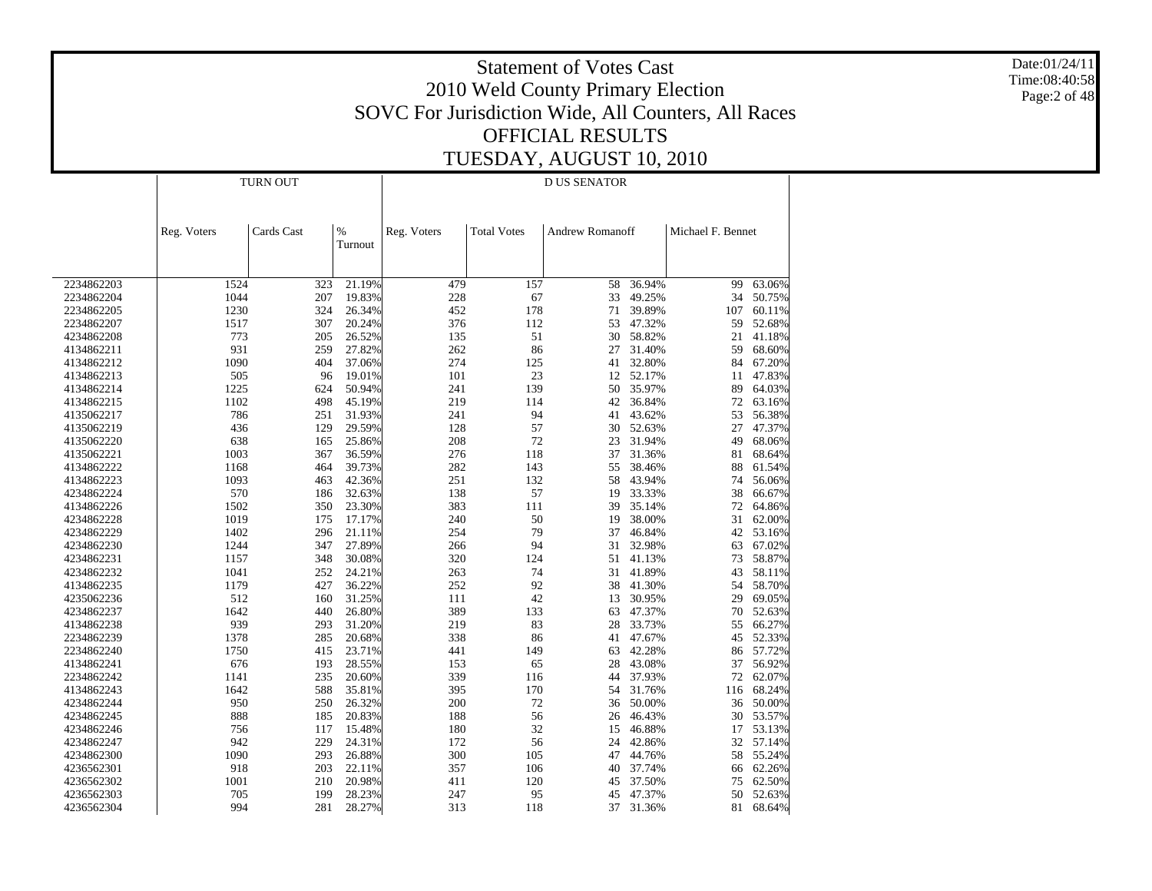Date:01/24/11 Time:08:40:58 Page:2 of 48

|            |             | <b>TURN OUT</b> |                  |             |                    | <b>D US SENATOR</b>    |                  |                   |        |
|------------|-------------|-----------------|------------------|-------------|--------------------|------------------------|------------------|-------------------|--------|
|            | Reg. Voters | Cards Cast      | $\%$<br>Turnout  | Reg. Voters | <b>Total Votes</b> | <b>Andrew Romanoff</b> |                  | Michael F. Bennet |        |
|            |             |                 |                  |             |                    |                        |                  |                   |        |
| 2234862203 | 1524        | 323             | 21.19%           | 479         | 157                | 58                     | 36.94%           | 99                | 63.06% |
| 2234862204 | 1044        | 207             | 19.83%           | 228         | 67                 | 33                     | 49.25%           | 34                | 50.75% |
| 2234862205 | 1230        | 324             | 26.34%           | 452         | 178                | 71                     | 39.89%           | 107               | 60.11% |
| 2234862207 | 1517        | 307             | 20.24%           | 376         | 112                | 53                     | 47.32%           | 59                | 52.68% |
| 4234862208 | 773         | 205             | 26.52%           | 135         | 51                 | 30                     | 58.82%           | 21                | 41.18% |
| 4134862211 | 931         | 259             | 27.82%           | 262         | 86                 | 27                     | 31.40%           | 59                | 68.60% |
| 4134862212 | 1090        | 404             | 37.06%           | 274         | 125                | 41                     | 32.80%           | 84                | 67.20% |
| 4134862213 | 505         | 96              | 19.01%           | 101         | 23                 |                        | 12 52.17%        | 11                | 47.83% |
| 4134862214 | 1225        | 624             | 50.94%           | 241         | 139                | 50                     | 35.97%           | 89                | 64.03% |
| 4134862215 | 1102        | 498             | 45.19%           | 219         | 114                | 42                     | 36.84%           | 72                | 63.16% |
| 4135062217 | 786         | 251             | 31.93%           | 241         | 94                 | 41                     | 43.62%           | 53                | 56.38% |
| 4135062219 | 436         | 129             | 29.59%           | 128         | 57                 | 30                     | 52.63%           | 27                | 47.37% |
| 4135062220 | 638         | 165             | 25.86%           | 208         | 72                 | 23                     | 31.94%           | 49                | 68.06% |
| 4135062221 | 1003        | 367             | 36.59%           | 276         | 118                | 37                     | 31.36%           | 81                | 68.64% |
| 4134862222 | 1168        | 464             | 39.73%           | 282         | 143                | 55                     | 38.46%           | 88                | 61.54% |
| 4134862223 | 1093        | 463             | 42.36%           | 251         | 132                | 58                     | 43.94%           | 74                | 56.06% |
| 4234862224 | 570         | 186             | 32.63%           | 138         | 57                 | 19                     | 33.33%           | 38                | 66.67% |
| 4134862226 | 1502        | 350             | 23.30%           | 383         | 111                | 39                     | 35.14%           | 72                | 64.86% |
| 4234862228 | 1019        | 175             | 17.17%           | 240         | 50                 | 19                     | 38.00%           | 31                | 62.00% |
| 4234862229 | 1402        | 296             | 21.11%           | 254         | 79                 | 37                     | 46.84%           | 42                | 53.16% |
| 4234862230 | 1244        | 347             | 27.89%           | 266         | 94                 | 31                     | 32.98%           | 63                | 67.02% |
| 4234862231 | 1157        | 348             | 30.08%           | 320         | 124                | 51                     | 41.13%           | 73                | 58.87% |
| 4234862232 | 1041        | 252             | 24.21%           | 263         | 74                 | 31                     | 41.89%           | 43                | 58.11% |
| 4134862235 | 1179        | 427             | 36.22%           | 252         | 92                 | 38                     | 41.30%           | 54                | 58.70% |
| 4235062236 | 512         | 160             | 31.25%           | 111         | 42                 | 13                     | 30.95%           | 29                | 69.05% |
| 4234862237 | 1642        | 440             | 26.80%           | 389         | 133                | 63                     | 47.37%           | 70                | 52.63% |
| 4134862238 | 939         | 293             | 31.20%           | 219         | 83                 | 28                     | 33.73%           | 55                | 66.27% |
| 2234862239 | 1378        | 285             | 20.68%           | 338         | 86                 | 41                     | 47.67%           | 45                | 52.33% |
| 2234862240 | 1750        | 415             | 23.71%           | 441         | 149                | 63                     | 42.28%           | 86                | 57.72% |
| 4134862241 | 676         | 193             | 28.55%           | 153         | 65                 | 28                     | 43.08%           | 37                | 56.92% |
| 2234862242 | 1141        | 235             | 20.60%           | 339         | 116                | 44                     | 37.93%           | 72                | 62.07% |
| 4134862243 | 1642        | 588             | 35.81%           | 395         | 170                |                        | 54 31.76%        | 116               | 68.24% |
|            |             |                 |                  |             | 72                 |                        |                  |                   | 50.00% |
| 4234862244 | 950         | 250             | 26.32%<br>20.83% | 200         |                    | 36                     | 50.00%<br>46.43% | 36                | 53.57% |
| 4234862245 | 888         | 185             |                  | 188         | 56                 | 26                     |                  | 30                |        |
| 4234862246 | 756         | 117             | 15.48%           | 180         | 32                 | 15                     | 46.88%           | 17                | 53.13% |
| 4234862247 | 942         | 229             | 24.31%           | 172         | 56                 | 24                     | 42.86%           | 32                | 57.14% |
| 4234862300 | 1090        | 293             | 26.88%           | 300         | 105                | 47                     | 44.76%           | 58                | 55.24% |
| 4236562301 | 918         | 203             | 22.11%           | 357         | 106                | 40                     | 37.74%           | 66                | 62.26% |
| 4236562302 | 1001        | 210             | 20.98%           | 411         | 120                | 45                     | 37.50%           | 75                | 62.50% |
| 4236562303 | 705         | 199             | 28.23%           | 247         | 95                 | 45                     | 47.37%           | 50                | 52.63% |
| 4236562304 | 994         | 281             | 28.27%           | 313         | 118                |                        | 37 31.36%        | 81                | 68.64% |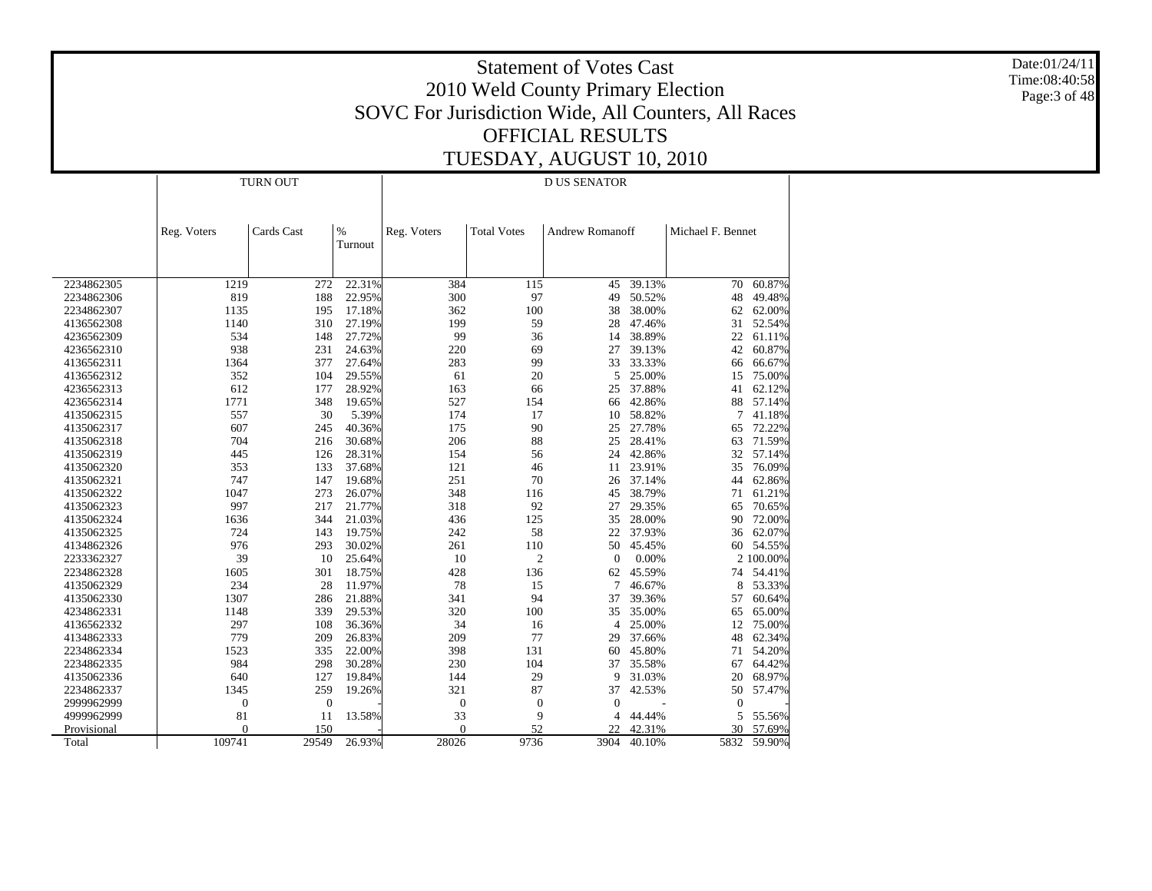Date:01/24/11 Time:08:40:58 Page:3 of 48

|             |                  | <b>TURN OUT</b> |                 |                  |                    | <b>D US SENATOR</b>    |        |                   |           |
|-------------|------------------|-----------------|-----------------|------------------|--------------------|------------------------|--------|-------------------|-----------|
|             | Reg. Voters      | Cards Cast      | $\%$<br>Turnout | Reg. Voters      | <b>Total Votes</b> | <b>Andrew Romanoff</b> |        | Michael F. Bennet |           |
|             |                  |                 |                 |                  |                    |                        |        |                   |           |
| 2234862305  | 1219             | 272             | 22.31%          | 384              | 115                | 45                     | 39.13% | 70                | 60.87%    |
| 2234862306  | 819              | 188             | 22.95%          | 300              | 97                 | 49                     | 50.52% | 48                | 49.48%    |
| 2234862307  | 1135             | 195             | 17.18%          | 362              | 100                | 38                     | 38.00% | 62                | 62.00%    |
| 4136562308  | 1140             | 310             | 27.19%          | 199              | 59                 | 28                     | 47.46% | 31                | 52.54%    |
| 4236562309  | 534              | 148             | 27.72%          | 99               | 36                 | 14                     | 38.89% | 22                | 61.11%    |
| 4236562310  | 938              | 231             | 24.63%          | 220              | 69                 | 27                     | 39.13% | 42                | 60.87%    |
| 4136562311  | 1364             | 377             | 27.64%          | 283              | 99                 | 33                     | 33.33% | 66                | 66.67%    |
| 4136562312  | 352              | 104             | 29.55%          | 61               | 20                 | 5                      | 25.00% | 15                | 75.00%    |
| 4236562313  | 612              | 177             | 28.92%          | 163              | 66                 | 25                     | 37.88% | 41                | 62.12%    |
| 4236562314  | 1771             | 348             | 19.65%          | 527              | 154                | 66                     | 42.86% | 88                | 57.14%    |
| 4135062315  | 557              | 30              | 5.39%           | 174              | 17                 | 10                     | 58.82% | 7                 | 41.18%    |
| 4135062317  | 607              | 245             | 40.36%          | 175              | 90                 | 25                     | 27.78% | 65                | 72.22%    |
| 4135062318  | 704              | 216             | 30.68%          | 206              | 88                 | 25                     | 28.41% | 63                | 71.59%    |
| 4135062319  | 445              | 126             | 28.31%          | 154              | 56                 | 24                     | 42.86% | 32                | 57.14%    |
| 4135062320  | 353              | 133             | 37.68%          | 121              | 46                 | 11                     | 23.91% | 35                | 76.09%    |
| 4135062321  | 747              | 147             | 19.68%          | 251              | 70                 | 26                     | 37.14% | 44                | 62.86%    |
| 4135062322  | 1047             | 273             | 26.07%          | 348              | 116                | 45                     | 38.79% | 71                | 61.21%    |
| 4135062323  | 997              | 217             | 21.77%          | 318              | 92                 | 27                     | 29.35% | 65                | 70.65%    |
| 4135062324  | 1636             | 344             | 21.03%          | 436              | 125                | 35                     | 28.00% | 90                | 72.00%    |
| 4135062325  | 724              | 143             | 19.75%          | 242              | 58                 | 22                     | 37.93% | 36                | 62.07%    |
| 4134862326  | 976              | 293             | 30.02%          | 261              | 110                | 50                     | 45.45% | 60                | 54.55%    |
| 2233362327  | 39               | 10              | 25.64%          | 10               | $\overline{c}$     | $\Omega$               | 0.00%  |                   | 2 100.00% |
| 2234862328  | 1605             | 301             | 18.75%          | 428              | 136                | 62                     | 45.59% | 74                | 54.41%    |
| 4135062329  | 234              | 28              | 11.97%          | 78               | 15                 | 7                      | 46.67% | 8                 | 53.33%    |
| 4135062330  | 1307             | 286             | 21.88%          | 341              | 94                 | 37                     | 39.36% | 57                | 60.64%    |
| 4234862331  | 1148             | 339             | 29.53%          | 320              | 100                | 35                     | 35.00% | 65                | 65.00%    |
| 4136562332  | 297              | 108             | 36.36%          | 34               | 16                 | 4                      | 25.00% | 12                | 75.00%    |
| 4134862333  | 779              | 209             | 26.83%          | 209              | 77                 | 29                     | 37.66% | 48                | 62.34%    |
| 2234862334  | 1523             | 335             | 22.00%          | 398              | 131                | 60                     | 45.80% | 71                | 54.20%    |
| 2234862335  | 984              | 298             | 30.28%          | 230              | 104                | 37                     | 35.58% | 67                | 64.42%    |
| 4135062336  | 640              | 127             | 19.84%          | 144              | 29                 | 9                      | 31.03% | 20                | 68.97%    |
| 2234862337  | 1345             | 259             | 19.26%          | 321              | 87                 | 37                     | 42.53% | 50                | 57.47%    |
| 2999962999  | $\boldsymbol{0}$ | $\overline{0}$  |                 | $\boldsymbol{0}$ | $\boldsymbol{0}$   | $\Omega$               |        | $\mathbf{0}$      |           |
| 4999962999  | 81               | 11              | 13.58%          | 33               | 9                  | 4                      | 44.44% | 5                 | 55.56%    |
| Provisional | $\overline{0}$   | 150             |                 | $\mathbf{0}$     | 52                 | 22                     | 42.31% | 30                | 57.69%    |
| Total       | 109741           | 29549           | 26.93%          | 28026            | 9736               | 3904                   | 40.10% | 5832              | 59.90%    |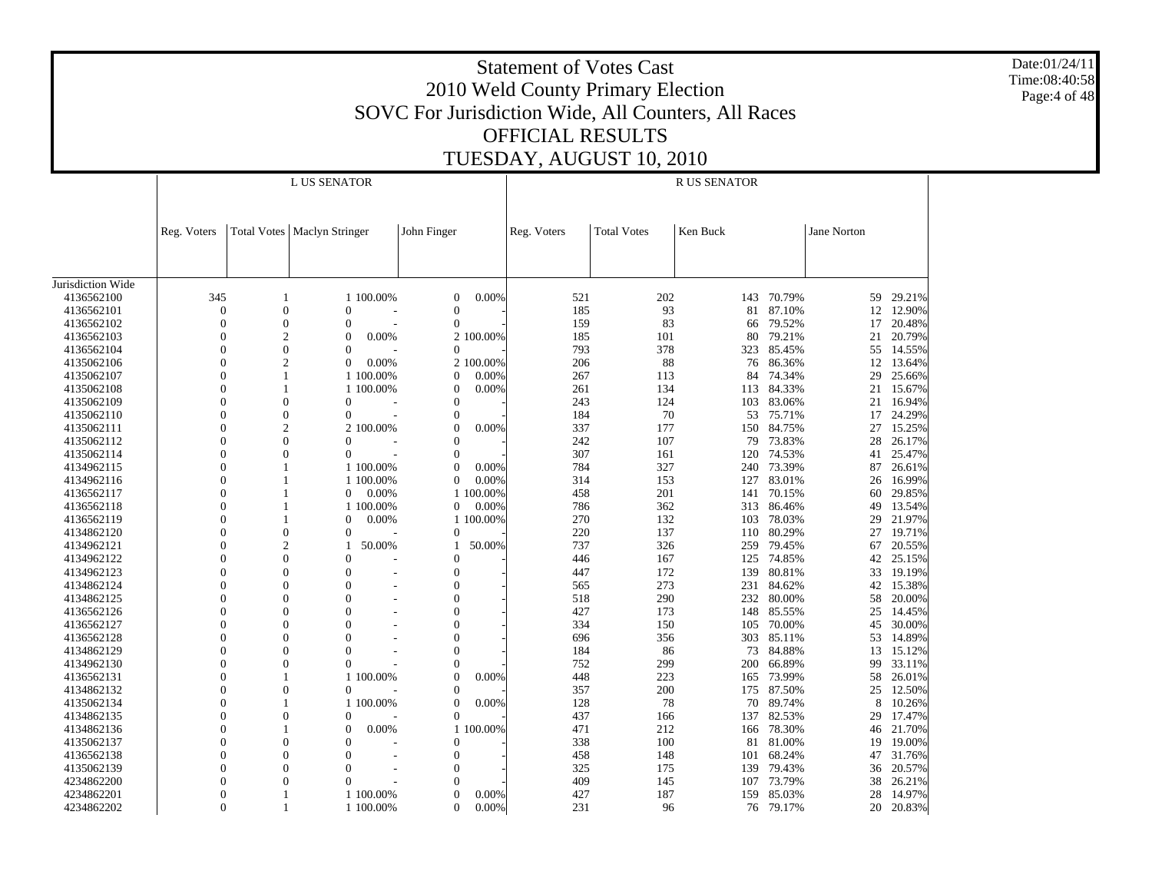Date:01/24/11 Time:08:40:58 Page:4 of 48

|                   |                  |                  | L US SENATOR                  |           |                |           |             |                    | R US SENATOR |           |             |           |
|-------------------|------------------|------------------|-------------------------------|-----------|----------------|-----------|-------------|--------------------|--------------|-----------|-------------|-----------|
|                   |                  |                  |                               |           |                |           |             |                    |              |           |             |           |
|                   | Reg. Voters      |                  | Total Votes   Maclyn Stringer |           | John Finger    |           | Reg. Voters | <b>Total Votes</b> | Ken Buck     |           | Jane Norton |           |
|                   |                  |                  |                               |           |                |           |             |                    |              |           |             |           |
| Jurisdiction Wide |                  |                  |                               |           |                |           |             |                    |              |           |             |           |
| 4136562100        | 345              |                  |                               | 1 100.00% | 0              | 0.00%     | 521         | 202                | 143          | 70.79%    | 59          | 29.21%    |
| 4136562101        | $\boldsymbol{0}$ | $\mathbf{0}$     | $\theta$                      |           | $\mathbf{0}$   |           | 185         | 93                 | 81           | 87.10%    | 12          | 12.90%    |
| 4136562102        | $\overline{0}$   | $\theta$         | $\theta$                      |           | $\mathbf{0}$   |           | 159         | 83                 | 66           | 79.52%    | 17          | 20.48%    |
| 4136562103        | $\boldsymbol{0}$ | 2                | $\boldsymbol{0}$              | 0.00%     |                | 2 100.00% | 185         | 101                | 80           | 79.21%    | 21          | 20.79%    |
| 4136562104        | $\overline{0}$   | $\mathbf{0}$     | $\theta$                      |           | $\Omega$       |           | 793         | 378                | 323          | 85.45%    | 55          | 14.55%    |
| 4135062106        | $\boldsymbol{0}$ | $\overline{c}$   | $\mathbf{0}$                  | 0.00%     |                | 2 100.00% | 206         | 88                 | 76           | 86.36%    | 12          | 13.64%    |
| 4135062107        | $\overline{0}$   | 1                |                               | 1 100.00% | $\Omega$       | 0.00%     | 267         | 113                | 84           | 74.34%    | 29          | 25.66%    |
| 4135062108        | $\overline{0}$   | 1                |                               | 1 100.00% | $\mathbf{0}$   | 0.00%     | 261         | 134                | 113          | 84.33%    | 21          | 15.67%    |
| 4135062109        | $\overline{0}$   | $\mathbf{0}$     | $\mathbf{0}$                  |           | $\Omega$       |           | 243         | 124                | 103          | 83.06%    | 21          | 16.94%    |
| 4135062110        | $\theta$         | $\Omega$         | $\Omega$                      |           | $\Omega$       |           | 184         | 70                 | 53           | 75.71%    |             | 17 24.29% |
| 4135062111        | $\overline{0}$   | 2                |                               | 2 100.00% | $\overline{0}$ | 0.00%     | 337         | 177                | 150          | 84.75%    | 27          | 15.25%    |
| 4135062112        | $\theta$         | $\theta$         | $\Omega$                      |           | $\Omega$       |           | 242         | 107                | 79           | 73.83%    | 28          | 26.17%    |
| 4135062114        | $\overline{0}$   | $\overline{0}$   | $\Omega$                      |           | $\mathbf{0}$   |           | 307         | 161                | 120          | 74.53%    | 41          | 25.47%    |
| 4134962115        | $\theta$         |                  |                               | 1 100.00% | $\Omega$       | 0.00%     | 784         | 327                | 240          | 73.39%    | 87          | 26.61%    |
| 4134962116        | $\overline{0}$   |                  |                               | 1 100.00% | $\mathbf{0}$   | 0.00%     | 314         | 153                | 127          | 83.01%    | 26          | 16.99%    |
| 4136562117        | $\theta$         |                  | $\overline{0}$                | 0.00%     |                | 1 100.00% | 458         | 201                | 141          | 70.15%    | 60          | 29.85%    |
| 4136562118        | $\overline{0}$   | 1                |                               | 1 100.00% | $\overline{0}$ | 0.00%     | 786         | 362                | 313          | 86.46%    | 49          | 13.54%    |
| 4136562119        | $\Omega$         | 1                | $\overline{0}$                | 0.00%     |                | 1 100.00% | 270         | 132                | 103          | 78.03%    | 29          | 21.97%    |
| 4134862120        | $\boldsymbol{0}$ | $\boldsymbol{0}$ | $\overline{0}$                |           | $\mathbf{0}$   |           | 220         | 137                | 110          | 80.29%    | 27          | 19.71%    |
| 4134962121        | $\overline{0}$   | $\overline{c}$   | 1                             | 50.00%    | 1              | 50.00%    | 737         | 326                | 259          | 79.45%    | 67          | 20.55%    |
| 4134962122        | $\boldsymbol{0}$ | $\overline{0}$   | $\theta$                      |           | $\mathbf{0}$   |           | 446         | 167                | 125          | 74.85%    | 42          | 25.15%    |
| 4134962123        | $\overline{0}$   | $\overline{0}$   | $\Omega$                      |           | $\mathbf{0}$   |           | 447         | 172                | 139          | 80.81%    | 33          | 19.19%    |
| 4134862124        | $\overline{0}$   | $\theta$         | $\theta$                      |           | $\mathbf{0}$   |           | 565         | 273                | 231          | 84.62%    | 42          | 15.38%    |
| 4134862125        | $\overline{0}$   | $\Omega$         | $\overline{0}$                |           | $\Omega$       |           | 518         | 290                | 232          | 80.00%    | 58          | 20.00%    |
| 4136562126        | $\overline{0}$   | $\theta$         | $\overline{0}$                |           | $\mathbf{0}$   |           | 427         | 173                | 148          | 85.55%    | 25          | 14.45%    |
| 4136562127        | $\overline{0}$   | $\Omega$         | $\theta$                      |           | $\mathbf{0}$   |           | 334         | 150                | 105          | 70.00%    | 45          | 30.00%    |
| 4136562128        | $\theta$         | $\Omega$         | $\Omega$                      |           | $\Omega$       |           | 696         | 356                | 303          | 85.11%    | 53          | 14.89%    |
| 4134862129        | $\overline{0}$   | $\Omega$         | $\theta$                      |           | $\overline{0}$ |           | 184         | 86                 | 73           | 84.88%    | 13          | 15.12%    |
| 4134962130        | $\theta$         | $\Omega$         | $\Omega$                      |           | $\Omega$       |           | 752         | 299                | 200          | 66.89%    | 99          | 33.11%    |
| 4136562131        | $\overline{0}$   |                  |                               | 1 100.00% | $\overline{0}$ | 0.00%     | 448         | 223                | 165          | 73.99%    | 58          | 26.01%    |
| 4134862132        | $\theta$         | $\Omega$         | $\Omega$                      |           | $\Omega$       |           | 357         | 200                | 175          | 87.50%    | 25          | 12.50%    |
| 4135062134        | $\overline{0}$   |                  |                               | 1 100.00% | $\Omega$       | 0.00%     | 128         | 78                 | 70           | 89.74%    | 8           | 10.26%    |
| 4134862135        | $\Omega$         | $\Omega$         | $\Omega$                      |           | 0              |           | 437         | 166                | 137          | 82.53%    | 29          | 17.47%    |
| 4134862136        | $\overline{0}$   | 1                | $\mathbf{0}$                  | 0.00%     |                | 1 100.00% | 471         | 212                | 166          | 78.30%    |             | 46 21.70% |
| 4135062137        | $\overline{0}$   | $\Omega$         | $\theta$                      |           | $\Omega$       |           | 338         | 100                | 81           | 81.00%    | 19          | 19.00%    |
| 4136562138        | $\overline{0}$   | $\overline{0}$   | $\overline{0}$                |           | $\mathbf{0}$   |           | 458         | 148                | 101          | 68.24%    | 47          | 31.76%    |
| 4135062139        | $\overline{0}$   | $\Omega$         | $\theta$                      |           | $\overline{0}$ |           | 325         | 175                | 139          | 79.43%    | 36          | 20.57%    |
| 4234862200        | $\overline{0}$   | $\theta$         | $\theta$                      |           | $\Omega$       |           | 409         | 145                | 107          | 73.79%    | 38          | 26.21%    |
| 4234862201        | $\overline{0}$   |                  |                               | 1 100.00% | $\Omega$       | 0.00%     | 427         | 187                | 159          | 85.03%    | 28          | 14.97%    |
| 4234862202        | $\theta$         |                  |                               | 1 100.00% | $\Omega$       | 0.00%     | 231         | 96                 |              | 76 79.17% | 20          | 20.83%    |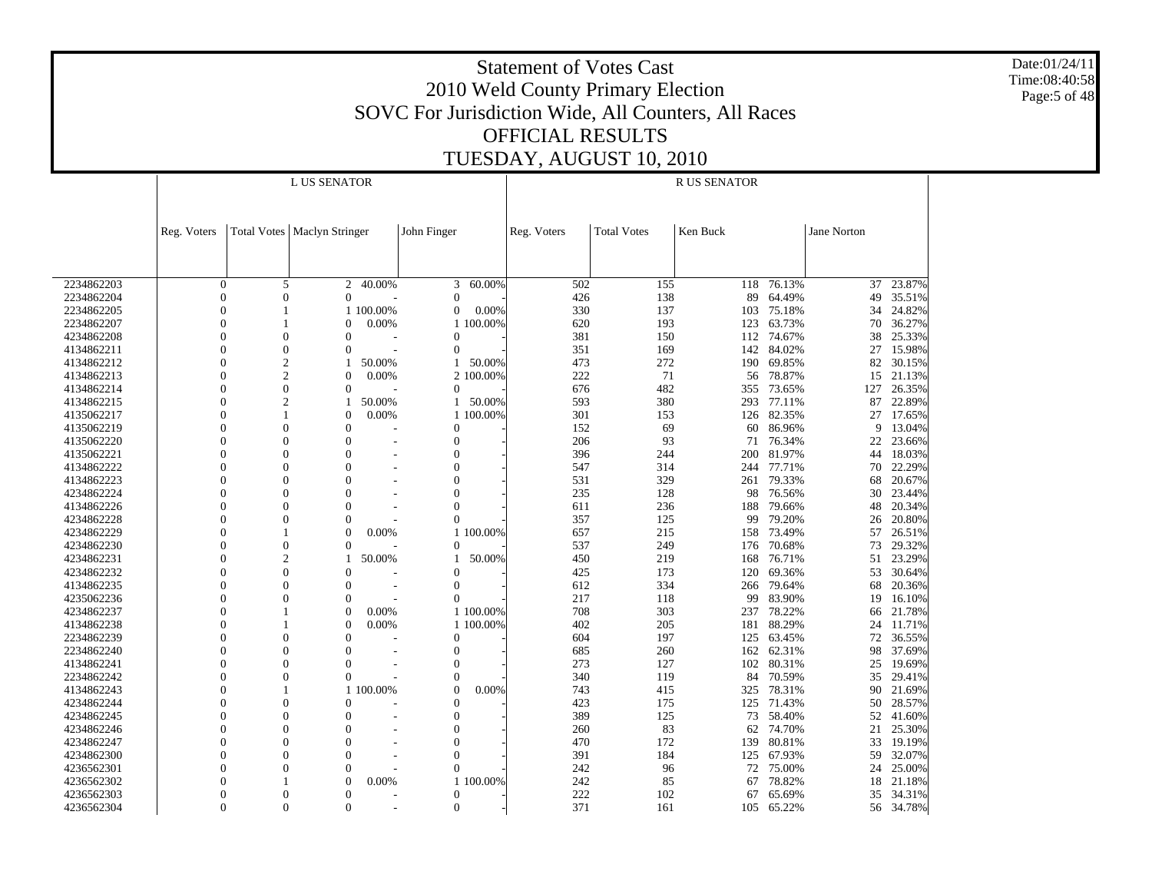Date:01/24/11 Time:08:40:58 Page:5 of 48

|            |                      |                | L US SENATOR                  |           |                |           |             |                    | <b>R US SENATOR</b> |            |             |                                                                                                                                                                                                                                                                                                                                                                                                                                                                                                                                                                                                                                              |  |  |  |
|------------|----------------------|----------------|-------------------------------|-----------|----------------|-----------|-------------|--------------------|---------------------|------------|-------------|----------------------------------------------------------------------------------------------------------------------------------------------------------------------------------------------------------------------------------------------------------------------------------------------------------------------------------------------------------------------------------------------------------------------------------------------------------------------------------------------------------------------------------------------------------------------------------------------------------------------------------------------|--|--|--|
|            |                      |                |                               |           |                |           |             |                    |                     |            |             | 23.87%<br>37<br>49<br>35.51%<br>24.82%<br>34<br>70<br>36.27%<br>25.33%<br>38<br>15.98%<br>27<br>82<br>30.15%<br>21.13%<br>15<br>127<br>26.35%<br>87<br>22.89%<br>27<br>17.65%<br>9<br>13.04%<br>22<br>23.66%<br>18.03%<br>44<br>70<br>22.29%<br>20.67%<br>68<br>30<br>23.44%<br>48<br>20.34%<br>26<br>20.80%<br>57<br>26.51%<br>73<br>29.32%<br>23.29%<br>51<br>53<br>30.64%<br>20.36%<br>68<br>19<br>16.10%<br>21.78%<br>66<br>24<br>11.71%<br>72<br>36.55%<br>37.69%<br>98<br>19.69%<br>25<br>35<br>29.41%<br>90<br>21.69%<br>28.57%<br>50<br>52<br>41.60%<br>21<br>25.30%<br>33<br>19.19%<br>59<br>32.07%<br>25.00%<br>24<br>21.18%<br>18 |  |  |  |
|            |                      |                |                               |           |                |           |             |                    |                     |            |             |                                                                                                                                                                                                                                                                                                                                                                                                                                                                                                                                                                                                                                              |  |  |  |
|            | Reg. Voters          |                | Total Votes   Maclyn Stringer |           | John Finger    |           | Reg. Voters | <b>Total Votes</b> | Ken Buck            |            | Jane Norton |                                                                                                                                                                                                                                                                                                                                                                                                                                                                                                                                                                                                                                              |  |  |  |
|            |                      |                |                               |           |                |           |             |                    |                     |            |             |                                                                                                                                                                                                                                                                                                                                                                                                                                                                                                                                                                                                                                              |  |  |  |
|            |                      |                |                               |           |                |           |             |                    |                     |            |             |                                                                                                                                                                                                                                                                                                                                                                                                                                                                                                                                                                                                                                              |  |  |  |
|            |                      |                |                               |           |                |           |             |                    |                     |            |             |                                                                                                                                                                                                                                                                                                                                                                                                                                                                                                                                                                                                                                              |  |  |  |
| 2234862203 | $\overline{0}$       | 5              | $\overline{2}$                | 40.00%    | 3              | 60.00%    | 502         | 155                | 118                 | 76.13%     |             |                                                                                                                                                                                                                                                                                                                                                                                                                                                                                                                                                                                                                                              |  |  |  |
| 2234862204 | $\overline{0}$       | $\mathbf{0}$   | $\Omega$                      |           | $\overline{0}$ |           | 426         | 138                | 89                  | 64.49%     |             |                                                                                                                                                                                                                                                                                                                                                                                                                                                                                                                                                                                                                                              |  |  |  |
| 2234862205 | $\overline{0}$       | $\mathbf{1}$   |                               | 1 100.00% | $\overline{0}$ | 0.00%     | 330         | 137                | 103                 | 75.18%     |             |                                                                                                                                                                                                                                                                                                                                                                                                                                                                                                                                                                                                                                              |  |  |  |
| 2234862207 | $\theta$<br>$\Omega$ |                | $\overline{0}$                | 0.00%     |                | 1 100.00% | 620         | 193                | 123                 | 63.73%     |             |                                                                                                                                                                                                                                                                                                                                                                                                                                                                                                                                                                                                                                              |  |  |  |
| 4234862208 |                      | $\mathbf{0}$   | $\overline{0}$                |           | $\mathbf{0}$   |           | 381         | 150                |                     | 112 74.67% |             |                                                                                                                                                                                                                                                                                                                                                                                                                                                                                                                                                                                                                                              |  |  |  |
| 4134862211 | $\Omega$             | $\mathbf{0}$   | $\Omega$                      |           | $\mathbf{0}$   |           | 351         | 169                | 142                 | 84.02%     |             |                                                                                                                                                                                                                                                                                                                                                                                                                                                                                                                                                                                                                                              |  |  |  |
| 4134862212 | $\Omega$             | $\overline{c}$ |                               | 50.00%    | $\mathbf{1}$   | 50.00%    | 473         | 272                |                     | 190 69.85% |             |                                                                                                                                                                                                                                                                                                                                                                                                                                                                                                                                                                                                                                              |  |  |  |
| 4134862213 | $\Omega$             | $\overline{c}$ | $\mathbf{0}$                  | 0.00%     |                | 2 100.00% | 222         | 71                 | 56                  | 78.87%     |             |                                                                                                                                                                                                                                                                                                                                                                                                                                                                                                                                                                                                                                              |  |  |  |
| 4134862214 | $\Omega$             | $\overline{0}$ | $\Omega$                      |           | $\Omega$       |           | 676         | 482                | 355                 | 73.65%     |             |                                                                                                                                                                                                                                                                                                                                                                                                                                                                                                                                                                                                                                              |  |  |  |
| 4134862215 | $\Omega$             | $\overline{c}$ |                               | 50.00%    | $\mathbf{1}$   | 50.00%    | 593         | 380                | 293                 | 77.11%     |             |                                                                                                                                                                                                                                                                                                                                                                                                                                                                                                                                                                                                                                              |  |  |  |
| 4135062217 | $\Omega$             | $\mathbf{1}$   | $\Omega$                      | 0.00%     |                | 1 100,00% | 301         | 153                |                     | 126 82.35% |             |                                                                                                                                                                                                                                                                                                                                                                                                                                                                                                                                                                                                                                              |  |  |  |
| 4135062219 | $\theta$             | $\theta$       | $\overline{0}$                |           | $\overline{0}$ |           | 152         | 69                 | 60                  | 86.96%     |             |                                                                                                                                                                                                                                                                                                                                                                                                                                                                                                                                                                                                                                              |  |  |  |
| 4135062220 | $\Omega$             | $\theta$       | $\theta$                      |           | $\overline{0}$ |           | 206         | 93                 | 71                  | 76.34%     |             |                                                                                                                                                                                                                                                                                                                                                                                                                                                                                                                                                                                                                                              |  |  |  |
| 4135062221 | $\theta$             | $\overline{0}$ | $\overline{0}$                |           | $\mathbf{0}$   |           | 396         | 244                | 200                 | 81.97%     |             |                                                                                                                                                                                                                                                                                                                                                                                                                                                                                                                                                                                                                                              |  |  |  |
| 4134862222 | $\Omega$             | $\theta$       | $\Omega$                      |           | $\overline{0}$ |           | 547         | 314                | 244                 | 77.71%     |             |                                                                                                                                                                                                                                                                                                                                                                                                                                                                                                                                                                                                                                              |  |  |  |
| 4134862223 | $\Omega$             | $\overline{0}$ | $\overline{0}$                |           | $\mathbf{0}$   |           | 531         | 329                | 261                 | 79.33%     |             |                                                                                                                                                                                                                                                                                                                                                                                                                                                                                                                                                                                                                                              |  |  |  |
| 4234862224 | $\Omega$             | $\theta$       | $\Omega$                      |           | $\theta$       |           | 235         | 128                | 98                  | 76.56%     |             |                                                                                                                                                                                                                                                                                                                                                                                                                                                                                                                                                                                                                                              |  |  |  |
| 4134862226 | $\theta$             | $\overline{0}$ | $\overline{0}$                |           | $\mathbf{0}$   |           | 611         | 236                | 188                 | 79.66%     |             |                                                                                                                                                                                                                                                                                                                                                                                                                                                                                                                                                                                                                                              |  |  |  |
| 4234862228 | $\Omega$             | $\theta$       | $\Omega$                      |           | $\Omega$       |           | 357         | 125                | 99                  | 79.20%     |             |                                                                                                                                                                                                                                                                                                                                                                                                                                                                                                                                                                                                                                              |  |  |  |
| 4234862229 | $\Omega$             |                | $\theta$                      | 0.00%     |                | 1 100.00% | 657         | 215                | 158                 | 73.49%     |             |                                                                                                                                                                                                                                                                                                                                                                                                                                                                                                                                                                                                                                              |  |  |  |
| 4234862230 | $\Omega$             | $\overline{0}$ | $\Omega$                      |           | $\Omega$       |           | 537         | 249                | 176                 | 70.68%     |             |                                                                                                                                                                                                                                                                                                                                                                                                                                                                                                                                                                                                                                              |  |  |  |
| 4234862231 | $\Omega$             | $\overline{c}$ |                               | 50.00%    | 1              | 50.00%    | 450         | 219                | 168                 | 76.71%     |             |                                                                                                                                                                                                                                                                                                                                                                                                                                                                                                                                                                                                                                              |  |  |  |
| 4234862232 | $\Omega$             | $\overline{0}$ | $\overline{0}$                |           | $\theta$       |           | 425         | 173                | 120                 | 69.36%     |             |                                                                                                                                                                                                                                                                                                                                                                                                                                                                                                                                                                                                                                              |  |  |  |
| 4134862235 | $\Omega$             | $\overline{0}$ | $\overline{0}$                |           | $\mathbf{0}$   |           | 612         | 334                |                     | 266 79.64% |             |                                                                                                                                                                                                                                                                                                                                                                                                                                                                                                                                                                                                                                              |  |  |  |
| 4235062236 | $\Omega$             | $\theta$       | $\overline{0}$                |           | $\Omega$       |           | 217         | 118                | 99                  | 83.90%     |             |                                                                                                                                                                                                                                                                                                                                                                                                                                                                                                                                                                                                                                              |  |  |  |
| 4234862237 | $\Omega$             |                | $\Omega$                      | 0.00%     |                | 1 100,00% | 708         | 303                | 237                 | 78.22%     |             |                                                                                                                                                                                                                                                                                                                                                                                                                                                                                                                                                                                                                                              |  |  |  |
| 4134862238 | $\Omega$             | $\mathbf{1}$   | $\Omega$                      | 0.00%     |                | 1 100,00% | 402         | 205                | 181                 | 88.29%     |             |                                                                                                                                                                                                                                                                                                                                                                                                                                                                                                                                                                                                                                              |  |  |  |
| 2234862239 | $\Omega$             | $\theta$       | $\overline{0}$                |           | $\mathbf{0}$   |           | 604         | 197                |                     | 125 63.45% |             |                                                                                                                                                                                                                                                                                                                                                                                                                                                                                                                                                                                                                                              |  |  |  |
| 2234862240 | $\Omega$             | $\theta$       | $\overline{0}$                |           | $\overline{0}$ |           | 685         | 260                | 162                 | 62.31%     |             |                                                                                                                                                                                                                                                                                                                                                                                                                                                                                                                                                                                                                                              |  |  |  |
| 4134862241 | $\Omega$             | $\theta$       | $\overline{0}$                |           | $\overline{0}$ |           | 273         | 127                | 102                 | 80.31%     |             |                                                                                                                                                                                                                                                                                                                                                                                                                                                                                                                                                                                                                                              |  |  |  |
| 2234862242 | $\Omega$             | $\mathbf{0}$   | $\Omega$                      |           | $\theta$       |           | 340         | 119                | 84                  | 70.59%     |             |                                                                                                                                                                                                                                                                                                                                                                                                                                                                                                                                                                                                                                              |  |  |  |
| 4134862243 | $\Omega$             |                |                               | 1 100,00% | $\Omega$       | 0.00%     | 743         | 415                | 325                 | 78.31%     |             |                                                                                                                                                                                                                                                                                                                                                                                                                                                                                                                                                                                                                                              |  |  |  |
| 4234862244 | $\Omega$             | $\mathbf{0}$   | $\Omega$                      |           | $\Omega$       |           | 423         | 175                | 125                 | 71.43%     |             |                                                                                                                                                                                                                                                                                                                                                                                                                                                                                                                                                                                                                                              |  |  |  |
| 4234862245 | $\Omega$             | $\overline{0}$ | $\overline{0}$                |           | $\mathbf{0}$   |           | 389         | 125                | 73                  | 58.40%     |             |                                                                                                                                                                                                                                                                                                                                                                                                                                                                                                                                                                                                                                              |  |  |  |
| 4234862246 | $\theta$             | $\theta$       | $\theta$                      |           | $\mathbf{0}$   |           | 260         | 83                 | 62                  | 74.70%     |             |                                                                                                                                                                                                                                                                                                                                                                                                                                                                                                                                                                                                                                              |  |  |  |
| 4234862247 | $\Omega$             | $\theta$       | $\overline{0}$                |           | $\overline{0}$ |           | 470         | 172                | 139                 | 80.81%     |             |                                                                                                                                                                                                                                                                                                                                                                                                                                                                                                                                                                                                                                              |  |  |  |
| 4234862300 | $\theta$             | $\mathbf{0}$   | $\overline{0}$                |           | $\overline{0}$ |           | 391         | 184                | 125                 | 67.93%     |             |                                                                                                                                                                                                                                                                                                                                                                                                                                                                                                                                                                                                                                              |  |  |  |
| 4236562301 | $\Omega$             | $\overline{0}$ | $\overline{0}$                |           | $\Omega$       |           | 242         | 96                 | 72                  | 75.00%     |             |                                                                                                                                                                                                                                                                                                                                                                                                                                                                                                                                                                                                                                              |  |  |  |
| 4236562302 | $\Omega$             |                | $\Omega$                      | 0.00%     |                | 1 100.00% | 242         | 85                 | 67                  | 78.82%     |             |                                                                                                                                                                                                                                                                                                                                                                                                                                                                                                                                                                                                                                              |  |  |  |
| 4236562303 | $\Omega$             | $\theta$       | $\Omega$                      |           | $\mathbf{0}$   |           | 222         | 102                | 67                  | 65.69%     | 35          | 34.31%                                                                                                                                                                                                                                                                                                                                                                                                                                                                                                                                                                                                                                       |  |  |  |
| 4236562304 | $\Omega$             | $\Omega$       | $\Omega$                      |           | $\Omega$       |           | 371         | 161                | 105                 | 65.22%     |             | 56 34.78%                                                                                                                                                                                                                                                                                                                                                                                                                                                                                                                                                                                                                                    |  |  |  |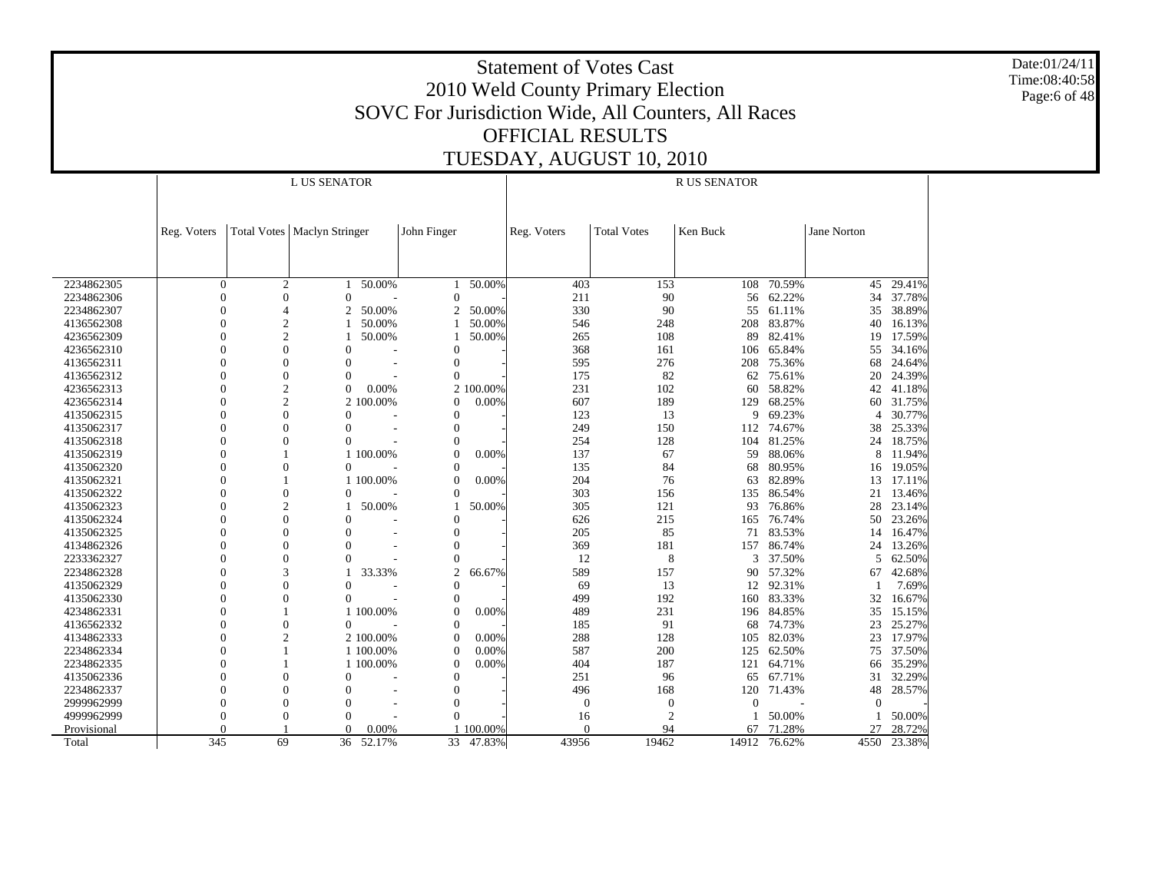Date:01/24/11 Time:08:40:58 Page:6 of 48

|             |                      |                | <b>L US SENATOR</b>                  |           |                          |           |                  |                                    | <b>RUS SENATOR</b> |            |                |        |
|-------------|----------------------|----------------|--------------------------------------|-----------|--------------------------|-----------|------------------|------------------------------------|--------------------|------------|----------------|--------|
|             |                      |                |                                      |           |                          |           |                  |                                    |                    |            |                |        |
|             | Reg. Voters          |                | <b>Total Votes   Maclyn Stringer</b> |           | John Finger              |           | Reg. Voters      | <b>Total Votes</b>                 | Ken Buck           |            | Jane Norton    |        |
|             |                      |                |                                      |           |                          |           |                  |                                    |                    |            |                |        |
|             |                      |                |                                      |           |                          |           |                  |                                    |                    |            |                |        |
|             |                      |                |                                      |           |                          |           |                  |                                    |                    |            |                |        |
| 2234862305  | $\overline{0}$       | $\overline{2}$ |                                      | 50.00%    | $\mathbf{1}$             | 50.00%    | 403              | 153                                | 108                | 70.59%     | 45             | 29.41% |
| 2234862306  | $\mathbf{0}$         | $\mathbf{0}$   | $\Omega$                             |           | $\mathbf{0}$             |           | 211              | 90                                 | 56                 | 62.22%     | 34             | 37.78% |
| 2234862307  | $\Omega$             | $\overline{4}$ | 2                                    | 50.00%    | 2                        | 50.00%    | 330              | 90                                 | 55                 | 61.11%     | 35             | 38.89% |
| 4136562308  | $\Omega$             | $\mathbf{2}$   |                                      | 50.00%    |                          | 50.00%    | 546              | 248                                | 208                | 83.87%     | 40             | 16.13% |
| 4236562309  | $\Omega$             | $\overline{2}$ |                                      | 50.00%    |                          | 50.00%    | 265              | 108                                | 89                 | 82.41%     | 19             | 17.59% |
| 4236562310  | $\Omega$             | $\overline{0}$ | $\Omega$                             |           | $\Omega$                 |           | 368              | 161                                | 106                | 65.84%     | 55             | 34.16% |
| 4136562311  | $\Omega$             | $\theta$       | $\overline{0}$                       |           | $\overline{0}$           |           | 595              | 276                                | 208                | 75.36%     | 68             | 24.64% |
| 4136562312  | $\Omega$             | $\theta$       | $\Omega$                             |           | $\theta$                 |           | 175              | 82                                 | 62                 | 75.61%     | 20             | 24.39% |
| 4236562313  | $\Omega$             | $\overline{c}$ | $\Omega$                             | 0.00%     |                          | 2 100.00% | 231              | 102                                | 60                 | 58.82%     | 42             | 41.18% |
| 4236562314  | $\Omega$             | $\overline{c}$ |                                      | 2 100.00% | $\Omega$                 | 0.00%     | 607              | 189                                | 129                | 68.25%     | 60             | 31.75% |
| 4135062315  | $\Omega$             | $\overline{0}$ | $\Omega$                             |           | $\mathbf{0}$             |           | 123              | 13                                 | 9                  | 69.23%     | $\overline{4}$ | 30.77% |
| 4135062317  | $\Omega$             | $\theta$       | $\theta$                             |           | $\overline{0}$           |           | 249              | 150                                | 112                | 74.67%     | 38             | 25.33% |
| 4135062318  | $\Omega$             | $\overline{0}$ | $\Omega$                             |           | $\overline{0}$           |           | 254              | 128                                | 104                | 81.25%     | 24             | 18.75% |
| 4135062319  | $\Omega$             |                |                                      | 1 100,00% | $\theta$                 | 0.00%     | 137              | 67                                 | 59                 | 88.06%     | 8              | 11.94% |
| 4135062320  | $\Omega$             | $\Omega$       | $\Omega$                             |           | $\Omega$                 |           | 135              | 84                                 | 68                 | 80.95%     | 16             | 19.05% |
| 4135062321  | $\Omega$             |                |                                      | 1 100.00% | $\Omega$                 | 0.00%     | 204              | 76                                 | 63                 | 82.89%     | 13             | 17.11% |
| 4135062322  |                      | $\overline{0}$ | $\Omega$                             |           | $\theta$                 |           | 303              | 156                                | 135                | 86.54%     | 21             | 13.46% |
| 4135062323  | $\Omega$             | $\overline{c}$ |                                      | 50.00%    |                          | 50.00%    | 305              | 121                                | 93                 | 76.86%     | 28             | 23.14% |
| 4135062324  | $\Omega$             | $\overline{0}$ | $\Omega$                             |           | $\Omega$                 |           | 626              | 215                                | 165                | 76.74%     | 50             | 23.26% |
| 4135062325  | $\Omega$             | $\theta$       | $\Omega$                             |           | $\theta$                 |           | 205              | 85                                 | 71                 | 83.53%     | 14             | 16.47% |
| 4134862326  | $\Omega$             | $\Omega$       | $\Omega$                             |           | $\theta$                 |           | 369              | 181                                | 157                | 86.74%     | 24             | 13.26% |
| 2233362327  | $\Omega$             | $\theta$       | $\Omega$                             |           | $\theta$                 |           | 12               | 8                                  | 3                  | 37.50%     | 5              | 62.50% |
| 2234862328  | $\Omega$             | 3              |                                      | 33.33%    | $\overline{2}$           | 66.67%    | 589              | 157                                | 90                 | 57.32%     | 67             | 42.68% |
| 4135062329  |                      | $\theta$       | $\theta$                             |           | $\overline{0}$           |           | 69               | 13                                 | 12                 | 92.31%     |                | 7.69%  |
| 4135062330  | $\Omega$             | $\theta$       | $\Omega$                             |           | $\Omega$                 |           | 499              | 192                                | 160                | 83.33%     | 32             | 16.67% |
| 4234862331  | $\Omega$             |                |                                      | 1 100.00% | $\theta$                 | 0.00%     | 489              | 231                                |                    | 196 84.85% | 35             | 15.15% |
| 4136562332  | $\Omega$             | $\overline{0}$ | $\Omega$                             |           | $\Omega$                 |           | 185              | 91                                 | 68                 | 74.73%     | 23             | 25.27% |
| 4134862333  | $\Omega$             | $\overline{2}$ |                                      | 2 100,00% | $\Omega$                 | 0.00%     | 288              | 128                                | 105                | 82.03%     | 23             | 17.97% |
| 2234862334  | $\Omega$             |                |                                      | 1 100.00% | $\Omega$                 | 0.00%     | 587              | 200                                | 125                | 62.50%     | 75             | 37.50% |
| 2234862335  | $\Omega$             |                |                                      | 1 100.00% | $\Omega$                 | 0.00%     | 404              | 187                                | 121                | 64.71%     | 66             | 35.29% |
| 4135062336  | $\Omega$             | $\theta$       | $\theta$                             |           | $\mathbf{0}$             |           | 251              | 96                                 | 65                 | 67.71%     | 31             | 32.29% |
| 2234862337  | $\Omega$             | $\Omega$       | $\Omega$                             |           | $\Omega$                 |           | 496              | 168                                | 120                | 71.43%     | 48             | 28.57% |
|             | $\Omega$             | $\Omega$       |                                      |           |                          |           |                  |                                    |                    |            | $\Omega$       |        |
| 2999962999  |                      | $\Omega$       | $\overline{0}$<br>$\Omega$           |           | $\mathbf{0}$<br>$\theta$ |           | $\boldsymbol{0}$ | $\boldsymbol{0}$<br>$\overline{2}$ | $\mathbf{0}$       | 50.00%     |                |        |
| 4999962999  | $\Omega$<br>$\Omega$ |                | $\Omega$                             |           |                          |           | 16<br>$\Omega$   |                                    |                    |            |                | 50.00% |
| Provisional | 345                  | 69             |                                      | 0.00%     |                          | 100.00%   | 43956            | 94<br>19462                        | 67                 | 71.28%     | 27             | 28.72% |
| Total       |                      |                |                                      | 36 52.17% |                          | 33 47.83% |                  |                                    | 14912              | 76.62%     | 4550           | 23.38% |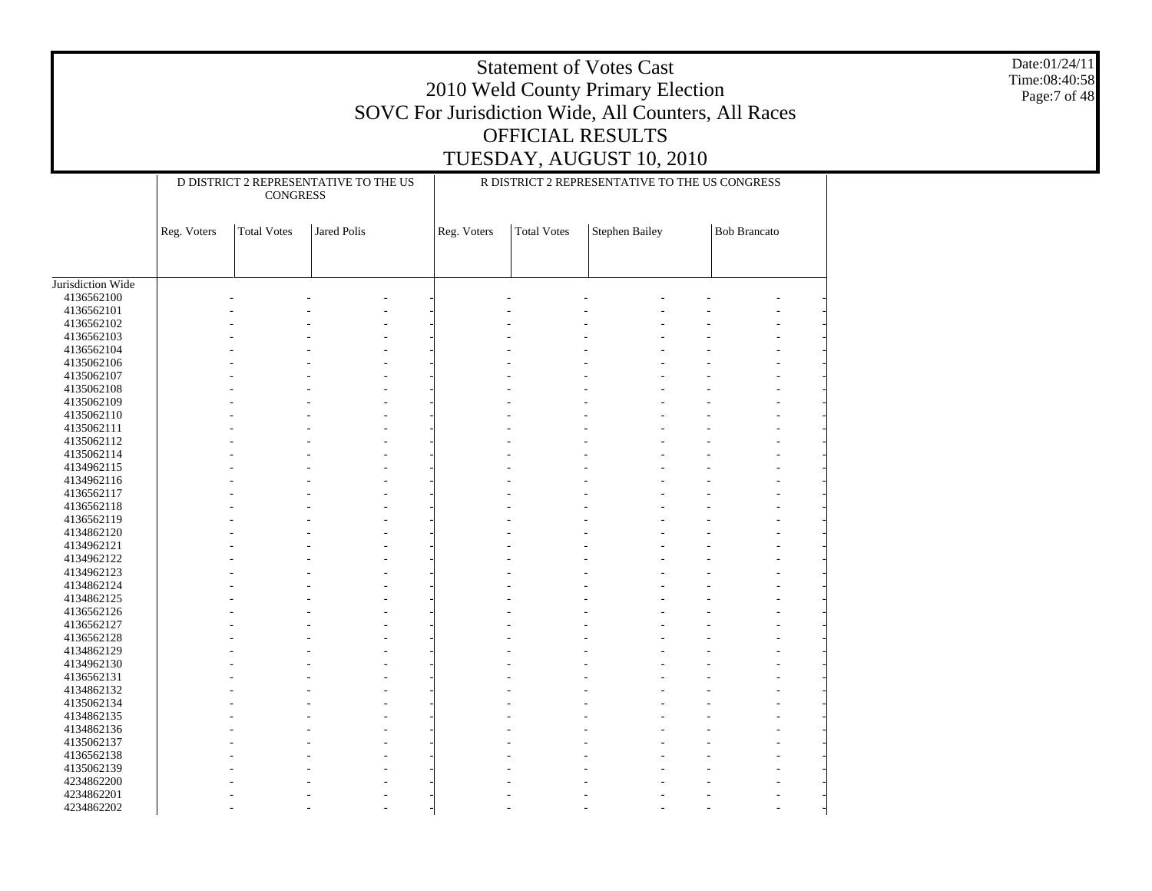|                                               |             |                                                          |                                                |             |             | <b>Statement of Votes Cast</b><br>2010 Weld County Primary Election<br><b>OFFICIAL RESULTS</b> | SOVC For Jurisdiction Wide, All Counters, All Races | Date:01/24/11<br>Time:08:40:58<br>Page:7 of 48 |
|-----------------------------------------------|-------------|----------------------------------------------------------|------------------------------------------------|-------------|-------------|------------------------------------------------------------------------------------------------|-----------------------------------------------------|------------------------------------------------|
|                                               |             |                                                          |                                                |             |             | TUESDAY, AUGUST 10, 2010                                                                       |                                                     |                                                |
|                                               |             |                                                          |                                                |             |             |                                                                                                |                                                     |                                                |
|                                               |             | D DISTRICT 2 REPRESENTATIVE TO THE US<br><b>CONGRESS</b> | R DISTRICT 2 REPRESENTATIVE TO THE US CONGRESS |             |             |                                                                                                |                                                     |                                                |
|                                               | Reg. Voters | <b>Total Votes</b>                                       | Jared Polis                                    | Reg. Voters | Total Votes | Stephen Bailey                                                                                 | <b>Bob Brancato</b>                                 |                                                |
|                                               |             |                                                          |                                                |             |             |                                                                                                |                                                     |                                                |
| Jurisdiction Wide<br>4136562100<br>4136562101 |             |                                                          |                                                |             |             |                                                                                                |                                                     |                                                |
| 4136562102                                    |             |                                                          |                                                |             |             |                                                                                                |                                                     |                                                |
| 4136562103                                    |             |                                                          |                                                |             |             |                                                                                                |                                                     |                                                |
| 4136562104<br>4135062106                      |             |                                                          |                                                |             |             |                                                                                                |                                                     |                                                |
| 4135062107                                    |             |                                                          |                                                |             |             |                                                                                                |                                                     |                                                |
| 4135062108                                    |             |                                                          |                                                |             |             |                                                                                                |                                                     |                                                |
| 4135062109                                    |             |                                                          |                                                |             |             |                                                                                                |                                                     |                                                |
| 4135062110<br>4135062111                      |             |                                                          |                                                |             |             |                                                                                                |                                                     |                                                |
| 4135062112                                    |             |                                                          |                                                |             |             |                                                                                                |                                                     |                                                |
| 4135062114                                    |             |                                                          |                                                |             |             |                                                                                                |                                                     |                                                |
| 4134962115                                    |             |                                                          |                                                |             |             |                                                                                                |                                                     |                                                |
| 4134962116<br>4136562117                      |             |                                                          |                                                |             |             |                                                                                                |                                                     |                                                |
| 4136562118                                    |             |                                                          |                                                |             |             |                                                                                                |                                                     |                                                |
| 4136562119                                    |             |                                                          |                                                |             |             |                                                                                                |                                                     |                                                |
| 4134862120                                    |             |                                                          |                                                |             |             |                                                                                                |                                                     |                                                |
| 4134962121<br>4134962122                      |             |                                                          |                                                |             |             |                                                                                                |                                                     |                                                |
| 4134962123                                    |             |                                                          |                                                |             |             |                                                                                                |                                                     |                                                |
| 4134862124                                    |             |                                                          |                                                |             |             |                                                                                                |                                                     |                                                |
| 4134862125                                    |             |                                                          |                                                |             |             |                                                                                                |                                                     |                                                |
| 4136562126                                    |             |                                                          |                                                |             |             |                                                                                                |                                                     |                                                |
| 4136562127<br>4136562128                      |             |                                                          |                                                |             |             |                                                                                                |                                                     |                                                |
| 4134862129                                    |             |                                                          |                                                |             |             |                                                                                                |                                                     |                                                |
| 4134962130                                    |             |                                                          |                                                |             |             |                                                                                                |                                                     |                                                |
| 4136562131                                    |             |                                                          |                                                |             |             |                                                                                                |                                                     |                                                |
| 4134862132                                    |             |                                                          |                                                |             |             |                                                                                                |                                                     |                                                |
| 4135062134<br>4134862135                      |             |                                                          |                                                |             |             |                                                                                                |                                                     |                                                |
| 4134862136                                    |             |                                                          |                                                |             |             |                                                                                                |                                                     |                                                |
| 4135062137                                    |             |                                                          |                                                |             |             |                                                                                                |                                                     |                                                |
| 4136562138                                    |             |                                                          |                                                |             |             |                                                                                                |                                                     |                                                |
| 4135062139                                    |             |                                                          |                                                |             |             |                                                                                                |                                                     |                                                |
| 4234862200<br>4234862201                      |             |                                                          |                                                |             |             |                                                                                                |                                                     |                                                |
| 4234862202                                    |             |                                                          |                                                |             |             |                                                                                                |                                                     |                                                |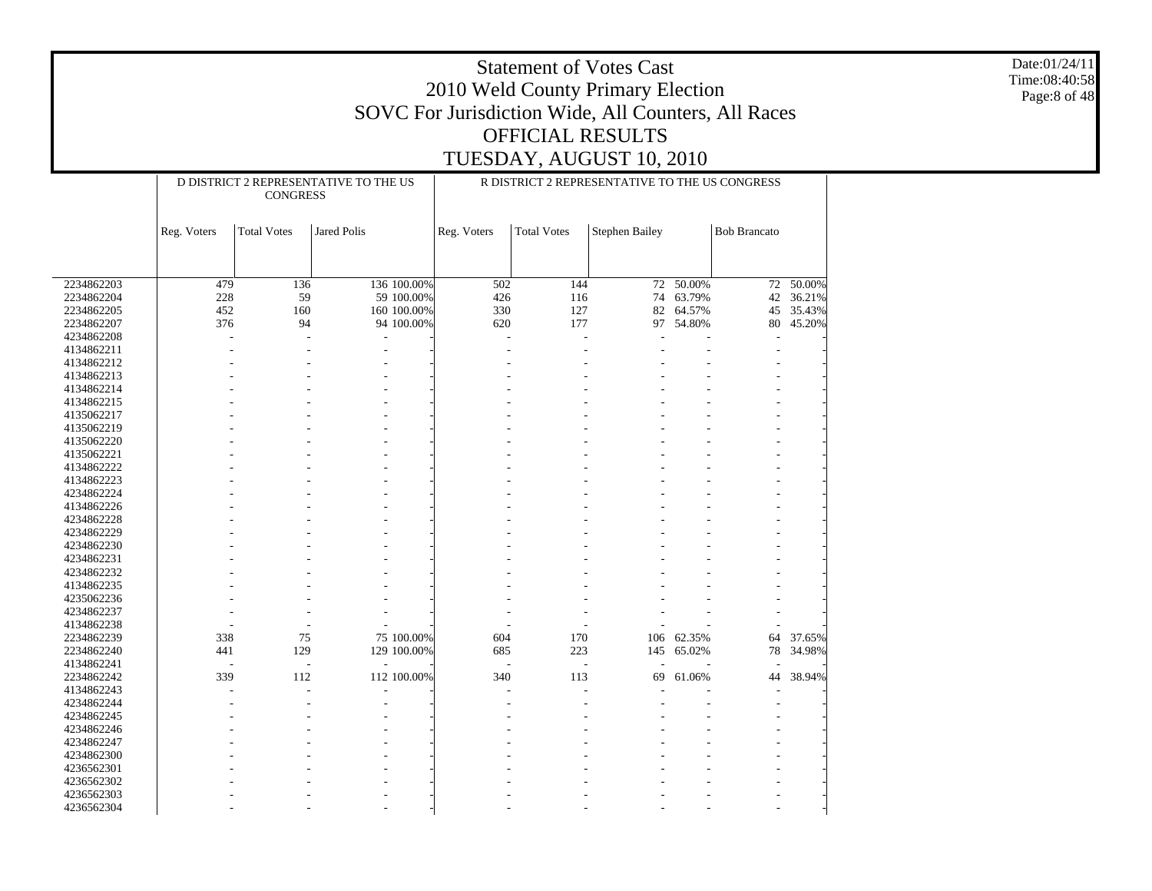Date:01/24/11 Time:08:40:58 Page:8 of 48

|            |             | <b>CONGRESS</b>    | D DISTRICT 2 REPRESENTATIVE TO THE US |             |             |                    | R DISTRICT 2 REPRESENTATIVE TO THE US CONGRESS |            |                     |                |
|------------|-------------|--------------------|---------------------------------------|-------------|-------------|--------------------|------------------------------------------------|------------|---------------------|----------------|
|            | Reg. Voters | <b>Total Votes</b> | <b>Jared Polis</b>                    |             | Reg. Voters | <b>Total Votes</b> | <b>Stephen Bailey</b>                          |            | <b>Bob Brancato</b> |                |
|            |             |                    |                                       |             |             |                    |                                                |            |                     |                |
| 2234862203 | 479         | 136                |                                       | 136 100.00% | 502         | 144                | 72                                             | $-50.00\%$ |                     | $72 - 50.00\%$ |
| 2234862204 | 228         | 59                 |                                       | 59 100.00%  | 426         | 116                | 74                                             | 63.79%     | 42                  | 36.21%         |
| 2234862205 | 452         | 160                |                                       | 160 100.00% | 330         | 127                | 82                                             | 64.57%     | 45                  | 35.43%         |
| 2234862207 | 376         | 94                 |                                       | 94 100.00%  | 620         | 177                | 97                                             | 54.80%     | 80                  | 45.20%         |
| 4234862208 |             |                    | L                                     |             |             |                    |                                                |            |                     |                |
| 4134862211 |             |                    |                                       |             |             |                    |                                                |            |                     |                |
| 4134862212 |             |                    |                                       |             |             |                    |                                                |            |                     |                |
| 4134862213 |             |                    |                                       |             |             |                    |                                                |            |                     |                |
| 4134862214 |             |                    |                                       |             |             |                    |                                                |            |                     |                |
| 4134862215 |             |                    |                                       |             |             |                    |                                                |            |                     |                |
| 4135062217 |             |                    |                                       |             |             |                    |                                                |            |                     |                |
| 4135062219 |             |                    |                                       |             |             |                    |                                                |            |                     |                |
| 4135062220 |             |                    |                                       |             |             |                    |                                                |            |                     |                |
| 4135062221 |             |                    |                                       |             |             |                    |                                                |            |                     |                |
| 4134862222 |             |                    |                                       |             |             |                    |                                                |            |                     |                |
| 4134862223 |             |                    |                                       |             |             |                    |                                                |            |                     |                |
| 4234862224 |             |                    |                                       |             |             |                    |                                                |            |                     |                |
| 4134862226 |             |                    |                                       |             |             |                    |                                                |            |                     |                |
| 4234862228 |             |                    |                                       |             |             |                    |                                                |            |                     |                |
| 4234862229 |             |                    |                                       |             |             |                    |                                                |            |                     |                |
| 4234862230 |             |                    |                                       |             |             |                    |                                                |            |                     |                |
| 4234862231 |             |                    |                                       |             |             |                    |                                                |            |                     |                |
| 4234862232 |             |                    |                                       |             |             |                    |                                                |            |                     |                |
| 4134862235 |             |                    |                                       |             |             |                    |                                                |            |                     |                |
| 4235062236 |             |                    |                                       |             |             |                    |                                                |            |                     |                |
| 4234862237 |             |                    |                                       |             |             |                    |                                                |            |                     |                |
| 4134862238 |             |                    |                                       |             |             | ٠                  |                                                |            |                     |                |
| 2234862239 | 338         | 75                 |                                       | 75 100.00%  | 604         | 170                | 106                                            | 62.35%     | 64                  | 37.65%         |
| 2234862240 | 441         | 129                |                                       | 129 100.00% | 685         | 223                | 145                                            | 65.02%     | 78                  | 34.98%         |
| 4134862241 | ÷           |                    |                                       |             |             | ÷,                 |                                                |            |                     |                |
| 2234862242 | 339         | 112                |                                       | 112 100.00% | 340         | 113                | 69                                             | 61.06%     | 44                  | 38.94%         |
| 4134862243 |             |                    |                                       |             |             |                    |                                                |            |                     |                |
| 4234862244 |             |                    |                                       |             |             |                    |                                                |            |                     |                |
| 4234862245 |             |                    |                                       |             |             |                    |                                                |            |                     |                |
| 4234862246 |             |                    |                                       |             |             |                    |                                                |            |                     |                |
| 4234862247 |             |                    |                                       |             |             |                    |                                                |            |                     |                |
| 4234862300 |             |                    |                                       |             |             |                    |                                                |            |                     |                |
| 4236562301 |             |                    |                                       |             |             |                    |                                                |            |                     |                |
| 4236562302 |             |                    |                                       |             |             |                    |                                                |            |                     |                |
| 4236562303 |             |                    |                                       |             |             |                    |                                                |            |                     |                |
| 4236562304 |             |                    |                                       |             |             |                    |                                                |            |                     |                |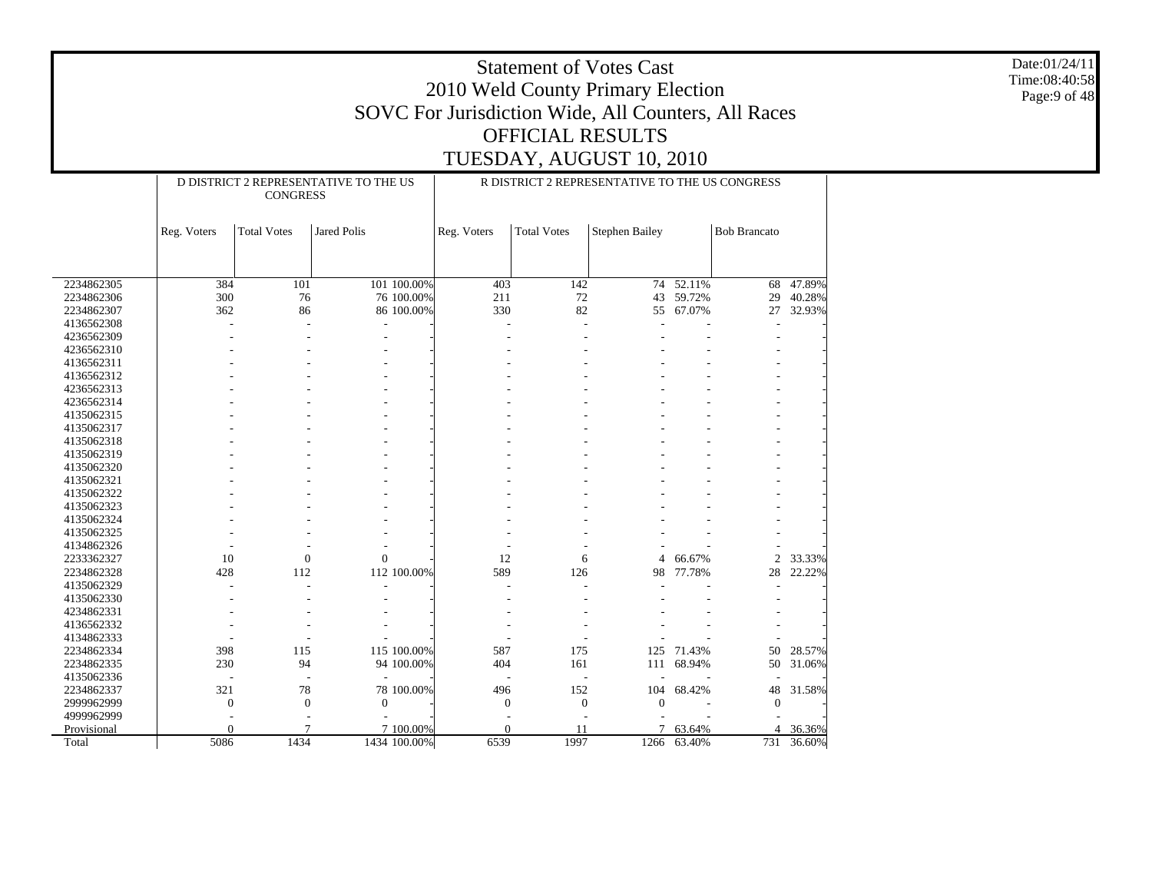Date:01/24/11 Time:08:40:58 Page:9 of 48

|             |                  | <b>CONGRESS</b>    | D DISTRICT 2 REPRESENTATIVE TO THE US |             |                    | R DISTRICT 2 REPRESENTATIVE TO THE US CONGRESS |        |                     |        |
|-------------|------------------|--------------------|---------------------------------------|-------------|--------------------|------------------------------------------------|--------|---------------------|--------|
|             | Reg. Voters      | <b>Total Votes</b> | <b>Jared Polis</b>                    | Reg. Voters | <b>Total Votes</b> | <b>Stephen Bailey</b>                          |        | <b>Bob Brancato</b> |        |
|             |                  |                    |                                       |             |                    |                                                |        |                     |        |
| 2234862305  | 384              | 101                | 101 100.00%                           | 403         | 142                | 74                                             | 52.11% | 68                  | 47.89% |
| 2234862306  | 300              | 76                 | 76 100.00%                            | 211         | 72                 | 43                                             | 59.72% | 29                  | 40.28% |
| 2234862307  | 362              | 86                 | 86 100.00%                            | 330         | 82                 | 55                                             | 67.07% | 27                  | 32.93% |
| 4136562308  |                  |                    |                                       |             | ÷                  |                                                |        |                     |        |
| 4236562309  |                  |                    |                                       |             |                    |                                                |        |                     |        |
| 4236562310  |                  |                    |                                       |             |                    |                                                |        |                     |        |
| 4136562311  |                  |                    |                                       |             |                    |                                                |        |                     |        |
| 4136562312  |                  |                    |                                       |             |                    |                                                |        |                     |        |
| 4236562313  |                  |                    |                                       |             |                    |                                                |        |                     |        |
| 4236562314  |                  |                    |                                       |             |                    |                                                |        |                     |        |
| 4135062315  |                  |                    |                                       |             |                    |                                                |        |                     |        |
| 4135062317  |                  |                    |                                       |             |                    |                                                |        |                     |        |
| 4135062318  |                  |                    |                                       |             |                    |                                                |        |                     |        |
| 4135062319  |                  |                    |                                       |             |                    |                                                |        |                     |        |
| 4135062320  |                  |                    |                                       |             |                    |                                                |        |                     |        |
| 4135062321  |                  |                    |                                       |             |                    |                                                |        |                     |        |
| 4135062322  |                  |                    |                                       |             |                    |                                                |        |                     |        |
| 4135062323  |                  |                    |                                       |             |                    |                                                |        |                     |        |
| 4135062324  |                  |                    |                                       |             |                    |                                                |        |                     |        |
| 4135062325  |                  |                    |                                       |             |                    |                                                |        |                     |        |
| 4134862326  |                  |                    |                                       |             |                    |                                                |        |                     |        |
| 2233362327  | 10               | $\boldsymbol{0}$   | $\Omega$                              | 12          | 6                  | 4                                              | 66.67% | $\overline{2}$      | 33.33% |
| 2234862328  | 428              | 112                | 112 100.00%                           | 589         | 126                | 98                                             | 77.78% | 28                  | 22.22% |
| 4135062329  |                  |                    |                                       |             |                    |                                                |        |                     |        |
| 4135062330  |                  |                    |                                       |             |                    |                                                |        |                     |        |
| 4234862331  |                  |                    |                                       |             |                    |                                                |        |                     |        |
| 4136562332  |                  |                    |                                       |             |                    |                                                |        |                     |        |
| 4134862333  |                  |                    |                                       |             |                    |                                                |        |                     |        |
| 2234862334  | 398              | 115                | 115 100.00%                           | 587         | 175                | 125                                            | 71.43% | 50                  | 28.57% |
| 2234862335  | 230              | 94                 | 94 100.00%                            | 404         | 161                | 111                                            | 68.94% | 50                  | 31.06% |
| 4135062336  |                  |                    |                                       |             |                    |                                                |        |                     |        |
| 2234862337  | 321              | 78                 | 78 100.00%                            | 496         | 152                | 104                                            | 68.42% | 48                  | 31.58% |
| 2999962999  | $\boldsymbol{0}$ | $\boldsymbol{0}$   | $\mathbf{0}$                          | $\theta$    | $\mathbf{0}$       | $\overline{0}$                                 |        | $\Omega$            |        |
| 4999962999  |                  |                    |                                       |             |                    |                                                |        |                     |        |
| Provisional | $\Omega$         | 7                  | 7 100.00%                             | $\theta$    | 11                 | 7                                              | 63.64% | 4                   | 36.36% |
| Total       | 5086             | 1434               | 1434 100.00%                          | 6539        | 1997               | 1266                                           | 63.40% | 731                 | 36.60% |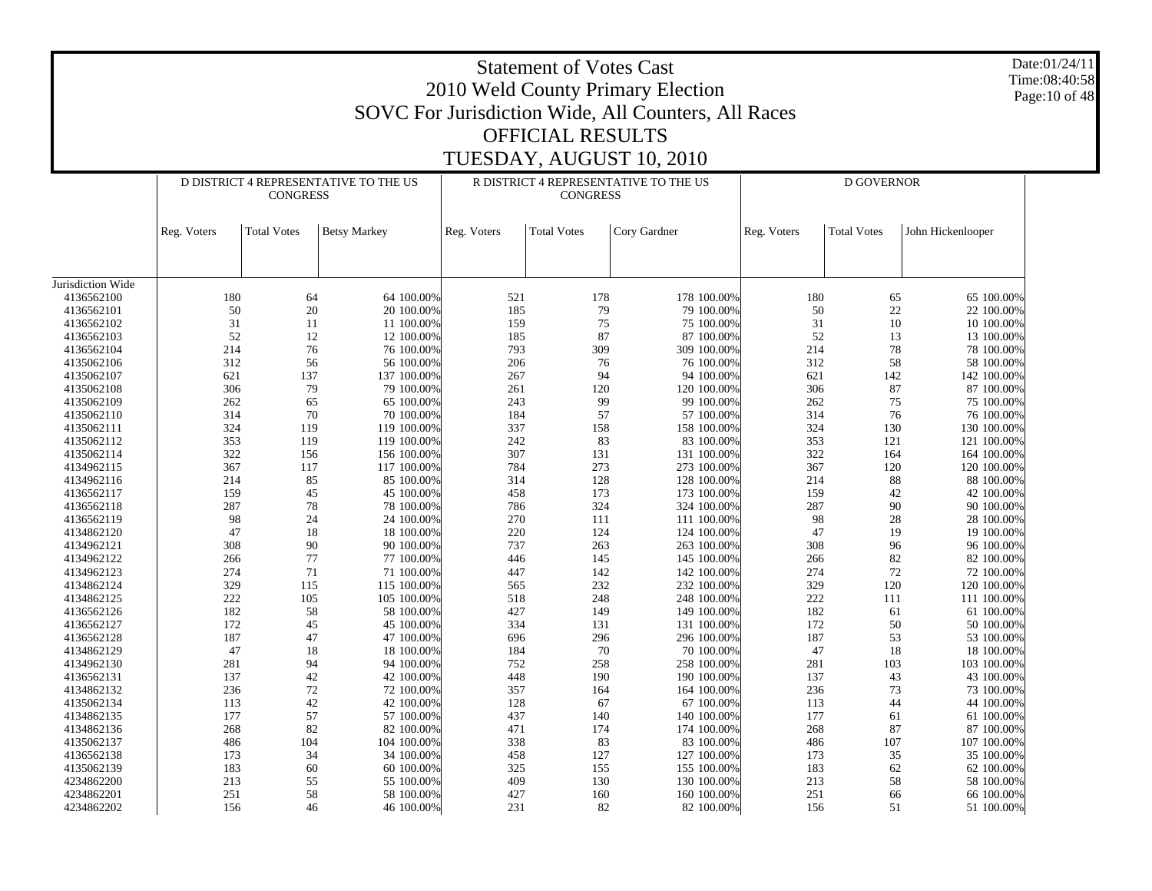|                          |             |                    |                                       |             | <b>Statement of Votes Cast</b><br><b>OFFICIAL RESULTS</b> | 2010 Weld County Primary Election<br>SOVC For Jurisdiction Wide, All Counters, All Races<br>TUESDAY, AUGUST 10, 2010 |             |                    |                          | Date:01/24/11<br>Time:08:40:58<br>Page: 10 of 48 |
|--------------------------|-------------|--------------------|---------------------------------------|-------------|-----------------------------------------------------------|----------------------------------------------------------------------------------------------------------------------|-------------|--------------------|--------------------------|--------------------------------------------------|
|                          |             |                    | D DISTRICT 4 REPRESENTATIVE TO THE US |             |                                                           | R DISTRICT 4 REPRESENTATIVE TO THE US                                                                                |             | D GOVERNOR         |                          |                                                  |
|                          |             | <b>CONGRESS</b>    |                                       |             | <b>CONGRESS</b>                                           |                                                                                                                      |             |                    |                          |                                                  |
|                          | Reg. Voters | <b>Total Votes</b> | <b>Betsy Markey</b>                   | Reg. Voters | <b>Total Votes</b>                                        | Cory Gardner                                                                                                         | Reg. Voters | <b>Total Votes</b> | John Hickenlooper        |                                                  |
|                          |             |                    |                                       |             |                                                           |                                                                                                                      |             |                    |                          |                                                  |
| Jurisdiction Wide        |             |                    |                                       |             |                                                           |                                                                                                                      |             |                    |                          |                                                  |
| 4136562100               |             | 180<br>64          | 64 100.00%                            | 521         | 178                                                       | 178 100.00%                                                                                                          | 180         | 65                 | 65 100.00%               |                                                  |
| 4136562101               |             | 50                 | 20<br>20 100.00%                      | 185         | 79                                                        | 79 100.00%                                                                                                           | 50          | $22\,$             | 22 100.00%               |                                                  |
| 4136562102               |             | 31<br>11           | 11 100.00%                            | 159         | 75                                                        | 75 100.00%                                                                                                           | 31          | 10                 | 10 100.00%               |                                                  |
| 4136562103               |             | 52                 | 12<br>12 100.00%                      | 185         | 87                                                        | 87 100.00%                                                                                                           | 52          | 13                 | 13 100.00%               |                                                  |
| 4136562104               |             | 214                | 76<br>76 100.00%                      | 793         | 309                                                       | 309 100.00%                                                                                                          | 214         | 78                 | 78 100.00%               |                                                  |
| 4135062106               |             | 312<br>56          | 56 100.00%                            | 206         | 76                                                        | 76 100.00%                                                                                                           | 312         | 58                 | 58 100.00%               |                                                  |
| 4135062107               |             | 621<br>137         | 137 100.00%                           | 267         | 94                                                        | 94 100.00%                                                                                                           | 621         | 142                | 142 100.00%              |                                                  |
| 4135062108               |             | 306                | 79<br>79 100.00%                      | 261         | 120                                                       | 120 100.00%                                                                                                          | 306         | 87                 | 87 100.00%               |                                                  |
| 4135062109               |             | 262<br>65          | 65 100.00%                            | 243         | 99                                                        | 99 100.00%                                                                                                           | 262         | 75                 | 75 100.00%               |                                                  |
| 4135062110               |             | 314                | 70<br>70 100.00%                      | 184         | 57                                                        | 57 100.00%                                                                                                           | 314         | 76                 | 76 100.00%               |                                                  |
| 4135062111               |             | 324<br>119         | 119 100.00%                           | 337         | 158                                                       | 158 100.00%                                                                                                          | 324         | 130                | 130 100.00%              |                                                  |
| 4135062112               |             | 353<br>119         | 119 100.00%                           | 242         | 83                                                        | 83 100.00%                                                                                                           | 353         | 121                | 121 100.00%              |                                                  |
| 4135062114               |             | 322<br>156         | 156 100.00%                           | 307         | 131                                                       | 131 100.00%                                                                                                          | 322         | 164                | 164 100.00%              |                                                  |
| 4134962115               |             | 367<br>117         | 117 100.00%                           | 784         | 273                                                       | 273 100.00%                                                                                                          | 367         | 120                | 120 100.00%              |                                                  |
| 4134962116<br>4136562117 |             | 214<br>85<br>159   | 85 100.00%                            | 314<br>458  | 128                                                       | 128 100.00%<br>173 100.00%                                                                                           | 214<br>159  | 88                 | 88 100.00%               |                                                  |
| 4136562118               |             | 287                | 45<br>45 100.00%<br>78<br>78 100.00%  | 786         | 173<br>324                                                | 324 100.00%                                                                                                          | 287         | 42<br>90           | 42 100.00%<br>90 100.00% |                                                  |
| 4136562119               |             | 98<br>24           | 24 100.00%                            | 270         | 111                                                       | 111 100.00%                                                                                                          | 98          | 28                 | 28 100.00%               |                                                  |
| 4134862120               |             | 47                 | 18<br>18 100.00%                      | 220         | 124                                                       | 124 100.00%                                                                                                          | 47          | 19                 | 19 100.00%               |                                                  |
| 4134962121               |             | 308                | 90<br>90 100.00%                      | 737         | 263                                                       | 263 100.00%                                                                                                          | 308         | 96                 | 96 100.00%               |                                                  |
| 4134962122               |             | 77<br>266          | 77 100.00%                            | 446         | 145                                                       | 145 100.00%                                                                                                          | 266         | 82                 | 82 100.00%               |                                                  |
| 4134962123               |             | 274<br>71          | 71 100.00%                            | 447         | 142                                                       | 142 100.00%                                                                                                          | 274         | $72\,$             | 72 100.00%               |                                                  |
| 4134862124               |             | 329<br>115         | 115 100.00%                           | 565         | 232                                                       | 232 100.00%                                                                                                          | 329         | 120                | 120 100.00%              |                                                  |
| 4134862125               |             | 222<br>105         | 105 100.00%                           | 518         | 248                                                       | 248 100.00%                                                                                                          | 222         | 111                | 111 100.00%              |                                                  |
| 4136562126               |             | 182<br>58          | 58 100.00%                            | 427         | 149                                                       | 149 100.00%                                                                                                          | 182         | 61                 | 61 100.00%               |                                                  |
| 4136562127               |             | 172                | 45<br>45 100.00%                      | 334         | 131                                                       | 131 100.00%                                                                                                          | 172         | 50                 | 50 100.00%               |                                                  |
| 4136562128               |             | 187<br>47          | 47 100.00%                            | 696         | 296                                                       | 296 100.00%                                                                                                          | 187         | 53                 | 53 100.00%               |                                                  |
| 4134862129               |             | 47                 | 18<br>18 100.00%                      | 184         | 70                                                        | 70 100.00%                                                                                                           | 47          | 18                 | 18 100.00%               |                                                  |
| 4134962130               |             | 281<br>94          | 94 100.00%                            | 752         | 258                                                       | 258 100.00%                                                                                                          | 281         | 103                | 103 100.00%              |                                                  |
| 4136562131               |             | 137                | 42<br>42 100.00%                      | 448         | 190                                                       | 190 100.00%                                                                                                          | 137         | 43                 | 43 100.00%               |                                                  |
| 4134862132               |             | 236                | 72<br>72 100.00%                      | 357         | 164                                                       | 164 100.00%                                                                                                          | 236         | 73                 | 73 100.00%               |                                                  |
| 4135062134               |             | 113<br>42          | 42 100.00%                            | 128         | 67                                                        | 67 100.00%                                                                                                           | 113         | 44                 | 44 100.00%               |                                                  |
| 4134862135               |             | 177<br>57          | 57 100.00%                            | 437         | 140                                                       | 140 100.00%                                                                                                          | 177         | 61                 | 61 100.00%               |                                                  |
| 4134862136               |             | 268                | 82<br>82 100.00%                      | 471         | 174                                                       | 174 100.00%                                                                                                          | 268         | 87                 | 87 100.00%               |                                                  |
| 4135062137               |             | 104<br>486         | 104 100.00%                           | 338         | 83                                                        | 83 100.00%                                                                                                           | 486         | 107                | 107 100.00%              |                                                  |
| 4136562138               |             | 34<br>173          | 34 100.00%                            | 458         | 127                                                       | 127 100.00%                                                                                                          | 173         | 35                 | 35 100.00%               |                                                  |
| 4135062139               |             | 183<br>60          | 60 100.00%                            | 325         | 155                                                       | 155 100.00%                                                                                                          | 183         | 62                 | 62 100.00%               |                                                  |
| 4234862200               |             | 213                | 55<br>55 100.00%                      | 409         | 130                                                       | 130 100.00%                                                                                                          | 213         | 58                 | 58 100.00%               |                                                  |
| 4234862201               |             | 251                | $58\,$<br>58 100.00%                  | 427         | 160                                                       | 160 100.00%                                                                                                          | 251         | 66                 | 66 100.00%               |                                                  |
| 4234862202               |             | 156                | 46<br>46 100.00%                      | 231         | 82                                                        | 82 100.00%                                                                                                           | 156         | 51                 | 51 100.00%               |                                                  |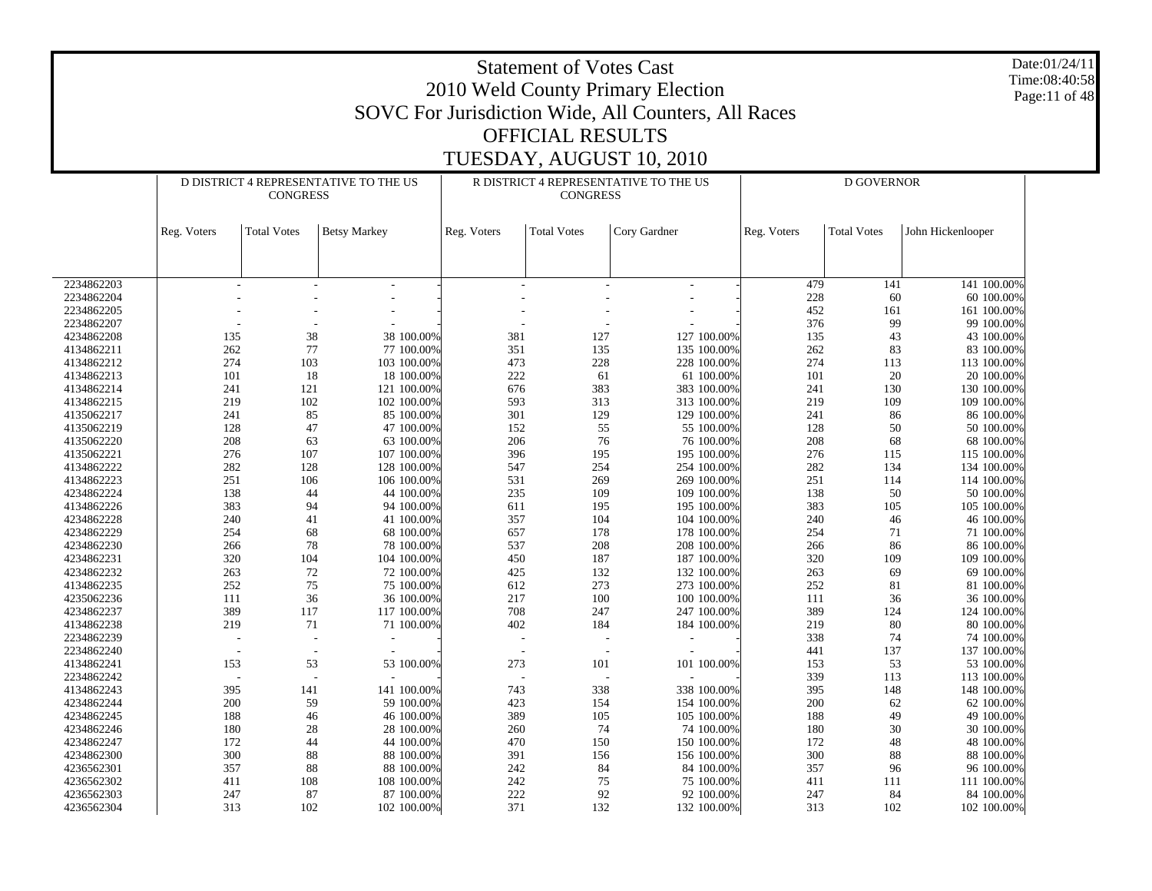| SOVC For Jurisdiction Wide, All Counters, All Races<br><b>OFFICIAL RESULTS</b><br>TUESDAY, AUGUST 10, 2010<br>D DISTRICT 4 REPRESENTATIVE TO THE US<br>R DISTRICT 4 REPRESENTATIVE TO THE US<br><b>D GOVERNOR</b><br><b>CONGRESS</b><br><b>CONGRESS</b><br><b>Total Votes</b><br><b>Total Votes</b><br>Cory Gardner<br>John Hickenlooper<br><b>Betsy Markey</b><br>Reg. Voters<br><b>Total Votes</b><br>Reg. Voters<br>Reg. Voters<br>141 100.00%<br>2234862203<br>479<br>141<br>228<br>60<br>2234862204<br>60 100.00%<br>452<br>2234862205<br>161<br>161 100.00%<br>376<br>99<br>2234862207<br>99 100.00%<br>135<br>38<br>38 100.00%<br>381<br>127<br>127 100.00%<br>135<br>43<br>4234862208<br>43 100.00%<br>77<br>262<br>351<br>135<br>262<br>77 100.00%<br>135 100.00%<br>83<br>83 100.00%<br>4134862211<br>274<br>103<br>473<br>228<br>274<br>103 100.00%<br>228 100.00%<br>113<br>113 100.00%<br>4134862212<br>18<br>222<br>61<br>101<br>20<br>4134862213<br>101<br>18 100.00%<br>61 100.00%<br>20 100.00%<br>676<br>383<br>4134862214<br>241<br>121<br>121 100.00%<br>383 100.00%<br>241<br>130<br>130 100.00%<br>102<br>593<br>313<br>219<br>219<br>102 100.00%<br>313 100.00%<br>109<br>109 100.00%<br>4134862215<br>85<br>301<br>241<br>85 100.00%<br>129<br>129 100.00%<br>241<br>86<br>86 100.00%<br>4135062217<br>47<br>152<br>128<br>47 100.00%<br>55<br>128<br>50<br>50 100.00%<br>4135062219<br>55 100.00%<br>208<br>206<br>68<br>63<br>63 100.00%<br>76<br>76 100.00%<br>208<br>68 100.00%<br>4135062220<br>107<br>195<br>276<br>276<br>107 100.00%<br>396<br>195 100.00%<br>4135062221<br>115<br>115 100.00%<br>282<br>128<br>254<br>282<br>134<br>4134862222<br>128 100.00%<br>547<br>254 100.00%<br>134 100.00%<br>106<br>531<br>269<br>251<br>4134862223<br>251<br>106 100.00%<br>269 100.00%<br>114<br>114 100.00%<br>138<br>44 100.00%<br>235<br>109<br>50<br>4234862224<br>44<br>109 100.00%<br>138<br>50 100.00%<br>94<br>611<br>383<br>4134862226<br>383<br>94 100.00%<br>195<br>195 100.00%<br>105<br>105 100.00%<br>41<br>357<br>104<br>4234862228<br>240<br>41 100.00%<br>104 100.00%<br>240<br>46<br>46 100.00%<br>254<br>68<br>657<br>178<br>254<br>71<br>4234862229<br>68 100.00%<br>178 100.00%<br>71 100.00%<br>78<br>78 100.00%<br>537<br>208<br>86<br>4234862230<br>266<br>208 100.00%<br>266<br>86 100.00%<br>320<br>104<br>450<br>187<br>320<br>104 100.00%<br>109<br>109 100.00%<br>4234862231<br>187 100.00%<br>263<br>72<br>69<br>4234862232<br>72 100.00%<br>425<br>132<br>132 100.00%<br>263<br>69 100.00%<br>252<br>75<br>273<br>252<br>4134862235<br>75 100.00%<br>612<br>273 100.00%<br>81<br>81 100.00%<br>36<br>36 100.00%<br>217<br>100<br>4235062236<br>111<br>100 100.00%<br>111<br>36<br>36 100.00%<br>117<br>708<br>389<br>4234862237<br>389<br>117 100.00%<br>247<br>247 100.00%<br>124<br>124 100.00%<br>219<br>71<br>184<br>219<br>80<br>71 100.00%<br>402<br>184 100.00%<br>80 100.00%<br>4134862238<br>2234862239<br>338<br>74<br>74 100.00%<br>137<br>2234862240<br>441<br>137 100.00%<br>53<br>53 100.00%<br>101<br>153<br>273<br>101 100.00%<br>153<br>53<br>4134862241<br>53 100.00%<br>339<br>113<br>2234862242<br>113 100.00%<br>141 100.00%<br>338<br>338 100.00%<br>395<br>395<br>141<br>743<br>148<br>4134862243<br>148 100.00%<br>200<br>59 100.00%<br>$200\,$<br>62 100.00%<br>4234862244<br>59<br>423<br>154 100.00%<br>62<br>154<br>188<br>46 100.00%<br>389<br>49<br>49 100.00%<br>4234862245<br>105<br>105 100.00%<br>188<br>46<br>28 100.00%<br>4234862246<br>74 100.00%<br>30 100.00%<br>180<br>28<br>260<br>74<br>30<br>180<br>44 100.00%<br>172<br>48 100.00%<br>4234862247<br>44<br>470<br>150<br>150 100.00%<br>172<br>48<br>300<br>88 100.00%<br>300<br>88<br>4234862300<br>88<br>391<br>156<br>156 100.00%<br>88 100.00%<br>88 100.00%<br>4236562301<br>357<br>88<br>242<br>84<br>84 100.00%<br>357<br>96 100.00%<br>96<br>108 100.00%<br>4236562302<br>411<br>108<br>242<br>75<br>75 100.00%<br>411<br>111<br>111 100.00%<br>87 100.00%<br>222<br>84 100.00%<br>4236562303<br>247<br>87<br>92<br>92 100.00%<br>247<br>84<br>4236562304<br>313<br>102<br>102 100.00%<br>371<br>132<br>132 100.00%<br>313<br>102<br>102 100.00% | Date:01/24/11<br><b>Statement of Votes Cast</b><br>Time:08:40:58<br>2010 Weld County Primary Election<br>Page:11 of 48 |  |  |  |  |  |  |  |  |  |  |  |  |  |
|-----------------------------------------------------------------------------------------------------------------------------------------------------------------------------------------------------------------------------------------------------------------------------------------------------------------------------------------------------------------------------------------------------------------------------------------------------------------------------------------------------------------------------------------------------------------------------------------------------------------------------------------------------------------------------------------------------------------------------------------------------------------------------------------------------------------------------------------------------------------------------------------------------------------------------------------------------------------------------------------------------------------------------------------------------------------------------------------------------------------------------------------------------------------------------------------------------------------------------------------------------------------------------------------------------------------------------------------------------------------------------------------------------------------------------------------------------------------------------------------------------------------------------------------------------------------------------------------------------------------------------------------------------------------------------------------------------------------------------------------------------------------------------------------------------------------------------------------------------------------------------------------------------------------------------------------------------------------------------------------------------------------------------------------------------------------------------------------------------------------------------------------------------------------------------------------------------------------------------------------------------------------------------------------------------------------------------------------------------------------------------------------------------------------------------------------------------------------------------------------------------------------------------------------------------------------------------------------------------------------------------------------------------------------------------------------------------------------------------------------------------------------------------------------------------------------------------------------------------------------------------------------------------------------------------------------------------------------------------------------------------------------------------------------------------------------------------------------------------------------------------------------------------------------------------------------------------------------------------------------------------------------------------------------------------------------------------------------------------------------------------------------------------------------------------------------------------------------------------------------------------------------------------------------------------------------------------------------------------------------------------------------------------------------------------------------------------------------------------------------------------------------------------------------------------------------------------------------------------------------------------------------------------------------------------------------------------------------------------------------------------------------------------------------------------------------------------------------------------------------------------------------------------------------------------------------------------------------|------------------------------------------------------------------------------------------------------------------------|--|--|--|--|--|--|--|--|--|--|--|--|--|
|                                                                                                                                                                                                                                                                                                                                                                                                                                                                                                                                                                                                                                                                                                                                                                                                                                                                                                                                                                                                                                                                                                                                                                                                                                                                                                                                                                                                                                                                                                                                                                                                                                                                                                                                                                                                                                                                                                                                                                                                                                                                                                                                                                                                                                                                                                                                                                                                                                                                                                                                                                                                                                                                                                                                                                                                                                                                                                                                                                                                                                                                                                                                                                                                                                                                                                                                                                                                                                                                                                                                                                                                                                                                                                                                                                                                                                                                                                                                                                                                                                                                                                                                                                                                                 |                                                                                                                        |  |  |  |  |  |  |  |  |  |  |  |  |  |
|                                                                                                                                                                                                                                                                                                                                                                                                                                                                                                                                                                                                                                                                                                                                                                                                                                                                                                                                                                                                                                                                                                                                                                                                                                                                                                                                                                                                                                                                                                                                                                                                                                                                                                                                                                                                                                                                                                                                                                                                                                                                                                                                                                                                                                                                                                                                                                                                                                                                                                                                                                                                                                                                                                                                                                                                                                                                                                                                                                                                                                                                                                                                                                                                                                                                                                                                                                                                                                                                                                                                                                                                                                                                                                                                                                                                                                                                                                                                                                                                                                                                                                                                                                                                                 |                                                                                                                        |  |  |  |  |  |  |  |  |  |  |  |  |  |
|                                                                                                                                                                                                                                                                                                                                                                                                                                                                                                                                                                                                                                                                                                                                                                                                                                                                                                                                                                                                                                                                                                                                                                                                                                                                                                                                                                                                                                                                                                                                                                                                                                                                                                                                                                                                                                                                                                                                                                                                                                                                                                                                                                                                                                                                                                                                                                                                                                                                                                                                                                                                                                                                                                                                                                                                                                                                                                                                                                                                                                                                                                                                                                                                                                                                                                                                                                                                                                                                                                                                                                                                                                                                                                                                                                                                                                                                                                                                                                                                                                                                                                                                                                                                                 |                                                                                                                        |  |  |  |  |  |  |  |  |  |  |  |  |  |
|                                                                                                                                                                                                                                                                                                                                                                                                                                                                                                                                                                                                                                                                                                                                                                                                                                                                                                                                                                                                                                                                                                                                                                                                                                                                                                                                                                                                                                                                                                                                                                                                                                                                                                                                                                                                                                                                                                                                                                                                                                                                                                                                                                                                                                                                                                                                                                                                                                                                                                                                                                                                                                                                                                                                                                                                                                                                                                                                                                                                                                                                                                                                                                                                                                                                                                                                                                                                                                                                                                                                                                                                                                                                                                                                                                                                                                                                                                                                                                                                                                                                                                                                                                                                                 |                                                                                                                        |  |  |  |  |  |  |  |  |  |  |  |  |  |
|                                                                                                                                                                                                                                                                                                                                                                                                                                                                                                                                                                                                                                                                                                                                                                                                                                                                                                                                                                                                                                                                                                                                                                                                                                                                                                                                                                                                                                                                                                                                                                                                                                                                                                                                                                                                                                                                                                                                                                                                                                                                                                                                                                                                                                                                                                                                                                                                                                                                                                                                                                                                                                                                                                                                                                                                                                                                                                                                                                                                                                                                                                                                                                                                                                                                                                                                                                                                                                                                                                                                                                                                                                                                                                                                                                                                                                                                                                                                                                                                                                                                                                                                                                                                                 |                                                                                                                        |  |  |  |  |  |  |  |  |  |  |  |  |  |
|                                                                                                                                                                                                                                                                                                                                                                                                                                                                                                                                                                                                                                                                                                                                                                                                                                                                                                                                                                                                                                                                                                                                                                                                                                                                                                                                                                                                                                                                                                                                                                                                                                                                                                                                                                                                                                                                                                                                                                                                                                                                                                                                                                                                                                                                                                                                                                                                                                                                                                                                                                                                                                                                                                                                                                                                                                                                                                                                                                                                                                                                                                                                                                                                                                                                                                                                                                                                                                                                                                                                                                                                                                                                                                                                                                                                                                                                                                                                                                                                                                                                                                                                                                                                                 |                                                                                                                        |  |  |  |  |  |  |  |  |  |  |  |  |  |
|                                                                                                                                                                                                                                                                                                                                                                                                                                                                                                                                                                                                                                                                                                                                                                                                                                                                                                                                                                                                                                                                                                                                                                                                                                                                                                                                                                                                                                                                                                                                                                                                                                                                                                                                                                                                                                                                                                                                                                                                                                                                                                                                                                                                                                                                                                                                                                                                                                                                                                                                                                                                                                                                                                                                                                                                                                                                                                                                                                                                                                                                                                                                                                                                                                                                                                                                                                                                                                                                                                                                                                                                                                                                                                                                                                                                                                                                                                                                                                                                                                                                                                                                                                                                                 |                                                                                                                        |  |  |  |  |  |  |  |  |  |  |  |  |  |
|                                                                                                                                                                                                                                                                                                                                                                                                                                                                                                                                                                                                                                                                                                                                                                                                                                                                                                                                                                                                                                                                                                                                                                                                                                                                                                                                                                                                                                                                                                                                                                                                                                                                                                                                                                                                                                                                                                                                                                                                                                                                                                                                                                                                                                                                                                                                                                                                                                                                                                                                                                                                                                                                                                                                                                                                                                                                                                                                                                                                                                                                                                                                                                                                                                                                                                                                                                                                                                                                                                                                                                                                                                                                                                                                                                                                                                                                                                                                                                                                                                                                                                                                                                                                                 |                                                                                                                        |  |  |  |  |  |  |  |  |  |  |  |  |  |
|                                                                                                                                                                                                                                                                                                                                                                                                                                                                                                                                                                                                                                                                                                                                                                                                                                                                                                                                                                                                                                                                                                                                                                                                                                                                                                                                                                                                                                                                                                                                                                                                                                                                                                                                                                                                                                                                                                                                                                                                                                                                                                                                                                                                                                                                                                                                                                                                                                                                                                                                                                                                                                                                                                                                                                                                                                                                                                                                                                                                                                                                                                                                                                                                                                                                                                                                                                                                                                                                                                                                                                                                                                                                                                                                                                                                                                                                                                                                                                                                                                                                                                                                                                                                                 |                                                                                                                        |  |  |  |  |  |  |  |  |  |  |  |  |  |
|                                                                                                                                                                                                                                                                                                                                                                                                                                                                                                                                                                                                                                                                                                                                                                                                                                                                                                                                                                                                                                                                                                                                                                                                                                                                                                                                                                                                                                                                                                                                                                                                                                                                                                                                                                                                                                                                                                                                                                                                                                                                                                                                                                                                                                                                                                                                                                                                                                                                                                                                                                                                                                                                                                                                                                                                                                                                                                                                                                                                                                                                                                                                                                                                                                                                                                                                                                                                                                                                                                                                                                                                                                                                                                                                                                                                                                                                                                                                                                                                                                                                                                                                                                                                                 |                                                                                                                        |  |  |  |  |  |  |  |  |  |  |  |  |  |
|                                                                                                                                                                                                                                                                                                                                                                                                                                                                                                                                                                                                                                                                                                                                                                                                                                                                                                                                                                                                                                                                                                                                                                                                                                                                                                                                                                                                                                                                                                                                                                                                                                                                                                                                                                                                                                                                                                                                                                                                                                                                                                                                                                                                                                                                                                                                                                                                                                                                                                                                                                                                                                                                                                                                                                                                                                                                                                                                                                                                                                                                                                                                                                                                                                                                                                                                                                                                                                                                                                                                                                                                                                                                                                                                                                                                                                                                                                                                                                                                                                                                                                                                                                                                                 |                                                                                                                        |  |  |  |  |  |  |  |  |  |  |  |  |  |
|                                                                                                                                                                                                                                                                                                                                                                                                                                                                                                                                                                                                                                                                                                                                                                                                                                                                                                                                                                                                                                                                                                                                                                                                                                                                                                                                                                                                                                                                                                                                                                                                                                                                                                                                                                                                                                                                                                                                                                                                                                                                                                                                                                                                                                                                                                                                                                                                                                                                                                                                                                                                                                                                                                                                                                                                                                                                                                                                                                                                                                                                                                                                                                                                                                                                                                                                                                                                                                                                                                                                                                                                                                                                                                                                                                                                                                                                                                                                                                                                                                                                                                                                                                                                                 |                                                                                                                        |  |  |  |  |  |  |  |  |  |  |  |  |  |
|                                                                                                                                                                                                                                                                                                                                                                                                                                                                                                                                                                                                                                                                                                                                                                                                                                                                                                                                                                                                                                                                                                                                                                                                                                                                                                                                                                                                                                                                                                                                                                                                                                                                                                                                                                                                                                                                                                                                                                                                                                                                                                                                                                                                                                                                                                                                                                                                                                                                                                                                                                                                                                                                                                                                                                                                                                                                                                                                                                                                                                                                                                                                                                                                                                                                                                                                                                                                                                                                                                                                                                                                                                                                                                                                                                                                                                                                                                                                                                                                                                                                                                                                                                                                                 |                                                                                                                        |  |  |  |  |  |  |  |  |  |  |  |  |  |
|                                                                                                                                                                                                                                                                                                                                                                                                                                                                                                                                                                                                                                                                                                                                                                                                                                                                                                                                                                                                                                                                                                                                                                                                                                                                                                                                                                                                                                                                                                                                                                                                                                                                                                                                                                                                                                                                                                                                                                                                                                                                                                                                                                                                                                                                                                                                                                                                                                                                                                                                                                                                                                                                                                                                                                                                                                                                                                                                                                                                                                                                                                                                                                                                                                                                                                                                                                                                                                                                                                                                                                                                                                                                                                                                                                                                                                                                                                                                                                                                                                                                                                                                                                                                                 |                                                                                                                        |  |  |  |  |  |  |  |  |  |  |  |  |  |
|                                                                                                                                                                                                                                                                                                                                                                                                                                                                                                                                                                                                                                                                                                                                                                                                                                                                                                                                                                                                                                                                                                                                                                                                                                                                                                                                                                                                                                                                                                                                                                                                                                                                                                                                                                                                                                                                                                                                                                                                                                                                                                                                                                                                                                                                                                                                                                                                                                                                                                                                                                                                                                                                                                                                                                                                                                                                                                                                                                                                                                                                                                                                                                                                                                                                                                                                                                                                                                                                                                                                                                                                                                                                                                                                                                                                                                                                                                                                                                                                                                                                                                                                                                                                                 |                                                                                                                        |  |  |  |  |  |  |  |  |  |  |  |  |  |
|                                                                                                                                                                                                                                                                                                                                                                                                                                                                                                                                                                                                                                                                                                                                                                                                                                                                                                                                                                                                                                                                                                                                                                                                                                                                                                                                                                                                                                                                                                                                                                                                                                                                                                                                                                                                                                                                                                                                                                                                                                                                                                                                                                                                                                                                                                                                                                                                                                                                                                                                                                                                                                                                                                                                                                                                                                                                                                                                                                                                                                                                                                                                                                                                                                                                                                                                                                                                                                                                                                                                                                                                                                                                                                                                                                                                                                                                                                                                                                                                                                                                                                                                                                                                                 |                                                                                                                        |  |  |  |  |  |  |  |  |  |  |  |  |  |
|                                                                                                                                                                                                                                                                                                                                                                                                                                                                                                                                                                                                                                                                                                                                                                                                                                                                                                                                                                                                                                                                                                                                                                                                                                                                                                                                                                                                                                                                                                                                                                                                                                                                                                                                                                                                                                                                                                                                                                                                                                                                                                                                                                                                                                                                                                                                                                                                                                                                                                                                                                                                                                                                                                                                                                                                                                                                                                                                                                                                                                                                                                                                                                                                                                                                                                                                                                                                                                                                                                                                                                                                                                                                                                                                                                                                                                                                                                                                                                                                                                                                                                                                                                                                                 |                                                                                                                        |  |  |  |  |  |  |  |  |  |  |  |  |  |
|                                                                                                                                                                                                                                                                                                                                                                                                                                                                                                                                                                                                                                                                                                                                                                                                                                                                                                                                                                                                                                                                                                                                                                                                                                                                                                                                                                                                                                                                                                                                                                                                                                                                                                                                                                                                                                                                                                                                                                                                                                                                                                                                                                                                                                                                                                                                                                                                                                                                                                                                                                                                                                                                                                                                                                                                                                                                                                                                                                                                                                                                                                                                                                                                                                                                                                                                                                                                                                                                                                                                                                                                                                                                                                                                                                                                                                                                                                                                                                                                                                                                                                                                                                                                                 |                                                                                                                        |  |  |  |  |  |  |  |  |  |  |  |  |  |
|                                                                                                                                                                                                                                                                                                                                                                                                                                                                                                                                                                                                                                                                                                                                                                                                                                                                                                                                                                                                                                                                                                                                                                                                                                                                                                                                                                                                                                                                                                                                                                                                                                                                                                                                                                                                                                                                                                                                                                                                                                                                                                                                                                                                                                                                                                                                                                                                                                                                                                                                                                                                                                                                                                                                                                                                                                                                                                                                                                                                                                                                                                                                                                                                                                                                                                                                                                                                                                                                                                                                                                                                                                                                                                                                                                                                                                                                                                                                                                                                                                                                                                                                                                                                                 |                                                                                                                        |  |  |  |  |  |  |  |  |  |  |  |  |  |
|                                                                                                                                                                                                                                                                                                                                                                                                                                                                                                                                                                                                                                                                                                                                                                                                                                                                                                                                                                                                                                                                                                                                                                                                                                                                                                                                                                                                                                                                                                                                                                                                                                                                                                                                                                                                                                                                                                                                                                                                                                                                                                                                                                                                                                                                                                                                                                                                                                                                                                                                                                                                                                                                                                                                                                                                                                                                                                                                                                                                                                                                                                                                                                                                                                                                                                                                                                                                                                                                                                                                                                                                                                                                                                                                                                                                                                                                                                                                                                                                                                                                                                                                                                                                                 |                                                                                                                        |  |  |  |  |  |  |  |  |  |  |  |  |  |
|                                                                                                                                                                                                                                                                                                                                                                                                                                                                                                                                                                                                                                                                                                                                                                                                                                                                                                                                                                                                                                                                                                                                                                                                                                                                                                                                                                                                                                                                                                                                                                                                                                                                                                                                                                                                                                                                                                                                                                                                                                                                                                                                                                                                                                                                                                                                                                                                                                                                                                                                                                                                                                                                                                                                                                                                                                                                                                                                                                                                                                                                                                                                                                                                                                                                                                                                                                                                                                                                                                                                                                                                                                                                                                                                                                                                                                                                                                                                                                                                                                                                                                                                                                                                                 |                                                                                                                        |  |  |  |  |  |  |  |  |  |  |  |  |  |
|                                                                                                                                                                                                                                                                                                                                                                                                                                                                                                                                                                                                                                                                                                                                                                                                                                                                                                                                                                                                                                                                                                                                                                                                                                                                                                                                                                                                                                                                                                                                                                                                                                                                                                                                                                                                                                                                                                                                                                                                                                                                                                                                                                                                                                                                                                                                                                                                                                                                                                                                                                                                                                                                                                                                                                                                                                                                                                                                                                                                                                                                                                                                                                                                                                                                                                                                                                                                                                                                                                                                                                                                                                                                                                                                                                                                                                                                                                                                                                                                                                                                                                                                                                                                                 |                                                                                                                        |  |  |  |  |  |  |  |  |  |  |  |  |  |
|                                                                                                                                                                                                                                                                                                                                                                                                                                                                                                                                                                                                                                                                                                                                                                                                                                                                                                                                                                                                                                                                                                                                                                                                                                                                                                                                                                                                                                                                                                                                                                                                                                                                                                                                                                                                                                                                                                                                                                                                                                                                                                                                                                                                                                                                                                                                                                                                                                                                                                                                                                                                                                                                                                                                                                                                                                                                                                                                                                                                                                                                                                                                                                                                                                                                                                                                                                                                                                                                                                                                                                                                                                                                                                                                                                                                                                                                                                                                                                                                                                                                                                                                                                                                                 |                                                                                                                        |  |  |  |  |  |  |  |  |  |  |  |  |  |
|                                                                                                                                                                                                                                                                                                                                                                                                                                                                                                                                                                                                                                                                                                                                                                                                                                                                                                                                                                                                                                                                                                                                                                                                                                                                                                                                                                                                                                                                                                                                                                                                                                                                                                                                                                                                                                                                                                                                                                                                                                                                                                                                                                                                                                                                                                                                                                                                                                                                                                                                                                                                                                                                                                                                                                                                                                                                                                                                                                                                                                                                                                                                                                                                                                                                                                                                                                                                                                                                                                                                                                                                                                                                                                                                                                                                                                                                                                                                                                                                                                                                                                                                                                                                                 |                                                                                                                        |  |  |  |  |  |  |  |  |  |  |  |  |  |
|                                                                                                                                                                                                                                                                                                                                                                                                                                                                                                                                                                                                                                                                                                                                                                                                                                                                                                                                                                                                                                                                                                                                                                                                                                                                                                                                                                                                                                                                                                                                                                                                                                                                                                                                                                                                                                                                                                                                                                                                                                                                                                                                                                                                                                                                                                                                                                                                                                                                                                                                                                                                                                                                                                                                                                                                                                                                                                                                                                                                                                                                                                                                                                                                                                                                                                                                                                                                                                                                                                                                                                                                                                                                                                                                                                                                                                                                                                                                                                                                                                                                                                                                                                                                                 |                                                                                                                        |  |  |  |  |  |  |  |  |  |  |  |  |  |
|                                                                                                                                                                                                                                                                                                                                                                                                                                                                                                                                                                                                                                                                                                                                                                                                                                                                                                                                                                                                                                                                                                                                                                                                                                                                                                                                                                                                                                                                                                                                                                                                                                                                                                                                                                                                                                                                                                                                                                                                                                                                                                                                                                                                                                                                                                                                                                                                                                                                                                                                                                                                                                                                                                                                                                                                                                                                                                                                                                                                                                                                                                                                                                                                                                                                                                                                                                                                                                                                                                                                                                                                                                                                                                                                                                                                                                                                                                                                                                                                                                                                                                                                                                                                                 |                                                                                                                        |  |  |  |  |  |  |  |  |  |  |  |  |  |
|                                                                                                                                                                                                                                                                                                                                                                                                                                                                                                                                                                                                                                                                                                                                                                                                                                                                                                                                                                                                                                                                                                                                                                                                                                                                                                                                                                                                                                                                                                                                                                                                                                                                                                                                                                                                                                                                                                                                                                                                                                                                                                                                                                                                                                                                                                                                                                                                                                                                                                                                                                                                                                                                                                                                                                                                                                                                                                                                                                                                                                                                                                                                                                                                                                                                                                                                                                                                                                                                                                                                                                                                                                                                                                                                                                                                                                                                                                                                                                                                                                                                                                                                                                                                                 |                                                                                                                        |  |  |  |  |  |  |  |  |  |  |  |  |  |
|                                                                                                                                                                                                                                                                                                                                                                                                                                                                                                                                                                                                                                                                                                                                                                                                                                                                                                                                                                                                                                                                                                                                                                                                                                                                                                                                                                                                                                                                                                                                                                                                                                                                                                                                                                                                                                                                                                                                                                                                                                                                                                                                                                                                                                                                                                                                                                                                                                                                                                                                                                                                                                                                                                                                                                                                                                                                                                                                                                                                                                                                                                                                                                                                                                                                                                                                                                                                                                                                                                                                                                                                                                                                                                                                                                                                                                                                                                                                                                                                                                                                                                                                                                                                                 |                                                                                                                        |  |  |  |  |  |  |  |  |  |  |  |  |  |
|                                                                                                                                                                                                                                                                                                                                                                                                                                                                                                                                                                                                                                                                                                                                                                                                                                                                                                                                                                                                                                                                                                                                                                                                                                                                                                                                                                                                                                                                                                                                                                                                                                                                                                                                                                                                                                                                                                                                                                                                                                                                                                                                                                                                                                                                                                                                                                                                                                                                                                                                                                                                                                                                                                                                                                                                                                                                                                                                                                                                                                                                                                                                                                                                                                                                                                                                                                                                                                                                                                                                                                                                                                                                                                                                                                                                                                                                                                                                                                                                                                                                                                                                                                                                                 |                                                                                                                        |  |  |  |  |  |  |  |  |  |  |  |  |  |
|                                                                                                                                                                                                                                                                                                                                                                                                                                                                                                                                                                                                                                                                                                                                                                                                                                                                                                                                                                                                                                                                                                                                                                                                                                                                                                                                                                                                                                                                                                                                                                                                                                                                                                                                                                                                                                                                                                                                                                                                                                                                                                                                                                                                                                                                                                                                                                                                                                                                                                                                                                                                                                                                                                                                                                                                                                                                                                                                                                                                                                                                                                                                                                                                                                                                                                                                                                                                                                                                                                                                                                                                                                                                                                                                                                                                                                                                                                                                                                                                                                                                                                                                                                                                                 |                                                                                                                        |  |  |  |  |  |  |  |  |  |  |  |  |  |
|                                                                                                                                                                                                                                                                                                                                                                                                                                                                                                                                                                                                                                                                                                                                                                                                                                                                                                                                                                                                                                                                                                                                                                                                                                                                                                                                                                                                                                                                                                                                                                                                                                                                                                                                                                                                                                                                                                                                                                                                                                                                                                                                                                                                                                                                                                                                                                                                                                                                                                                                                                                                                                                                                                                                                                                                                                                                                                                                                                                                                                                                                                                                                                                                                                                                                                                                                                                                                                                                                                                                                                                                                                                                                                                                                                                                                                                                                                                                                                                                                                                                                                                                                                                                                 |                                                                                                                        |  |  |  |  |  |  |  |  |  |  |  |  |  |
|                                                                                                                                                                                                                                                                                                                                                                                                                                                                                                                                                                                                                                                                                                                                                                                                                                                                                                                                                                                                                                                                                                                                                                                                                                                                                                                                                                                                                                                                                                                                                                                                                                                                                                                                                                                                                                                                                                                                                                                                                                                                                                                                                                                                                                                                                                                                                                                                                                                                                                                                                                                                                                                                                                                                                                                                                                                                                                                                                                                                                                                                                                                                                                                                                                                                                                                                                                                                                                                                                                                                                                                                                                                                                                                                                                                                                                                                                                                                                                                                                                                                                                                                                                                                                 |                                                                                                                        |  |  |  |  |  |  |  |  |  |  |  |  |  |
|                                                                                                                                                                                                                                                                                                                                                                                                                                                                                                                                                                                                                                                                                                                                                                                                                                                                                                                                                                                                                                                                                                                                                                                                                                                                                                                                                                                                                                                                                                                                                                                                                                                                                                                                                                                                                                                                                                                                                                                                                                                                                                                                                                                                                                                                                                                                                                                                                                                                                                                                                                                                                                                                                                                                                                                                                                                                                                                                                                                                                                                                                                                                                                                                                                                                                                                                                                                                                                                                                                                                                                                                                                                                                                                                                                                                                                                                                                                                                                                                                                                                                                                                                                                                                 |                                                                                                                        |  |  |  |  |  |  |  |  |  |  |  |  |  |
|                                                                                                                                                                                                                                                                                                                                                                                                                                                                                                                                                                                                                                                                                                                                                                                                                                                                                                                                                                                                                                                                                                                                                                                                                                                                                                                                                                                                                                                                                                                                                                                                                                                                                                                                                                                                                                                                                                                                                                                                                                                                                                                                                                                                                                                                                                                                                                                                                                                                                                                                                                                                                                                                                                                                                                                                                                                                                                                                                                                                                                                                                                                                                                                                                                                                                                                                                                                                                                                                                                                                                                                                                                                                                                                                                                                                                                                                                                                                                                                                                                                                                                                                                                                                                 |                                                                                                                        |  |  |  |  |  |  |  |  |  |  |  |  |  |
|                                                                                                                                                                                                                                                                                                                                                                                                                                                                                                                                                                                                                                                                                                                                                                                                                                                                                                                                                                                                                                                                                                                                                                                                                                                                                                                                                                                                                                                                                                                                                                                                                                                                                                                                                                                                                                                                                                                                                                                                                                                                                                                                                                                                                                                                                                                                                                                                                                                                                                                                                                                                                                                                                                                                                                                                                                                                                                                                                                                                                                                                                                                                                                                                                                                                                                                                                                                                                                                                                                                                                                                                                                                                                                                                                                                                                                                                                                                                                                                                                                                                                                                                                                                                                 |                                                                                                                        |  |  |  |  |  |  |  |  |  |  |  |  |  |
|                                                                                                                                                                                                                                                                                                                                                                                                                                                                                                                                                                                                                                                                                                                                                                                                                                                                                                                                                                                                                                                                                                                                                                                                                                                                                                                                                                                                                                                                                                                                                                                                                                                                                                                                                                                                                                                                                                                                                                                                                                                                                                                                                                                                                                                                                                                                                                                                                                                                                                                                                                                                                                                                                                                                                                                                                                                                                                                                                                                                                                                                                                                                                                                                                                                                                                                                                                                                                                                                                                                                                                                                                                                                                                                                                                                                                                                                                                                                                                                                                                                                                                                                                                                                                 |                                                                                                                        |  |  |  |  |  |  |  |  |  |  |  |  |  |
|                                                                                                                                                                                                                                                                                                                                                                                                                                                                                                                                                                                                                                                                                                                                                                                                                                                                                                                                                                                                                                                                                                                                                                                                                                                                                                                                                                                                                                                                                                                                                                                                                                                                                                                                                                                                                                                                                                                                                                                                                                                                                                                                                                                                                                                                                                                                                                                                                                                                                                                                                                                                                                                                                                                                                                                                                                                                                                                                                                                                                                                                                                                                                                                                                                                                                                                                                                                                                                                                                                                                                                                                                                                                                                                                                                                                                                                                                                                                                                                                                                                                                                                                                                                                                 |                                                                                                                        |  |  |  |  |  |  |  |  |  |  |  |  |  |
|                                                                                                                                                                                                                                                                                                                                                                                                                                                                                                                                                                                                                                                                                                                                                                                                                                                                                                                                                                                                                                                                                                                                                                                                                                                                                                                                                                                                                                                                                                                                                                                                                                                                                                                                                                                                                                                                                                                                                                                                                                                                                                                                                                                                                                                                                                                                                                                                                                                                                                                                                                                                                                                                                                                                                                                                                                                                                                                                                                                                                                                                                                                                                                                                                                                                                                                                                                                                                                                                                                                                                                                                                                                                                                                                                                                                                                                                                                                                                                                                                                                                                                                                                                                                                 |                                                                                                                        |  |  |  |  |  |  |  |  |  |  |  |  |  |
|                                                                                                                                                                                                                                                                                                                                                                                                                                                                                                                                                                                                                                                                                                                                                                                                                                                                                                                                                                                                                                                                                                                                                                                                                                                                                                                                                                                                                                                                                                                                                                                                                                                                                                                                                                                                                                                                                                                                                                                                                                                                                                                                                                                                                                                                                                                                                                                                                                                                                                                                                                                                                                                                                                                                                                                                                                                                                                                                                                                                                                                                                                                                                                                                                                                                                                                                                                                                                                                                                                                                                                                                                                                                                                                                                                                                                                                                                                                                                                                                                                                                                                                                                                                                                 |                                                                                                                        |  |  |  |  |  |  |  |  |  |  |  |  |  |
|                                                                                                                                                                                                                                                                                                                                                                                                                                                                                                                                                                                                                                                                                                                                                                                                                                                                                                                                                                                                                                                                                                                                                                                                                                                                                                                                                                                                                                                                                                                                                                                                                                                                                                                                                                                                                                                                                                                                                                                                                                                                                                                                                                                                                                                                                                                                                                                                                                                                                                                                                                                                                                                                                                                                                                                                                                                                                                                                                                                                                                                                                                                                                                                                                                                                                                                                                                                                                                                                                                                                                                                                                                                                                                                                                                                                                                                                                                                                                                                                                                                                                                                                                                                                                 |                                                                                                                        |  |  |  |  |  |  |  |  |  |  |  |  |  |
|                                                                                                                                                                                                                                                                                                                                                                                                                                                                                                                                                                                                                                                                                                                                                                                                                                                                                                                                                                                                                                                                                                                                                                                                                                                                                                                                                                                                                                                                                                                                                                                                                                                                                                                                                                                                                                                                                                                                                                                                                                                                                                                                                                                                                                                                                                                                                                                                                                                                                                                                                                                                                                                                                                                                                                                                                                                                                                                                                                                                                                                                                                                                                                                                                                                                                                                                                                                                                                                                                                                                                                                                                                                                                                                                                                                                                                                                                                                                                                                                                                                                                                                                                                                                                 |                                                                                                                        |  |  |  |  |  |  |  |  |  |  |  |  |  |
|                                                                                                                                                                                                                                                                                                                                                                                                                                                                                                                                                                                                                                                                                                                                                                                                                                                                                                                                                                                                                                                                                                                                                                                                                                                                                                                                                                                                                                                                                                                                                                                                                                                                                                                                                                                                                                                                                                                                                                                                                                                                                                                                                                                                                                                                                                                                                                                                                                                                                                                                                                                                                                                                                                                                                                                                                                                                                                                                                                                                                                                                                                                                                                                                                                                                                                                                                                                                                                                                                                                                                                                                                                                                                                                                                                                                                                                                                                                                                                                                                                                                                                                                                                                                                 |                                                                                                                        |  |  |  |  |  |  |  |  |  |  |  |  |  |
|                                                                                                                                                                                                                                                                                                                                                                                                                                                                                                                                                                                                                                                                                                                                                                                                                                                                                                                                                                                                                                                                                                                                                                                                                                                                                                                                                                                                                                                                                                                                                                                                                                                                                                                                                                                                                                                                                                                                                                                                                                                                                                                                                                                                                                                                                                                                                                                                                                                                                                                                                                                                                                                                                                                                                                                                                                                                                                                                                                                                                                                                                                                                                                                                                                                                                                                                                                                                                                                                                                                                                                                                                                                                                                                                                                                                                                                                                                                                                                                                                                                                                                                                                                                                                 |                                                                                                                        |  |  |  |  |  |  |  |  |  |  |  |  |  |
|                                                                                                                                                                                                                                                                                                                                                                                                                                                                                                                                                                                                                                                                                                                                                                                                                                                                                                                                                                                                                                                                                                                                                                                                                                                                                                                                                                                                                                                                                                                                                                                                                                                                                                                                                                                                                                                                                                                                                                                                                                                                                                                                                                                                                                                                                                                                                                                                                                                                                                                                                                                                                                                                                                                                                                                                                                                                                                                                                                                                                                                                                                                                                                                                                                                                                                                                                                                                                                                                                                                                                                                                                                                                                                                                                                                                                                                                                                                                                                                                                                                                                                                                                                                                                 |                                                                                                                        |  |  |  |  |  |  |  |  |  |  |  |  |  |
|                                                                                                                                                                                                                                                                                                                                                                                                                                                                                                                                                                                                                                                                                                                                                                                                                                                                                                                                                                                                                                                                                                                                                                                                                                                                                                                                                                                                                                                                                                                                                                                                                                                                                                                                                                                                                                                                                                                                                                                                                                                                                                                                                                                                                                                                                                                                                                                                                                                                                                                                                                                                                                                                                                                                                                                                                                                                                                                                                                                                                                                                                                                                                                                                                                                                                                                                                                                                                                                                                                                                                                                                                                                                                                                                                                                                                                                                                                                                                                                                                                                                                                                                                                                                                 |                                                                                                                        |  |  |  |  |  |  |  |  |  |  |  |  |  |
|                                                                                                                                                                                                                                                                                                                                                                                                                                                                                                                                                                                                                                                                                                                                                                                                                                                                                                                                                                                                                                                                                                                                                                                                                                                                                                                                                                                                                                                                                                                                                                                                                                                                                                                                                                                                                                                                                                                                                                                                                                                                                                                                                                                                                                                                                                                                                                                                                                                                                                                                                                                                                                                                                                                                                                                                                                                                                                                                                                                                                                                                                                                                                                                                                                                                                                                                                                                                                                                                                                                                                                                                                                                                                                                                                                                                                                                                                                                                                                                                                                                                                                                                                                                                                 |                                                                                                                        |  |  |  |  |  |  |  |  |  |  |  |  |  |
|                                                                                                                                                                                                                                                                                                                                                                                                                                                                                                                                                                                                                                                                                                                                                                                                                                                                                                                                                                                                                                                                                                                                                                                                                                                                                                                                                                                                                                                                                                                                                                                                                                                                                                                                                                                                                                                                                                                                                                                                                                                                                                                                                                                                                                                                                                                                                                                                                                                                                                                                                                                                                                                                                                                                                                                                                                                                                                                                                                                                                                                                                                                                                                                                                                                                                                                                                                                                                                                                                                                                                                                                                                                                                                                                                                                                                                                                                                                                                                                                                                                                                                                                                                                                                 |                                                                                                                        |  |  |  |  |  |  |  |  |  |  |  |  |  |
|                                                                                                                                                                                                                                                                                                                                                                                                                                                                                                                                                                                                                                                                                                                                                                                                                                                                                                                                                                                                                                                                                                                                                                                                                                                                                                                                                                                                                                                                                                                                                                                                                                                                                                                                                                                                                                                                                                                                                                                                                                                                                                                                                                                                                                                                                                                                                                                                                                                                                                                                                                                                                                                                                                                                                                                                                                                                                                                                                                                                                                                                                                                                                                                                                                                                                                                                                                                                                                                                                                                                                                                                                                                                                                                                                                                                                                                                                                                                                                                                                                                                                                                                                                                                                 |                                                                                                                        |  |  |  |  |  |  |  |  |  |  |  |  |  |
|                                                                                                                                                                                                                                                                                                                                                                                                                                                                                                                                                                                                                                                                                                                                                                                                                                                                                                                                                                                                                                                                                                                                                                                                                                                                                                                                                                                                                                                                                                                                                                                                                                                                                                                                                                                                                                                                                                                                                                                                                                                                                                                                                                                                                                                                                                                                                                                                                                                                                                                                                                                                                                                                                                                                                                                                                                                                                                                                                                                                                                                                                                                                                                                                                                                                                                                                                                                                                                                                                                                                                                                                                                                                                                                                                                                                                                                                                                                                                                                                                                                                                                                                                                                                                 |                                                                                                                        |  |  |  |  |  |  |  |  |  |  |  |  |  |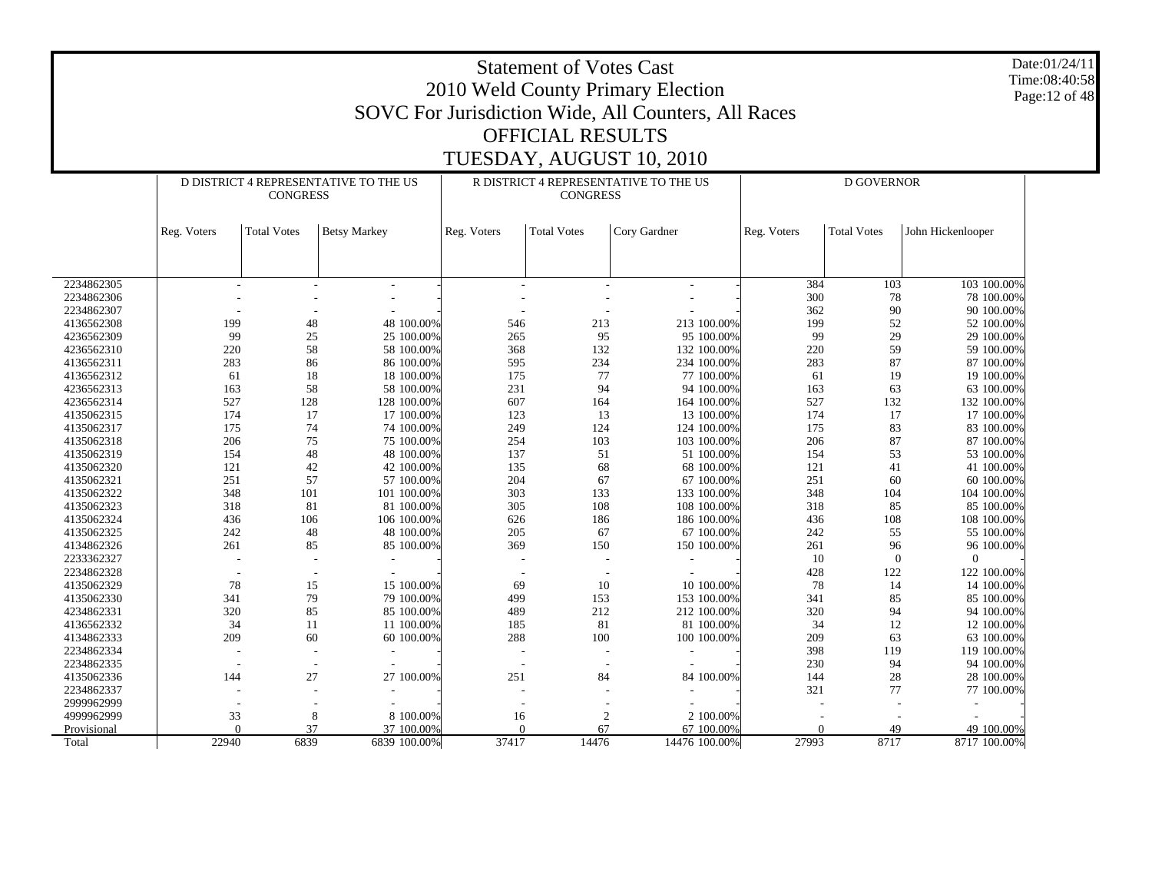|                          |                                                                                                                                                                         |                          |                                       |          | <b>Statement of Votes Cast</b> | 2010 Weld County Primary Election                   |           |                   |                           | Date:01/24/11<br>Time:08:40:58<br>Page: 12 of 48 |  |  |  |
|--------------------------|-------------------------------------------------------------------------------------------------------------------------------------------------------------------------|--------------------------|---------------------------------------|----------|--------------------------------|-----------------------------------------------------|-----------|-------------------|---------------------------|--------------------------------------------------|--|--|--|
|                          |                                                                                                                                                                         |                          |                                       |          |                                | SOVC For Jurisdiction Wide, All Counters, All Races |           |                   |                           |                                                  |  |  |  |
|                          |                                                                                                                                                                         |                          |                                       |          |                                |                                                     |           |                   |                           |                                                  |  |  |  |
|                          |                                                                                                                                                                         |                          |                                       |          | <b>OFFICIAL RESULTS</b>        |                                                     |           |                   |                           |                                                  |  |  |  |
|                          |                                                                                                                                                                         |                          |                                       |          |                                | TUESDAY, AUGUST 10, 2010                            |           |                   |                           |                                                  |  |  |  |
|                          |                                                                                                                                                                         |                          |                                       |          |                                |                                                     |           |                   |                           |                                                  |  |  |  |
|                          |                                                                                                                                                                         | <b>CONGRESS</b>          | D DISTRICT 4 REPRESENTATIVE TO THE US |          | <b>CONGRESS</b>                | R DISTRICT 4 REPRESENTATIVE TO THE US               |           | <b>D GOVERNOR</b> |                           |                                                  |  |  |  |
|                          | John Hickenlooper<br>Reg. Voters<br><b>Total Votes</b><br><b>Betsy Markey</b><br>Reg. Voters<br><b>Total Votes</b><br>Cory Gardner<br>Reg. Voters<br><b>Total Votes</b> |                          |                                       |          |                                |                                                     |           |                   |                           |                                                  |  |  |  |
|                          |                                                                                                                                                                         |                          |                                       |          |                                |                                                     |           |                   |                           |                                                  |  |  |  |
|                          |                                                                                                                                                                         |                          |                                       |          |                                |                                                     |           |                   |                           |                                                  |  |  |  |
| 2234862305               | 384<br>103<br>103 100.00%<br>$\overline{\phantom{a}}$<br>2234862306<br>300<br>78<br>78 100.00%                                                                          |                          |                                       |          |                                |                                                     |           |                   |                           |                                                  |  |  |  |
|                          | 2234862307<br>362<br>90<br>90 100.00%                                                                                                                                   |                          |                                       |          |                                |                                                     |           |                   |                           |                                                  |  |  |  |
| 4136562308               | 199                                                                                                                                                                     | 48                       | 48 100.00%                            | 546      | 213                            | 213 100.00%                                         | 199       | 52                | 52 100.00%                |                                                  |  |  |  |
| 4236562309               | 99                                                                                                                                                                      | 25                       | 25 100.00%                            | 265      | 95                             | 95 100.00%                                          | 99        | 29                | 29 100.00%                |                                                  |  |  |  |
| 4236562310               | 220                                                                                                                                                                     | 58                       | 58 100.00%                            | 368      | 132                            | 132 100.00%                                         | 220       | 59                | 59 100.00%                |                                                  |  |  |  |
| 4136562311               | 283                                                                                                                                                                     | 86                       | 86 100.00%                            | 595      | 234                            | 234 100.00%                                         | 283       | 87                | 87 100.00%                |                                                  |  |  |  |
| 4136562312               | 61                                                                                                                                                                      | 18                       | 18 100.00%                            | 175      | 77                             | 77 100.00%                                          | 61        | 19                | 19 100.00%                |                                                  |  |  |  |
| 4236562313               | 163                                                                                                                                                                     | 58                       | 58 100.00%                            | 231      | 94                             | 94 100.00%                                          | 163       | 63                | 63 100.00%                |                                                  |  |  |  |
| 4236562314               | 527                                                                                                                                                                     | 128                      | 128 100.00%                           | 607      | 164                            | 164 100.00%                                         | 527       | 132               | 132 100.00%               |                                                  |  |  |  |
| 4135062315               | 174                                                                                                                                                                     | 17                       | 17 100.00%                            | 123      | 13                             | 13 100.00%                                          | 174       | 17                | 17 100.00%                |                                                  |  |  |  |
| 4135062317               | 175                                                                                                                                                                     | 74                       | 74 100.00%                            | 249      | 124                            | 124 100.00%                                         | 175       | 83                | 83 100.00%                |                                                  |  |  |  |
| 4135062318               | 206                                                                                                                                                                     | 75                       | 75 100.00%                            | 254      | 103                            | 103 100.00%                                         | 206       | 87                | 87 100.00%                |                                                  |  |  |  |
| 4135062319               | 154                                                                                                                                                                     | 48                       | 48 100.00%                            | 137      | 51                             | 51 100.00%                                          | 154       | 53                | 53 100.00%                |                                                  |  |  |  |
| 4135062320               | 121                                                                                                                                                                     | 42                       | 42 100.00%                            | 135      | 68                             | 68 100.00%                                          | 121       | 41                | 41 100.00%                |                                                  |  |  |  |
| 4135062321               | 251                                                                                                                                                                     | 57                       | 57 100.00%                            | 204      | 67                             | 67 100.00%                                          | 251       | 60                | 60 100.00%                |                                                  |  |  |  |
| 4135062322               | 348                                                                                                                                                                     | 101                      | 101 100.00%                           | 303      | 133                            | 133 100.00%                                         | 348       | 104               | 104 100.00%               |                                                  |  |  |  |
| 4135062323               | 318                                                                                                                                                                     | 81                       | 81 100.00%                            | 305      | 108                            | 108 100.00%                                         | 318       | 85                | 85 100.00%                |                                                  |  |  |  |
| 4135062324               | 436                                                                                                                                                                     | 106                      | 106 100.00%                           | 626      | 186                            | 186 100.00%                                         | 436       | 108               | 108 100.00%               |                                                  |  |  |  |
| 4135062325               | 242                                                                                                                                                                     | 48                       | 48 100.00%                            | 205      | 67                             | 67 100.00%                                          | 242       | 55                | 55 100.00%                |                                                  |  |  |  |
| 4134862326               | 261                                                                                                                                                                     | 85                       | 85 100.00%                            | 369      | 150                            | 150 100.00%                                         | 261       | 96                | 96 100.00%                |                                                  |  |  |  |
| 2233362327               |                                                                                                                                                                         |                          |                                       |          |                                |                                                     | 10        | $\theta$          |                           |                                                  |  |  |  |
| 2234862328               |                                                                                                                                                                         | $\overline{\phantom{a}}$ |                                       |          |                                |                                                     | 428       | 122               | 122 100.00%               |                                                  |  |  |  |
| 4135062329               | 78                                                                                                                                                                      | 15                       | 15 100.00%                            | 69       | 10                             | 10 100.00%                                          | 78        | 14                | 14 100.00%                |                                                  |  |  |  |
| 4135062330               | 341                                                                                                                                                                     | 79                       | 79 100,00%                            | 499      | 153                            | 153 100.00%                                         | 341       | 85                | 85 100.00%                |                                                  |  |  |  |
| 4234862331               | 320                                                                                                                                                                     | 85                       | 85 100.00%                            | 489      | 212                            | 212 100.00%                                         | 320       | 94                | 94 100.00%                |                                                  |  |  |  |
| 4136562332<br>4134862333 | 34<br>209                                                                                                                                                               | 11<br>60                 | 11 100.00%                            | 185      | 81                             | 81 100.00%                                          | 34<br>209 | 12<br>63          | 12 100.00%                |                                                  |  |  |  |
|                          |                                                                                                                                                                         | $\overline{a}$           | 60 100.00%                            | 288      | 100                            | 100 100.00%                                         | 398       |                   | 63 100.00%                |                                                  |  |  |  |
| 2234862334<br>2234862335 |                                                                                                                                                                         |                          |                                       |          |                                |                                                     | 230       | 119<br>94         | 119 100.00%<br>94 100.00% |                                                  |  |  |  |
| 4135062336               | 144                                                                                                                                                                     | 27                       | 27 100.00%                            | 251      | 84                             | 84 100.00%                                          | 144       | 28                | 28 100.00%                |                                                  |  |  |  |
| 2234862337               |                                                                                                                                                                         |                          |                                       |          |                                |                                                     | 321       | 77                | 77 100.00%                |                                                  |  |  |  |
| 2999962999               |                                                                                                                                                                         |                          |                                       |          |                                |                                                     |           |                   |                           |                                                  |  |  |  |
| 4999962999               | 33                                                                                                                                                                      | 8                        | 8 100.00%                             | 16       | $\overline{c}$                 | 2 100.00%                                           |           |                   |                           |                                                  |  |  |  |
| Provisional              | $\Omega$                                                                                                                                                                | 37                       | 37 100,00%                            | $\Omega$ | 67                             | 67 100.00%                                          | $\Omega$  | 49                | 49 100.00%                |                                                  |  |  |  |
| Total                    | 22940                                                                                                                                                                   | 6839                     | 6839 100.00%                          | 37417    | 14476                          | 14476 100.00%                                       | 27993     | 8717              | 8717 100.00%              |                                                  |  |  |  |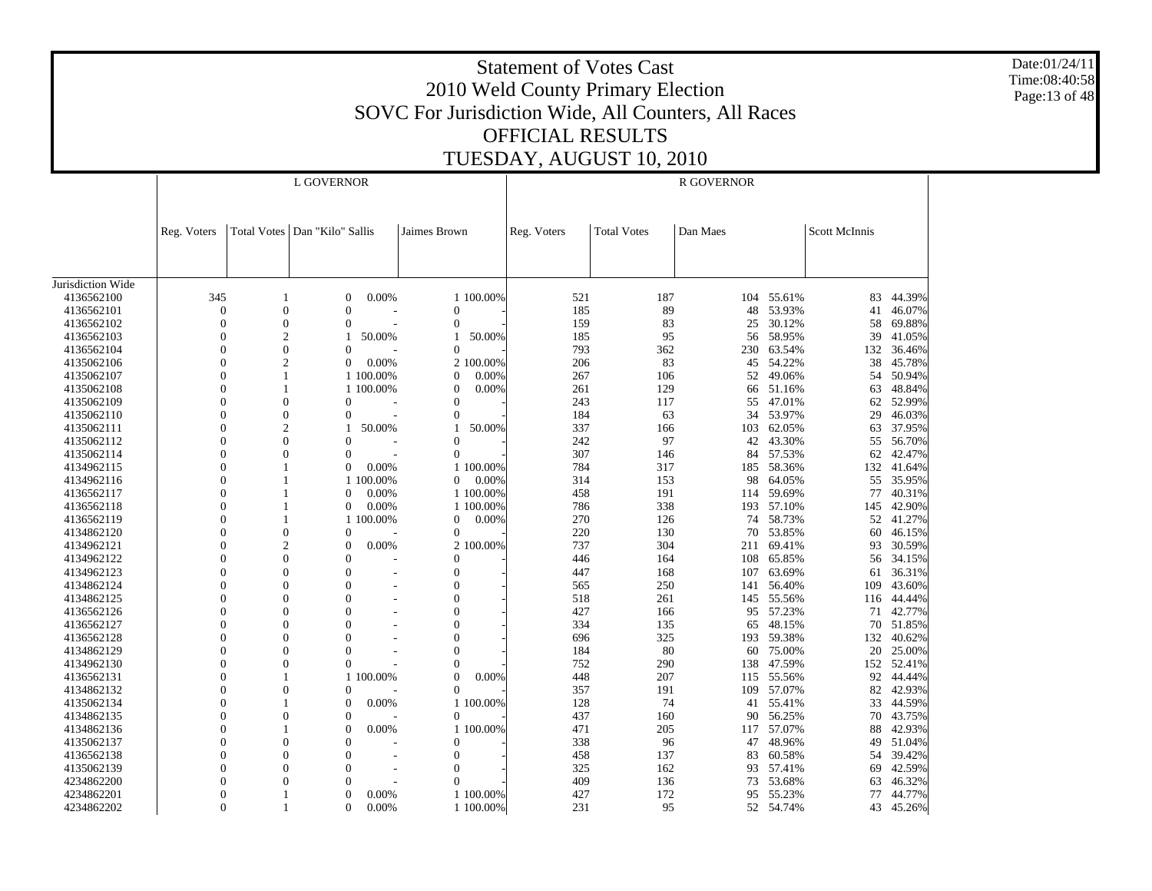Date:01/24/11 Time:08:40:58 Page:13 of 48

|                          |                  |                  | L GOVERNOR                      |           |                |           | <b>R GOVERNOR</b> |                    |          |                  |               |                  |  |
|--------------------------|------------------|------------------|---------------------------------|-----------|----------------|-----------|-------------------|--------------------|----------|------------------|---------------|------------------|--|
|                          |                  |                  |                                 |           |                |           |                   |                    |          |                  |               |                  |  |
|                          | Reg. Voters      |                  | Total Votes   Dan "Kilo" Sallis |           | Jaimes Brown   |           | Reg. Voters       | <b>Total Votes</b> | Dan Maes |                  | Scott McInnis |                  |  |
|                          |                  |                  |                                 |           |                |           |                   |                    |          |                  |               |                  |  |
| Jurisdiction Wide        |                  |                  |                                 |           |                |           |                   |                    |          |                  |               |                  |  |
| 4136562100               | 345              | 1                | $\mathbf{0}$                    | 0.00%     |                | 1 100.00% | 521               | 187                |          | 104 55.61%       | 83            | 44.39%           |  |
| 4136562101               | $\boldsymbol{0}$ | $\overline{0}$   | $\theta$                        |           | $\mathbf{0}$   |           | 185               | 89                 | 48       | 53.93%           | 41            | 46.07%           |  |
| 4136562102               | $\overline{0}$   | $\overline{0}$   | $\overline{0}$                  |           | $\Omega$       |           | 159               | 83                 | 25       | 30.12%           | 58            | 69.88%           |  |
| 4136562103               | $\boldsymbol{0}$ | $\overline{2}$   | 1                               | 50.00%    | 1              | 50.00%    | 185               | 95                 | 56       | 58.95%           | 39            | 41.05%           |  |
| 4136562104               | $\overline{0}$   | $\mathbf{0}$     | $\theta$                        |           | $\Omega$       |           | 793               | 362                | 230      | 63.54%           | 132           | 36.46%           |  |
| 4135062106               | $\overline{0}$   | $\overline{c}$   | $\overline{0}$                  | 0.00%     |                | 2 100.00% | 206               | 83                 | 45       | 54.22%           | 38            | 45.78%           |  |
| 4135062107               | $\theta$         | 1                |                                 | 1 100.00% | 0              | 0.00%     | 267               | 106                | 52       | 49.06%           | 54            | 50.94%           |  |
| 4135062108               | $\overline{0}$   | 1                |                                 | 1 100.00% | $\mathbf{0}$   | 0.00%     | 261               | 129                | 66       | 51.16%           | 63            | 48.84%           |  |
| 4135062109               | $\overline{0}$   | $\overline{0}$   | $\overline{0}$                  |           | $\Omega$       |           | 243               | 117                | 55       | 47.01%           | 62            | 52.99%           |  |
| 4135062110               | $\overline{0}$   | $\overline{0}$   | $\overline{0}$                  |           | $\Omega$       |           | 184               | 63                 | 34       | 53.97%           | 29            | 46.03%           |  |
| 4135062111               | $\boldsymbol{0}$ | $\overline{c}$   | -1                              | 50.00%    | -1             | 50.00%    | 337               | 166                | 103      | 62.05%           | 63            | 37.95%           |  |
| 4135062112               | $\overline{0}$   | $\overline{0}$   | $\theta$                        |           | $\Omega$       |           | 242               | 97                 | 42       | 43.30%           |               | 55 56.70%        |  |
| 4135062114               | $\overline{0}$   | $\theta$         | $\theta$                        |           | $\Omega$       |           | 307               | 146                | 84       | 57.53%           | 62            | 42.47%           |  |
| 4134962115               | $\theta$         |                  | $\Omega$                        | 0.00%     |                | 1 100.00% | 784               | 317                |          | 185 58.36%       | 132           | 41.64%           |  |
| 4134962116               | $\overline{0}$   | 1                |                                 | 1 100.00% | $\overline{0}$ | 0.00%     | 314               | 153                | 98       | 64.05%           | 55            | 35.95%           |  |
| 4136562117               | $\theta$         |                  | $\Omega$                        | 0.00%     |                | 1 100.00% | 458               | 191                | 114      | 59.69%           | 77            | 40.31%           |  |
| 4136562118               | $\overline{0}$   |                  | $\boldsymbol{0}$                | 0.00%     |                | 1 100.00% | 786               | 338                | 193      | 57.10%           | 145           | 42.90%           |  |
| 4136562119               | $\Omega$         |                  |                                 | 1 100.00% | 0              | 0.00%     | 270               | 126                | 74       | 58.73%           | 52            | 41.27%           |  |
| 4134862120               | $\overline{0}$   | $\boldsymbol{0}$ | $\theta$                        |           | $\mathbf{0}$   |           | 220               | 130                | 70       | 53.85%           | 60            | 46.15%           |  |
| 4134962121               | $\theta$         | $\overline{c}$   | $\overline{0}$                  | 0.00%     |                | 2 100.00% | 737               | 304                | 211      | 69.41%           | 93            | 30.59%           |  |
| 4134962122               | $\theta$         | $\Omega$         | $\Omega$                        |           | $\Omega$       |           | 446               | 164                | 108      | 65.85%           | 56            | 34.15%           |  |
| 4134962123               | $\overline{0}$   | $\overline{0}$   | $\theta$                        |           | $\mathbf{0}$   |           | 447               | 168                | 107      | 63.69%           | 61            | 36.31%           |  |
| 4134862124               | $\theta$         | $\Omega$         | $\theta$                        |           | $\mathbf{0}$   |           | 565               | 250                | 141      | 56.40%           | 109           | 43.60%           |  |
| 4134862125               | $\overline{0}$   | $\theta$         | $\theta$                        |           | $\mathbf{0}$   |           | 518               | 261                | 145      | 55.56%           | 116           | 44.44%           |  |
| 4136562126               | $\Omega$         | $\Omega$         | $\theta$                        |           | $\Omega$       |           | 427               | 166                | 95       | 57.23%           | 71            | 42.77%           |  |
| 4136562127               | $\overline{0}$   | $\theta$         | $\overline{0}$                  |           | $\theta$       |           | 334               | 135                | 65       | 48.15%           | 70            | 51.85%           |  |
| 4136562128               | $\theta$         | $\theta$         | $\theta$                        |           | $\theta$       |           | 696               | 325                | 193      | 59.38%           | 132           | 40.62%           |  |
| 4134862129               | $\theta$         | $\theta$         | $\Omega$                        |           | $\Omega$       |           | 184               | 80                 | 60       | 75.00%           | 20            | 25.00%           |  |
| 4134962130               | $\theta$         | $\theta$         | $\theta$                        |           | $\Omega$       |           | 752               | 290                | 138      | 47.59%           |               | 152 52.41%       |  |
| 4136562131               | $\overline{0}$   |                  |                                 | 1 100.00% | $\mathbf{0}$   | 0.00%     | 448               | 207                | 115      | 55.56%           | 92            | 44.44%           |  |
| 4134862132               | $\overline{0}$   | $\overline{0}$   | $\Omega$                        |           | $\Omega$       |           | 357               | 191                | 109      | 57.07%           | 82            | 42.93%           |  |
| 4135062134               | $\overline{0}$   |                  | $\overline{0}$                  | 0.00%     |                | 1 100.00% | 128               | 74                 | 41       | 55.41%           | 33            | 44.59%           |  |
| 4134862135               | $\overline{0}$   | $\theta$         | $\theta$                        |           | $\mathbf{0}$   |           | 437               | 160                | 90       | 56.25%           | 70            | 43.75%           |  |
| 4134862136               | $\overline{0}$   | 1                | $\overline{0}$                  | 0.00%     |                | 1 100.00% | 471               | 205                | 117      | 57.07%           | 88            | 42.93%           |  |
| 4135062137               | $\theta$         | $\theta$         | $\theta$                        |           | $\Omega$       |           | 338               | 96                 | 47       | 48.96%           | 49            | 51.04%           |  |
|                          | $\overline{0}$   | $\overline{0}$   | $\overline{0}$                  |           | $\mathbf{0}$   |           | 458               | 137                | 83       | 60.58%           | 54            | 39.42%           |  |
| 4136562138               | 0                | $\Omega$         | $\theta$                        |           | $\Omega$       |           |                   |                    |          |                  |               |                  |  |
| 4135062139               | $\overline{0}$   | $\Omega$         | $\Omega$                        |           | $\Omega$       |           | 325<br>409        | 162                | 93       | 57.41%           | 69            | 42.59%           |  |
| 4234862200<br>4234862201 | $\theta$         |                  | $\theta$                        | 0.00%     |                | 1 100.00% | 427               | 136<br>172         | 73<br>95 | 53.68%<br>55.23% | 63<br>77      | 46.32%<br>44.77% |  |
| 4234862202               | $\Omega$         |                  | $\Omega$                        | 0.00%     |                | 1 100.00% | 231               | 95                 |          | 52 54.74%        |               | 43 45.26%        |  |
|                          |                  |                  |                                 |           |                |           |                   |                    |          |                  |               |                  |  |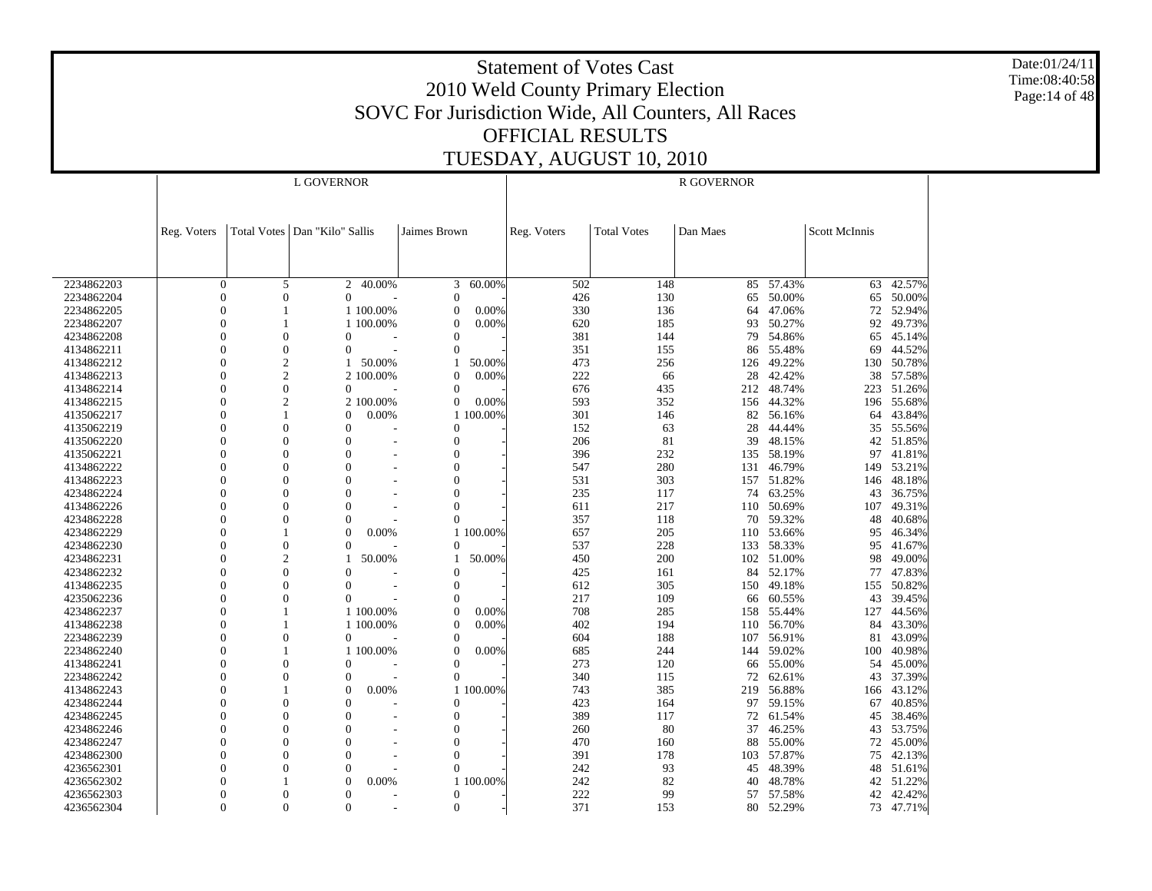Date:01/24/11 Time:08:40:58 Page:14 of 48

|            | L GOVERNOR     |                  |                                 |            |                |           | <b>R GOVERNOR</b> |                    |          |            |               |           |  |
|------------|----------------|------------------|---------------------------------|------------|----------------|-----------|-------------------|--------------------|----------|------------|---------------|-----------|--|
|            |                |                  |                                 |            |                |           |                   |                    |          |            |               |           |  |
|            |                |                  |                                 |            |                |           |                   |                    |          |            |               |           |  |
|            | Reg. Voters    |                  | Total Votes   Dan "Kilo" Sallis |            | Jaimes Brown   |           | Reg. Voters       | <b>Total Votes</b> | Dan Maes |            | Scott McInnis |           |  |
|            |                |                  |                                 |            |                |           |                   |                    |          |            |               |           |  |
|            |                |                  |                                 |            |                |           |                   |                    |          |            |               |           |  |
|            |                |                  |                                 |            |                |           |                   |                    |          |            |               |           |  |
| 2234862203 | $\mathbf{0}$   | 5                | $\overline{2}$                  | $-40.00\%$ | 3              | 60.00%    | 502               | 148                | 85       | 57.43%     | 63            | 42.57%    |  |
| 2234862204 | $\Omega$       | $\overline{0}$   | $\Omega$                        |            | $\Omega$       |           | 426               | 130                |          | 65 50.00%  | 65            | 50.00%    |  |
| 2234862205 | $\overline{0}$ | 1                |                                 | 1 100.00%  | $\mathbf{0}$   | 0.00%     | 330               | 136                | 64       | 47.06%     | 72            | 52.94%    |  |
| 2234862207 | $\Omega$       | 1                |                                 | 1 100,00%  | $\Omega$       | 0.00%     | 620               | 185                | 93       | 50.27%     | 92            | 49.73%    |  |
| 4234862208 | $\Omega$       | $\boldsymbol{0}$ | $\overline{0}$                  |            | $\overline{0}$ |           | 381               | 144                | 79       | 54.86%     | 65            | 45.14%    |  |
| 4134862211 | $\Omega$       | $\overline{0}$   | $\theta$                        |            | $\theta$       |           | 351               | 155                |          | 86 55.48%  | 69            | 44.52%    |  |
| 4134862212 | $\Omega$       | $\mathbf{2}$     |                                 | 50.00%     |                | 50.00%    | 473               | 256                |          | 126 49.22% | 130           | 50.78%    |  |
| 4134862213 | $\Omega$       | $\overline{c}$   |                                 | 2 100.00%  | $\theta$       | 0.00%     | 222               | 66                 | 28       | 42.42%     | 38            | 57.58%    |  |
| 4134862214 | $\Omega$       | $\boldsymbol{0}$ | $\overline{0}$                  |            | $\mathbf{0}$   |           | 676               | 435                | 212      | 48.74%     | 223           | 51.26%    |  |
| 4134862215 | $\Omega$       | $\overline{c}$   |                                 | 2 100.00%  | $\mathbf{0}$   | 0.00%     | 593               | 352                | 156      | 44.32%     | 196           | 55.68%    |  |
| 4135062217 | $\Omega$       | $\mathbf{1}$     | $\Omega$                        | 0.00%      |                | 1 100.00% | 301               | 146                | 82       | 56.16%     | 64            | 43.84%    |  |
| 4135062219 | $\Omega$       | $\theta$         | $\theta$                        |            | $\mathbf{0}$   |           | 152               | 63                 | 28       | 44.44%     | 35            | 55.56%    |  |
| 4135062220 | $\Omega$       | $\Omega$         | $\Omega$                        |            | $\theta$       |           | 206               | 81                 | 39       | 48.15%     |               | 42 51.85% |  |
| 4135062221 | $\Omega$       | $\theta$         | $\overline{0}$                  |            | $\overline{0}$ |           | 396               | 232                |          | 135 58.19% | 97            | 41.81%    |  |
| 4134862222 | $\Omega$       | $\Omega$         | $\theta$                        |            | $\theta$       |           | 547               | 280                | 131      | 46.79%     | 149           | 53.21%    |  |
| 4134862223 | $\Omega$       | $\overline{0}$   | $\overline{0}$                  |            | $\overline{0}$ |           | 531               | 303                | 157      | 51.82%     | 146           | 48.18%    |  |
| 4234862224 | $\Omega$       | $\theta$         | $\Omega$                        |            | $\theta$       |           | 235               | 117                | 74       | 63.25%     | 43            | 36.75%    |  |
| 4134862226 | $\Omega$       | $\overline{0}$   | $\overline{0}$                  |            | $\overline{0}$ |           | 611               | 217                |          | 110 50.69% | 107           | 49.31%    |  |
| 4234862228 | $\Omega$       | $\theta$         | $\Omega$                        |            | $\overline{0}$ |           | 357               | 118                | 70       | 59.32%     | 48            | 40.68%    |  |
| 4234862229 | $\Omega$       |                  | $\Omega$                        | 0.00%      |                | 1 100.00% | 657               | 205                | 110      | 53.66%     | 95            | 46.34%    |  |
| 4234862230 | $\Omega$       | $\overline{0}$   | $\Omega$                        |            | $\Omega$       |           | 537               | 228                | 133      | 58.33%     | 95            | 41.67%    |  |
| 4234862231 | $\Omega$       | $\overline{c}$   |                                 | 50.00%     |                | 50.00%    | 450               | 200                |          | 102 51.00% | 98            | 49.00%    |  |
| 4234862232 | $\Omega$       | $\overline{0}$   | $\overline{0}$                  |            | $\Omega$       |           | 425               | 161                | 84       | 52.17%     | 77            | 47.83%    |  |
| 4134862235 | $\Omega$       | $\overline{0}$   | $\theta$                        |            | $\mathbf{0}$   |           | 612               | 305                |          | 150 49.18% | 155           | 50.82%    |  |
| 4235062236 | $\Omega$       | $\overline{0}$   | $\Omega$                        |            | $\theta$       |           | 217               | 109                | 66       | 60.55%     | 43            | 39.45%    |  |
| 4234862237 | $\Omega$       |                  |                                 | 1 100.00%  | $\Omega$       | 0.00%     | 708               | 285                |          | 158 55.44% | 127           | 44.56%    |  |
| 4134862238 | $\Omega$       | $\mathbf{1}$     |                                 | 1 100.00%  | $\theta$       | 0.00%     | 402               | 194                | 110      | 56.70%     | 84            | 43.30%    |  |
| 2234862239 | $\Omega$       | $\theta$         | $\Omega$                        |            | $\Omega$       |           | 604               | 188                |          | 107 56.91% | 81            | 43.09%    |  |
| 2234862240 | $\Omega$       |                  |                                 | 1 100.00%  | $\Omega$       | 0.00%     | 685               | 244                | 144      | 59.02%     | 100           | 40.98%    |  |
| 4134862241 | $\Omega$       | $\theta$         | $\theta$                        |            | $\theta$       |           | 273               | 120                |          | 66 55.00%  | 54            | 45.00%    |  |
| 2234862242 | $\Omega$       | $\overline{0}$   | $\theta$                        |            | $\Omega$       |           | 340               | 115                | 72       | 62.61%     | 43            | 37.39%    |  |
| 4134862243 | $\Omega$       |                  | $\Omega$                        | 0.00%      |                | 1 100,00% | 743               | 385                | 219      | 56.88%     | 166           | 43.12%    |  |
| 4234862244 | $\Omega$       | $\mathbf{0}$     | $\Omega$                        |            | $\mathbf{0}$   |           | 423               | 164                | 97       | 59.15%     | 67            | 40.85%    |  |
| 4234862245 | $\Omega$       | $\theta$         | $\theta$                        |            | $\Omega$       |           | 389               | 117                | 72       | 61.54%     | 45            | 38.46%    |  |
| 4234862246 | $\Omega$       | $\overline{0}$   | $\overline{0}$                  |            | $\mathbf{0}$   |           | 260               | 80                 | 37       | 46.25%     | 43            | 53.75%    |  |
| 4234862247 | $\Omega$       | $\theta$         | $\Omega$                        |            | $\overline{0}$ |           | 470               | 160                | 88       | 55.00%     | 72            | 45.00%    |  |
| 4234862300 | $\Omega$       | $\theta$         | $\mathbf{0}$                    |            | $\overline{0}$ |           | 391               | 178                |          | 103 57.87% | 75            | 42.13%    |  |
| 4236562301 |                | $\theta$         | $\overline{0}$                  |            | $\theta$       |           | 242               | 93                 | 45       | 48.39%     | 48            | 51.61%    |  |
| 4236562302 | 0              |                  | $\Omega$                        | 0.00%      |                | 1 100.00% | 242               | 82                 | 40       | 48.78%     | 42            | 51.22%    |  |
| 4236562303 | $\Omega$       | $\theta$         | $\Omega$                        |            | $\mathbf{0}$   |           | 222               | 99                 | 57       | 57.58%     | 42            | 42.42%    |  |
| 4236562304 | $\Omega$       | $\Omega$         | $\Omega$                        |            | $\Omega$       |           | 371               | 153                |          | 80 52.29%  |               | 73 47.71% |  |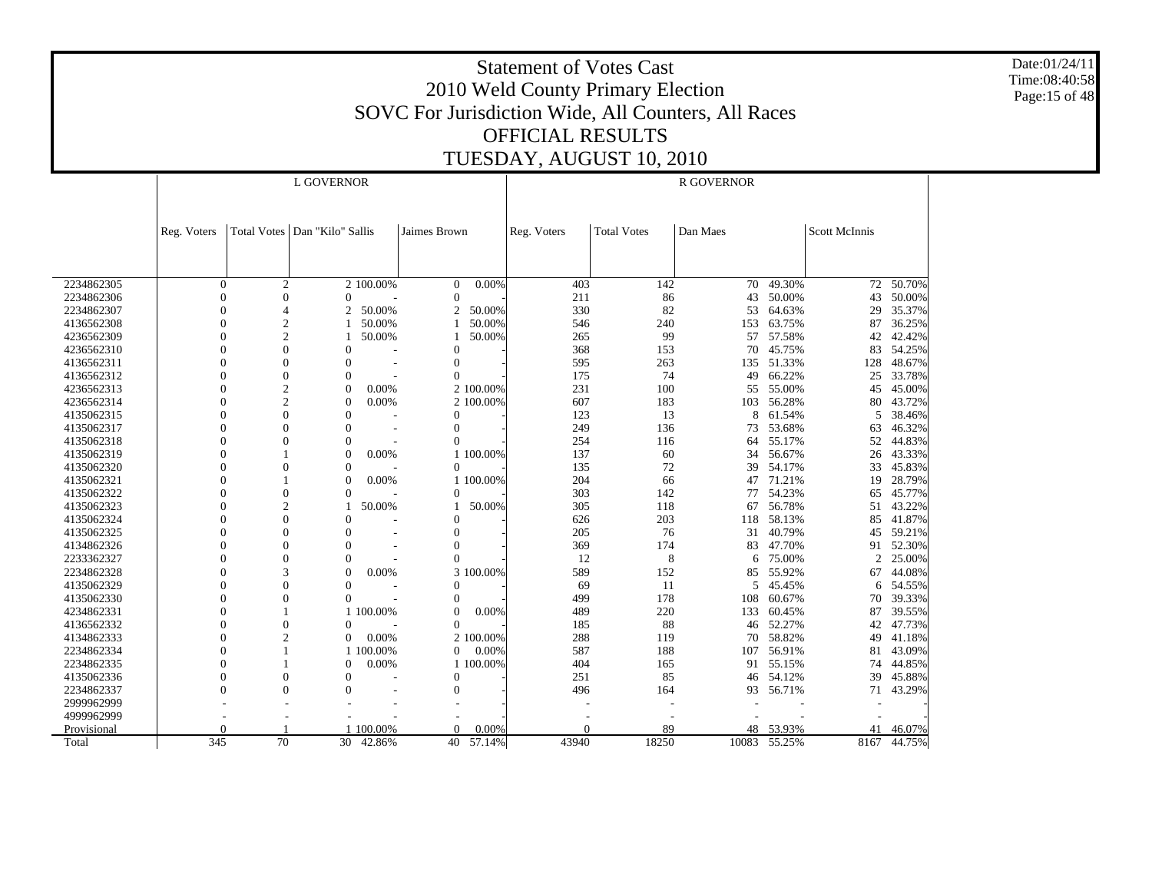Date:01/24/11 Time:08:40:58 Page:15 of 48

|             |              |                | L GOVERNOR                      |           |                |           | <b>R GOVERNOR</b> |                    |          |           |               |                |  |
|-------------|--------------|----------------|---------------------------------|-----------|----------------|-----------|-------------------|--------------------|----------|-----------|---------------|----------------|--|
|             |              |                |                                 |           |                |           |                   |                    |          |           |               |                |  |
|             | Reg. Voters  |                | Total Votes   Dan "Kilo" Sallis |           | Jaimes Brown   |           | Reg. Voters       | <b>Total Votes</b> | Dan Maes |           | Scott McInnis |                |  |
|             |              |                |                                 |           |                |           |                   |                    |          |           |               |                |  |
|             |              |                |                                 |           |                |           |                   |                    |          |           |               |                |  |
| 2234862305  | $\mathbf{0}$ | $\overline{2}$ |                                 | 2 100.00% | $\overline{0}$ | 0.00%     | 403               | 142                |          | 70 49.30% |               | $72 - 50.70\%$ |  |
| 2234862306  | $\Omega$     | $\overline{0}$ | $\overline{0}$                  |           | $\mathbf{0}$   |           | 211               | 86                 | 43       | 50.00%    | 43            | 50.00%         |  |
| 2234862307  | $\Omega$     | $\overline{4}$ | 2                               | 50.00%    | 2              | 50.00%    | 330               | 82                 | 53       | 64.63%    | 29            | 35.37%         |  |
| 4136562308  |              | $\overline{c}$ |                                 | 50.00%    |                | 50.00%    | 546               | 240                | 153      | 63.75%    | 87            | 36.25%         |  |
| 4236562309  | $\Omega$     | $\overline{c}$ |                                 | 50.00%    |                | 50.00%    | 265               | 99                 | 57       | 57.58%    | 42            | 42.42%         |  |
| 4236562310  |              | $\overline{0}$ | $\overline{0}$                  |           | $\theta$       |           | 368               | 153                | 70       | 45.75%    | 83            | 54.25%         |  |
| 4136562311  |              | $\overline{0}$ | $\theta$                        |           | $\mathbf{0}$   |           | 595               | 263                | 135      | 51.33%    | 128           | 48.67%         |  |
| 4136562312  | $\Omega$     | $\overline{0}$ | $\overline{0}$                  |           | $\Omega$       |           | 175               | 74                 | 49       | 66.22%    | 25            | 33.78%         |  |
| 4236562313  |              | $\overline{c}$ | $\overline{0}$                  | 0.00%     |                | 2 100.00% | 231               | 100                | 55       | 55.00%    | 45            | 45.00%         |  |
| 4236562314  |              | $\overline{2}$ | $\theta$                        | 0.00%     |                | 2 100.00% | 607               | 183                | 103      | 56.28%    | 80            | 43.72%         |  |
| 4135062315  | $\Omega$     | $\Omega$       | $\theta$                        |           | $\Omega$       |           | 123               | 13                 | 8        | 61.54%    | 5             | 38.46%         |  |
| 4135062317  | 0            | $\theta$       | $\overline{0}$                  |           | $\mathbf{0}$   |           | 249               | 136                | 73       | 53.68%    | 63            | 46.32%         |  |
| 4135062318  |              | $\theta$       | $\overline{0}$                  |           | $\Omega$       |           | 254               | 116                | 64       | 55.17%    | 52            | 44.83%         |  |
| 4135062319  |              |                | $\overline{0}$                  | 0.00%     |                | 1 100.00% | 137               | 60                 | 34       | 56.67%    | 26            | 43.33%         |  |
| 4135062320  | $\Omega$     | $\Omega$       | $\overline{0}$                  |           | $\Omega$       |           | 135               | 72                 |          | 39 54.17% | 33            | 45.83%         |  |
| 4135062321  |              |                | $\overline{0}$                  | 0.00%     |                | 1 100.00% | 204               | 66                 | 47       | 71.21%    | 19            | 28.79%         |  |
| 4135062322  |              | $\overline{0}$ | $\overline{0}$                  |           | $\mathbf{0}$   |           | 303               | 142                | 77       | 54.23%    | 65            | 45.77%         |  |
| 4135062323  |              | $\overline{2}$ |                                 | 50.00%    |                | 50.00%    | 305               | 118                | 67       | 56.78%    | 51            | 43.22%         |  |
| 4135062324  | 0            | $\overline{0}$ | $\theta$                        |           | $\Omega$       |           | 626               | 203                | 118      | 58.13%    | 85            | 41.87%         |  |
| 4135062325  |              | $\theta$       | $\overline{0}$                  |           | $\Omega$       |           | 205               | 76                 | 31       | 40.79%    | 45            | 59.21%         |  |
| 4134862326  | $\Omega$     | $\theta$       | $\Omega$                        |           | $\theta$       |           | 369               | 174                | 83       | 47.70%    |               | 91 52.30%      |  |
| 2233362327  | $\Omega$     | $\overline{0}$ | $\overline{0}$                  |           | $\Omega$       |           | 12                | 8                  | 6        | 75.00%    | 2             | 25.00%         |  |
| 2234862328  |              | 3              | $\theta$                        | 0.00%     |                | 3 100.00% | 589               | 152                | 85       | 55.92%    | 67            | 44.08%         |  |
| 4135062329  |              | $\theta$       | $\overline{0}$                  |           | $\theta$       |           | 69                | 11                 | 5        | 45.45%    | 6             | 54.55%         |  |
| 4135062330  |              | $\Omega$       | $\Omega$                        |           | $\Omega$       |           | 499               | 178                | 108      | 60.67%    | 70            | 39.33%         |  |
| 4234862331  | $\Omega$     |                |                                 | 1 100.00% | $\mathbf{0}$   | 0.00%     | 489               | 220                | 133      | 60.45%    | 87            | 39.55%         |  |
| 4136562332  |              | $\overline{0}$ | $\overline{0}$                  |           | $\Omega$       |           | 185               | 88                 | 46       | 52.27%    | 42            | 47.73%         |  |
| 4134862333  | $\Omega$     | $\overline{2}$ | $\Omega$                        | 0.00%     |                | 2 100.00% | 288               | 119                |          | 70 58.82% | 49            | 41.18%         |  |
| 2234862334  | $\Omega$     |                |                                 | 1 100.00% | $\overline{0}$ | 0.00%     | 587               | 188                | 107      | 56.91%    | 81            | 43.09%         |  |
| 2234862335  |              |                | $\Omega$                        | 0.00%     |                | 1 100.00% | 404               | 165                | 91       | 55.15%    | 74            | 44.85%         |  |
| 4135062336  |              | $\overline{0}$ | $\theta$                        |           | $\mathbf{0}$   |           | 251               | 85                 | 46       | 54.12%    | 39            | 45.88%         |  |
| 2234862337  | $\Omega$     | $\Omega$       | $\Omega$                        |           | $\mathbf{0}$   |           | 496               | 164                |          | 93 56.71% | 71            | 43.29%         |  |
| 2999962999  |              |                |                                 |           |                |           |                   |                    |          |           |               |                |  |
| 4999962999  |              |                |                                 |           |                |           |                   |                    |          |           |               |                |  |
| Provisional | $\Omega$     |                |                                 | 100.00%   | $\Omega$       | 0.00%     | $\theta$          | 89                 | 48       | 53.93%    | 41            | 46.07%         |  |
| Total       | 345          | 70             | 30                              | 42.86%    | 40             | 57.14%    | 43940             | 18250              | 10083    | 55.25%    | 8167          | 44.75%         |  |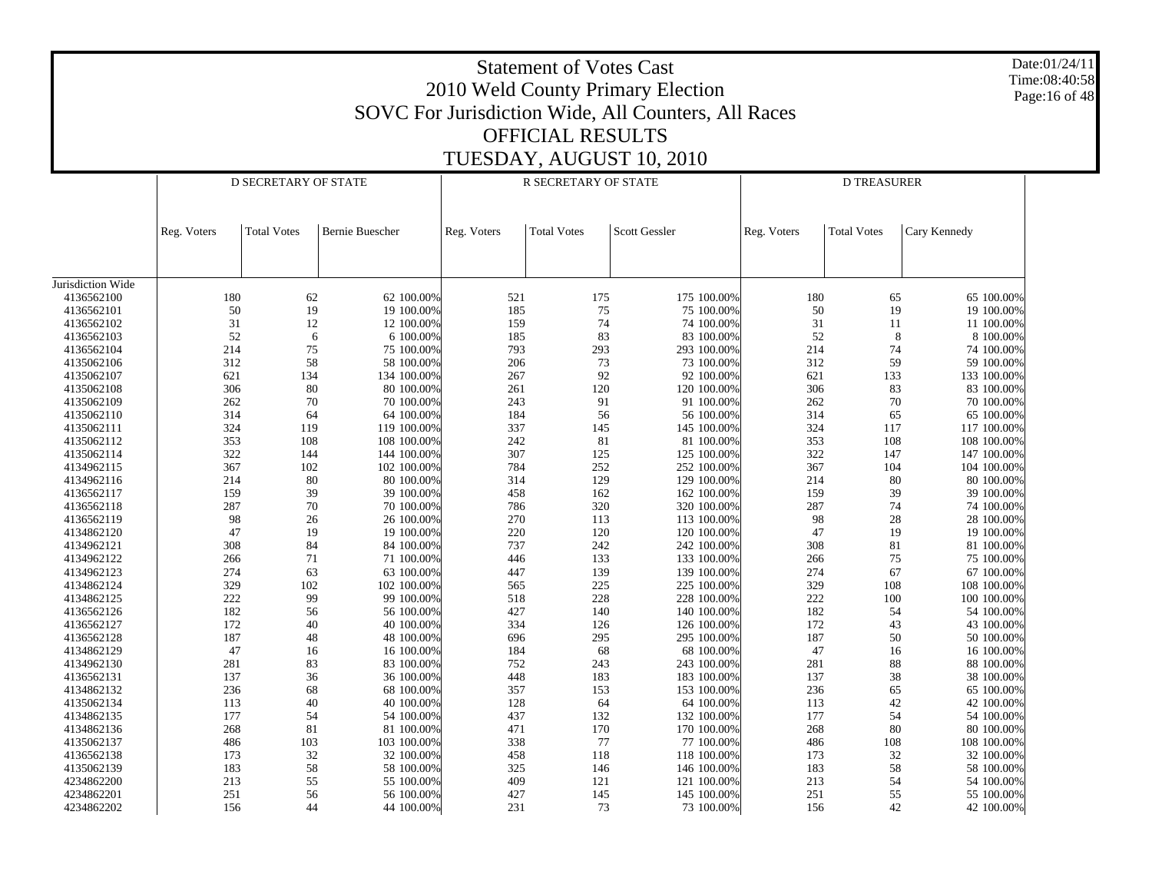| Date:01/24/11<br><b>Statement of Votes Cast</b><br>Time:08:40:58<br>2010 Weld County Primary Election<br>Page:16 of 48<br>SOVC For Jurisdiction Wide, All Counters, All Races |             |                      |                          |             |                         |                            |             |                    |                          |  |  |  |
|-------------------------------------------------------------------------------------------------------------------------------------------------------------------------------|-------------|----------------------|--------------------------|-------------|-------------------------|----------------------------|-------------|--------------------|--------------------------|--|--|--|
|                                                                                                                                                                               |             |                      |                          |             |                         |                            |             |                    |                          |  |  |  |
|                                                                                                                                                                               |             |                      |                          |             | <b>OFFICIAL RESULTS</b> |                            |             |                    |                          |  |  |  |
|                                                                                                                                                                               |             |                      |                          |             |                         | TUESDAY, AUGUST 10, 2010   |             |                    |                          |  |  |  |
|                                                                                                                                                                               |             | D SECRETARY OF STATE |                          |             | R SECRETARY OF STATE    |                            |             | <b>D TREASURER</b> |                          |  |  |  |
|                                                                                                                                                                               |             |                      |                          |             |                         |                            |             |                    |                          |  |  |  |
|                                                                                                                                                                               |             |                      |                          |             |                         |                            |             |                    |                          |  |  |  |
|                                                                                                                                                                               | Reg. Voters | <b>Total Votes</b>   | <b>Bernie Buescher</b>   | Reg. Voters | <b>Total Votes</b>      | <b>Scott Gessler</b>       | Reg. Voters | <b>Total Votes</b> | Cary Kennedy             |  |  |  |
|                                                                                                                                                                               |             |                      |                          |             |                         |                            |             |                    |                          |  |  |  |
|                                                                                                                                                                               |             |                      |                          |             |                         |                            |             |                    |                          |  |  |  |
| Jurisdiction Wide                                                                                                                                                             |             |                      |                          |             |                         |                            |             |                    |                          |  |  |  |
| 4136562100                                                                                                                                                                    | 180         | 62                   | 62 100.00%               | 521         | 175                     | 175 100.00%                | 180         | 65                 | 65 100.00%               |  |  |  |
| 4136562101                                                                                                                                                                    | 50          | 19                   | 19 100.00%               | 185         | 75                      | 75 100.00%                 | 50          | 19                 | 19 100.00%               |  |  |  |
| 4136562102                                                                                                                                                                    | 31          | 12                   | 12 100.00%               | 159         | 74                      | 74 100.00%                 | 31          | 11                 | 11 100.00%               |  |  |  |
| 4136562103<br>4136562104                                                                                                                                                      | 52<br>214   | 6<br>75              | 6 100.00%<br>75 100.00%  | 185<br>793  | 83<br>293               | 83 100.00%<br>293 100.00%  | 52<br>214   | 8<br>74            | 8 100.00%<br>74 100.00%  |  |  |  |
| 4135062106                                                                                                                                                                    | 312         | 58                   | 58 100.00%               | 206         | 73                      | 73 100.00%                 | 312         | 59                 | 59 100.00%               |  |  |  |
| 4135062107                                                                                                                                                                    | 621         | 134                  | 134 100.00%              | 267         | 92                      | 92 100.00%                 | 621         | 133                | 133 100.00%              |  |  |  |
| 4135062108                                                                                                                                                                    | 306         | 80                   | 80 100.00%               | 261         | 120                     | 120 100.00%                | 306         | 83                 | 83 100.00%               |  |  |  |
| 4135062109                                                                                                                                                                    | 262         | 70                   | 70 100.00%               | 243         | 91                      | 91 100.00%                 | 262         | 70                 | 70 100.00%               |  |  |  |
| 4135062110                                                                                                                                                                    | 314         | 64                   | 64 100.00%               | 184         | 56                      | 56 100.00%                 | 314         | 65                 | 65 100.00%               |  |  |  |
| 4135062111                                                                                                                                                                    | 324         | 119                  | 119 100.00%              | 337         | 145                     | 145 100.00%                | 324         | 117                | 117 100.00%              |  |  |  |
| 4135062112                                                                                                                                                                    | 353         | 108                  | 108 100.00%              | 242         | 81                      | 81 100.00%                 | 353         | 108                | 108 100.00%              |  |  |  |
| 4135062114                                                                                                                                                                    | 322         | 144                  | 144 100.00%              | 307         | 125                     | 125 100.00%                | 322         | 147                | 147 100.00%              |  |  |  |
| 4134962115                                                                                                                                                                    | 367         | 102                  | 102 100.00%              | 784         | 252                     | 252 100.00%                | 367         | 104                | 104 100.00%              |  |  |  |
| 4134962116                                                                                                                                                                    | 214         | 80                   | 80 100.00%               | 314         | 129                     | 129 100.00%                | 214         | 80                 | 80 100.00%               |  |  |  |
| 4136562117<br>4136562118                                                                                                                                                      | 159<br>287  | 39                   | 39 100.00%<br>70 100.00% | 458<br>786  | 162<br>320              | 162 100.00%<br>320 100.00% | 159<br>287  | 39<br>74           | 39 100.00%<br>74 100.00% |  |  |  |
| 4136562119                                                                                                                                                                    | 98          | 70<br>26             | 26 100.00%               | 270         | 113                     | 113 100.00%                | 98          | 28                 | 28 100.00%               |  |  |  |
| 4134862120                                                                                                                                                                    | 47          | 19                   | 19 100.00%               | 220         | 120                     | 120 100.00%                | 47          | 19                 | 19 100.00%               |  |  |  |
| 4134962121                                                                                                                                                                    | 308         | 84                   | 84 100.00%               | 737         | 242                     | 242 100.00%                | 308         | 81                 | 81 100.00%               |  |  |  |
| 4134962122                                                                                                                                                                    | 266         | 71                   | 71 100.00%               | 446         | 133                     | 133 100.00%                | 266         | 75                 | 75 100.00%               |  |  |  |
| 4134962123                                                                                                                                                                    | 274         | 63                   | 63 100.00%               | 447         | 139                     | 139 100.00%                | 274         | 67                 | 67 100.00%               |  |  |  |
| 4134862124                                                                                                                                                                    | 329         | 102                  | 102 100.00%              | 565         | 225                     | 225 100.00%                | 329         | 108                | 108 100.00%              |  |  |  |
| 4134862125                                                                                                                                                                    | 222         | 99                   | 99 100.00%               | 518         | 228                     | 228 100.00%                | 222         | 100                | 100 100.00%              |  |  |  |
| 4136562126                                                                                                                                                                    | 182         | 56                   | 56 100.00%               | 427         | 140                     | 140 100.00%                | 182         | 54                 | 54 100.00%               |  |  |  |
| 4136562127                                                                                                                                                                    | 172         | 40                   | 40 100.00%               | 334         | 126                     | 126 100.00%                | 172         | 43                 | 43 100.00%               |  |  |  |
| 4136562128                                                                                                                                                                    | 187         | 48                   | 48 100.00%               | 696         | 295                     | 295 100.00%                | 187         | 50                 | 50 100.00%               |  |  |  |
| 4134862129<br>4134962130                                                                                                                                                      | 47<br>281   | 16<br>83             | 16 100.00%<br>83 100.00% | 184<br>752  | 68<br>243               | 68 100.00%<br>243 100.00%  | 47<br>281   | 16<br>88           | 16 100.00%<br>88 100.00% |  |  |  |
| 4136562131                                                                                                                                                                    | 137         | 36                   | 36 100.00%               | 448         | 183                     | 183 100.00%                | 137         | 38                 | 38 100.00%               |  |  |  |
| 4134862132                                                                                                                                                                    | 236         | 68                   | 68 100.00%               | 357         | 153                     | 153 100.00%                | 236         | 65                 | 65 100.00%               |  |  |  |
| 4135062134                                                                                                                                                                    | 113         | 40                   | 40 100.00%               | 128         | 64                      | 64 100.00%                 | 113         | 42                 | 42 100.00%               |  |  |  |
| 4134862135                                                                                                                                                                    | 177         | 54                   | 54 100.00%               | 437         | 132                     | 132 100.00%                | 177         | 54                 | 54 100.00%               |  |  |  |
| 4134862136                                                                                                                                                                    | 268         | 81                   | 81 100.00%               | 471         | 170                     | 170 100.00%                | 268         | 80                 | 80 100.00%               |  |  |  |
| 4135062137                                                                                                                                                                    | 486         | 103                  | 103 100.00%              | 338         | 77                      | 77 100.00%                 | 486         | 108                | 108 100.00%              |  |  |  |
| 4136562138                                                                                                                                                                    | 173         | 32                   | 32 100.00%               | 458         | 118                     | 118 100.00%                | 173         | 32                 | 32 100.00%               |  |  |  |
| 4135062139                                                                                                                                                                    | 183         | 58                   | 58 100.00%               | 325         | 146                     | 146 100.00%                | 183         | 58                 | 58 100.00%               |  |  |  |
| 4234862200                                                                                                                                                                    | 213         | 55                   | 55 100.00%               | 409         | 121                     | 121 100.00%                | 213         | 54                 | 54 100.00%               |  |  |  |
| 4234862201                                                                                                                                                                    | 251<br>156  | 56<br>$44\,$         | 56 100.00%               | 427<br>231  | 145<br>73               | 145 100.00%                | 251         | 55<br>$42\,$       | 55 100.00%<br>42 100.00% |  |  |  |
| 4234862202                                                                                                                                                                    |             |                      | 44 100.00%               |             |                         | 73 100.00%                 | 156         |                    |                          |  |  |  |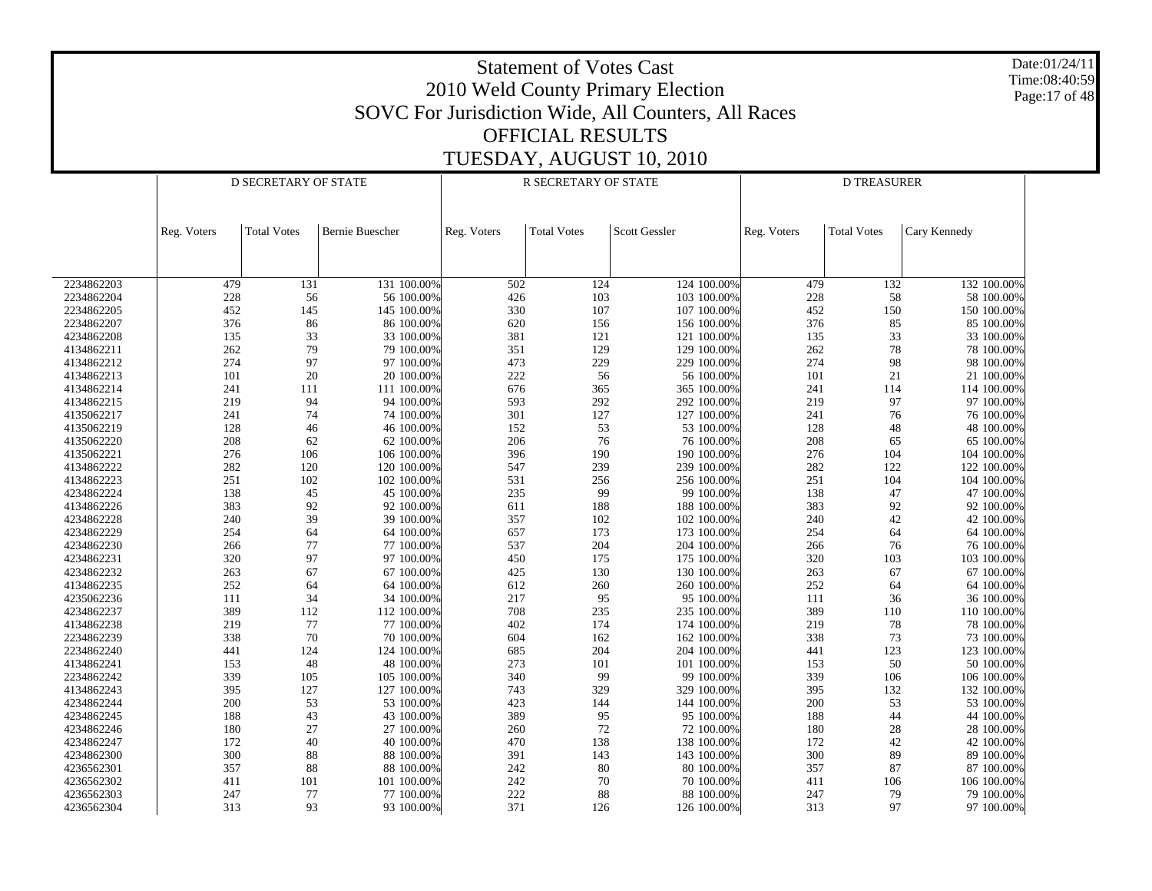Date:01/24/11 Time:08:40:59 Page:17 of 48

|            | D SECRETARY OF STATE |                    |                 | R SECRETARY OF STATE |                    | <b>D TREASURER</b> |             |                    |              |
|------------|----------------------|--------------------|-----------------|----------------------|--------------------|--------------------|-------------|--------------------|--------------|
|            | Reg. Voters          | <b>Total Votes</b> | Bernie Buescher | Reg. Voters          | <b>Total Votes</b> | Scott Gessler      | Reg. Voters | <b>Total Votes</b> | Cary Kennedy |
|            |                      |                    |                 |                      |                    |                    |             |                    |              |
| 2234862203 | 479                  | 131                | 131 100.00%     | 502                  | 124                | 124 100.00%        | 479         | 132                | 132 100.00%  |
| 2234862204 | 228                  | 56                 | 56 100.00%      | 426                  | 103                | 103 100.00%        | 228         | 58                 | 58 100.00%   |
| 2234862205 | 452                  | 145                | 145 100.00%     | 330                  | 107                | 107 100.00%        | 452         | 150                | 150 100.00%  |
| 2234862207 | 376                  | 86                 | 86 100.00%      | 620                  | 156                | 156 100.00%        | 376         | 85                 | 85 100.00%   |
| 4234862208 | 135                  | 33                 | 33 100.00%      | 381                  | 121                | 121 100.00%        | 135         | 33                 | 33 100.00%   |
| 4134862211 | 262                  | 79                 | 79 100.00%      | 351                  | 129                | 129 100.00%        | 262         | 78                 | 78 100.00%   |
| 4134862212 | 274                  | 97                 | 97 100.00%      | 473                  | 229                | 229 100.00%        | 274         | 98                 | 98 100.00%   |
| 4134862213 | 101                  | 20                 | 20 100.00%      | 222                  | 56                 | 56 100.00%         | 101         | 21                 | 21 100.00%   |
| 4134862214 | 241                  | 111                | 111 100.00%     | 676                  | 365                | 365 100.00%        | 241         | 114                | 114 100.00%  |
| 4134862215 | 219                  | 94                 | 94 100.00%      | 593                  | 292                | 292 100.00%        | 219         | 97                 | 97 100.00%   |
| 4135062217 | 241                  | 74                 | 74 100.00%      | 301                  | 127                | 127 100.00%        | 241         | 76                 | 76 100.00%   |
| 4135062219 | 128                  | 46                 | 46 100.00%      | 152                  | 53                 | 53 100.00%         | 128         | 48                 | 48 100.00%   |
| 4135062220 | 208                  | 62                 | 62 100.00%      | 206                  | $76\,$             | 76 100.00%         | 208         | 65                 | 65 100.00%   |
| 4135062221 | 276                  | 106                | 106 100.00%     | 396                  | 190                | 190 100.00%        | 276         | 104                | 104 100.00%  |
| 4134862222 | 282                  | 120                | 120 100.00%     | 547                  | 239                | 239 100.00%        | 282         | 122                | 122 100.00%  |
| 4134862223 | 251                  | 102                | 102 100.00%     | 531                  | 256                | 256 100.00%        | 251         | 104                | 104 100.00%  |
| 4234862224 | 138                  | 45                 | 45 100.00%      | 235                  | 99                 | 99 100.00%         | 138         | 47                 | 47 100.00%   |
| 4134862226 | 383                  | 92                 | 92 100.00%      | 611                  | 188                | 188 100.00%        | 383         | 92                 | 92 100.00%   |
| 4234862228 | 240                  | 39                 | 39 100.00%      | 357                  | 102                | 102 100.00%        | 240         | 42                 | 42 100.00%   |
| 4234862229 | 254                  | 64                 | 64 100.00%      | 657                  | 173                | 173 100.00%        | 254         | 64                 | 64 100.00%   |
| 4234862230 | 266                  | 77                 | 77 100.00%      | 537                  | 204                | 204 100.00%        | 266         | 76                 | 76 100.00%   |
| 4234862231 | 320                  | 97                 | 97 100.00%      | 450                  | 175                | 175 100.00%        | 320         | 103                | 103 100.00%  |
| 4234862232 | 263                  | 67                 | 67 100.00%      | 425                  | 130                | 130 100.00%        | 263         | 67                 | 67 100.00%   |
| 4134862235 | 252                  | 64                 | 64 100.00%      | 612                  | 260                | 260 100.00%        | 252         | 64                 | 64 100.00%   |
| 4235062236 | 111                  | 34                 | 34 100.00%      | 217                  | 95                 | 95 100.00%         | 111         | 36                 | 36 100.00%   |
| 4234862237 | 389                  | 112                | 112 100.00%     | 708                  | 235                | 235 100.00%        | 389         | 110                | 110 100.00%  |
| 4134862238 | 219                  | $77\,$             | 77 100.00%      | 402                  | 174                | 174 100.00%        | 219         | 78                 | 78 100.00%   |
| 2234862239 | 338                  | 70                 | 70 100.00%      | 604                  | 162                | 162 100.00%        | 338         | 73                 | 73 100.00%   |
| 2234862240 | 441                  | 124                | 124 100.00%     | 685                  | 204                | 204 100.00%        | 441         | 123                | 123 100.00%  |
| 4134862241 | 153                  | 48                 | 48 100.00%      | 273                  | 101                | 101 100.00%        | 153         | 50                 | 50 100.00%   |
| 2234862242 | 339                  | 105                | 105 100.00%     | 340                  | 99                 | 99 100.00%         | 339         | 106                | 106 100.00%  |
| 4134862243 | 395                  | 127                | 127 100.00%     | 743                  | 329                | 329 100.00%        | 395         | 132                | 132 100.00%  |
| 4234862244 | 200                  | 53                 | 53 100.00%      | 423                  | 144                | 144 100.00%        | $200\,$     | 53                 | 53 100.00%   |
| 4234862245 | 188                  | 43                 | 43 100.00%      | 389                  | 95                 | 95 100.00%         | 188         | 44                 | 44 100.00%   |
| 4234862246 | 180                  | 27                 | 27 100.00%      | 260                  | $72\,$             | 72 100.00%         | 180         | 28                 | 28 100.00%   |
| 4234862247 | 172                  | 40                 | 40 100.00%      | 470                  | 138                | 138 100.00%        | 172         | 42                 | 42 100.00%   |
| 4234862300 | 300                  | 88                 | 88 100.00%      | 391                  | 143                | 143 100.00%        | 300         | 89                 | 89 100.00%   |
| 4236562301 | 357                  | 88                 | 88 100.00%      | 242                  | 80                 | 80 100.00%         | 357         | 87                 | 87 100.00%   |
| 4236562302 | 411                  | 101                | 101 100.00%     | 242                  | 70                 | 70 100.00%         | 411         | 106                | 106 100.00%  |
| 4236562303 | 247                  | 77                 | 77 100.00%      | 222                  | 88                 | 88 100.00%         | 247         | 79                 | 79 100.00%   |
| 4236562304 | 313                  | 93                 | 93 100.00%      | 371                  | 126                | 126 100.00%        | 313         | 97                 | 97 100.00%   |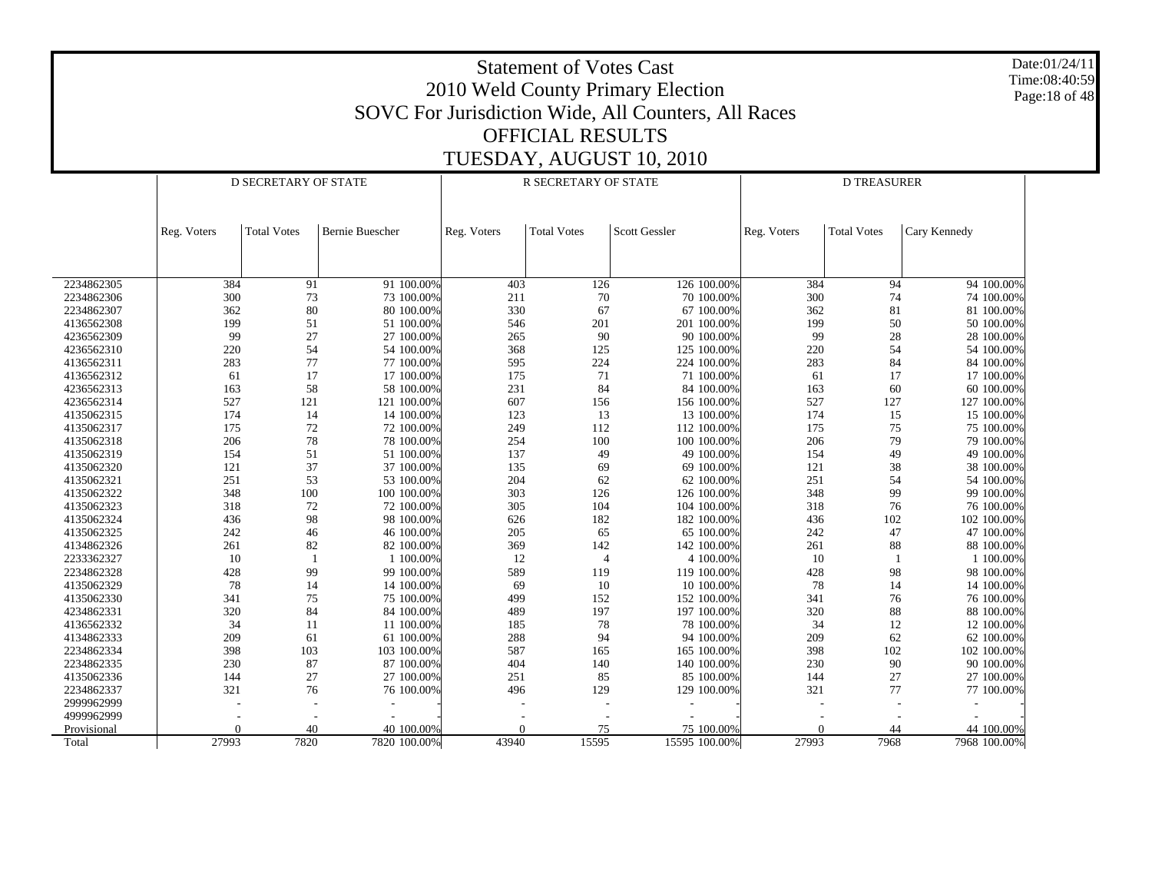Date:01/24/11 Time:08:40:59 Page:18 of 48

|             |             | <b>D SECRETARY OF STATE</b> |                         |             | R SECRETARY OF STATE |               |              | <b>D TREASURER</b> |              |
|-------------|-------------|-----------------------------|-------------------------|-------------|----------------------|---------------|--------------|--------------------|--------------|
|             |             |                             |                         |             |                      |               |              |                    |              |
|             |             |                             |                         |             |                      |               |              |                    |              |
|             | Reg. Voters | <b>Total Votes</b>          | Bernie Buescher         | Reg. Voters | <b>Total Votes</b>   | Scott Gessler | Reg. Voters  | <b>Total Votes</b> | Cary Kennedy |
|             |             |                             |                         |             |                      |               |              |                    |              |
|             |             |                             |                         |             |                      |               |              |                    |              |
|             |             |                             |                         |             |                      |               |              |                    |              |
| 2234862305  | 384         | 91                          | $91\overline{100.00\%}$ | 403         | 126                  | 126 100.00%   | 384          | 94                 | 94 100.00%   |
| 2234862306  | 300         | 73                          | 73 100.00%              | 211         | 70                   | 70 100.00%    | 300          | 74                 | 74 100.00%   |
| 2234862307  | 362         | 80                          | 80 100,00%              | 330         | 67                   | 67 100,00%    | 362          | 81                 | 81 100,00%   |
| 4136562308  | 199         | 51                          | 51 100.00%              | 546         | 201                  | 201 100.00%   | 199          | 50                 | 50 100.00%   |
| 4236562309  | 99          | 27                          | 27 100.00%              | 265         | 90                   | 90 100.00%    | 99           | $28\,$             | 28 100.00%   |
| 4236562310  | 220         | 54                          | 54 100.00%              | 368         | 125                  | 125 100.00%   | 220          | 54                 | 54 100.00%   |
| 4136562311  | 283         | 77                          | 77 100.00%              | 595         | 224                  | 224 100.00%   | 283          | 84                 | 84 100.00%   |
| 4136562312  | 61          | 17                          | 17 100.00%              | 175         | 71                   | 71 100.00%    | 61           | 17                 | 17 100.00%   |
| 4236562313  | 163         | 58                          | 58 100.00%              | 231         | 84                   | 84 100.00%    | 163          | 60                 | 60 100.00%   |
| 4236562314  | 527         | 121                         | 121 100.00%             | 607         | 156                  | 156 100.00%   | 527          | 127                | 127 100.00%  |
| 4135062315  | 174         | 14                          | 14 100.00%              | 123         | 13                   | 13 100.00%    | 174          | 15                 | 15 100.00%   |
| 4135062317  | 175         | $72\,$                      | 72 100.00%              | 249         | 112                  | 112 100.00%   | 175          | 75                 | 75 100.00%   |
| 4135062318  | 206         | $78\,$                      | 78 100.00%              | 254         | 100                  | 100 100.00%   | 206          | 79                 | 79 100,00%   |
| 4135062319  | 154         | 51                          | 51 100.00%              | 137         | 49                   | 49 100.00%    | 154          | 49                 | 49 100.00%   |
| 4135062320  | 121         | 37                          | 37 100.00%              | 135         | 69                   | 69 100.00%    | 121          | 38                 | 38 100.00%   |
| 4135062321  | 251         | 53                          | 53 100.00%              | 204         | 62                   | 62 100.00%    | 251          | 54                 | 54 100.00%   |
| 4135062322  | 348         | 100                         | 100 100.00%             | 303         | 126                  | 126 100.00%   | 348          | 99                 | 99 100.00%   |
| 4135062323  | 318         | $72\,$                      | 72 100.00%              | 305         | 104                  | 104 100.00%   | 318          | 76                 | 76 100.00%   |
| 4135062324  | 436         | 98                          | 98 100.00%              | 626         | 182                  | 182 100.00%   | 436          | 102                | 102 100.00%  |
| 4135062325  | 242         | 46                          | 46 100.00%              | 205         | 65                   | 65 100.00%    | 242          | 47                 | 47 100.00%   |
| 4134862326  | 261         | 82                          | 82 100.00%              | 369         | 142                  | 142 100.00%   | 261          | 88                 | 88 100.00%   |
| 2233362327  | 10          | $\overline{1}$              | 1 100.00%               | 12          | $\overline{4}$       | 4 100.00%     | 10           |                    | 1 100.00%    |
| 2234862328  | 428         | 99                          | 99 100.00%              | 589         | 119                  | 119 100.00%   | 428          | 98                 | 98 100.00%   |
| 4135062329  | 78          | 14                          | 14 100.00%              | 69          | 10                   | 10 100.00%    | 78           | 14                 | 14 100.00%   |
| 4135062330  | 341         | $75\,$                      | 75 100.00%              | 499         | 152                  | 152 100.00%   | 341          | 76                 | 76 100.00%   |
| 4234862331  | 320         | 84                          | 84 100.00%              | 489         | 197                  | 197 100.00%   | 320          | 88                 | 88 100.00%   |
| 4136562332  | 34          | 11                          | 11 100.00%              | 185         | 78                   | 78 100.00%    | 34           | 12                 | 12 100.00%   |
| 4134862333  | 209         | 61                          | 61 100.00%              | 288         | 94                   | 94 100.00%    | 209          | 62                 | 62 100.00%   |
| 2234862334  | 398         | 103                         | 103 100.00%             | 587         | 165                  | 165 100.00%   | 398          | 102                | 102 100.00%  |
| 2234862335  | 230         | 87                          | 87 100.00%              | 404         | 140                  | 140 100.00%   | 230          | 90                 | 90 100.00%   |
| 4135062336  | 144         | 27                          | 27 100.00%              | 251         | 85                   | 85 100.00%    | 144          | 27                 | 27 100.00%   |
| 2234862337  | 321         | 76                          | 76 100.00%              | 496         | 129                  | 129 100.00%   | 321          | 77                 | 77 100.00%   |
| 2999962999  |             |                             |                         |             |                      |               |              |                    |              |
| 4999962999  |             |                             |                         |             |                      |               |              |                    |              |
| Provisional | $\Omega$    | 40                          | 40 100.00%              | $\Omega$    | 75                   | 75 100.00%    | $\mathbf{0}$ | 44                 | 44 100.00%   |
| Total       | 27993       | 7820                        | 7820 100.00%            | 43940       | 15595                | 15595 100.00% | 27993        | 7968               | 7968 100.00% |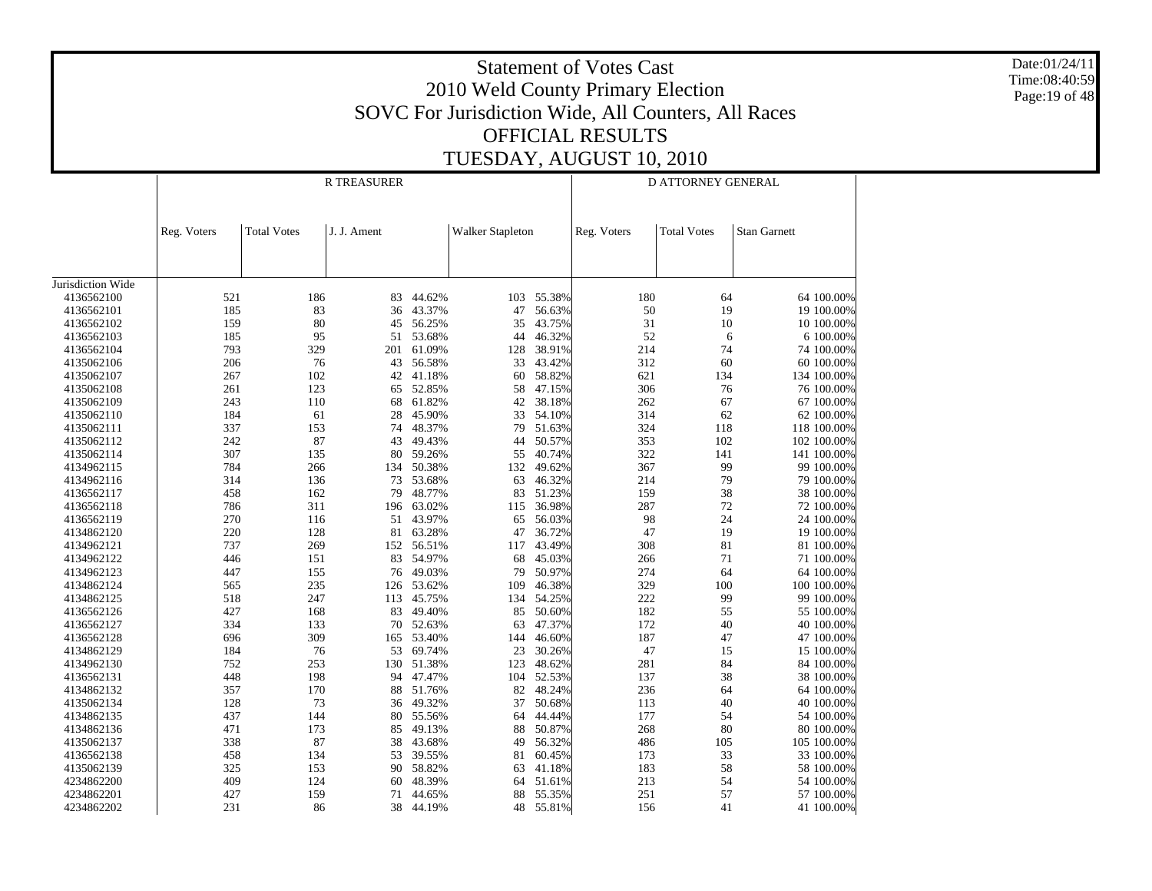Date:01/24/11 Time:08:40:59Page:19 of 48

|                   |             |                    | <b>R TREASURER</b> |        |                         | D ATTORNEY GENERAL |             |                    |                     |  |
|-------------------|-------------|--------------------|--------------------|--------|-------------------------|--------------------|-------------|--------------------|---------------------|--|
|                   |             |                    |                    |        |                         |                    |             |                    |                     |  |
|                   |             |                    |                    |        |                         |                    |             |                    |                     |  |
|                   | Reg. Voters | <b>Total Votes</b> | J. J. Ament        |        | <b>Walker Stapleton</b> |                    | Reg. Voters | <b>Total Votes</b> | <b>Stan Garnett</b> |  |
|                   |             |                    |                    |        |                         |                    |             |                    |                     |  |
|                   |             |                    |                    |        |                         |                    |             |                    |                     |  |
|                   |             |                    |                    |        |                         |                    |             |                    |                     |  |
| Jurisdiction Wide |             |                    |                    |        |                         |                    |             |                    |                     |  |
| 4136562100        | 521         | 186                | 83                 | 44.62% | 103                     | 55.38%             | 180         | 64                 | 64 100.00%          |  |
| 4136562101        | 185         | 83                 | 36                 | 43.37% | 47                      | 56.63%             | 50          | 19                 | 19 100.00%          |  |
| 4136562102        | 159         | 80                 | 45                 | 56.25% | 35                      | 43.75%             | 31          | 10                 | 10 100.00%          |  |
| 4136562103        | 185         | 95                 | 51                 | 53.68% | 44                      | 46.32%             | 52          | 6                  | 6 100.00%           |  |
| 4136562104        | 793         | 329                | 201                | 61.09% | 128                     | 38.91%             | 214         | 74                 | 74 100.00%          |  |
| 4135062106        | 206         | 76                 | 43                 | 56.58% | 33                      | 43.42%             | 312         | 60                 | 60 100.00%          |  |
| 4135062107        | 267         | 102                | 42                 | 41.18% | 60                      | 58.82%             | 621         | 134                | 134 100.00%         |  |
| 4135062108        | 261         | 123                | 65                 | 52.85% | 58                      | 47.15%             | 306         | 76                 | 76 100.00%          |  |
| 4135062109        | 243         | 110                | 68                 | 61.82% | 42                      | 38.18%             | 262         | 67                 | 67 100.00%          |  |
| 4135062110        | 184         | 61                 | 28                 | 45.90% | 33                      | 54.10%             | 314         | 62                 | 62 100.00%          |  |
| 4135062111        | 337         | 153                | 74                 | 48.37% | 79                      | 51.63%             | 324         | 118                | 118 100.00%         |  |
| 4135062112        | 242         | 87                 | 43                 | 49.43% | 44                      | 50.57%             | 353         | 102                | 102 100.00%         |  |
| 4135062114        | 307         | 135                | 80                 | 59.26% | 55                      | 40.74%             | 322         | 141                | 141 100.00%         |  |
| 4134962115        | 784         | 266                | 134                | 50.38% | 132                     | 49.62%             | 367         | 99                 | 99 100.00%          |  |
| 4134962116        | 314         | 136                | 73                 | 53.68% | 63                      | 46.32%             | 214         | 79                 | 79 100.00%          |  |
| 4136562117        | 458         | 162                | 79                 | 48.77% | 83                      | 51.23%             | 159         | 38                 | 38 100.00%          |  |
| 4136562118        | 786         | 311                | 196                | 63.02% | 115                     | 36.98%             | 287         | 72                 | 72 100.00%          |  |
| 4136562119        | 270         | 116                | 51                 | 43.97% | 65                      | 56.03%             | 98          | 24                 | 24 100.00%          |  |
| 4134862120        | 220         | 128                | 81                 | 63.28% | 47                      | 36.72%             | 47          | 19                 | 19 100.00%          |  |
| 4134962121        | 737         | 269                | 152                | 56.51% | 117                     | 43.49%             | 308         | 81                 | 81 100.00%          |  |
| 4134962122        | 446         | 151                | 83                 | 54.97% | 68                      | 45.03%             | 266         | 71                 | 71 100.00%          |  |
| 4134962123        | 447         | 155                | 76                 | 49.03% | 79                      | 50.97%             | 274         | 64                 | 64 100.00%          |  |
| 4134862124        | 565         | 235                | 126                | 53.62% | 109                     | 46.38%             | 329         | 100                | 100 100.00%         |  |
| 4134862125        | 518         | 247                |                    | 45.75% |                         | 54.25%             | 222         | 99                 | 99 100.00%          |  |
|                   |             |                    | 113                |        | 134                     |                    | 182         |                    |                     |  |
| 4136562126        | 427         | 168                | 83                 | 49.40% | 85                      | 50.60%             |             | 55                 | 55 100.00%          |  |
| 4136562127        | 334         | 133                | 70                 | 52.63% | 63                      | 47.37%             | 172         | 40                 | 40 100.00%          |  |
| 4136562128        | 696         | 309                | 165                | 53.40% | 144                     | 46.60%             | 187         | 47                 | 47 100.00%          |  |
| 4134862129        | 184         | 76                 | 53                 | 69.74% | 23                      | 30.26%             | 47          | 15                 | 15 100.00%          |  |
| 4134962130        | 752         | 253                | 130                | 51.38% | 123                     | 48.62%             | 281         | 84                 | 84 100.00%          |  |
| 4136562131        | 448         | 198                | 94                 | 47.47% | 104                     | 52.53%             | 137         | 38                 | 38 100.00%          |  |
| 4134862132        | 357         | 170                | 88                 | 51.76% | 82                      | 48.24%             | 236         | 64                 | 64 100.00%          |  |
| 4135062134        | 128         | 73                 | 36                 | 49.32% | 37                      | 50.68%             | 113         | 40                 | 40 100.00%          |  |
| 4134862135        | 437         | 144                | 80                 | 55.56% | 64                      | 44.44%             | 177         | 54                 | 54 100.00%          |  |
| 4134862136        | 471         | 173                | 85                 | 49.13% | 88                      | 50.87%             | 268         | 80                 | 80 100.00%          |  |
| 4135062137        | 338         | 87                 | 38                 | 43.68% | 49                      | 56.32%             | 486         | 105                | 105 100.00%         |  |
| 4136562138        | 458         | 134                | 53                 | 39.55% | 81                      | 60.45%             | 173         | 33                 | 33 100.00%          |  |
| 4135062139        | 325         | 153                | 90                 | 58.82% | 63                      | 41.18%             | 183         | 58                 | 58 100.00%          |  |
| 4234862200        | 409         | 124                | 60                 | 48.39% | 64                      | 51.61%             | 213         | 54                 | 54 100.00%          |  |
| 4234862201        | 427         | 159                | 71                 | 44.65% | 88                      | 55.35%             | 251         | 57                 | 57 100.00%          |  |
| 4234862202        | 231         | 86                 | 38                 | 44.19% | 48                      | 55.81%             | 156         | 41                 | 41 100.00%          |  |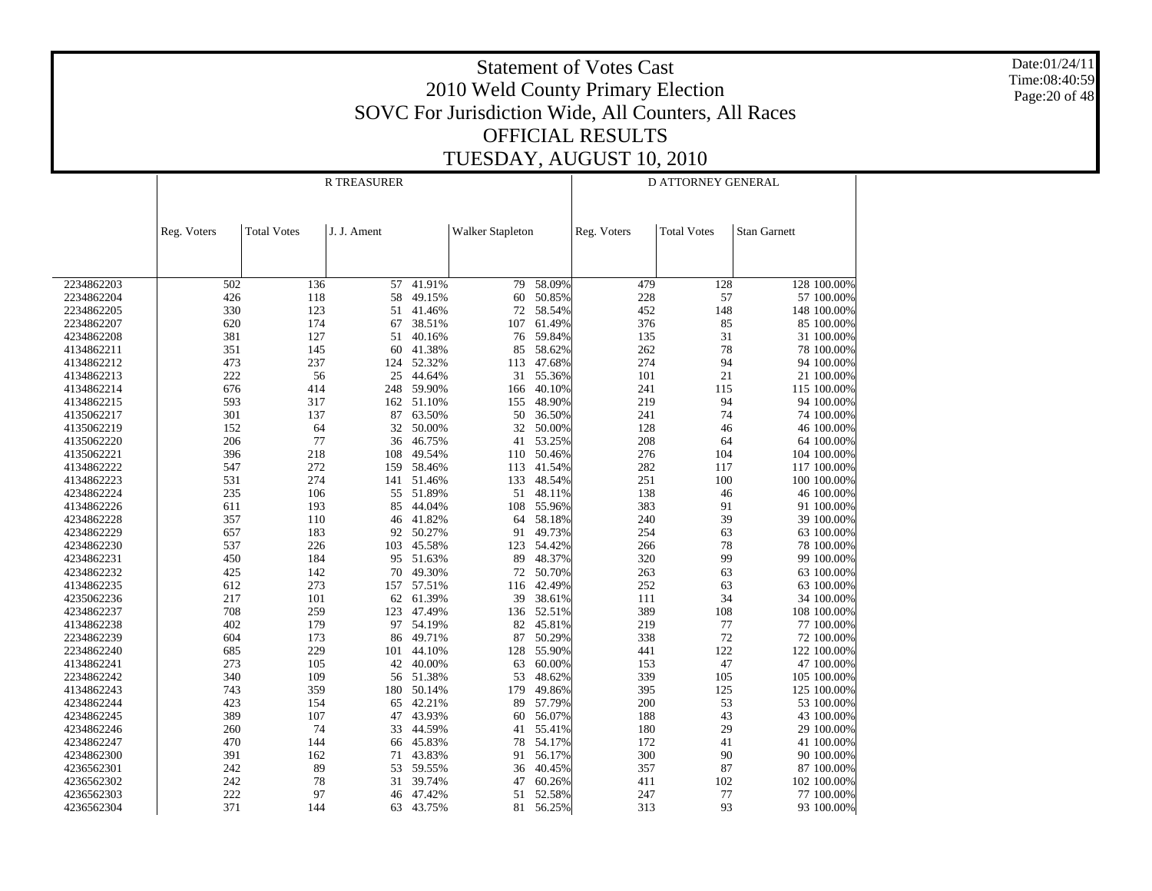Date:01/24/11 Time:08:40:59Page:20 of 48

|                          |             |                    | <b>R TREASURER</b> |                  | D ATTORNEY GENERAL      |                  |             |                    |                     |                          |
|--------------------------|-------------|--------------------|--------------------|------------------|-------------------------|------------------|-------------|--------------------|---------------------|--------------------------|
|                          |             |                    |                    |                  |                         |                  |             |                    |                     |                          |
|                          |             |                    |                    |                  |                         |                  |             |                    |                     |                          |
|                          | Reg. Voters | <b>Total Votes</b> | J. J. Ament        |                  | <b>Walker Stapleton</b> |                  | Reg. Voters | <b>Total Votes</b> | <b>Stan Garnett</b> |                          |
|                          |             |                    |                    |                  |                         |                  |             |                    |                     |                          |
|                          |             |                    |                    |                  |                         |                  |             |                    |                     |                          |
|                          |             |                    |                    |                  |                         |                  |             |                    |                     |                          |
| 2234862203               | 502         | 136                | 57                 | 41.91%           | 79                      | 58.09%           | 479         | 128                |                     | 128 100.00%              |
| 2234862204               | 426         | 118                | 58                 | 49.15%           | 60                      | 50.85%           | 228         | 57                 |                     | 57 100.00%               |
| 2234862205               | 330         | 123                | 51                 | 41.46%           | 72                      | 58.54%           | 452         | 148                |                     | 148 100.00%              |
| 2234862207               | 620         | 174                | 67                 | 38.51%           | 107                     | 61.49%           | 376         | 85                 |                     | 85 100.00%               |
| 4234862208               | 381         | 127                | 51                 | 40.16%           | 76                      | 59.84%           | 135         | 31                 |                     | 31 100.00%               |
| 4134862211               | 351         | 145                | 60                 | 41.38%           | 85                      | 58.62%           | 262         | 78                 |                     | 78 100.00%               |
| 4134862212               | 473         | 237                | 124                | 52.32%           | 113                     | 47.68%           | 274         | 94                 |                     | 94 100.00%               |
| 4134862213               | 222         | 56                 | 25                 | 44.64%           | 31                      | 55.36%           | 101         | 21                 |                     | 21 100.00%               |
| 4134862214               | 676         | 414                | 248                | 59.90%           | 166                     | 40.10%           | 241         | 115                |                     | 115 100.00%              |
| 4134862215               | 593         | 317                | 162                | 51.10%           | 155                     | 48.90%           | 219         | 94                 |                     | 94 100.00%               |
| 4135062217               | 301         | 137                | 87                 | 63.50%           | 50                      | 36.50%           | 241         | 74                 |                     | 74 100.00%               |
| 4135062219               | 152         | 64                 | 32                 | 50.00%           | 32                      | 50.00%           | 128         | 46                 |                     | 46 100.00%               |
| 4135062220               | 206         | 77                 | 36                 | 46.75%           | 41                      | 53.25%           | 208         | 64                 |                     | 64 100.00%               |
| 4135062221               | 396         | 218                | 108                | 49.54%           | 110                     | 50.46%           | 276         | 104                |                     | 104 100.00%              |
| 4134862222               | 547         | 272                | 159                | 58.46%           | 113                     | 41.54%           | 282         | 117                |                     | 117 100.00%              |
| 4134862223               | 531         | 274                | 141                | 51.46%           | 133                     | 48.54%           | 251         | 100                |                     | 100 100.00%              |
| 4234862224               | 235         | 106                | 55                 | 51.89%           | 51                      | 48.11%           | 138         | 46                 |                     | 46 100.00%               |
| 4134862226               | 611         | 193                | 85                 | 44.04%           | 108                     | 55.96%           | 383         | 91                 |                     | 91 100.00%               |
| 4234862228               | 357         | 110                | 46                 | 41.82%           | 64                      | 58.18%           | 240         | 39                 |                     | 39 100.00%               |
| 4234862229               | 657         | 183                | 92                 | 50.27%           | 91                      | 49.73%           | 254         | 63                 |                     | 63 100.00%               |
| 4234862230               | 537         | 226                | 103                | 45.58%           | 123                     | 54.42%           | 266         | 78                 |                     | 78 100.00%               |
| 4234862231               | 450         | 184                | 95                 | 51.63%           | 89                      | 48.37%           | 320         | 99                 |                     | 99 100.00%               |
| 4234862232               | 425         | 142                | 70                 | 49.30%           | 72                      | 50.70%           | 263         | 63                 |                     | 63 100.00%               |
| 4134862235               | 612         | 273                | 157                | 57.51%           | 116                     | 42.49%           | 252         | 63                 |                     | 63 100.00%               |
| 4235062236               | 217         | 101                | 62                 | 61.39%           | 39                      | 38.61%           | 111         | 34                 |                     | 34 100.00%               |
| 4234862237               | 708         | 259                | 123                | 47.49%           | 136                     | 52.51%           | 389         | 108                |                     | 108 100.00%              |
| 4134862238               | 402         | 179                | 97                 | 54.19%           | 82                      | 45.81%           | 219         | 77                 |                     | 77 100,00%               |
| 2234862239               | 604         | 173                | 86                 | 49.71%           | 87                      | 50.29%           | 338         | 72                 |                     | 72 100.00%               |
| 2234862240               | 685         | 229                | 101                | 44.10%           | 128                     | 55.90%           | 441         | 122                |                     | 122 100,00%              |
| 4134862241               | 273         | 105                | 42                 | 40.00%           | 63                      | 60.00%           | 153         | 47                 |                     | 47 100.00%               |
| 2234862242               | 340         | 109                | 56                 | 51.38%           | 53                      | 48.62%           | 339         | 105                |                     | 105 100.00%              |
| 4134862243               | 743         | 359                | 180                | 50.14%           | 179                     | 49.86%           | 395         | 125                |                     | 125 100.00%              |
| 4234862244<br>4234862245 | 423<br>389  | 154<br>107         | 65<br>47           | 42.21%<br>43.93% | 89<br>60                | 57.79%<br>56.07% | 200<br>188  | 53<br>43           |                     | 53 100.00%<br>43 100.00% |
| 4234862246               | 260         | 74                 | 33                 | 44.59%           | 41                      | 55.41%           | 180         | 29                 |                     | 29 100.00%               |
| 4234862247               | 470         | 144                | 66                 | 45.83%           | 78                      | 54.17%           | 172         | 41                 |                     | 41 100.00%               |
|                          | 391         |                    | 71                 | 43.83%           | 91                      | 56.17%           | 300         | 90                 |                     | 90 100.00%               |
| 4234862300<br>4236562301 | 242         | 162<br>89          | 53                 | 59.55%           | 36                      | 40.45%           | 357         | 87                 |                     | 87 100.00%               |
| 4236562302               | 242         | 78                 | 31                 | 39.74%           | 47                      | 60.26%           | 411         | 102                |                     | 102 100.00%              |
| 4236562303               | 222         | 97                 | 46                 | 47.42%           | 51                      | 52.58%           | 247         | 77                 |                     | 77 100.00%               |
| 4236562304               | 371         | 144                | 63                 | 43.75%           | 81                      | 56.25%           | 313         | 93                 |                     | 93 100.00%               |
|                          |             |                    |                    |                  |                         |                  |             |                    |                     |                          |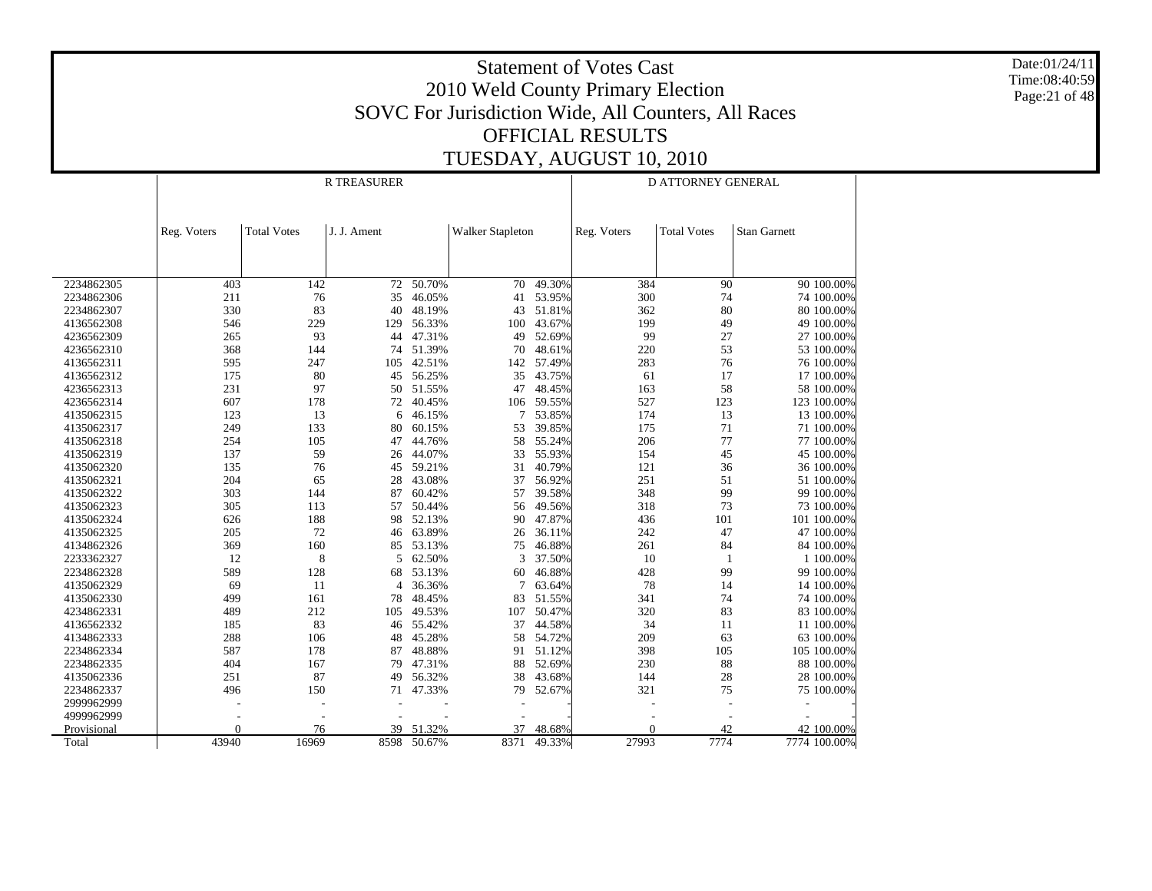Date:01/24/11 Time:08:40:59 Page:21 of 48

|             |             |                    | <b>R TREASURER</b> |        |                         |        | D ATTORNEY GENERAL |                    |                     |  |
|-------------|-------------|--------------------|--------------------|--------|-------------------------|--------|--------------------|--------------------|---------------------|--|
|             |             |                    |                    |        |                         |        |                    |                    |                     |  |
|             | Reg. Voters | <b>Total Votes</b> | J. J. Ament        |        | <b>Walker Stapleton</b> |        | Reg. Voters        | <b>Total Votes</b> | <b>Stan Garnett</b> |  |
|             |             |                    |                    |        |                         |        |                    |                    |                     |  |
|             |             |                    |                    |        |                         |        |                    |                    |                     |  |
|             |             |                    |                    |        |                         |        |                    |                    |                     |  |
| 2234862305  | 403         | 142                | 72                 | 50.70% | 70                      | 49.30% | 384                | 90                 | 90 100.00%          |  |
| 2234862306  | 211         | 76                 | 35                 | 46.05% | 41                      | 53.95% | 300                | 74                 | 74 100.00%          |  |
| 2234862307  | 330         | 83                 | 40                 | 48.19% | 43                      | 51.81% | 362                | 80                 | 80 100.00%          |  |
| 4136562308  | 546         | 229                | 129                | 56.33% | 100                     | 43.67% | 199                | 49                 | 49 100.00%          |  |
| 4236562309  | 265         | 93                 | 44                 | 47.31% | 49                      | 52.69% | 99                 | 27                 | 27 100.00%          |  |
| 4236562310  | 368         | 144                | 74                 | 51.39% | 70                      | 48.61% | 220                | 53                 | 53 100.00%          |  |
| 4136562311  | 595         | 247                | 105                | 42.51% | 142                     | 57.49% | 283                | 76                 | 76 100.00%          |  |
| 4136562312  | 175         | 80                 | 45                 | 56.25% | 35                      | 43.75% | 61                 | 17                 | 17 100.00%          |  |
| 4236562313  | 231         | 97                 | 50                 | 51.55% | 47                      | 48.45% | 163                | 58                 | 58 100.00%          |  |
| 4236562314  | 607         | 178                | 72                 | 40.45% | 106                     | 59.55% | 527                | 123                | 123 100.00%         |  |
| 4135062315  | 123         | 13                 | 6                  | 46.15% | 7                       | 53.85% | 174                | 13                 | 13 100.00%          |  |
| 4135062317  | 249         | 133                | 80                 | 60.15% | 53                      | 39.85% | 175                | 71                 | 71 100.00%          |  |
| 4135062318  | 254         | 105                | 47                 | 44.76% | 58                      | 55.24% | 206                | 77                 | 77 100.00%          |  |
| 4135062319  | 137         | 59                 | 26                 | 44.07% | 33                      | 55.93% | 154                | 45                 | 45 100.00%          |  |
| 4135062320  | 135         | 76                 | 45                 | 59.21% | 31                      | 40.79% | 121                | 36                 | 36 100.00%          |  |
| 4135062321  | 204         | 65                 | 28                 | 43.08% | 37                      | 56.92% | 251                | 51                 | 51 100.00%          |  |
| 4135062322  | 303         | 144                | 87                 | 60.42% | 57                      | 39.58% | 348                | 99                 | 99 100.00%          |  |
| 4135062323  | 305         | 113                | 57                 | 50.44% | 56                      | 49.56% | 318                | 73                 | 73 100.00%          |  |
| 4135062324  | 626         | 188                | 98                 | 52.13% | 90                      | 47.87% | 436                | 101                | 101 100.00%         |  |
| 4135062325  | 205         | 72                 | 46                 | 63.89% | 26                      | 36.11% | 242                | 47                 | 47 100.00%          |  |
| 4134862326  | 369         | 160                | 85                 | 53.13% | 75                      | 46.88% | 261                | 84                 | 84 100.00%          |  |
| 2233362327  | 12          | 8                  | 5                  | 62.50% | 3                       | 37.50% | 10                 | -1                 | 1 100.00%           |  |
| 2234862328  | 589         | 128                | 68                 | 53.13% | 60                      | 46.88% | 428                | 99                 | 99 100.00%          |  |
| 4135062329  | 69          | 11                 | 4                  | 36.36% | 7                       | 63.64% | 78                 | 14                 | 14 100.00%          |  |
| 4135062330  | 499         | 161                | 78                 | 48.45% | 83                      | 51.55% | 341                | 74                 | 74 100.00%          |  |
| 4234862331  | 489         | 212                | 105                | 49.53% | 107                     | 50.47% | 320                | 83                 | 83 100.00%          |  |
| 4136562332  | 185         | 83                 | 46                 | 55.42% | 37                      | 44.58% | 34                 | 11                 | 11 100.00%          |  |
| 4134862333  | 288         | 106                | 48                 | 45.28% | 58                      | 54.72% | 209                | 63                 | 63 100.00%          |  |
| 2234862334  | 587         | 178                | 87                 | 48.88% | 91                      | 51.12% | 398                | 105                | 105 100.00%         |  |
| 2234862335  | 404         | 167                | 79                 | 47.31% | 88                      | 52.69% | 230                | 88                 | 88 100.00%          |  |
| 4135062336  | 251         | 87                 | 49                 | 56.32% | 38                      | 43.68% | 144                | 28                 | 28 100.00%          |  |
| 2234862337  | 496         | 150                | 71                 | 47.33% | 79                      | 52.67% | 321                | 75                 | 75 100.00%          |  |
| 2999962999  |             |                    |                    |        |                         |        |                    |                    |                     |  |
| 4999962999  |             | $\overline{a}$     |                    |        |                         |        |                    |                    |                     |  |
| Provisional | $\theta$    | 76                 | 39                 | 51.32% | 37                      | 48.68% | $\theta$           | 42                 | 42 100.00%          |  |
| Total       | 43940       | 16969              | 8598               | 50.67% | 8371                    | 49.33% | 27993              | 7774               | 7774 100.00%        |  |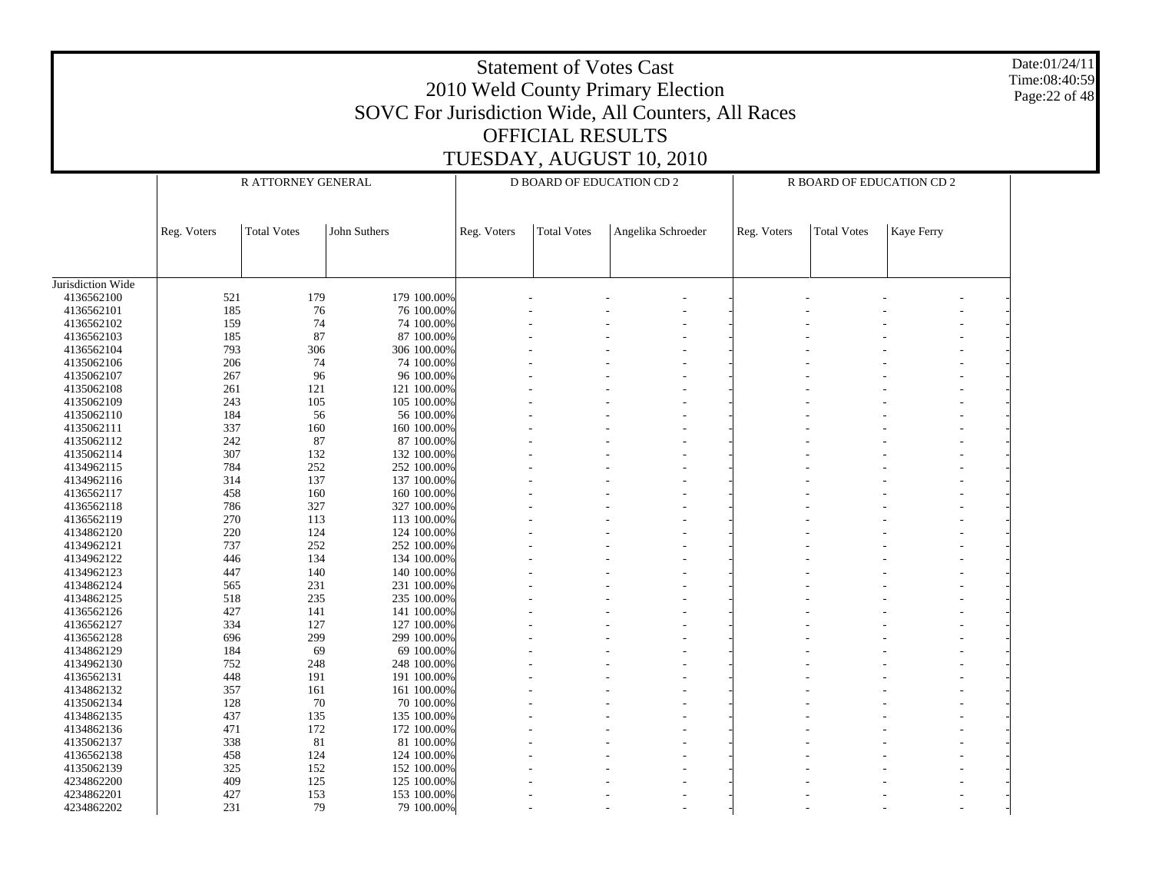|                          |             | Date:01/24/11<br><b>Statement of Votes Cast</b><br>Time:08:40:59<br>2010 Weld County Primary Election<br>Page: 22 of 48<br>SOVC For Jurisdiction Wide, All Counters, All Races<br><b>OFFICIAL RESULTS</b><br>TUESDAY, AUGUST 10, 2010 |                            |             |                                  |                    |             |                    |                           |  |  |  |
|--------------------------|-------------|---------------------------------------------------------------------------------------------------------------------------------------------------------------------------------------------------------------------------------------|----------------------------|-------------|----------------------------------|--------------------|-------------|--------------------|---------------------------|--|--|--|
|                          |             | R ATTORNEY GENERAL                                                                                                                                                                                                                    |                            |             | <b>D BOARD OF EDUCATION CD 2</b> |                    |             |                    | R BOARD OF EDUCATION CD 2 |  |  |  |
|                          |             |                                                                                                                                                                                                                                       |                            |             |                                  |                    |             |                    |                           |  |  |  |
|                          | Reg. Voters | <b>Total Votes</b>                                                                                                                                                                                                                    | John Suthers               | Reg. Voters | <b>Total Votes</b>               | Angelika Schroeder | Reg. Voters | <b>Total Votes</b> | Kaye Ferry                |  |  |  |
|                          |             |                                                                                                                                                                                                                                       |                            |             |                                  |                    |             |                    |                           |  |  |  |
| Jurisdiction Wide        |             |                                                                                                                                                                                                                                       |                            |             |                                  |                    |             |                    |                           |  |  |  |
| 4136562100<br>4136562101 | 521<br>185  | 179<br>76                                                                                                                                                                                                                             | 179 100.00%<br>76 100.00%  |             |                                  |                    |             |                    |                           |  |  |  |
| 4136562102               | 159         | 74                                                                                                                                                                                                                                    | 74 100.00%                 |             |                                  |                    |             |                    |                           |  |  |  |
| 4136562103               | 185         | 87                                                                                                                                                                                                                                    | 87 100.00%                 |             |                                  |                    |             |                    |                           |  |  |  |
| 4136562104               | 793         | 306                                                                                                                                                                                                                                   | 306 100.00%                |             |                                  |                    |             |                    |                           |  |  |  |
| 4135062106               | 206         | 74                                                                                                                                                                                                                                    | 74 100.00%                 |             |                                  |                    |             |                    |                           |  |  |  |
| 4135062107               | 267         | 96                                                                                                                                                                                                                                    | 96 100.00%                 |             |                                  |                    |             |                    |                           |  |  |  |
| 4135062108               | 261         | 121                                                                                                                                                                                                                                   | 121 100.00%                |             |                                  |                    |             |                    |                           |  |  |  |
| 4135062109               | 243         | 105                                                                                                                                                                                                                                   | 105 100.00%                |             |                                  |                    |             |                    |                           |  |  |  |
| 4135062110               | 184         | 56                                                                                                                                                                                                                                    | 56 100.00%                 |             |                                  |                    |             |                    |                           |  |  |  |
| 4135062111               | 337         | 160                                                                                                                                                                                                                                   | 160 100.00%                |             |                                  |                    |             |                    |                           |  |  |  |
| 4135062112               | 242         | 87                                                                                                                                                                                                                                    | 87 100.00%                 |             |                                  |                    |             |                    |                           |  |  |  |
| 4135062114               | 307         | 132                                                                                                                                                                                                                                   | 132 100.00%                |             |                                  |                    |             |                    |                           |  |  |  |
| 4134962115               | 784         | 252                                                                                                                                                                                                                                   | 252 100.00%                |             |                                  |                    |             |                    |                           |  |  |  |
| 4134962116               | 314         | 137                                                                                                                                                                                                                                   | 137 100.00%                |             |                                  |                    |             |                    |                           |  |  |  |
| 4136562117               | 458         | 160                                                                                                                                                                                                                                   | 160 100.00%                |             |                                  |                    |             |                    |                           |  |  |  |
| 4136562118               | 786         | 327                                                                                                                                                                                                                                   | 327 100.00%                |             |                                  |                    |             |                    |                           |  |  |  |
| 4136562119               | 270         | 113                                                                                                                                                                                                                                   | 113 100.00%                |             |                                  |                    |             |                    |                           |  |  |  |
| 4134862120               | 220         | 124                                                                                                                                                                                                                                   | 124 100.00%                |             |                                  |                    |             |                    |                           |  |  |  |
| 4134962121               | 737         | 252                                                                                                                                                                                                                                   | 252 100.00%                |             |                                  |                    |             |                    |                           |  |  |  |
| 4134962122               | 446<br>447  | 134<br>140                                                                                                                                                                                                                            | 134 100.00%                |             |                                  |                    |             |                    |                           |  |  |  |
| 4134962123<br>4134862124 | 565         | 231                                                                                                                                                                                                                                   | 140 100.00%<br>231 100.00% |             |                                  |                    |             |                    |                           |  |  |  |
| 4134862125               | 518         | 235                                                                                                                                                                                                                                   | 235 100.00%                |             |                                  |                    |             |                    |                           |  |  |  |
| 4136562126               | 427         | 141                                                                                                                                                                                                                                   | 141 100.00%                |             |                                  |                    |             |                    |                           |  |  |  |
| 4136562127               | 334         | 127                                                                                                                                                                                                                                   | 127 100.00%                |             |                                  |                    |             |                    |                           |  |  |  |
| 4136562128               | 696         | 299                                                                                                                                                                                                                                   | 299 100.00%                |             |                                  |                    |             |                    |                           |  |  |  |
| 4134862129               | 184         | 69                                                                                                                                                                                                                                    | 69 100.00%                 |             |                                  |                    |             |                    |                           |  |  |  |
| 4134962130               | 752         | 248                                                                                                                                                                                                                                   | 248 100.00%                |             |                                  |                    |             |                    |                           |  |  |  |
| 4136562131               | 448         | 191                                                                                                                                                                                                                                   | 191 100.00%                |             |                                  |                    |             |                    |                           |  |  |  |
| 4134862132               | 357         | 161                                                                                                                                                                                                                                   | 161 100.00%                |             |                                  |                    |             |                    |                           |  |  |  |
| 4135062134               | 128         | 70                                                                                                                                                                                                                                    | 70 100.00%                 |             |                                  |                    |             |                    |                           |  |  |  |
| 4134862135               | 437         | 135                                                                                                                                                                                                                                   | 135 100.00%                |             |                                  |                    |             |                    |                           |  |  |  |
| 4134862136               | 471         | 172                                                                                                                                                                                                                                   | 172 100.00%                |             |                                  |                    |             |                    |                           |  |  |  |
| 4135062137               | 338         | 81                                                                                                                                                                                                                                    | 81 100.00%                 |             |                                  |                    |             |                    |                           |  |  |  |
| 4136562138               | 458         | 124                                                                                                                                                                                                                                   | 124 100.00%                |             |                                  |                    |             |                    |                           |  |  |  |
| 4135062139               | 325         | 152                                                                                                                                                                                                                                   | 152 100.00%                |             |                                  |                    |             |                    |                           |  |  |  |
| 4234862200               | 409         | $125\,$                                                                                                                                                                                                                               | 125 100.00%                |             |                                  |                    |             |                    |                           |  |  |  |
| 4234862201               | 427         | 153                                                                                                                                                                                                                                   | 153 100.00%                |             |                                  |                    |             |                    |                           |  |  |  |
| 4234862202               | 231         | 79                                                                                                                                                                                                                                    | 79 100.00%                 |             |                                  |                    |             |                    |                           |  |  |  |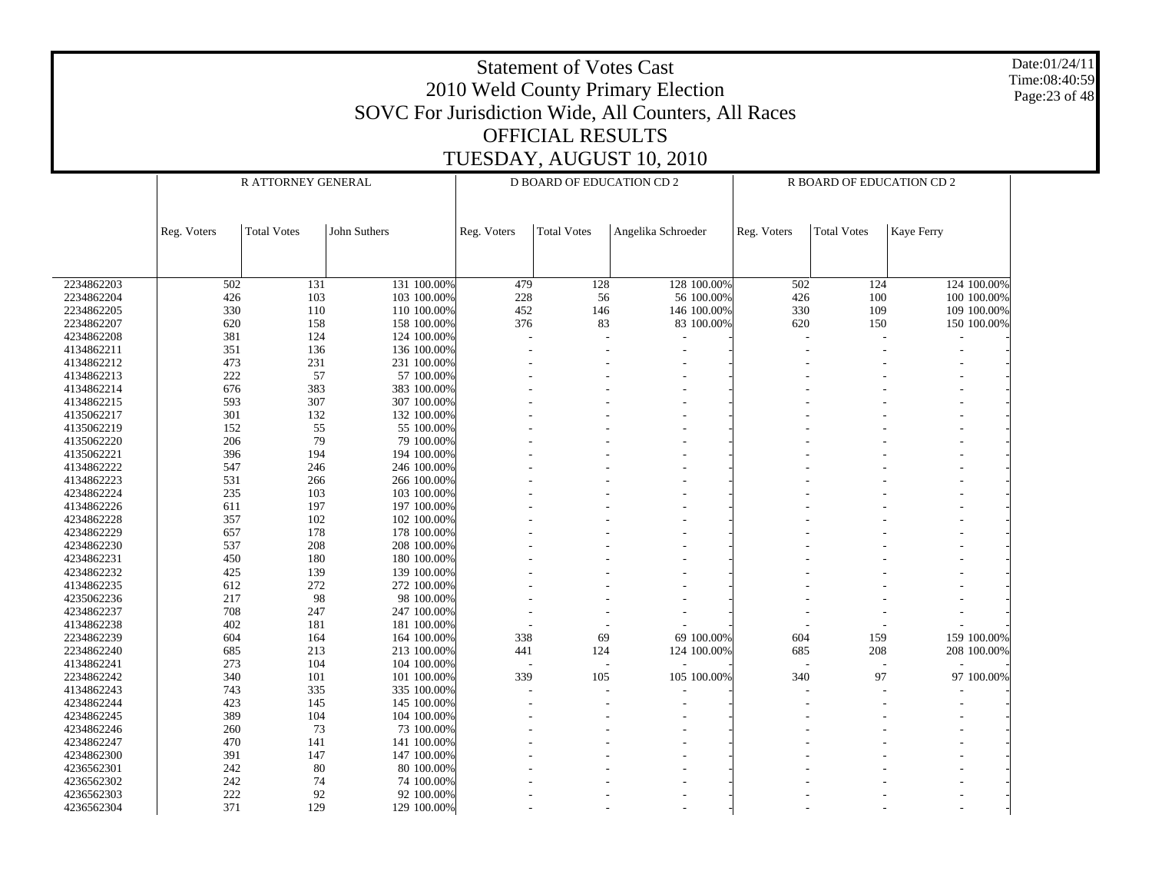|                          |                                                                                                                            |                    |                            |             |                                  |                          |             |                           |             | Date:01/24/11<br>Time:08:40:59 |  |  |
|--------------------------|----------------------------------------------------------------------------------------------------------------------------|--------------------|----------------------------|-------------|----------------------------------|--------------------------|-------------|---------------------------|-------------|--------------------------------|--|--|
|                          | <b>Statement of Votes Cast</b><br>2010 Weld County Primary Election<br>SOVC For Jurisdiction Wide, All Counters, All Races |                    |                            |             |                                  |                          |             |                           |             |                                |  |  |
|                          |                                                                                                                            |                    |                            |             |                                  |                          |             |                           |             | Page: 23 of 48                 |  |  |
|                          |                                                                                                                            |                    |                            |             |                                  |                          |             |                           |             |                                |  |  |
|                          |                                                                                                                            |                    |                            |             | <b>OFFICIAL RESULTS</b>          |                          |             |                           |             |                                |  |  |
|                          |                                                                                                                            |                    |                            |             |                                  | TUESDAY, AUGUST 10, 2010 |             |                           |             |                                |  |  |
|                          |                                                                                                                            |                    |                            |             |                                  |                          |             |                           |             |                                |  |  |
|                          |                                                                                                                            | R ATTORNEY GENERAL |                            |             | <b>D BOARD OF EDUCATION CD 2</b> |                          |             | R BOARD OF EDUCATION CD 2 |             |                                |  |  |
|                          |                                                                                                                            |                    |                            |             |                                  |                          |             |                           |             |                                |  |  |
|                          |                                                                                                                            |                    |                            |             |                                  |                          |             |                           |             |                                |  |  |
|                          | Reg. Voters                                                                                                                | <b>Total Votes</b> | John Suthers               | Reg. Voters | <b>Total Votes</b>               | Angelika Schroeder       | Reg. Voters | <b>Total Votes</b>        | Kaye Ferry  |                                |  |  |
|                          |                                                                                                                            |                    |                            |             |                                  |                          |             |                           |             |                                |  |  |
|                          |                                                                                                                            |                    |                            |             |                                  |                          |             |                           |             |                                |  |  |
| 2234862203               | 502                                                                                                                        | 131                | 131 100.00%                | 479         | 128                              | 128 100.00%              | 502         | 124                       | 124 100.00% |                                |  |  |
| 2234862204               | 426                                                                                                                        | 103                | 103 100.00%                | 228         | 56                               | 56 100.00%               | 426         | 100                       | 100 100.00% |                                |  |  |
| 2234862205               | 330                                                                                                                        | 110                | 110 100.00%                | 452         | 146                              | 146 100.00%              | 330         | 109                       | 109 100.00% |                                |  |  |
| 2234862207<br>4234862208 | 620<br>381                                                                                                                 | 158<br>124         | 158 100.00%<br>124 100.00% | 376         | 83                               | 83 100.00%               | 620         | 150                       | 150 100.00% |                                |  |  |
| 4134862211               | 351                                                                                                                        | 136                | 136 100.00%                |             |                                  |                          |             |                           |             |                                |  |  |
| 4134862212               | 473                                                                                                                        | 231                | 231 100.00%                |             |                                  |                          |             |                           |             |                                |  |  |
| 4134862213               | 222                                                                                                                        | 57                 | 57 100.00%                 |             |                                  |                          |             |                           |             |                                |  |  |
| 4134862214               | 676                                                                                                                        | 383                | 383 100.00%                |             |                                  |                          |             |                           |             |                                |  |  |
| 4134862215               | 593                                                                                                                        | 307                | 307 100.00%                |             |                                  |                          |             |                           |             |                                |  |  |
| 4135062217               | 301                                                                                                                        | 132                | 132 100.00%                |             |                                  |                          |             |                           |             |                                |  |  |
| 4135062219               | 152                                                                                                                        | 55                 | 55 100.00%                 |             |                                  |                          |             |                           |             |                                |  |  |
| 4135062220               | 206                                                                                                                        | 79                 | 79 100.00%                 |             |                                  |                          |             |                           |             |                                |  |  |
| 4135062221               | 396                                                                                                                        | 194                | 194 100.00%                |             |                                  |                          |             |                           |             |                                |  |  |
| 4134862222               | 547                                                                                                                        | 246                | 246 100.00%                |             |                                  |                          |             |                           |             |                                |  |  |
| 4134862223               | 531                                                                                                                        | 266                | 266 100.00%                |             |                                  |                          |             |                           |             |                                |  |  |
| 4234862224<br>4134862226 | 235                                                                                                                        | 103                | 103 100.00%                |             |                                  |                          |             |                           |             |                                |  |  |
| 4234862228               | 611<br>357                                                                                                                 | 197<br>102         | 197 100.00%<br>102 100.00% |             |                                  |                          |             |                           |             |                                |  |  |
| 4234862229               | 657                                                                                                                        | 178                | 178 100.00%                |             |                                  |                          |             |                           |             |                                |  |  |
| 4234862230               | 537                                                                                                                        | 208                | 208 100.00%                |             |                                  |                          |             |                           |             |                                |  |  |
| 4234862231               | 450                                                                                                                        | 180                | 180 100.00%                |             |                                  |                          |             |                           |             |                                |  |  |
| 4234862232               | 425                                                                                                                        | 139                | 139 100.00%                |             |                                  |                          |             |                           |             |                                |  |  |
| 4134862235               | 612                                                                                                                        | 272                | 272 100.00%                |             |                                  |                          |             |                           |             |                                |  |  |
| 4235062236               | 217                                                                                                                        | 98                 | 98 100.00%                 |             |                                  |                          |             |                           |             |                                |  |  |
| 4234862237               | 708                                                                                                                        | 247                | 247 100.00%                |             |                                  |                          |             |                           |             |                                |  |  |
| 4134862238               | 402                                                                                                                        | 181                | 181 100.00%                |             |                                  |                          |             |                           |             |                                |  |  |
| 2234862239               | 604                                                                                                                        | 164                | 164 100.00%                | 338         | 69                               | 69 100.00%               | 604         | 159                       | 159 100.00% |                                |  |  |
| 2234862240               | 685                                                                                                                        | 213                | 213 100.00%                | 441         | 124                              | 124 100.00%              | 685         | 208                       | 208 100.00% |                                |  |  |
| 4134862241               | 273                                                                                                                        | 104                | 104 100.00%                | 339         | $\overline{a}$                   |                          | 340         | 97                        |             |                                |  |  |
| 2234862242<br>4134862243 | 340<br>743                                                                                                                 | 101<br>335         | 101 100.00%<br>335 100.00% |             | 105                              | 105 100.00%              |             |                           | 97 100.00%  |                                |  |  |
| 4234862244               | 423                                                                                                                        | 145                | 145 100.00%                |             |                                  |                          |             |                           |             |                                |  |  |
| 4234862245               | 389                                                                                                                        | 104                | 104 100.00%                |             |                                  |                          |             |                           |             |                                |  |  |
| 4234862246               | 260                                                                                                                        | 73                 | 73 100.00%                 |             |                                  |                          |             |                           |             |                                |  |  |
| 4234862247               | 470                                                                                                                        | 141                | 141 100.00%                |             |                                  |                          |             |                           |             |                                |  |  |
| 4234862300               | 391                                                                                                                        | 147                | 147 100.00%                |             |                                  |                          |             |                           |             |                                |  |  |
| 4236562301               | 242                                                                                                                        | 80                 | 80 100.00%                 |             |                                  |                          |             |                           |             |                                |  |  |
| 4236562302               | 242                                                                                                                        | 74                 | 74 100.00%                 |             |                                  |                          |             |                           |             |                                |  |  |
| 4236562303               | 222                                                                                                                        | 92                 | 92 100.00%                 |             |                                  |                          |             |                           |             |                                |  |  |

- - - - - - - -

4236562304

371

129 129 100.00%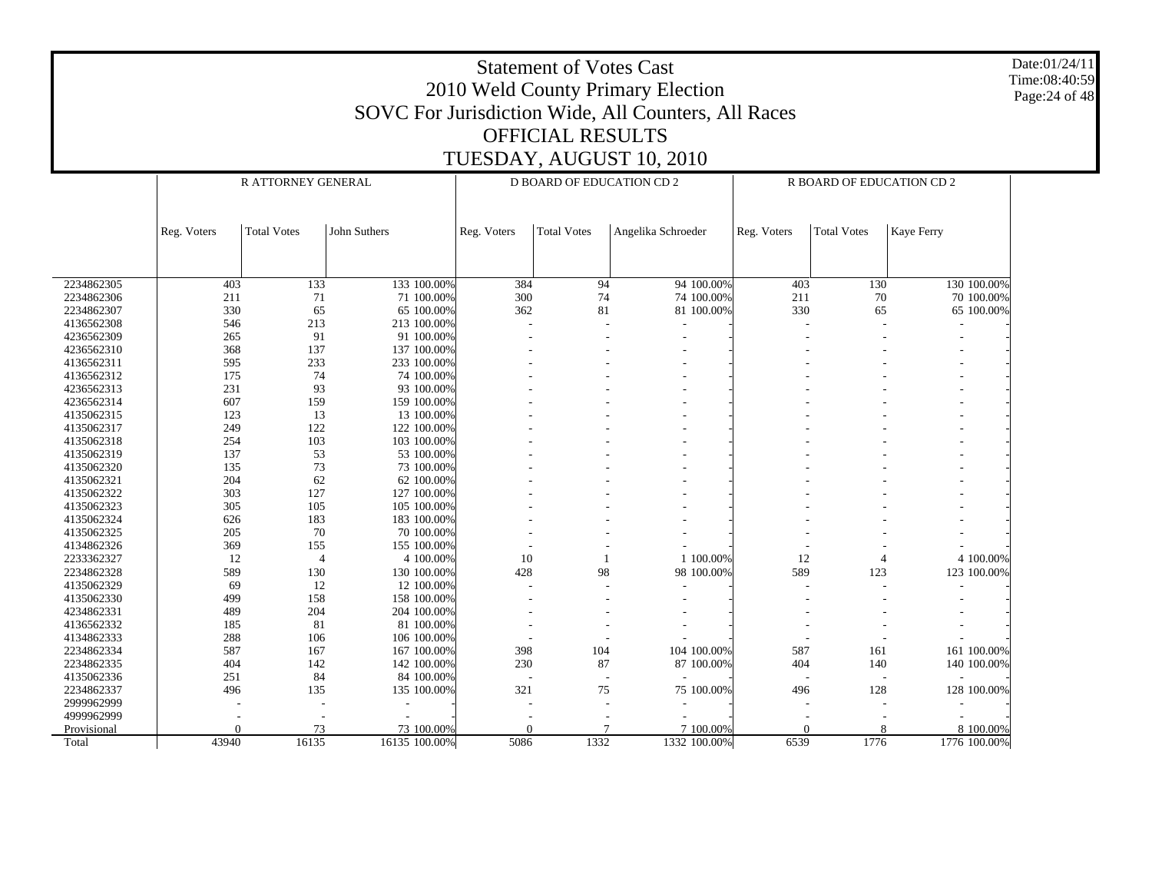Date:01/24/11 Time:08:40:59 Page:24 of 48

|             |             | R ATTORNEY GENERAL |               |             | <b>D BOARD OF EDUCATION CD 2</b> |                    |                | R BOARD OF EDUCATION CD 2 |              |
|-------------|-------------|--------------------|---------------|-------------|----------------------------------|--------------------|----------------|---------------------------|--------------|
|             |             |                    |               |             |                                  |                    |                |                           |              |
|             | Reg. Voters | <b>Total Votes</b> | John Suthers  | Reg. Voters | <b>Total Votes</b>               | Angelika Schroeder | Reg. Voters    | <b>Total Votes</b>        | Kaye Ferry   |
|             |             |                    |               |             |                                  |                    |                |                           |              |
|             |             |                    |               |             |                                  |                    |                |                           |              |
| 2234862305  | 403         | 133                | 133 100.00%   | 384         | 94                               | 94 100.00%         | 403            | 130                       | 130 100.00%  |
| 2234862306  | 211         | 71                 | 71 100.00%    | 300         | 74                               | 74 100.00%         | 211            | 70                        | 70 100.00%   |
| 2234862307  | 330         | 65                 | 65 100.00%    | 362         | 81                               | 81 100.00%         | 330            | 65                        | 65 100.00%   |
| 4136562308  | 546         | 213                | 213 100.00%   |             |                                  |                    |                |                           |              |
| 4236562309  | 265         | 91                 | 91 100.00%    |             |                                  |                    |                |                           |              |
| 4236562310  | 368         | 137                | 137 100.00%   |             |                                  |                    |                |                           |              |
| 4136562311  | 595         | 233                | 233 100.00%   |             |                                  |                    |                |                           |              |
| 4136562312  | 175         | 74                 | 74 100.00%    |             |                                  |                    |                |                           |              |
| 4236562313  | 231         | 93                 | 93 100.00%    |             |                                  |                    |                |                           |              |
| 4236562314  | 607         | 159                | 159 100,00%   |             |                                  |                    |                |                           |              |
| 4135062315  | 123         | 13                 | 13 100.00%    |             |                                  |                    |                |                           |              |
| 4135062317  | 249         | 122                | 122 100.00%   |             |                                  |                    |                |                           |              |
| 4135062318  | 254         | 103                | 103 100.00%   |             |                                  |                    |                |                           |              |
| 4135062319  | 137         | 53                 | 53 100,00%    |             |                                  |                    |                |                           |              |
| 4135062320  | 135         | 73                 | 73 100.00%    |             |                                  |                    |                |                           |              |
| 4135062321  | 204         | 62                 | 62 100.00%    |             |                                  |                    |                |                           |              |
| 4135062322  | 303         | 127                | 127 100.00%   |             |                                  |                    |                |                           |              |
| 4135062323  | 305         | 105                | 105 100.00%   |             |                                  |                    |                |                           |              |
| 4135062324  | 626         | 183                | 183 100.00%   |             |                                  |                    |                |                           |              |
| 4135062325  | 205         | 70                 | 70 100.00%    |             |                                  |                    |                |                           |              |
| 4134862326  | 369         | 155                | 155 100.00%   |             |                                  |                    |                |                           |              |
| 2233362327  | 12          | $\overline{4}$     | 4 100.00%     | 10          |                                  | 1 100.00%          | 12             |                           | 4 100.00%    |
| 2234862328  | 589         | 130                | 130 100.00%   | 428         | 98                               | 98 100.00%         | 589            | 123                       | 123 100.00%  |
| 4135062329  | 69          | 12                 | 12 100.00%    |             |                                  |                    |                |                           |              |
| 4135062330  | 499         | 158                | 158 100.00%   |             |                                  |                    |                |                           |              |
| 4234862331  | 489         | 204                | 204 100.00%   |             |                                  |                    |                |                           |              |
| 4136562332  | 185         | 81                 | 81 100.00%    |             |                                  |                    |                |                           |              |
| 4134862333  | 288         | 106                | 106 100.00%   |             |                                  |                    |                |                           |              |
| 2234862334  | 587         | 167                | 167 100.00%   | 398         | 104                              | 104 100.00%        | 587            | 161                       | 161 100.00%  |
| 2234862335  | 404         | 142                | 142 100.00%   | 230         | 87                               | 87 100.00%         | 404            | 140                       | 140 100.00%  |
| 4135062336  | 251         | 84                 | 84 100.00%    |             |                                  |                    |                |                           |              |
| 2234862337  | 496         | 135                | 135 100.00%   | 321         | 75                               | 75 100.00%         | 496            | 128                       | 128 100.00%  |
| 2999962999  |             |                    |               |             |                                  |                    |                |                           |              |
| 4999962999  |             |                    |               |             |                                  |                    |                |                           |              |
| Provisional | $\theta$    | 73                 | 73 100.00%    | $\theta$    |                                  | 7 100.00%          | $\overline{0}$ | 8                         | 8 100.00%    |
| Total       | 43940       | 16135              | 16135 100.00% | 5086        | 1332                             | 1332 100.00%       | 6539           | 1776                      | 1776 100.00% |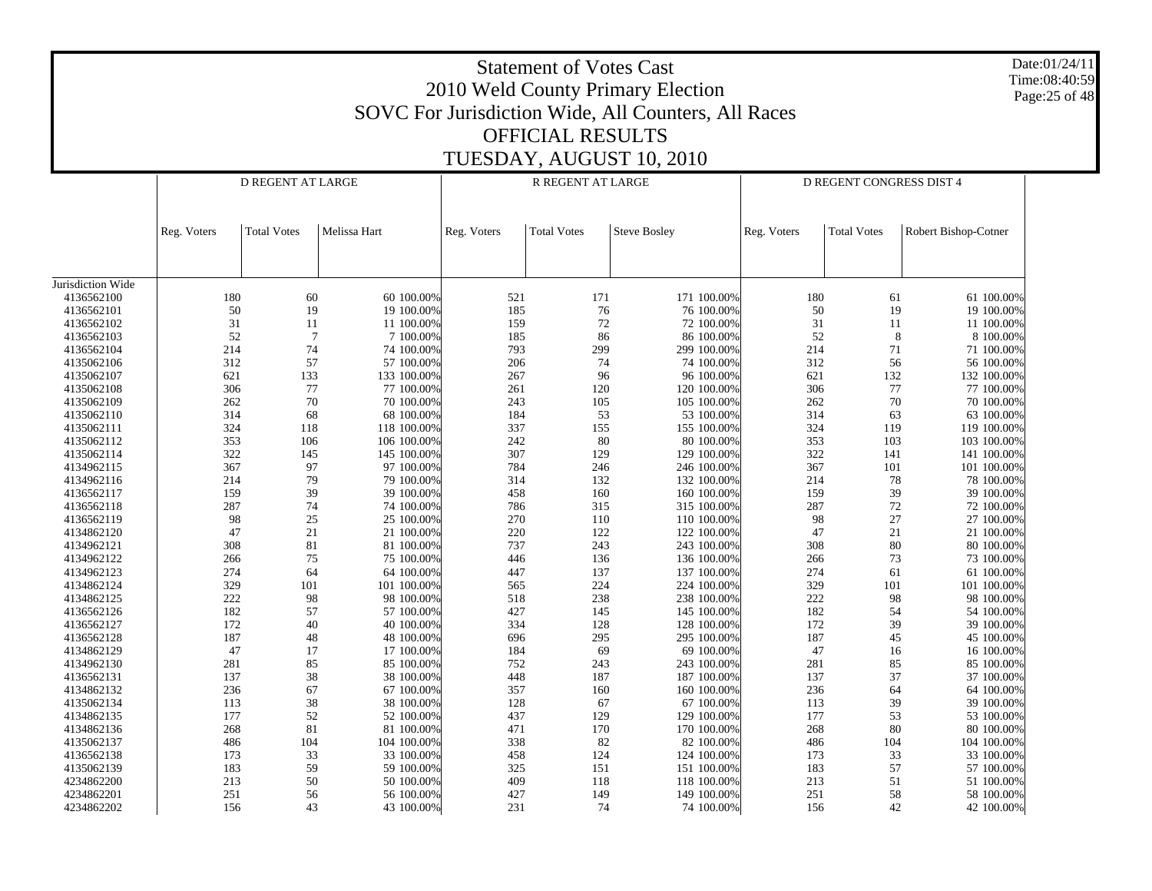Statement of Votes Cast2010 Weld County Primary Election SOVC For Jurisdiction Wide, All Counters, All Races OFFICIAL RESULTSTUESDAY, AUGUST 10, 2010 Date:01/24/11Time:08:40:59Page:25 of 48 Jurisdiction Wide 4136562100 4136562101 4136562102 4136562103 4136562104 4135062106 4135062107 4135062108 4135062109 4135062110 4135062111 4135062112 4135062114 4134962115 4134962116 4136562117 4136562118 4136562119 4134862120 4134962121 4134962122 4134962123 4134862124 4134862125 4136562126 4136562127 4136562128 4134862129 4134962130 4136562131 4134862132 4135062134 4134862135 4134862136 4135062137 4136562138 4135062139 4234862200 4234862201 4234862202Reg. Voters | Total Votes | Melissa Hart D REGENT AT LARGEReg. Voters | Total Votes | Steve Bosley R REGENT AT LARGEReg. Voters | Total Votes | Robert Bishop-Cotner D REGENT CONGRESS DIST 4180 60 60 100.00% $\%$  521 171 100.00% 180 61 61 100.00% 50 19 19 100.00% $\%$  185 76 76 100.00% 50 19 19 100.00% 3111 100.00%  $\%$  159 72 72 100.00% 31 11 11 100.00% 52 7 7 100.00% $\%$  185 86 86 100.00% 52 8 8100.00% 214 74 74 100.00% 793 299 299 100.00% 214 71 71 100.00% 312 57 57 100.00% $\%$  206 74 74 100.00% 312 56 56 100.00% 621 133 133 100.00% $\%$  267 96 96 100.00% 621 132 132 100.00% 306 77 77 100.00% $\%$  261 120 120 100.00% 306 77 7100.00% 262 70 70 100.00% $\%$  243 105 100.00% 262 70 70 100.00% 314 68 68 100.00% $\%$  184 53 53 100.00% 314 63 63 100.00% 324 118 118 100.00%337 155 100.00% 324 119 119 100.00% 353 106 106 100.00% $\%$  242 80 80 100.00% 353 103 103 100.00% 322 145 145 100.00% 307 129 129 100.00% 322 141 141 100.00% 367 97 97 100.00% 784 246 246 100.00% 367 101 101 100.00% 214 79 79 100.00% $\%$  314 132 132 100.00% 214 78 78 100.00% 159 39 39 100.00% $\%$  458 160 160 100.00% 159 39 39 100.00% 287 74 74 100.00% 786 315 315 100.00% 287 72 72 100.00% 98 25 25 100.00% $\%$  270 110 110 100.00% 98 27 27 100.00% 47 21 21 100.00%220 122 100.00% 47 21 21 100.00% 308 81 81 100.00% $\%$  737 243 243 100.00% 308 80 80 100.00% 266 75 75 100.00% $\%$  446 136 136 100.00% 266 73 73 100.00% 274 64 64 100.00% 447 137 137 100.00% 274 61 61 100.00% 329 101 101 100.00% $\%$  565 224 224 100.00% 329 101 101 100.00% 222 98 98 100.00% $\%$  518 238 238 238 100.00% 222 98 98 100.00% 182 57 57 100.00% $\%$  427 145 145 100.00% 182 54 54 100.00% 172 40 40 100.00% 334 128 128 100.00% 172 39 39 100.00% 187 48 48 100.00% $\%$  696 295 295 100.00% 187 45 45 100.00% 47 17 17 100.00% $\%$  184 69 69 100.00% 47 16 16 100.00% 281 85 85 100.00% $\%$  752 243 243 100.00% 281 85 85 100.00% 137 38 38 100.00%% 448 187 187 100.00% 137 37 37 100.00% 236 67 67 100.00% 357 160 160 100.00% 236 64 64 100.00% 113 38 38 100.00% $\%$  128 67 67 100.00% 113 39 39 100.00% 177 52 52 100.00% $\%$  437 129 129 100.00% 177 53 53 100.00% 268 81 81 100.00%471 170 170 100.00% 268 80 80 100.00% 486 104 104 100.00% $\%$  338 82 82 100.00% 486 104 104 100.00% 173 33 33 100.00%458 124 124 100.00% 173 33 33 100.00% 183 59 59 100.00% $\%$  325 151 151 100.00% 183 57 57 100.00% 213 50 50 100.00% $\%$  409 118 118 100.00% 213 51 51 100.00% 251 56 56 100.00% 427 149 149 100.00% 251 58 58 100.00% 15643 43 100.00%

 $\%$  231 74 74 100.00% 156 42 42 100.00%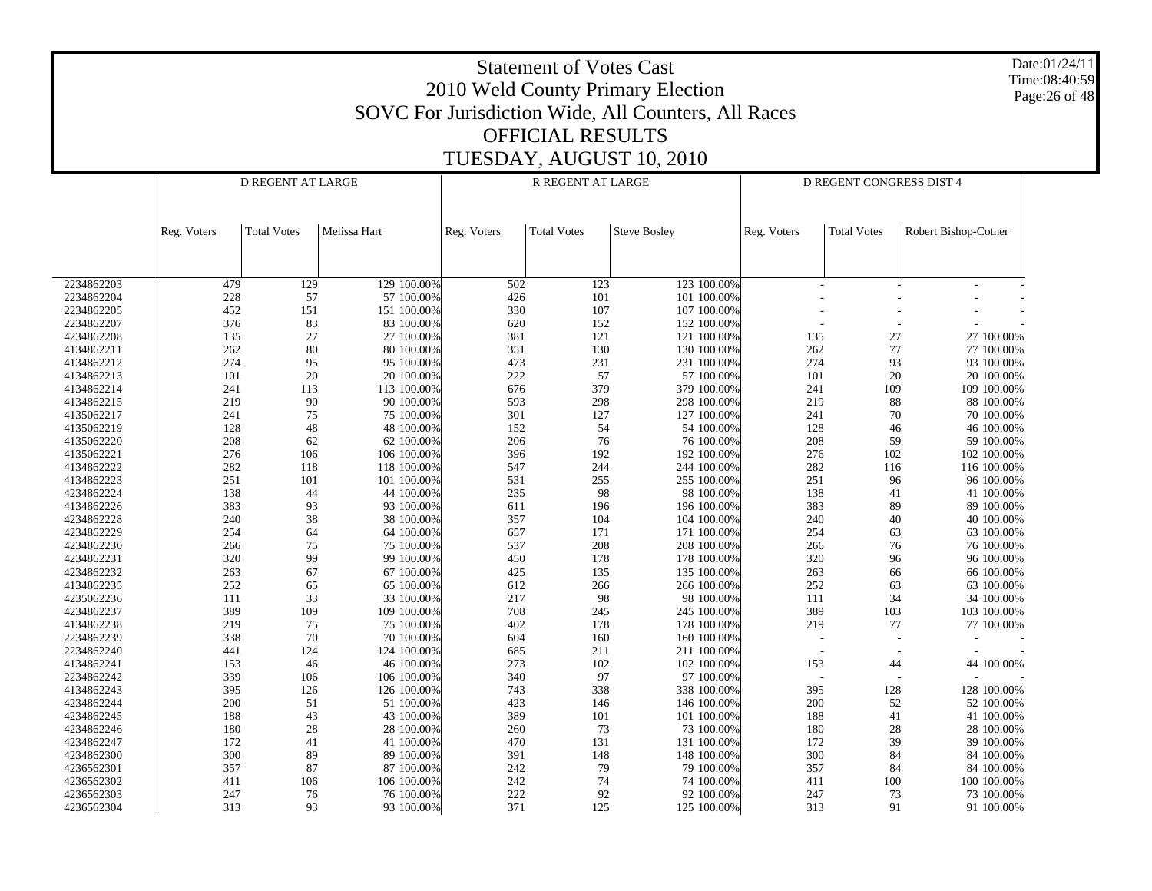Date:01/24/11 Time:08:40:59Page:26 of 48

|            |             | D REGENT AT LARGE  |              | R REGENT AT LARGE<br>D REGENT CONGRESS DIST 4 |                    |                     |                          |                    |                      |
|------------|-------------|--------------------|--------------|-----------------------------------------------|--------------------|---------------------|--------------------------|--------------------|----------------------|
|            | Reg. Voters | <b>Total Votes</b> | Melissa Hart | Reg. Voters                                   | <b>Total Votes</b> | <b>Steve Bosley</b> | Reg. Voters              | <b>Total Votes</b> | Robert Bishop-Cotner |
|            |             |                    |              |                                               |                    |                     |                          |                    |                      |
| 2234862203 | 479         | 129                | 129 100.00%  | 502                                           | 123                | 123 100.00%         |                          |                    |                      |
| 2234862204 | 228         | 57                 | 57 100.00%   | 426                                           | 101                | 101 100.00%         |                          |                    |                      |
| 2234862205 | 452         | 151                | 151 100.00%  | 330                                           | 107                | 107 100.00%         |                          |                    |                      |
| 2234862207 | 376         | 83                 | 83 100.00%   | 620                                           | 152                | 152 100.00%         |                          |                    |                      |
| 4234862208 | 135         | 27                 | 27 100.00%   | 381                                           | 121                | 121 100.00%         | 135                      | 27                 | 27 100.00%           |
| 4134862211 | 262         | 80                 | 80 100.00%   | 351                                           | 130                | 130 100.00%         | 262                      | 77                 | 77 100.00%           |
| 4134862212 | 274         | 95                 | 95 100.00%   | 473                                           | 231                | 231 100.00%         | 274                      | 93                 | 93 100.00%           |
| 4134862213 | 101         | 20                 | 20 100.00%   | 222                                           | 57                 | 57 100.00%          | 101                      | 20                 | 20 100.00%           |
| 4134862214 | 241         | 113                | 113 100.00%  | 676                                           | 379                | 379 100.00%         | 241                      | 109                | 109 100.00%          |
| 4134862215 | 219         | 90                 | 90 100.00%   | 593                                           | 298                | 298 100.00%         | 219                      | $88\,$             | 88 100.00%           |
| 4135062217 | 241         | 75                 | 75 100.00%   | 301                                           | 127                | 127 100.00%         | 241                      | 70                 | 70 100.00%           |
| 4135062219 | 128         | 48                 | 48 100.00%   | 152                                           | 54                 | 54 100.00%          | 128                      | 46                 | 46 100.00%           |
| 4135062220 | 208         | 62                 | 62 100.00%   | 206                                           | 76                 | 76 100.00%          | 208                      | 59                 | 59 100.00%           |
| 4135062221 | 276         | 106                | 106 100.00%  | 396                                           | 192                | 192 100.00%         | 276                      | 102                | 102 100.00%          |
| 4134862222 | 282         | 118                | 118 100.00%  | 547                                           | 244                | 244 100.00%         | 282                      | 116                | 116 100.00%          |
| 4134862223 | 251         | 101                | 101 100.00%  | 531                                           | 255                | 255 100.00%         | 251                      | 96                 | 96 100.00%           |
| 4234862224 | 138         | 44                 | 44 100.00%   | 235                                           | 98                 | 98 100.00%          | 138                      | 41                 | 41 100.00%           |
| 4134862226 | 383         | 93                 | 93 100.00%   | 611                                           | 196                | 196 100.00%         | 383                      | 89                 | 89 100.00%           |
| 4234862228 | 240         | 38                 | 38 100.00%   | 357                                           | 104                | 104 100.00%         | 240                      | 40                 | 40 100.00%           |
| 4234862229 | 254         | 64                 | 64 100.00%   | 657                                           | 171                | 171 100.00%         | 254                      | 63                 | 63 100.00%           |
| 4234862230 | 266         | 75                 | 75 100.00%   | 537                                           | 208                | 208 100.00%         | 266                      | 76                 | 76 100.00%           |
| 4234862231 | 320         | 99                 | 99 100.00%   | 450                                           | 178                | 178 100.00%         | 320                      | 96                 | 96 100.00%           |
| 4234862232 | 263         | 67                 | 67 100.00%   | 425                                           | 135                | 135 100.00%         | 263                      | 66                 | 66 100.00%           |
| 4134862235 | 252         | 65                 | 65 100.00%   | 612                                           | 266                | 266 100.00%         | 252                      | 63                 | 63 100.00%           |
| 4235062236 | 111         | 33                 | 33 100.00%   | 217                                           | 98                 | 98 100.00%          | 111                      | 34                 | 34 100.00%           |
| 4234862237 | 389         | 109                | 109 100.00%  | 708                                           | 245                | 245 100.00%         | 389                      | 103                | 103 100.00%          |
| 4134862238 | 219         | 75                 | 75 100.00%   | 402                                           | 178                | 178 100.00%         | 219                      | 77                 | 77 100.00%           |
| 2234862239 | 338         | 70                 | 70 100.00%   | 604                                           | 160                | 160 100.00%         | $\overline{\phantom{a}}$ |                    |                      |
| 2234862240 | 441         | 124                | 124 100.00%  | 685                                           | 211                | 211 100.00%         | $\sim$                   |                    |                      |
| 4134862241 | 153         | 46                 | 46 100.00%   | 273                                           | 102                | 102 100.00%         | 153                      | 44                 | 44 100.00%           |
| 2234862242 | 339         | 106                | 106 100.00%  | 340                                           | 97                 | 97 100.00%          |                          |                    |                      |
| 4134862243 | 395         | 126                | 126 100.00%  | 743                                           | 338                | 338 100.00%         | 395                      | 128                | 128 100.00%          |
| 4234862244 | 200         | 51                 | 51 100.00%   | 423                                           | 146                | 146 100.00%         | 200                      | 52                 | 52 100.00%           |
| 4234862245 | 188         | 43                 | 43 100.00%   | 389                                           | 101                | 101 100.00%         | 188                      | 41                 | 41 100.00%           |
| 4234862246 | 180         | 28                 | 28 100.00%   | 260                                           | 73                 | 73 100.00%          | 180                      | 28                 | 28 100.00%           |
| 4234862247 | 172         | 41                 | 41 100.00%   | 470                                           | 131                | 131 100.00%         | 172                      | 39                 | 39 100.00%           |
| 4234862300 | 300         | 89                 | 89 100.00%   | 391                                           | 148                | 148 100.00%         | 300                      | 84                 | 84 100.00%           |
| 4236562301 | 357         | 87                 | 87 100.00%   | 242                                           | 79                 | 79 100.00%          | 357                      | 84                 | 84 100.00%           |
| 4236562302 | 411         | 106                | 106 100.00%  | $242\,$                                       | 74                 | 74 100.00%          | 411                      | 100                | 100 100.00%          |
| 4236562303 | 247         | 76                 | 76 100.00%   | 222                                           | 92                 | 92 100.00%          | 247                      | 73                 | 73 100.00%           |
| 4236562304 | 313         | 93                 | 93 100.00%   | 371                                           | 125                | 125 100.00%         | 313                      | 91                 | 91 100.00%           |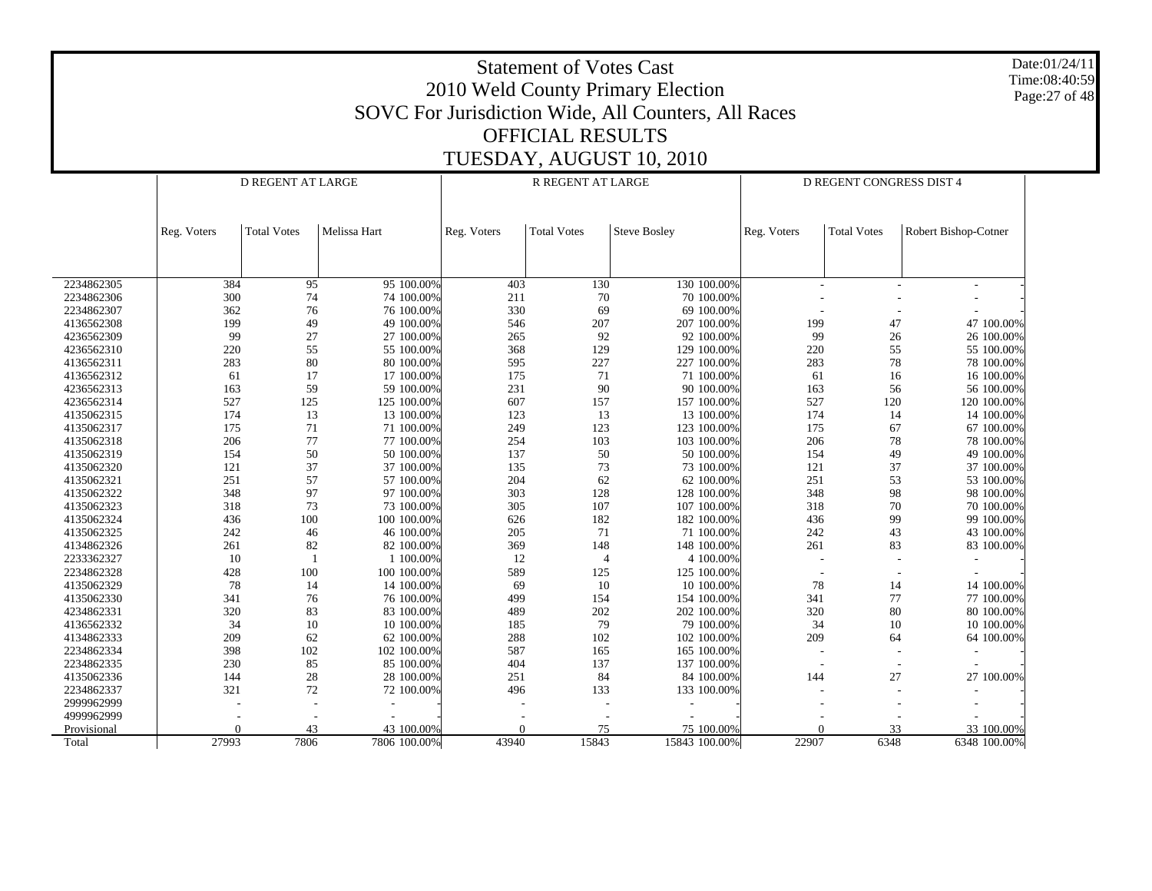Date:01/24/11 Time:08:40:59 Page:27 of 48

|             |             | <b>D REGENT AT LARGE</b> |              |             | R REGENT AT LARGE  |                     | D REGENT CONGRESS DIST 4 |                    |                      |
|-------------|-------------|--------------------------|--------------|-------------|--------------------|---------------------|--------------------------|--------------------|----------------------|
|             |             |                          |              |             |                    |                     |                          |                    |                      |
|             |             |                          |              |             |                    |                     |                          |                    |                      |
|             | Reg. Voters | <b>Total Votes</b>       | Melissa Hart | Reg. Voters | <b>Total Votes</b> | <b>Steve Bosley</b> | Reg. Voters              | <b>Total Votes</b> | Robert Bishop-Cotner |
|             |             |                          |              |             |                    |                     |                          |                    |                      |
|             |             |                          |              |             |                    |                     |                          |                    |                      |
| 2234862305  | 384         | 95                       | 95 100.00%   | 403         | 130                | 130 100.00%         |                          |                    |                      |
| 2234862306  | 300         | 74                       | 74 100.00%   | 211         | $70\,$             | 70 100.00%          |                          |                    |                      |
| 2234862307  | 362         | 76                       | 76 100.00%   | 330         | 69                 | 69 100,00%          |                          |                    |                      |
| 4136562308  | 199         | 49                       | 49 100.00%   | 546         | 207                | 207 100.00%         | 199                      | 47                 | 47 100.00%           |
| 4236562309  | 99          | 27                       | 27 100.00%   | 265         | 92                 | 92 100.00%          | 99                       | 26                 | 26 100.00%           |
| 4236562310  | 220         | 55                       | 55 100.00%   | 368         | 129                | 129 100.00%         | 220                      | 55                 | 55 100.00%           |
| 4136562311  | 283         | 80                       | 80 100.00%   | 595         | 227                | 227 100.00%         | 283                      | 78                 | 78 100.00%           |
| 4136562312  | 61          | 17                       | 17 100.00%   | 175         | 71                 | 71 100.00%          | 61                       | 16                 | 16 100.00%           |
| 4236562313  | 163         | 59                       | 59 100.00%   | 231         | 90                 | 90 100,00%          | 163                      | 56                 | 56 100.00%           |
| 4236562314  | 527         | 125                      | 125 100.00%  | 607         | 157                | 157 100.00%         | 527                      | 120                | 120 100.00%          |
| 4135062315  | 174         | 13                       | 13 100.00%   | 123         | 13                 | 13 100.00%          | 174                      | 14                 | 14 100.00%           |
| 4135062317  | 175         | 71                       | 71 100.00%   | 249         | 123                | 123 100.00%         | 175                      | 67                 | 67 100.00%           |
| 4135062318  | 206         | 77                       | 77 100.00%   | 254         | 103                | 103 100.00%         | 206                      | 78                 | 78 100.00%           |
| 4135062319  | 154         | $50\,$                   | 50 100.00%   | 137         | 50                 | 50 100,00%          | 154                      | 49                 | 49 100.00%           |
| 4135062320  | 121         | 37                       | 37 100.00%   | 135         | 73                 | 73 100.00%          | 121                      | 37                 | 37 100.00%           |
| 4135062321  | 251         | 57                       | 57 100.00%   | 204         | 62                 | 62 100.00%          | 251                      | 53                 | 53 100.00%           |
| 4135062322  | 348         | 97                       | 97 100,00%   | 303         | 128                | 128 100.00%         | 348                      | 98                 | 98 100.00%           |
| 4135062323  | 318         | 73                       | 73 100.00%   | 305         | 107                | 107 100.00%         | 318                      | 70                 | 70 100.00%           |
| 4135062324  | 436         | 100                      | 100 100.00%  | 626         | 182                | 182 100.00%         | 436                      | 99                 | 99 100.00%           |
| 4135062325  | 242         | 46                       | 46 100.00%   | 205         | 71                 | 71 100,00%          | 242                      | 43                 | 43 100.00%           |
| 4134862326  | 261         | 82                       | 82 100.00%   | 369         | 148                | 148 100.00%         | 261                      | 83                 | 83 100.00%           |
| 2233362327  | 10          | $\mathbf{1}$             | 1 100.00%    | 12          | $\overline{4}$     | 4 100.00%           |                          |                    |                      |
| 2234862328  | 428         | 100                      | 100 100 00%  | 589         | 125                | 125 100.00%         |                          |                    |                      |
| 4135062329  | 78          | 14                       | 14 100.00%   | 69          | 10                 | 10 100.00%          | 78                       | 14                 | 14 100.00%           |
| 4135062330  | 341         | 76                       | 76 100.00%   | 499         | 154                | 154 100.00%         | 341                      | 77                 | 77 100.00%           |
| 4234862331  | 320         | 83                       | 83 100.00%   | 489         | 202                | 202 100.00%         | 320                      | 80                 | 80 100.00%           |
| 4136562332  | 34          | 10                       | 10 100.00%   | 185         | 79                 | 79 100.00%          | 34                       | 10                 | 10 100.00%           |
| 4134862333  | 209         | 62                       | 62 100.00%   | 288         | 102                | 102 100.00%         | 209                      | 64                 | 64 100.00%           |
| 2234862334  | 398         | 102                      | 102 100.00%  | 587         | 165                | 165 100.00%         |                          |                    |                      |
| 2234862335  | 230         | 85                       | 85 100.00%   | 404         | 137                | 137 100.00%         |                          |                    |                      |
| 4135062336  | 144         | 28                       | 28 100.00%   | 251         | 84                 | 84 100.00%          | 144                      | 27                 | 27 100.00%           |
| 2234862337  | 321         | 72                       | 72 100.00%   | 496         | 133                | 133 100.00%         |                          |                    |                      |
| 2999962999  |             |                          |              |             |                    |                     |                          |                    |                      |
| 4999962999  |             |                          |              |             |                    |                     |                          |                    |                      |
| Provisional | $\Omega$    | 43                       | 43 100.00%   | $\Omega$    | 75                 | 75 100.00%          | $\Omega$                 | 33                 | 33 100.00%           |
| Total       | 27993       | 7806                     | 7806 100.00% | 43940       | 15843              | 15843 100.00%       | 22907                    | 6348               | 6348 100.00%         |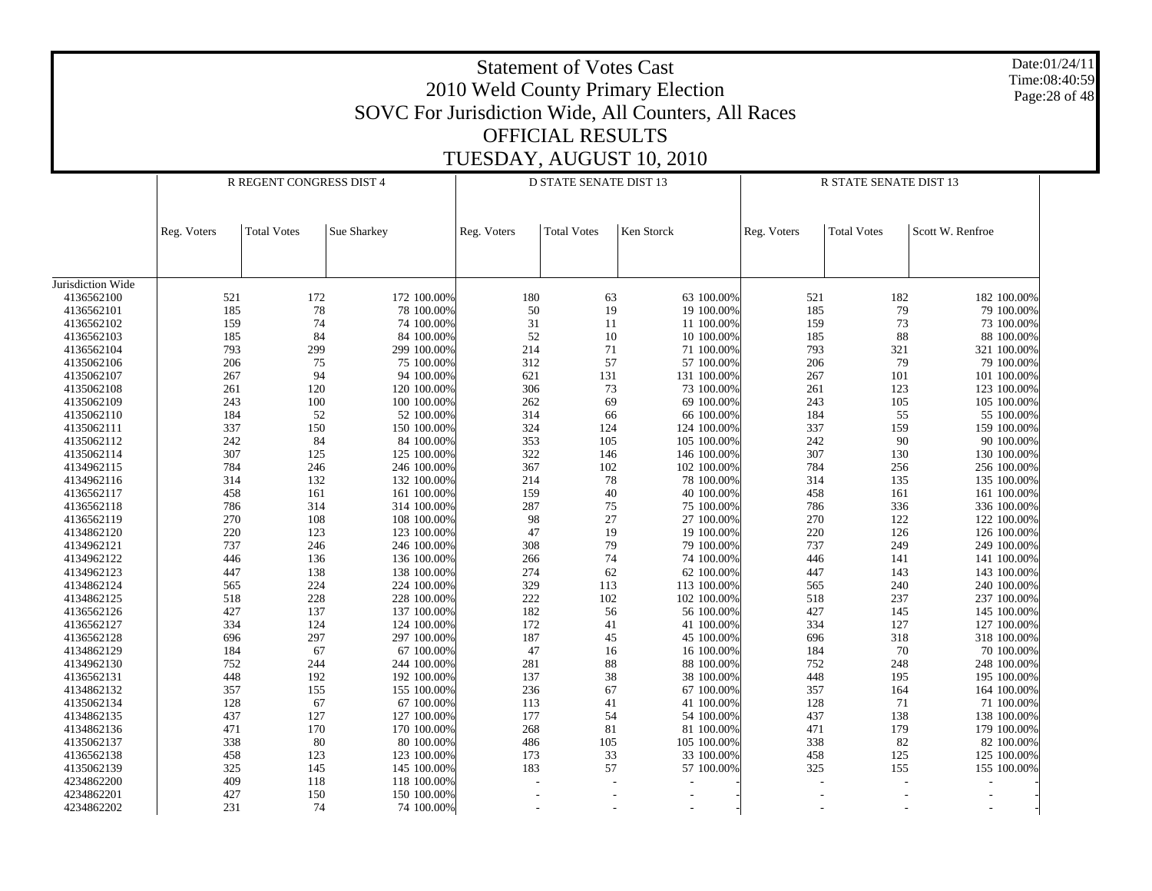|                                 |             |                          |                            |             | <b>Statement of Votes Cast</b><br><b>OFFICIAL RESULTS</b> | 2010 Weld County Primary Election<br>SOVC For Jurisdiction Wide, All Counters, All Races |             |                        | Date:01/24/11<br>Time:08:40:59<br>Page: 28 of 48 |
|---------------------------------|-------------|--------------------------|----------------------------|-------------|-----------------------------------------------------------|------------------------------------------------------------------------------------------|-------------|------------------------|--------------------------------------------------|
|                                 |             |                          |                            |             |                                                           | TUESDAY, AUGUST 10, 2010                                                                 |             |                        |                                                  |
|                                 |             | R REGENT CONGRESS DIST 4 |                            |             | <b>D STATE SENATE DIST 13</b>                             |                                                                                          |             | R STATE SENATE DIST 13 |                                                  |
|                                 |             |                          |                            |             |                                                           |                                                                                          |             |                        |                                                  |
|                                 | Reg. Voters | <b>Total Votes</b>       | Sue Sharkey                | Reg. Voters | <b>Total Votes</b>                                        | Ken Storck                                                                               | Reg. Voters | <b>Total Votes</b>     | Scott W. Renfroe                                 |
|                                 |             |                          |                            |             |                                                           |                                                                                          |             |                        |                                                  |
| Jurisdiction Wide<br>4136562100 | 521         | 172                      | 172 100.00%                | 180         | 63                                                        | 63 100.00%                                                                               | 521         | 182                    | 182 100.00%                                      |
| 4136562101                      | 185         | 78                       | 78 100.00%                 | 50          | 19                                                        | 19 100.00%                                                                               | 185         | 79                     | 79 100.00%                                       |
| 4136562102                      | 159         | 74                       | 74 100.00%                 | 31          | 11                                                        | 11 100.00%                                                                               | 159         | 73                     | 73 100.00%                                       |
| 4136562103                      | 185         | 84                       | 84 100.00%                 | 52          | 10                                                        | 10 100.00%                                                                               | 185         | 88                     | 88 100.00%                                       |
| 4136562104                      | 793         | 299                      | 299 100.00%                | 214         | 71                                                        | 71 100.00%                                                                               | 793         | 321                    | 321 100.00%                                      |
| 4135062106                      | 206         | 75                       | 75 100.00%                 | 312         | 57                                                        | 57 100.00%                                                                               | 206         | 79                     | 79 100.00%                                       |
| 4135062107                      | 267         | 94                       | 94 100.00%                 | 621         | 131                                                       | 131 100.00%                                                                              | 267         | 101                    | 101 100.00%                                      |
| 4135062108                      | 261         | 120                      | 120 100.00%                | 306         | 73                                                        | 73 100.00%                                                                               | 261         | 123                    | 123 100.00%                                      |
| 4135062109                      | 243         | 100                      | 100 100.00%                | 262         | 69                                                        | 69 100.00%                                                                               | 243         | 105                    | 105 100.00%                                      |
| 4135062110                      | 184         | 52                       | 52 100.00%                 | 314         | 66                                                        | 66 100.00%                                                                               | 184         | 55                     | 55 100.00%                                       |
| 4135062111                      | 337         | 150                      | 150 100.00%                | 324         | 124                                                       | 124 100.00%                                                                              | 337         | 159                    | 159 100.00%                                      |
| 4135062112                      | 242         | 84                       | 84 100.00%                 | 353         | 105                                                       | 105 100.00%                                                                              | 242         | 90                     | 90 100.00%                                       |
| 4135062114                      | 307         | 125                      | 125 100.00%                | 322         | 146                                                       | 146 100.00%                                                                              | 307         | 130                    | 130 100.00%                                      |
| 4134962115                      | 784         | 246                      | 246 100.00%                | 367         | 102                                                       | 102 100.00%                                                                              | 784         | 256                    | 256 100.00%                                      |
| 4134962116                      | 314         | 132                      | 132 100.00%                | 214         | 78                                                        | 78 100.00%                                                                               | 314         | 135                    | 135 100.00%                                      |
| 4136562117                      | 458         | 161                      | 161 100.00%                | 159         | 40                                                        | 40 100.00%                                                                               | 458         | 161                    | 161 100.00%                                      |
| 4136562118                      | 786         | 314                      | 314 100.00%                | 287         | 75                                                        | 75 100.00%                                                                               | 786         | 336                    | 336 100.00%                                      |
| 4136562119                      | 270         | 108                      | 108 100.00%                | 98          | 27                                                        | 27 100.00%                                                                               | 270         | 122                    | 122 100.00%                                      |
| 4134862120<br>4134962121        | 220<br>737  | 123<br>246               | 123 100.00%                | 47<br>308   | 19<br>79                                                  | 19 100.00%                                                                               | 220<br>737  | 126<br>249             | 126 100.00%                                      |
| 4134962122                      | 446         | 136                      | 246 100.00%<br>136 100.00% | 266         | 74                                                        | 79 100.00%<br>74 100.00%                                                                 | 446         | 141                    | 249 100.00%<br>141 100.00%                       |
| 4134962123                      | 447         | 138                      | 138 100.00%                | 274         | 62                                                        | 62 100.00%                                                                               | 447         | 143                    | 143 100.00%                                      |
| 4134862124                      | 565         | 224                      | 224 100.00%                | 329         | 113                                                       | 113 100.00%                                                                              | 565         | 240                    | 240 100.00%                                      |
| 4134862125                      | 518         | 228                      | 228 100.00%                | 222         | 102                                                       | 102 100.00%                                                                              | 518         | 237                    | 237 100.00%                                      |
| 4136562126                      | 427         | 137                      | 137 100.00%                | 182         | 56                                                        | 56 100,00%                                                                               | 427         | 145                    | 145 100.00%                                      |
| 4136562127                      | 334         | 124                      | 124 100.00%                | 172         | 41                                                        | 41 100.00%                                                                               | 334         | 127                    | 127 100.00%                                      |
| 4136562128                      | 696         | 297                      | 297 100.00%                | 187         | 45                                                        | 45 100.00%                                                                               | 696         | 318                    | 318 100.00%                                      |
| 4134862129                      | 184         | 67                       | 67 100.00%                 | 47          | 16                                                        | 16 100.00%                                                                               | 184         | 70                     | 70 100.00%                                       |
| 4134962130                      | 752         | 244                      | 244 100.00%                | 281         | 88                                                        | 88 100,00%                                                                               | 752         | 248                    | 248 100.00%                                      |
| 4136562131                      | 448         | 192                      | 192 100.00%                | 137         | 38                                                        | 38 100.00%                                                                               | 448         | 195                    | 195 100.00%                                      |
| 4134862132                      | 357         | 155                      | 155 100.00%                | 236         | 67                                                        | 67 100.00%                                                                               | 357         | 164                    | 164 100.00%                                      |
| 4135062134                      | 128         | 67                       | 67 100.00%                 | 113         | 41                                                        | 41 100.00%                                                                               | 128         | 71                     | 71 100.00%                                       |
| 4134862135                      | 437         | 127                      | 127 100.00%                | 177         | 54                                                        | 54 100.00%                                                                               | 437         | 138                    | 138 100.00%                                      |
| 4134862136                      | 471         | 170                      | 170 100.00%                | 268         | 81                                                        | 81 100.00%                                                                               | 471         | 179                    | 179 100.00%                                      |
| 4135062137                      | 338         | 80                       | 80 100.00%                 | 486         | 105                                                       | 105 100.00%                                                                              | 338         | 82                     | 82 100.00%                                       |
| 4136562138                      | 458         | 123                      | 123 100.00%                | 173         | 33                                                        | 33 100.00%                                                                               | 458         | 125                    | 125 100.00%                                      |
| 4135062139                      | 325         | 145                      | 145 100.00%                | 183         | 57                                                        | 57 100.00%                                                                               | 325         | 155                    | 155 100.00%                                      |
| 4234862200                      | 409         | 118                      | 118 100.00%                |             |                                                           | $\overline{a}$                                                                           |             |                        | $\overline{\phantom{a}}$                         |
| 4234862201<br>4234862202        | 427<br>231  | 150<br>74                | 150 100.00%<br>74 100.00%  |             |                                                           |                                                                                          |             |                        | $\overline{\phantom{a}}$                         |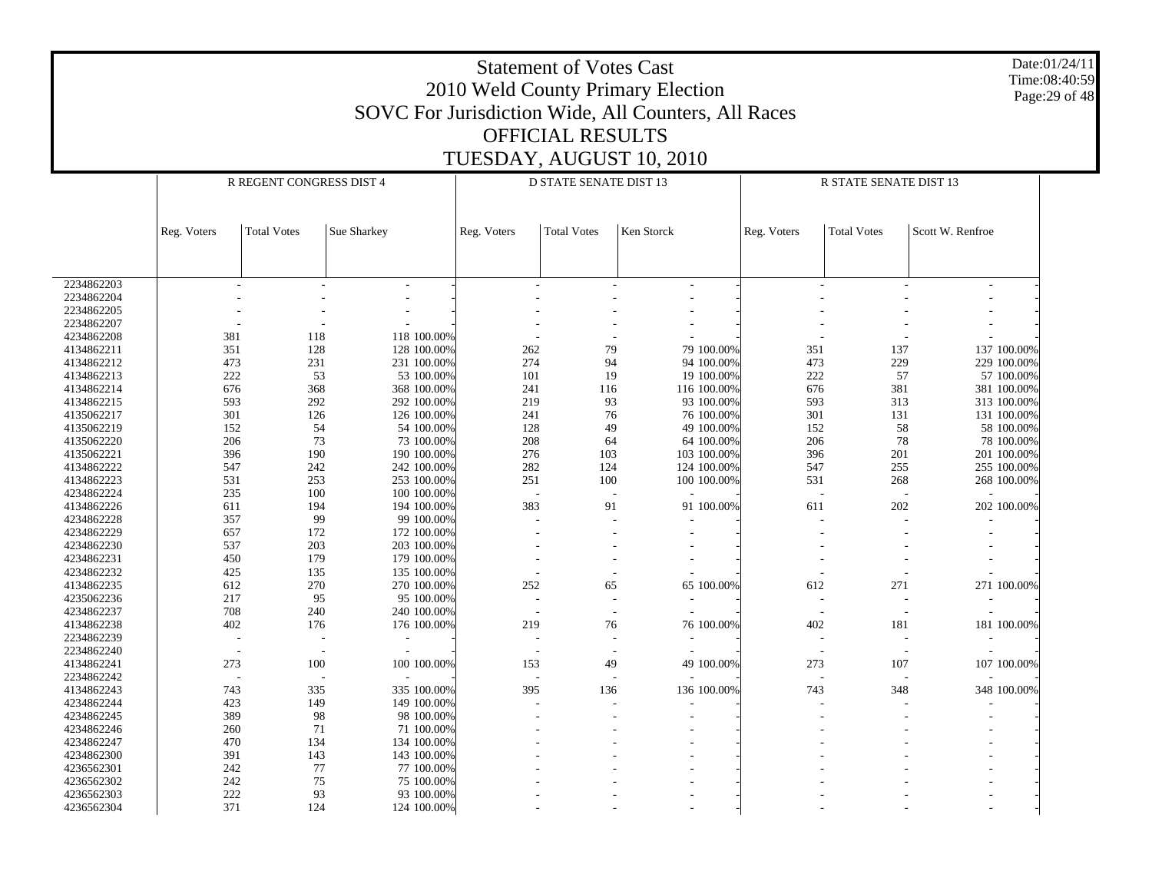|            |             |                          |                  |             | <b>Statement of Votes Cast</b><br><b>OFFICIAL RESULTS</b> | 2010 Weld County Primary Election<br>SOVC For Jurisdiction Wide, All Counters, All Races |             |                        | Date:01/24/11<br>Time:08:40:59<br>Page: 29 of 48 |
|------------|-------------|--------------------------|------------------|-------------|-----------------------------------------------------------|------------------------------------------------------------------------------------------|-------------|------------------------|--------------------------------------------------|
|            |             |                          |                  |             |                                                           | TUESDAY, AUGUST 10, 2010                                                                 |             |                        |                                                  |
|            |             | R REGENT CONGRESS DIST 4 |                  |             | <b>D STATE SENATE DIST 13</b>                             |                                                                                          |             | R STATE SENATE DIST 13 |                                                  |
|            | Reg. Voters | <b>Total Votes</b>       | Sue Sharkey      | Reg. Voters | <b>Total Votes</b>                                        | Ken Storck                                                                               | Reg. Voters | <b>Total Votes</b>     | Scott W. Renfroe                                 |
|            |             |                          |                  |             |                                                           |                                                                                          |             |                        |                                                  |
| 2234862203 |             |                          |                  |             |                                                           |                                                                                          |             |                        |                                                  |
| 2234862204 |             |                          |                  |             |                                                           |                                                                                          |             |                        |                                                  |
| 2234862205 |             |                          |                  |             |                                                           |                                                                                          |             |                        |                                                  |
| 2234862207 |             |                          |                  |             |                                                           |                                                                                          |             |                        |                                                  |
| 4234862208 | 381         | 118                      | 118 100.00%      |             |                                                           |                                                                                          |             |                        |                                                  |
| 4134862211 | 351         | 128                      | 128 100.00%      | 262         | 79                                                        | 79 100.00%                                                                               | 351         | 137                    | 137 100.00%                                      |
| 4134862212 | 473         | 231                      | 231 100.00%      | 274         | 94                                                        | 94 100.00%                                                                               | 473         | 229                    | 229 100.00%                                      |
| 4134862213 | 222         | 53                       | 53 100.00%       | 101         | 19                                                        | 19 100.00%                                                                               | 222         | 57                     | 57 100.00%                                       |
| 4134862214 | 676         | 368                      | 368 100.00%      | 241         | 116                                                       | 116 100.00%                                                                              | 676         | 381                    | 381 100.00%                                      |
| 4134862215 | 593         | 292                      | 292 100.00%      | 219         | 93                                                        | 93 100.00%                                                                               | 593         | 313                    | 313 100.00%                                      |
| 4135062217 | 301         | 126                      | 126 100.00%      | 241         | 76                                                        | 76 100.00%                                                                               | 301         | 131                    | 131 100.00%                                      |
| 4135062219 | 152         |                          | 54<br>54 100.00% | 128         | 49                                                        | 49 100.00%                                                                               | 152         | 58                     | 58 100.00%                                       |
| 4135062220 | 206         |                          | 73<br>73 100.00% | 208         | 64                                                        | 64 100.00%                                                                               | 206         | 78                     | 78 100.00%                                       |
| 4135062221 | 396         | 190                      | 190 100.00%      | 276         | 103                                                       | 103 100.00%                                                                              | 396         | 201                    | 201 100.00%                                      |
| 4134862222 | 547         | 242                      | 242 100.00%      | 282         | 124                                                       | 124 100.00%                                                                              | 547         | 255                    | 255 100.00%                                      |
| 4134862223 | 531         | 253                      | 253 100.00%      | 251         | 100                                                       | 100 100.00%                                                                              | 531         | 268                    | 268 100.00%                                      |
| 4234862224 | 235         | 100                      | 100 100.00%      |             | $\overline{\phantom{a}}$                                  |                                                                                          |             |                        |                                                  |
| 4134862226 | 611         | 194                      | 194 100.00%      | 383         | 91                                                        | 91 100.00%                                                                               | 611         | 202                    | 202 100.00%                                      |
| 4234862228 | 357         |                          | 99<br>99 100.00% |             |                                                           |                                                                                          |             |                        |                                                  |
| 4234862229 | 657         | 172                      | 172 100.00%      |             |                                                           |                                                                                          |             |                        |                                                  |
| 4234862230 | 537         | 203                      | 203 100.00%      |             |                                                           |                                                                                          |             |                        |                                                  |
| 4234862231 | 450         | 179                      | 179 100.00%      |             |                                                           |                                                                                          |             |                        |                                                  |
| 4234862232 | 425         | 135                      | 135 100.00%      |             |                                                           |                                                                                          |             |                        |                                                  |
| 4134862235 | 612         | 270                      | 270 100.00%      | 252         | 65                                                        | 65 100.00%                                                                               | 612         | 271                    | 271 100.00%                                      |
| 4235062236 | 217         |                          | 95<br>95 100.00% |             |                                                           |                                                                                          |             |                        |                                                  |
| 4234862237 | 708         | 240                      | 240 100.00%      |             |                                                           |                                                                                          |             |                        |                                                  |
| 4134862238 | 402         | 176                      | 176 100.00%      | 219         | 76                                                        | 76 100.00%                                                                               | 402         | 181                    | 181 100.00%                                      |
| 2234862239 |             |                          |                  |             |                                                           |                                                                                          |             |                        |                                                  |
| 2234862240 |             |                          |                  |             |                                                           |                                                                                          |             |                        |                                                  |
| 4134862241 | 273         | 100                      | 100 100.00%      | 153         | 49                                                        | 49 100.00%                                                                               | 273         | 107                    | 107 100.00%                                      |
| 2234862242 |             |                          |                  |             |                                                           |                                                                                          |             |                        |                                                  |
| 4134862243 | 743         | 335                      | 335 100.00%      | 395         | 136                                                       | 136 100.00%                                                                              | 743         | 348                    | 348 100.00%                                      |
| 4234862244 | 423         | 149                      | 149 100.00%      |             |                                                           |                                                                                          |             |                        |                                                  |
| 4234862245 | 389         |                          | 98<br>98 100.00% |             |                                                           |                                                                                          |             |                        |                                                  |
| 4234862246 | 260         | 71                       | 71 100.00%       |             |                                                           |                                                                                          |             |                        |                                                  |
| 4234862247 | 470         | 134                      | 134 100.00%      |             |                                                           |                                                                                          |             |                        |                                                  |
| 4234862300 | 391         | 143                      | 143 100.00%      |             |                                                           |                                                                                          |             |                        |                                                  |
| 4236562301 | 242         | 77                       | 77 100.00%       |             |                                                           |                                                                                          |             |                        |                                                  |
| 4236562302 | 242         |                          | 75<br>75 100.00% |             |                                                           |                                                                                          |             |                        |                                                  |
| 4236562303 | 222         |                          | 93<br>93 100.00% |             |                                                           |                                                                                          |             |                        |                                                  |
| 4236562304 | 371         | 124                      | 124 100.00%      |             |                                                           |                                                                                          |             |                        |                                                  |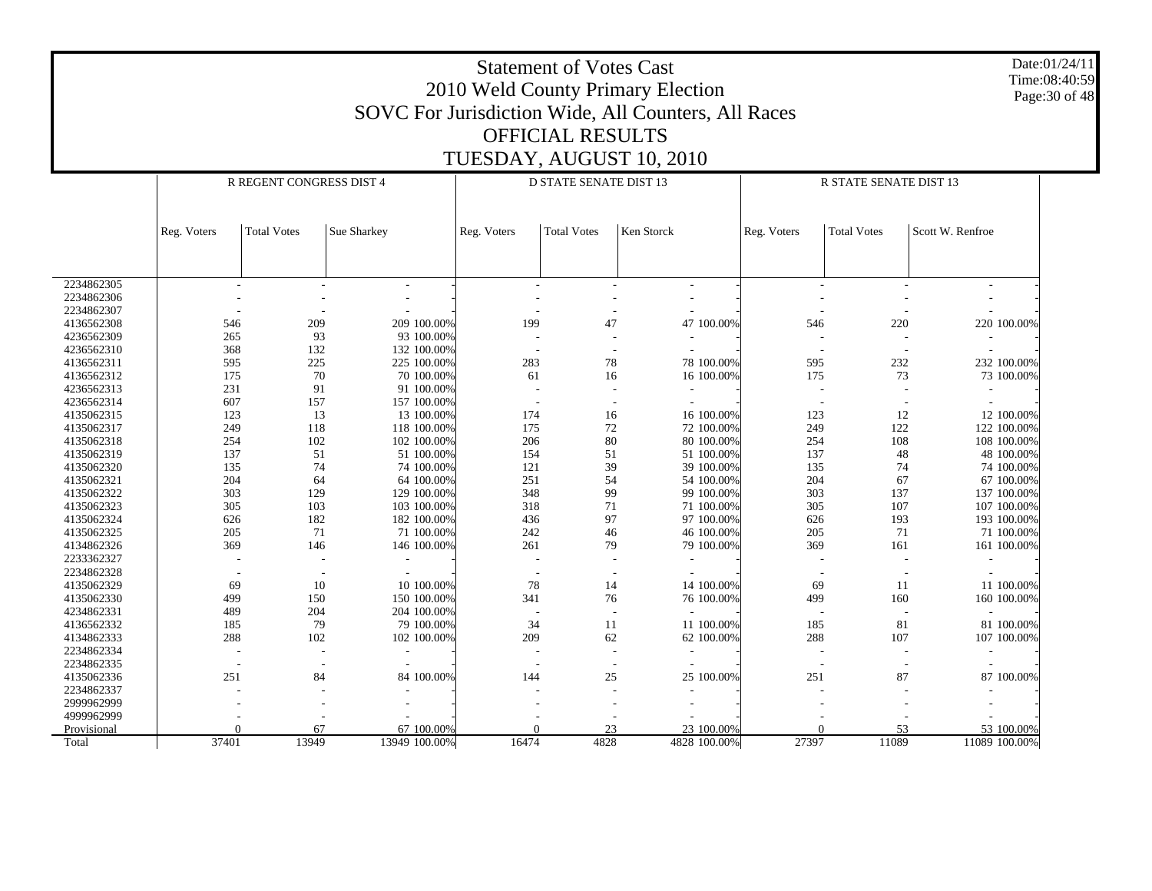|                          |                                                                                                                                                              |                          |                            |            | <b>Statement of Votes Cast</b> | 2010 Weld County Primary Election<br>SOVC For Jurisdiction Wide, All Counters, All Races |            |                        |                            | Date:01/24/11<br>Time:08:40:59<br>Page: 30 of 48 |  |  |  |  |  |
|--------------------------|--------------------------------------------------------------------------------------------------------------------------------------------------------------|--------------------------|----------------------------|------------|--------------------------------|------------------------------------------------------------------------------------------|------------|------------------------|----------------------------|--------------------------------------------------|--|--|--|--|--|
|                          |                                                                                                                                                              |                          |                            |            | <b>OFFICIAL RESULTS</b>        |                                                                                          |            |                        |                            |                                                  |  |  |  |  |  |
|                          |                                                                                                                                                              |                          |                            |            |                                | TUESDAY, AUGUST 10, 2010                                                                 |            |                        |                            |                                                  |  |  |  |  |  |
|                          |                                                                                                                                                              |                          |                            |            |                                |                                                                                          |            |                        |                            |                                                  |  |  |  |  |  |
|                          |                                                                                                                                                              | R REGENT CONGRESS DIST 4 |                            |            | <b>D STATE SENATE DIST 13</b>  |                                                                                          |            | R STATE SENATE DIST 13 |                            |                                                  |  |  |  |  |  |
|                          |                                                                                                                                                              |                          |                            |            |                                |                                                                                          |            |                        |                            |                                                  |  |  |  |  |  |
|                          | Scott W. Renfroe<br><b>Total Votes</b><br>Sue Sharkey<br><b>Total Votes</b><br>Ken Storck<br><b>Total Votes</b><br>Reg. Voters<br>Reg. Voters<br>Reg. Voters |                          |                            |            |                                |                                                                                          |            |                        |                            |                                                  |  |  |  |  |  |
|                          |                                                                                                                                                              |                          |                            |            |                                |                                                                                          |            |                        |                            |                                                  |  |  |  |  |  |
|                          |                                                                                                                                                              |                          |                            |            |                                |                                                                                          |            |                        |                            |                                                  |  |  |  |  |  |
|                          |                                                                                                                                                              |                          |                            |            |                                |                                                                                          |            |                        |                            |                                                  |  |  |  |  |  |
| 2234862305               |                                                                                                                                                              |                          |                            |            |                                |                                                                                          |            |                        |                            |                                                  |  |  |  |  |  |
| 2234862306               |                                                                                                                                                              |                          |                            |            |                                |                                                                                          |            |                        |                            |                                                  |  |  |  |  |  |
| 2234862307               |                                                                                                                                                              |                          |                            |            |                                |                                                                                          |            |                        |                            |                                                  |  |  |  |  |  |
| 4136562308               | 209<br>209 100.00%<br>199<br>47<br>47 100.00%<br>220 100.00%<br>546<br>220<br>546                                                                            |                          |                            |            |                                |                                                                                          |            |                        |                            |                                                  |  |  |  |  |  |
| 4236562309               | 93<br>93 100.00%<br>265                                                                                                                                      |                          |                            |            |                                |                                                                                          |            |                        |                            |                                                  |  |  |  |  |  |
| 4236562310               | 132<br>368<br>132 100.00%                                                                                                                                    |                          |                            |            |                                |                                                                                          |            |                        |                            |                                                  |  |  |  |  |  |
| 4136562311               | 225<br>283<br>232<br>232 100.00%<br>595<br>225 100.00%<br>78<br>78 100.00%<br>595                                                                            |                          |                            |            |                                |                                                                                          |            |                        |                            |                                                  |  |  |  |  |  |
| 4136562312               | 70<br>73<br>175<br>70 100.00%<br>61<br>16<br>16 100.00%<br>175<br>73 100.00%                                                                                 |                          |                            |            |                                |                                                                                          |            |                        |                            |                                                  |  |  |  |  |  |
| 4236562313               | 231<br>91<br>91 100.00%                                                                                                                                      |                          |                            |            |                                |                                                                                          |            |                        |                            |                                                  |  |  |  |  |  |
| 4236562314               | 607                                                                                                                                                          | 157                      | 157 100.00%                |            |                                |                                                                                          |            |                        |                            |                                                  |  |  |  |  |  |
| 4135062315               | 123                                                                                                                                                          | 13                       | 13 100.00%                 | 174        | 16                             | 16 100.00%                                                                               | 123        | 12                     | 12 100.00%                 |                                                  |  |  |  |  |  |
| 4135062317<br>4135062318 | 249<br>254                                                                                                                                                   | 118<br>102               | 118 100.00%<br>102 100.00% | 175<br>206 | 72<br>80                       | 72 100.00%<br>80 100.00%                                                                 | 249<br>254 | 122<br>108             | 122 100.00%<br>108 100.00% |                                                  |  |  |  |  |  |
| 4135062319               | 137                                                                                                                                                          | 51                       | 51 100.00%                 | 154        | 51                             | 51 100.00%                                                                               | 137        | 48                     | 48 100.00%                 |                                                  |  |  |  |  |  |
| 4135062320               | 135                                                                                                                                                          | 74                       | 74 100.00%                 | 121        | 39                             | 39 100.00%                                                                               | 135        | 74                     | 74 100.00%                 |                                                  |  |  |  |  |  |
| 4135062321               | 204                                                                                                                                                          | 64                       | 64 100.00%                 | 251        | 54                             | 54 100.00%                                                                               | 204        | 67                     | 67 100.00%                 |                                                  |  |  |  |  |  |
| 4135062322               | 303                                                                                                                                                          | 129                      | 129 100.00%                | 348        | 99                             | 99 100.00%                                                                               | 303        | 137                    | 137 100.00%                |                                                  |  |  |  |  |  |
| 4135062323               | 305                                                                                                                                                          | 103                      | 103 100.00%                | 318        | 71                             | 71 100.00%                                                                               | 305        | 107                    | 107 100.00%                |                                                  |  |  |  |  |  |
| 4135062324               | 626                                                                                                                                                          | 182                      | 182 100.00%                | 436        | 97                             | 97 100.00%                                                                               | 626        | 193                    | 193 100.00%                |                                                  |  |  |  |  |  |
| 4135062325               | 205                                                                                                                                                          | 71                       | 71 100.00%                 | 242        | 46                             | 46 100.00%                                                                               | 205        | 71                     | 71 100.00%                 |                                                  |  |  |  |  |  |
| 4134862326               | 369                                                                                                                                                          | 146                      | 146 100.00%                | 261        | 79                             | 79 100.00%                                                                               | 369        | 161                    | 161 100.00%                |                                                  |  |  |  |  |  |
| 2233362327               |                                                                                                                                                              |                          |                            |            |                                |                                                                                          |            |                        |                            |                                                  |  |  |  |  |  |
| 2234862328               |                                                                                                                                                              |                          |                            |            |                                |                                                                                          |            |                        |                            |                                                  |  |  |  |  |  |
| 4135062329               | 69                                                                                                                                                           | 10                       | 10 100.00%                 | 78         | 14                             | 14 100.00%                                                                               | 69         | 11                     | 11 100.00%                 |                                                  |  |  |  |  |  |
| 4135062330<br>4234862331 | 499<br>489                                                                                                                                                   | 150<br>204               | 150 100.00%                | 341        | 76<br>$\sim$                   | 76 100.00%                                                                               | 499        | 160                    | 160 100.00%                |                                                  |  |  |  |  |  |
| 4136562332               | 185                                                                                                                                                          | 79                       | 204 100.00%<br>79 100.00%  | 34         | 11                             | 11 100.00%                                                                               | 185        | 81                     | 81 100.00%                 |                                                  |  |  |  |  |  |
| 4134862333               | 288                                                                                                                                                          | 102                      | 102 100.00%                | 209        | 62                             | 62 100.00%                                                                               | 288        | 107                    | 107 100.00%                |                                                  |  |  |  |  |  |
| 2234862334               |                                                                                                                                                              |                          |                            |            |                                |                                                                                          |            |                        |                            |                                                  |  |  |  |  |  |
| 2234862335               |                                                                                                                                                              |                          |                            |            |                                |                                                                                          |            |                        |                            |                                                  |  |  |  |  |  |
| 4135062336               | 251                                                                                                                                                          | 84                       | 84 100.00%                 | 144        | 25                             | 25 100.00%                                                                               | 251        | 87                     | 87 100.00%                 |                                                  |  |  |  |  |  |
| 2234862337               |                                                                                                                                                              |                          |                            |            |                                |                                                                                          |            |                        |                            |                                                  |  |  |  |  |  |
| 2999962999               |                                                                                                                                                              |                          |                            |            |                                |                                                                                          |            |                        |                            |                                                  |  |  |  |  |  |
| 4999962999               |                                                                                                                                                              |                          |                            |            |                                |                                                                                          |            |                        |                            |                                                  |  |  |  |  |  |
| Provisional              | $\Omega$                                                                                                                                                     | 67                       | 67 100.00%                 | $\Omega$   | 23                             | 23 100.00%                                                                               | $\Omega$   | 53                     | 53 100.00%                 |                                                  |  |  |  |  |  |
| Total                    | 37401                                                                                                                                                        | 13949                    | 13949 100.00%              | 16474      | 4828                           | 4828 100.00%                                                                             | 27397      | 11089                  | 11089 100.00%              |                                                  |  |  |  |  |  |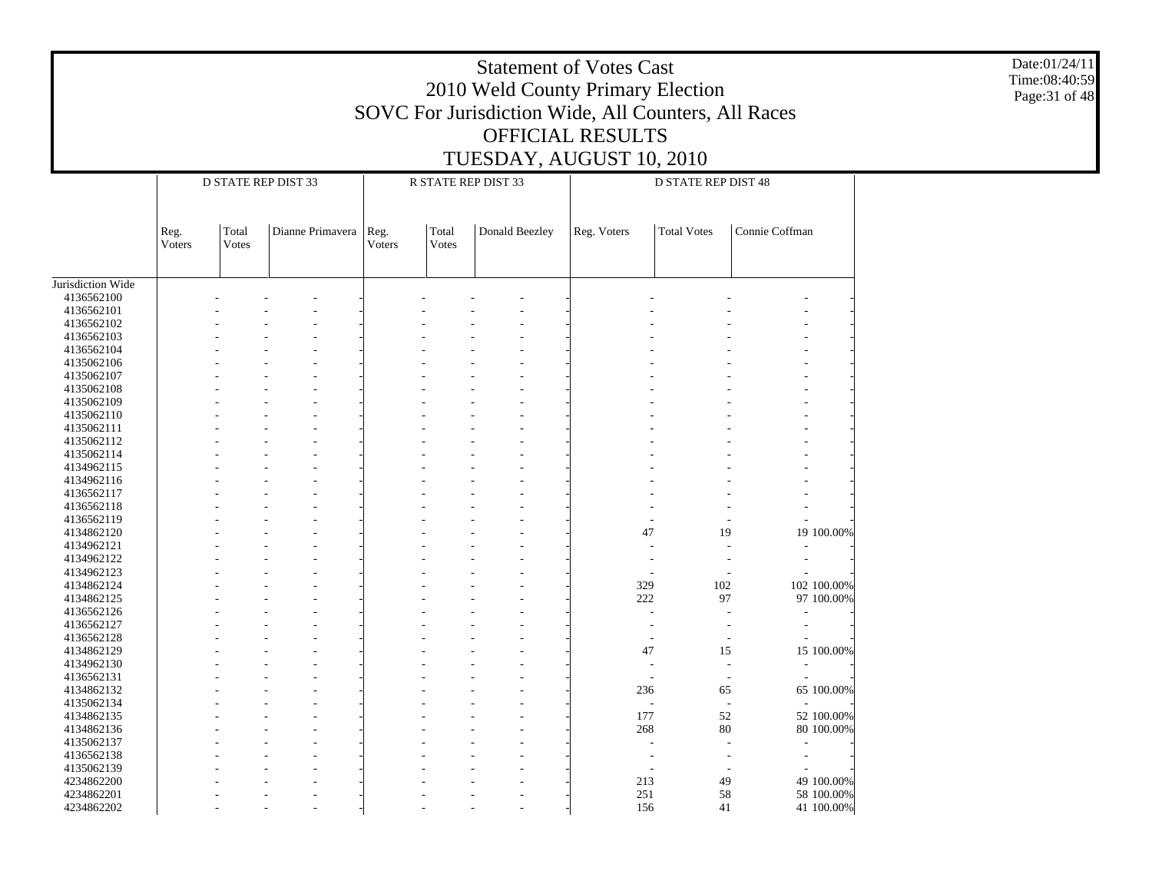Date:01/24/11 Time:08:40:59 Page:31 of 48

|                   |                |                | D STATE REP DIST 33 |                |                | R STATE REP DIST 33 |                          | <b>D STATE REP DIST 48</b> |                |             |
|-------------------|----------------|----------------|---------------------|----------------|----------------|---------------------|--------------------------|----------------------------|----------------|-------------|
|                   | Reg.<br>Voters | Total<br>Votes | Dianne Primavera    | Reg.<br>Voters | Total<br>Votes | Donald Beezley      | Reg. Voters              | <b>Total Votes</b>         | Connie Coffman |             |
| Jurisdiction Wide |                |                |                     |                |                |                     |                          |                            |                |             |
| 4136562100        |                |                |                     |                |                |                     |                          |                            |                |             |
| 4136562101        |                |                |                     |                |                |                     |                          |                            |                |             |
| 4136562102        |                |                |                     |                |                |                     |                          |                            |                |             |
| 4136562103        |                |                |                     |                |                |                     |                          |                            |                |             |
| 4136562104        |                |                |                     |                |                |                     |                          |                            |                |             |
| 4135062106        |                |                |                     |                |                |                     |                          |                            |                |             |
| 4135062107        |                |                |                     |                |                |                     |                          |                            |                |             |
| 4135062108        |                |                |                     |                |                |                     |                          |                            |                |             |
| 4135062109        |                |                |                     |                |                |                     |                          |                            |                |             |
| 4135062110        |                |                |                     |                |                |                     |                          |                            |                |             |
| 4135062111        |                |                |                     |                |                |                     |                          |                            |                |             |
| 4135062112        |                |                |                     |                |                |                     |                          |                            |                |             |
| 4135062114        |                |                |                     |                |                |                     |                          |                            |                |             |
| 4134962115        |                |                |                     |                |                |                     |                          |                            |                |             |
| 4134962116        |                |                |                     |                |                |                     |                          |                            |                |             |
| 4136562117        |                |                |                     |                |                |                     |                          |                            |                |             |
| 4136562118        |                |                |                     |                |                |                     |                          |                            |                |             |
| 4136562119        |                |                |                     |                |                |                     |                          |                            |                |             |
| 4134862120        |                |                |                     |                |                |                     | 47                       | 19                         |                | 19 100.00%  |
| 4134962121        |                |                |                     |                |                |                     |                          |                            |                |             |
| 4134962122        |                |                |                     |                |                |                     |                          |                            |                |             |
| 4134962123        |                |                |                     |                |                |                     |                          |                            |                |             |
| 4134862124        |                |                |                     |                |                |                     | 329                      | 102                        |                | 102 100.00% |
| 4134862125        |                |                |                     |                |                |                     | 222                      | 97                         |                | 97 100.00%  |
| 4136562126        |                |                |                     |                |                |                     |                          |                            |                |             |
| 4136562127        |                |                |                     |                |                |                     |                          |                            |                |             |
| 4136562128        |                |                |                     |                |                |                     |                          | $\overline{\phantom{a}}$   |                |             |
| 4134862129        |                |                |                     |                |                |                     | 47                       | 15                         |                | 15 100.00%  |
| 4134962130        |                |                |                     |                |                |                     | J.                       | ÷                          |                |             |
| 4136562131        |                |                |                     |                |                |                     | ٠                        | $\overline{\phantom{a}}$   |                |             |
| 4134862132        |                |                |                     |                |                |                     | 236                      | 65                         |                | 65 100.00%  |
| 4135062134        |                |                |                     |                |                |                     | $\overline{\phantom{a}}$ | ÷,                         |                |             |
| 4134862135        |                |                |                     |                |                |                     | 177                      | 52                         |                | 52 100.00%  |
| 4134862136        |                |                |                     |                |                |                     | 268                      | 80                         |                | 80 100.00%  |
| 4135062137        |                |                |                     |                |                |                     |                          |                            |                |             |
| 4136562138        |                |                |                     |                |                |                     |                          |                            |                |             |
| 4135062139        |                |                |                     |                |                |                     |                          |                            |                |             |
| 4234862200        |                |                |                     |                |                |                     | 213                      | 49                         |                | 49 100.00%  |
| 4234862201        |                |                |                     |                |                |                     | 251                      | 58                         |                | 58 100.00%  |
| 4234862202        |                |                |                     |                |                |                     | 156                      | 41                         |                | 41 100.00%  |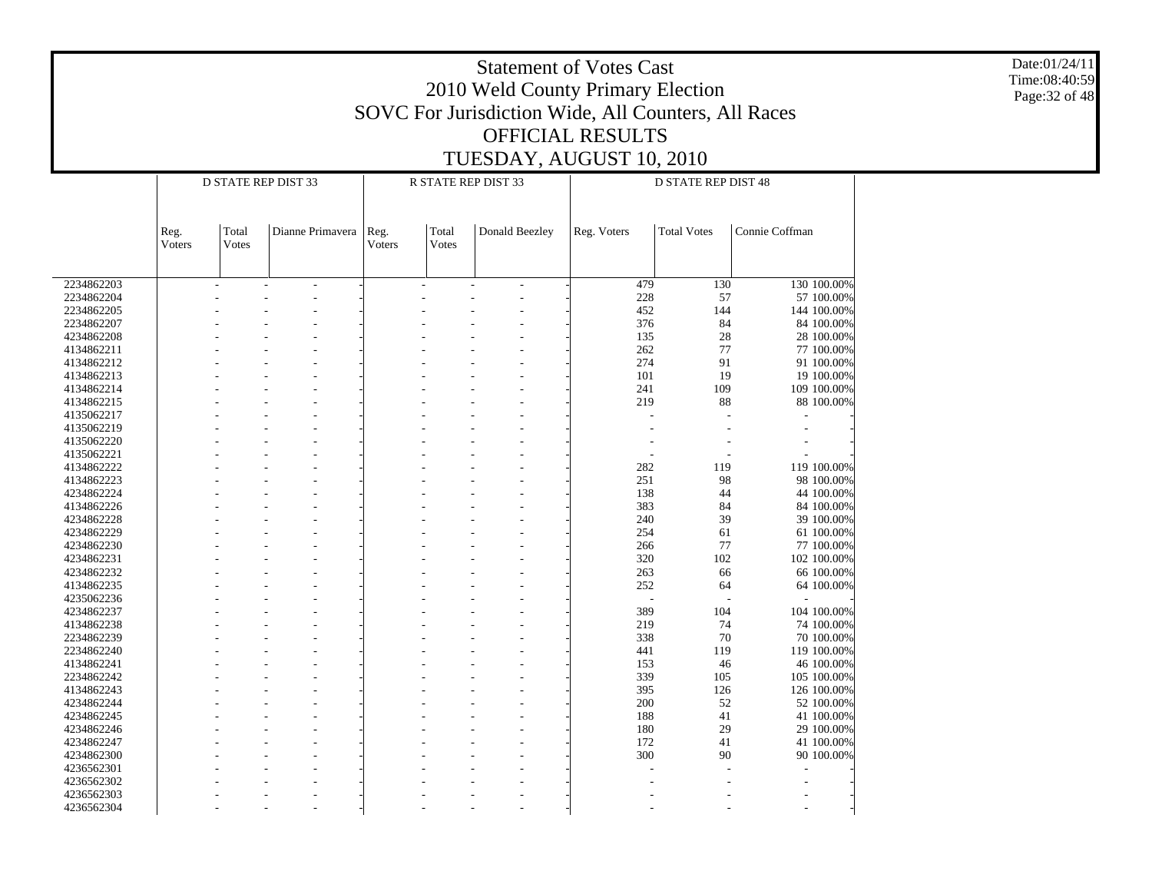Date:01/24/11 Time:08:40:59 Page:32 of 48

|            |                |                | D STATE REP DIST 33 |                |                | R STATE REP DIST 33 |             | D STATE REP DIST 48 |                |
|------------|----------------|----------------|---------------------|----------------|----------------|---------------------|-------------|---------------------|----------------|
|            |                |                |                     |                |                |                     |             |                     |                |
|            | Reg.<br>Voters | Total<br>Votes | Dianne Primavera    | Reg.<br>Voters | Total<br>Votes | Donald Beezley      | Reg. Voters | <b>Total Votes</b>  | Connie Coffman |
| 2234862203 | ÷              |                | $\overline{a}$      |                | $\overline{a}$ | $\sim$              | 479         | 130                 | 130 100.00%    |
| 2234862204 |                |                |                     |                |                |                     | 228         | 57                  | 57 100.00%     |
| 2234862205 |                |                |                     |                |                |                     | 452         | 144                 | 144 100.00%    |
| 2234862207 |                |                |                     |                |                |                     | 376         | 84                  | 84 100.00%     |
| 4234862208 |                |                |                     |                |                |                     | 135         | 28                  | 28 100.00%     |
| 4134862211 |                |                |                     |                |                |                     | 262         | 77                  | 77 100.00%     |
| 4134862212 |                |                |                     |                |                |                     | 274         | 91                  | 91 100.00%     |
| 4134862213 |                |                |                     |                |                |                     | 101         | 19                  | 19 100.00%     |
|            |                |                |                     |                |                |                     | 241         | 109                 | 109 100.00%    |
| 4134862214 |                |                |                     |                |                |                     |             |                     |                |
| 4134862215 |                |                |                     |                |                |                     | 219         | 88                  | 88 100.00%     |
| 4135062217 |                |                |                     |                |                |                     | ÷           |                     |                |
| 4135062219 |                |                |                     |                |                |                     |             |                     |                |
| 4135062220 |                |                |                     |                |                |                     |             |                     |                |
| 4135062221 |                |                |                     |                |                |                     |             |                     |                |
| 4134862222 |                |                |                     |                |                |                     | 282         | 119                 | 119 100.00%    |
| 4134862223 |                |                |                     |                |                |                     | 251         | 98                  | 98 100.00%     |
| 4234862224 |                |                |                     |                |                |                     | 138         | 44                  | 44 100.00%     |
| 4134862226 |                |                |                     |                |                |                     | 383         | 84                  | 84 100.00%     |
| 4234862228 |                |                |                     |                |                |                     | 240         | 39                  | 39 100.00%     |
| 4234862229 |                |                |                     |                |                |                     | 254         | 61                  | 61 100.00%     |
| 4234862230 |                |                |                     |                |                |                     | 266         | 77                  | 77 100.00%     |
| 4234862231 |                |                |                     |                |                |                     | 320         | 102                 | 102 100.00%    |
| 4234862232 |                |                |                     |                |                |                     | 263         | 66                  | 66 100.00%     |
| 4134862235 |                |                |                     |                |                |                     | 252         | 64                  | 64 100.00%     |
| 4235062236 |                |                |                     |                |                |                     |             |                     |                |
| 4234862237 |                |                |                     |                |                |                     | 389         | 104                 | 104 100.00%    |
| 4134862238 |                |                |                     |                |                |                     | 219         | 74                  | 74 100.00%     |
| 2234862239 |                |                |                     |                |                |                     | 338         | 70                  | 70 100.00%     |
| 2234862240 |                |                |                     |                |                |                     | 441         | 119                 | 119 100.00%    |
| 4134862241 |                |                |                     |                |                |                     | 153         | 46                  | 46 100.00%     |
| 2234862242 |                |                |                     |                |                |                     | 339         | 105                 | 105 100.00%    |
| 4134862243 |                |                |                     |                |                |                     | 395         | 126                 | 126 100.00%    |
|            |                |                |                     |                |                |                     | 200         | 52                  |                |
| 4234862244 |                |                |                     |                |                |                     |             |                     | 52 100.00%     |
| 4234862245 |                |                |                     |                |                |                     | 188         | 41                  | 41 100.00%     |
| 4234862246 |                |                |                     |                |                |                     | 180         | 29                  | 29 100.00%     |
| 4234862247 |                |                |                     |                |                |                     | 172         | 41                  | 41 100.00%     |
| 4234862300 |                |                |                     |                |                |                     | 300         | 90                  | 90 100.00%     |
| 4236562301 |                |                |                     |                |                |                     |             |                     |                |
| 4236562302 |                |                |                     |                |                |                     |             |                     |                |
| 4236562303 |                |                |                     |                |                |                     |             |                     |                |
| 4236562304 |                |                |                     |                |                |                     |             |                     |                |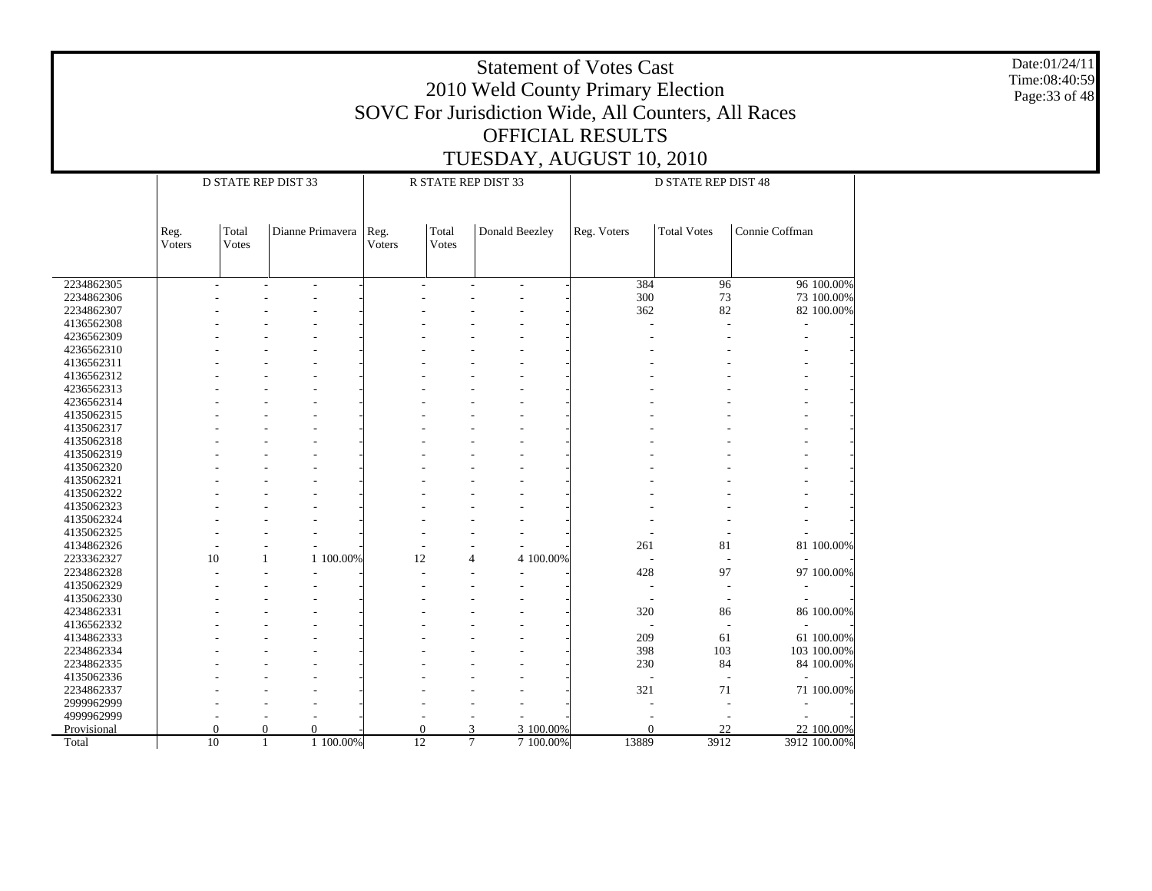Date:01/24/11 Time:08:40:59 Page:33 of 48

|             |                |          | <b>D STATE REP DIST 33</b> |                |       | R STATE REP DIST 33      |           |             | <b>D STATE REP DIST 48</b> |                |              |
|-------------|----------------|----------|----------------------------|----------------|-------|--------------------------|-----------|-------------|----------------------------|----------------|--------------|
|             |                | Total    | Dianne Primavera           |                | Total |                          |           |             | <b>Total Votes</b>         | Connie Coffman |              |
|             | Reg.<br>Voters | Votes    |                            | Reg.<br>Voters | Votes | Donald Beezley           |           | Reg. Voters |                            |                |              |
|             |                |          |                            |                |       |                          |           |             |                            |                |              |
| 2234862305  | ÷,             | ÷,       | $\overline{\phantom{a}}$   |                |       | $\overline{\phantom{a}}$ |           | 384         | 96                         |                | 96 100.00%   |
| 2234862306  |                |          |                            |                |       |                          |           | 300         | 73                         |                | 73 100.00%   |
| 2234862307  |                |          |                            |                |       |                          |           | 362         | 82                         |                | 82 100.00%   |
| 4136562308  |                |          |                            |                |       |                          |           |             |                            |                |              |
| 4236562309  |                |          |                            |                |       |                          |           |             |                            |                |              |
| 4236562310  |                |          |                            |                |       |                          |           |             |                            |                |              |
| 4136562311  |                |          |                            |                |       |                          |           |             |                            |                |              |
| 4136562312  |                |          |                            |                |       |                          |           |             |                            |                |              |
| 4236562313  |                |          |                            |                |       |                          |           |             |                            |                |              |
| 4236562314  |                |          |                            |                |       |                          |           |             |                            |                |              |
| 4135062315  |                |          |                            |                |       |                          |           |             |                            |                |              |
| 4135062317  |                |          |                            |                |       |                          |           |             |                            |                |              |
| 4135062318  |                |          |                            |                |       |                          |           |             |                            |                |              |
| 4135062319  |                |          |                            |                |       |                          |           |             |                            |                |              |
| 4135062320  |                |          |                            |                |       |                          |           |             |                            |                |              |
| 4135062321  |                |          |                            |                |       |                          |           |             |                            |                |              |
| 4135062322  |                |          |                            |                |       |                          |           |             |                            |                |              |
| 4135062323  |                |          |                            |                |       |                          |           |             |                            |                |              |
| 4135062324  |                |          |                            |                |       |                          |           |             |                            |                |              |
| 4135062325  |                |          |                            |                |       |                          |           |             |                            |                |              |
| 4134862326  |                |          | $\overline{a}$             |                |       | $\overline{a}$           |           | 261         | 81                         |                | 81 100.00%   |
| 2233362327  | 10             | 1        | 1 100.00%                  | 12             |       | 4                        | 4 100.00% |             |                            |                |              |
| 2234862328  |                |          | $\overline{\phantom{a}}$   |                |       |                          |           | 428         | 97                         |                | 97 100.00%   |
| 4135062329  |                |          |                            |                |       |                          |           |             |                            |                |              |
| 4135062330  |                |          |                            |                |       |                          |           |             |                            |                |              |
| 4234862331  |                |          |                            |                |       |                          |           | 320         | 86                         |                | 86 100.00%   |
| 4136562332  |                |          |                            |                |       |                          |           |             | $\overline{a}$             |                |              |
| 4134862333  |                |          |                            |                |       |                          |           | 209         | 61                         |                | 61 100.00%   |
| 2234862334  |                |          |                            |                |       |                          |           | 398         | 103                        |                | 103 100.00%  |
| 2234862335  |                |          |                            |                |       |                          |           | 230         | 84                         |                | 84 100.00%   |
| 4135062336  |                |          |                            |                |       |                          |           |             |                            |                |              |
| 2234862337  |                |          |                            |                |       |                          |           | 321         | 71                         |                | 71 100.00%   |
| 2999962999  |                |          |                            |                |       |                          |           |             |                            |                |              |
| 4999962999  |                |          |                            |                |       |                          |           |             |                            |                |              |
| Provisional | $\theta$       | $\Omega$ | $\mathbf{0}$               | $\Omega$       |       | 3                        | 3 100,00% | $\theta$    | 22                         |                | 22 100.00%   |
| Total       | 10             | 1        | 1 100.00%                  | 12             |       | $\tau$                   | 7 100.00% | 13889       | 3912                       |                | 3912 100.00% |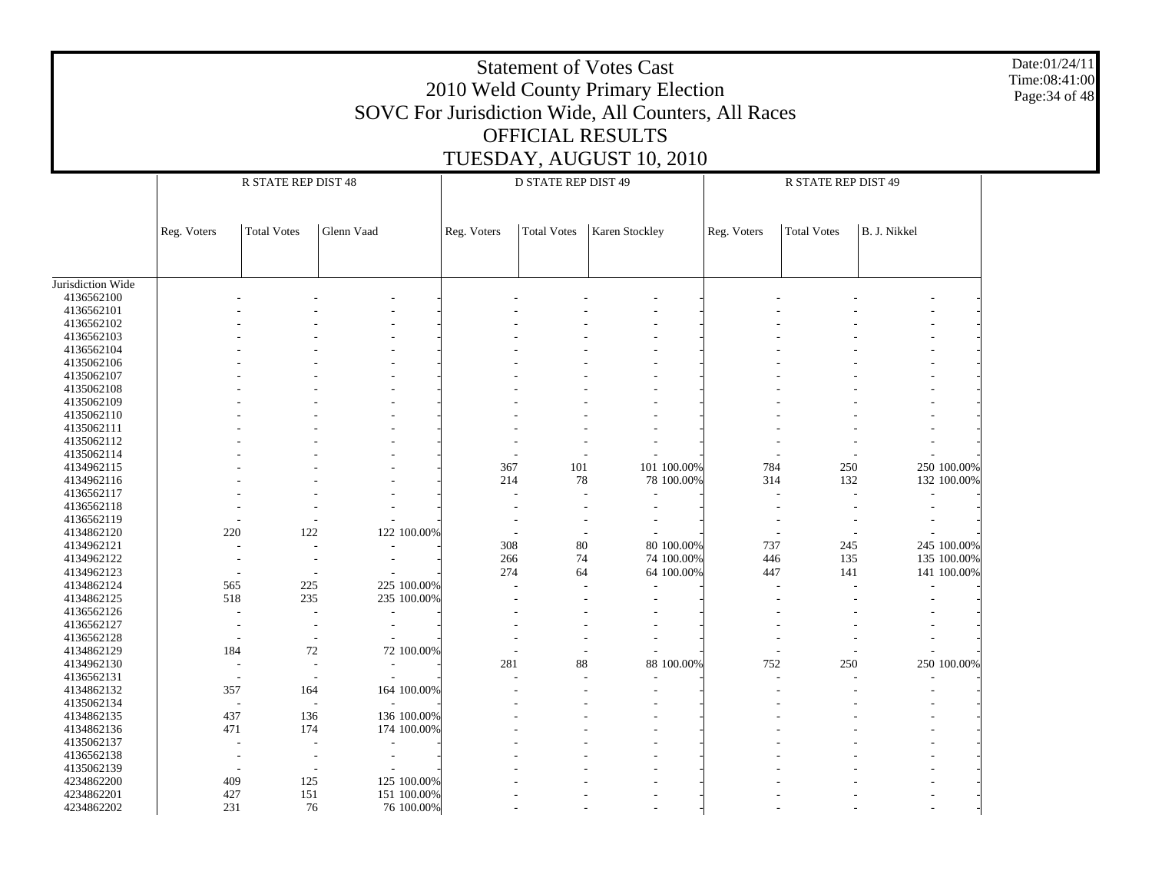|                   |                                                                                                                                                             |                                                                   |                                                      |     |     | <b>Statement of Votes Cast</b><br>2010 Weld County Primary Election<br>SOVC For Jurisdiction Wide, All Counters, All Races |  |     |     |             | Date:01/24/11<br>Time:08:41:00<br>Page: 34 of 48 |  |  |  |  |
|-------------------|-------------------------------------------------------------------------------------------------------------------------------------------------------------|-------------------------------------------------------------------|------------------------------------------------------|-----|-----|----------------------------------------------------------------------------------------------------------------------------|--|-----|-----|-------------|--------------------------------------------------|--|--|--|--|
|                   |                                                                                                                                                             |                                                                   |                                                      |     |     | <b>OFFICIAL RESULTS</b>                                                                                                    |  |     |     |             |                                                  |  |  |  |  |
|                   |                                                                                                                                                             |                                                                   |                                                      |     |     | TUESDAY, AUGUST 10, 2010                                                                                                   |  |     |     |             |                                                  |  |  |  |  |
|                   |                                                                                                                                                             | R STATE REP DIST 48<br>D STATE REP DIST 49<br>R STATE REP DIST 49 |                                                      |     |     |                                                                                                                            |  |     |     |             |                                                  |  |  |  |  |
|                   |                                                                                                                                                             |                                                                   |                                                      |     |     |                                                                                                                            |  |     |     |             |                                                  |  |  |  |  |
|                   |                                                                                                                                                             |                                                                   |                                                      |     |     |                                                                                                                            |  |     |     |             |                                                  |  |  |  |  |
|                   | Glenn Vaad<br>Karen Stockley<br>B. J. Nikkel<br><b>Total Votes</b><br><b>Total Votes</b><br>Reg. Voters<br><b>Total Votes</b><br>Reg. Voters<br>Reg. Voters |                                                                   |                                                      |     |     |                                                                                                                            |  |     |     |             |                                                  |  |  |  |  |
|                   |                                                                                                                                                             |                                                                   |                                                      |     |     |                                                                                                                            |  |     |     |             |                                                  |  |  |  |  |
|                   |                                                                                                                                                             |                                                                   |                                                      |     |     |                                                                                                                            |  |     |     |             |                                                  |  |  |  |  |
| Jurisdiction Wide |                                                                                                                                                             |                                                                   |                                                      |     |     |                                                                                                                            |  |     |     |             |                                                  |  |  |  |  |
| 4136562100        |                                                                                                                                                             |                                                                   |                                                      |     |     |                                                                                                                            |  |     |     |             |                                                  |  |  |  |  |
| 4136562101        |                                                                                                                                                             |                                                                   |                                                      |     |     |                                                                                                                            |  |     |     |             |                                                  |  |  |  |  |
| 4136562102        |                                                                                                                                                             |                                                                   |                                                      |     |     |                                                                                                                            |  |     |     |             |                                                  |  |  |  |  |
| 4136562103        |                                                                                                                                                             |                                                                   |                                                      |     |     |                                                                                                                            |  |     |     |             |                                                  |  |  |  |  |
| 4136562104        |                                                                                                                                                             |                                                                   |                                                      |     |     |                                                                                                                            |  |     |     |             |                                                  |  |  |  |  |
| 4135062106        |                                                                                                                                                             |                                                                   |                                                      |     |     |                                                                                                                            |  |     |     |             |                                                  |  |  |  |  |
| 4135062107        |                                                                                                                                                             |                                                                   |                                                      |     |     |                                                                                                                            |  |     |     |             |                                                  |  |  |  |  |
| 4135062108        |                                                                                                                                                             |                                                                   |                                                      |     |     |                                                                                                                            |  |     |     |             |                                                  |  |  |  |  |
| 4135062109        |                                                                                                                                                             |                                                                   |                                                      |     |     |                                                                                                                            |  |     |     |             |                                                  |  |  |  |  |
| 4135062110        |                                                                                                                                                             |                                                                   |                                                      |     |     |                                                                                                                            |  |     |     |             |                                                  |  |  |  |  |
| 4135062111        |                                                                                                                                                             |                                                                   |                                                      |     |     |                                                                                                                            |  |     |     |             |                                                  |  |  |  |  |
| 4135062112        |                                                                                                                                                             |                                                                   |                                                      |     |     |                                                                                                                            |  |     |     |             |                                                  |  |  |  |  |
| 4135062114        |                                                                                                                                                             |                                                                   |                                                      |     |     |                                                                                                                            |  |     |     |             |                                                  |  |  |  |  |
| 4134962115        |                                                                                                                                                             |                                                                   |                                                      | 367 | 101 | 101 100.00%                                                                                                                |  | 784 | 250 | 250 100.00% |                                                  |  |  |  |  |
| 4134962116        |                                                                                                                                                             |                                                                   |                                                      | 214 | 78  | 78 100.00%                                                                                                                 |  | 314 | 132 | 132 100.00% |                                                  |  |  |  |  |
| 4136562117        |                                                                                                                                                             |                                                                   |                                                      |     |     |                                                                                                                            |  |     |     |             |                                                  |  |  |  |  |
| 4136562118        |                                                                                                                                                             |                                                                   |                                                      |     |     |                                                                                                                            |  |     |     |             |                                                  |  |  |  |  |
| 4136562119        |                                                                                                                                                             |                                                                   |                                                      |     |     |                                                                                                                            |  |     |     |             |                                                  |  |  |  |  |
| 4134862120        | 220                                                                                                                                                         | 122                                                               | 122 100.00%                                          |     |     |                                                                                                                            |  |     |     |             |                                                  |  |  |  |  |
| 4134962121        |                                                                                                                                                             |                                                                   |                                                      | 308 | 80  | 80 100.00%                                                                                                                 |  | 737 | 245 | 245 100.00% |                                                  |  |  |  |  |
| 4134962122        |                                                                                                                                                             |                                                                   |                                                      | 266 | 74  | 74 100.00%                                                                                                                 |  | 446 | 135 | 135 100.00% |                                                  |  |  |  |  |
| 4134962123        |                                                                                                                                                             |                                                                   |                                                      | 274 | 64  | 64 100.00%                                                                                                                 |  | 447 | 141 | 141 100.00% |                                                  |  |  |  |  |
| 4134862124        | 565                                                                                                                                                         | 225                                                               | 225 100.00%                                          |     |     |                                                                                                                            |  |     |     |             |                                                  |  |  |  |  |
| 4134862125        | 518                                                                                                                                                         | 235                                                               | 235 100.00%                                          |     |     |                                                                                                                            |  |     |     |             |                                                  |  |  |  |  |
| 4136562126        |                                                                                                                                                             |                                                                   |                                                      |     |     |                                                                                                                            |  |     |     |             |                                                  |  |  |  |  |
| 4136562127        |                                                                                                                                                             |                                                                   | $\overline{\phantom{a}}$                             |     |     |                                                                                                                            |  |     |     |             |                                                  |  |  |  |  |
| 4136562128        |                                                                                                                                                             |                                                                   |                                                      |     |     |                                                                                                                            |  |     |     |             |                                                  |  |  |  |  |
| 4134862129        | 184                                                                                                                                                         | 72                                                                | 72 100.00%                                           |     |     |                                                                                                                            |  |     |     |             |                                                  |  |  |  |  |
| 4134962130        |                                                                                                                                                             |                                                                   |                                                      | 281 | 88  | 88 100.00%                                                                                                                 |  | 752 | 250 | 250 100.00% |                                                  |  |  |  |  |
| 4136562131        |                                                                                                                                                             |                                                                   |                                                      |     |     |                                                                                                                            |  |     |     |             |                                                  |  |  |  |  |
| 4134862132        | 357                                                                                                                                                         | 164                                                               | 164 100.00%                                          |     |     |                                                                                                                            |  |     |     |             |                                                  |  |  |  |  |
| 4135062134        |                                                                                                                                                             | $\sim$                                                            | $\overline{\phantom{a}}$                             |     |     |                                                                                                                            |  |     |     |             |                                                  |  |  |  |  |
| 4134862135        | 437                                                                                                                                                         | 136                                                               | 136 100.00%                                          |     |     |                                                                                                                            |  |     |     |             |                                                  |  |  |  |  |
| 4134862136        | 471<br>174<br>174 100.00%                                                                                                                                   |                                                                   |                                                      |     |     |                                                                                                                            |  |     |     |             |                                                  |  |  |  |  |
| 4135062137        |                                                                                                                                                             |                                                                   |                                                      |     |     |                                                                                                                            |  |     |     |             |                                                  |  |  |  |  |
| 4136562138        |                                                                                                                                                             |                                                                   | $\overline{\phantom{a}}$<br>$\overline{\phantom{a}}$ |     |     |                                                                                                                            |  |     |     |             |                                                  |  |  |  |  |
| 4135062139        |                                                                                                                                                             |                                                                   | $\overline{\phantom{a}}$                             |     |     |                                                                                                                            |  |     |     |             |                                                  |  |  |  |  |
| 4234862200        | 409                                                                                                                                                         | 125                                                               | 125 100.00%                                          |     |     |                                                                                                                            |  |     |     |             |                                                  |  |  |  |  |
| 4234862201        | 427                                                                                                                                                         | 151                                                               | 151 100.00%                                          |     |     |                                                                                                                            |  |     |     |             |                                                  |  |  |  |  |
| 4234862202        | 231                                                                                                                                                         | 76                                                                | 76 100.00%                                           |     |     |                                                                                                                            |  |     |     |             |                                                  |  |  |  |  |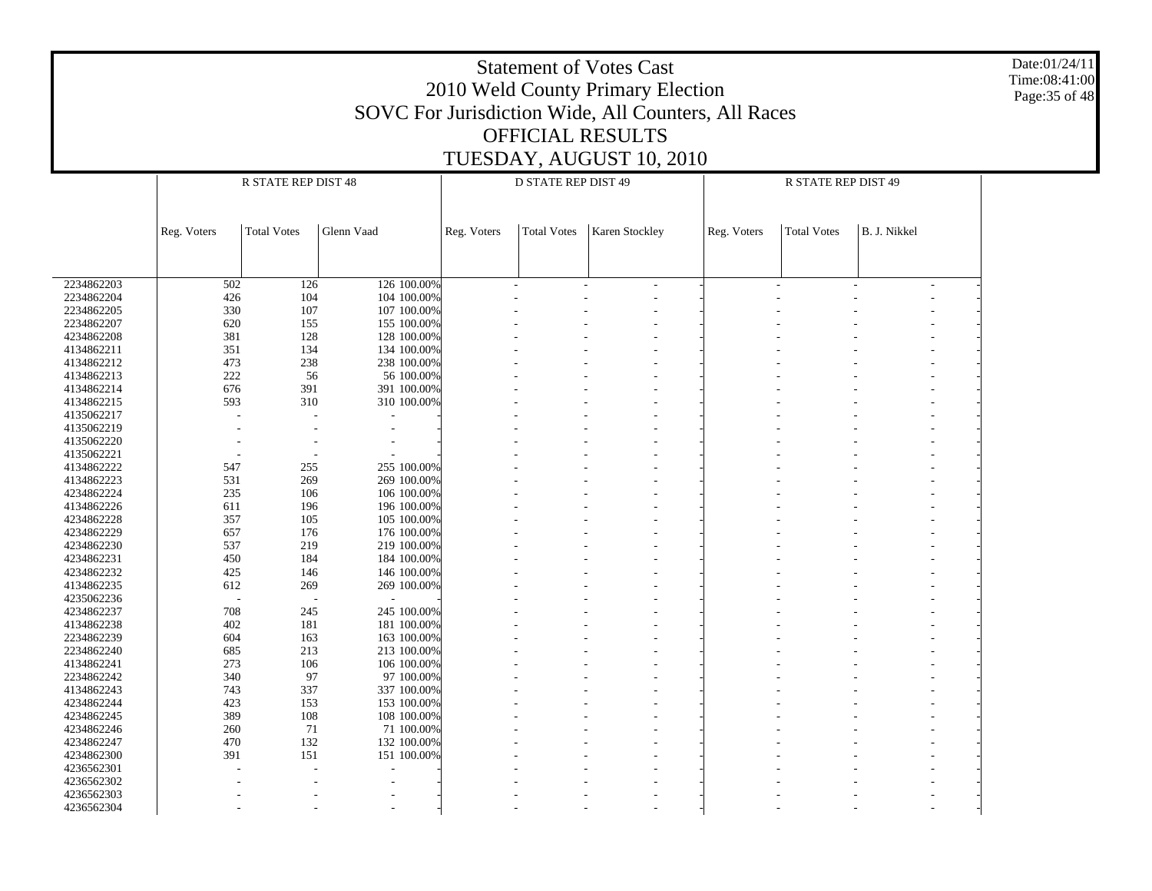|                          | <b>Statement of Votes Cast</b><br>2010 Weld County Primary Election<br>SOVC For Jurisdiction Wide, All Counters, All Races<br><b>OFFICIAL RESULTS</b><br>TUESDAY, AUGUST 10, 2010 |                                                                   |                          |             |                    |                |             |                    |              |  |  |  |  |  |
|--------------------------|-----------------------------------------------------------------------------------------------------------------------------------------------------------------------------------|-------------------------------------------------------------------|--------------------------|-------------|--------------------|----------------|-------------|--------------------|--------------|--|--|--|--|--|
|                          |                                                                                                                                                                                   | R STATE REP DIST 48<br>D STATE REP DIST 49<br>R STATE REP DIST 49 |                          |             |                    |                |             |                    |              |  |  |  |  |  |
|                          |                                                                                                                                                                                   |                                                                   |                          |             |                    |                |             |                    |              |  |  |  |  |  |
|                          | Reg. Voters                                                                                                                                                                       | <b>Total Votes</b>                                                | Glenn Vaad               | Reg. Voters | <b>Total Votes</b> | Karen Stockley | Reg. Voters | <b>Total Votes</b> | B. J. Nikkel |  |  |  |  |  |
|                          |                                                                                                                                                                                   |                                                                   |                          |             |                    |                |             |                    |              |  |  |  |  |  |
| 2234862203               | 126 100.00%<br>502<br>126                                                                                                                                                         |                                                                   |                          |             |                    |                |             |                    |              |  |  |  |  |  |
| 2234862204               | 104 100.00%<br>426<br>104                                                                                                                                                         |                                                                   |                          |             |                    |                |             |                    |              |  |  |  |  |  |
| 2234862205               | 330                                                                                                                                                                               | 107                                                               | 107 100.00%              |             |                    |                |             |                    |              |  |  |  |  |  |
| 2234862207               | 620                                                                                                                                                                               | 155                                                               | 155 100.00%              |             |                    |                |             |                    |              |  |  |  |  |  |
| 4234862208               | 381                                                                                                                                                                               | 128                                                               | 128 100.00%              |             |                    |                |             |                    |              |  |  |  |  |  |
| 4134862211               | 351                                                                                                                                                                               | 134                                                               | 134 100.00%              |             |                    |                |             |                    |              |  |  |  |  |  |
| 4134862212               | 473                                                                                                                                                                               | 238                                                               | 238 100.00%              |             |                    |                |             |                    |              |  |  |  |  |  |
| 4134862213               | 222                                                                                                                                                                               | 56                                                                | 56 100.00%               |             |                    |                |             |                    |              |  |  |  |  |  |
| 4134862214               | 676                                                                                                                                                                               | 391                                                               | 391 100.00%              |             |                    |                |             |                    |              |  |  |  |  |  |
| 4134862215<br>4135062217 | 310<br>593<br>310 100.00%                                                                                                                                                         |                                                                   |                          |             |                    |                |             |                    |              |  |  |  |  |  |
| 4135062219               |                                                                                                                                                                                   |                                                                   |                          |             |                    |                |             |                    |              |  |  |  |  |  |
| 4135062220               |                                                                                                                                                                                   |                                                                   |                          |             |                    |                |             |                    |              |  |  |  |  |  |
| 4135062221               |                                                                                                                                                                                   |                                                                   |                          |             |                    |                |             |                    |              |  |  |  |  |  |
| 4134862222               | 547                                                                                                                                                                               | 255                                                               | 255 100.00%              |             |                    |                |             |                    |              |  |  |  |  |  |
| 4134862223               | 531                                                                                                                                                                               | 269                                                               | 269 100.00%              |             |                    |                |             |                    |              |  |  |  |  |  |
| 4234862224               | 235                                                                                                                                                                               | 106                                                               | 106 100.00%              |             |                    |                |             |                    |              |  |  |  |  |  |
| 4134862226               | 611                                                                                                                                                                               | 196                                                               | 196 100.00%              |             |                    |                |             |                    |              |  |  |  |  |  |
| 4234862228               | 357                                                                                                                                                                               | 105                                                               | 105 100.00%              |             |                    |                |             |                    |              |  |  |  |  |  |
| 4234862229               | 657                                                                                                                                                                               | 176                                                               | 176 100.00%              |             |                    |                |             |                    |              |  |  |  |  |  |
| 4234862230               | 537                                                                                                                                                                               | 219                                                               | 219 100.00%              |             |                    |                |             |                    |              |  |  |  |  |  |
| 4234862231               | 450                                                                                                                                                                               | 184                                                               | 184 100.00%              |             |                    |                |             |                    |              |  |  |  |  |  |
| 4234862232               | 425                                                                                                                                                                               | 146                                                               | 146 100.00%              |             |                    |                |             |                    |              |  |  |  |  |  |
| 4134862235               | 612                                                                                                                                                                               | 269                                                               | 269 100.00%              |             |                    |                |             |                    |              |  |  |  |  |  |
| 4235062236               |                                                                                                                                                                                   |                                                                   |                          |             |                    |                |             |                    |              |  |  |  |  |  |
| 4234862237               | 708                                                                                                                                                                               | 245                                                               | 245 100.00%              |             |                    |                |             |                    |              |  |  |  |  |  |
| 4134862238               | 402                                                                                                                                                                               | 181                                                               | 181 100.00%              |             |                    |                |             |                    |              |  |  |  |  |  |
| 2234862239               | 604                                                                                                                                                                               | 163                                                               | 163 100.00%              |             |                    |                |             |                    |              |  |  |  |  |  |
| 2234862240               | 685                                                                                                                                                                               | 213                                                               | 213 100.00%              |             |                    |                |             |                    |              |  |  |  |  |  |
| 4134862241               | 273                                                                                                                                                                               | 106                                                               | 106 100.00%              |             |                    |                |             |                    |              |  |  |  |  |  |
| 2234862242               | 340                                                                                                                                                                               | 97                                                                | 97 100.00%               |             |                    |                |             |                    |              |  |  |  |  |  |
| 4134862243               | 743                                                                                                                                                                               | 337                                                               | 337 100.00%              |             |                    |                |             |                    |              |  |  |  |  |  |
| 4234862244               | 423                                                                                                                                                                               | 153                                                               | 153 100.00%              |             |                    |                |             |                    |              |  |  |  |  |  |
| 4234862245               | 389                                                                                                                                                                               | 108                                                               | 108 100.00%              |             |                    |                |             |                    |              |  |  |  |  |  |
| 4234862246               | 260                                                                                                                                                                               | 71                                                                | 71 100.00%               |             |                    |                |             |                    |              |  |  |  |  |  |
| 4234862247               | 470                                                                                                                                                                               | 132                                                               | 132 100.00%              |             |                    |                |             |                    |              |  |  |  |  |  |
| 4234862300               | 391                                                                                                                                                                               | 151                                                               | 151 100.00%              |             |                    |                |             |                    |              |  |  |  |  |  |
| 4236562301<br>4236562302 |                                                                                                                                                                                   |                                                                   |                          |             |                    |                |             |                    |              |  |  |  |  |  |
| 4236562303               |                                                                                                                                                                                   |                                                                   | $\overline{\phantom{a}}$ |             |                    |                |             |                    |              |  |  |  |  |  |
|                          |                                                                                                                                                                                   |                                                                   |                          |             |                    |                |             |                    |              |  |  |  |  |  |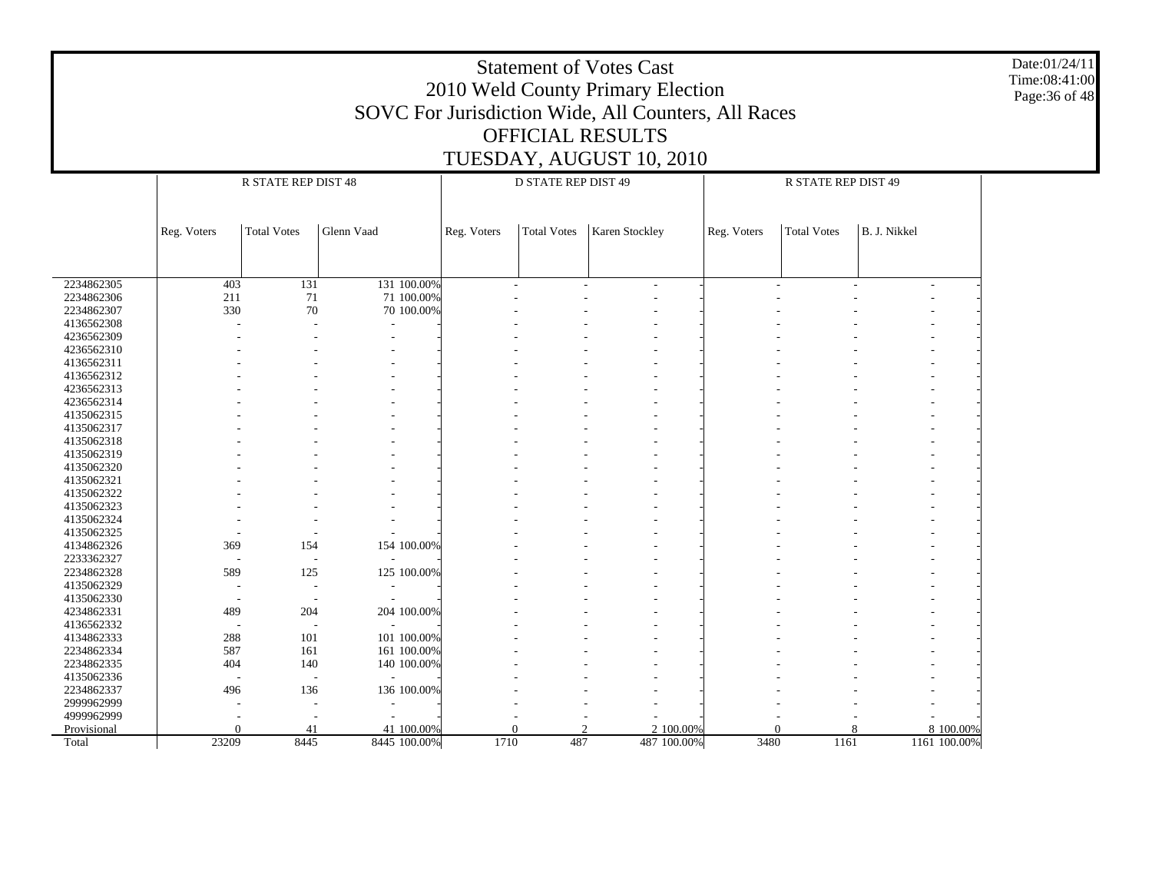|                          |                                                                                                                                                             | <b>Statement of Votes Cast</b><br>2010 Weld County Primary Election<br>SOVC For Jurisdiction Wide, All Counters, All Races<br>OFFICIAL RESULTS<br>TUESDAY, AUGUST 10, 2010 |              |      |     |  |             |      |          |   |              |  |  |  |  |
|--------------------------|-------------------------------------------------------------------------------------------------------------------------------------------------------------|----------------------------------------------------------------------------------------------------------------------------------------------------------------------------|--------------|------|-----|--|-------------|------|----------|---|--------------|--|--|--|--|
|                          |                                                                                                                                                             | R STATE REP DIST 48<br><b>D STATE REP DIST 49</b><br>R STATE REP DIST 49                                                                                                   |              |      |     |  |             |      |          |   |              |  |  |  |  |
|                          |                                                                                                                                                             |                                                                                                                                                                            |              |      |     |  |             |      |          |   |              |  |  |  |  |
|                          | Glenn Vaad<br>Karen Stockley<br>B. J. Nikkel<br>Reg. Voters<br><b>Total Votes</b><br>Reg. Voters<br><b>Total Votes</b><br>Reg. Voters<br><b>Total Votes</b> |                                                                                                                                                                            |              |      |     |  |             |      |          |   |              |  |  |  |  |
|                          |                                                                                                                                                             |                                                                                                                                                                            |              |      |     |  |             |      |          |   |              |  |  |  |  |
| 2234862305               | 403<br>131<br>131 100.00%                                                                                                                                   |                                                                                                                                                                            |              |      |     |  |             |      |          |   |              |  |  |  |  |
| 2234862306               | 211                                                                                                                                                         | 71                                                                                                                                                                         | 71 100.00%   |      |     |  |             |      |          |   |              |  |  |  |  |
| 2234862307               | 330                                                                                                                                                         | 70                                                                                                                                                                         | 70 100.00%   |      |     |  |             |      |          |   |              |  |  |  |  |
| 4136562308               |                                                                                                                                                             |                                                                                                                                                                            |              |      |     |  |             |      |          |   |              |  |  |  |  |
| 4236562309               |                                                                                                                                                             |                                                                                                                                                                            |              |      |     |  |             |      |          |   |              |  |  |  |  |
| 4236562310               |                                                                                                                                                             |                                                                                                                                                                            |              |      |     |  |             |      |          |   |              |  |  |  |  |
| 4136562311               |                                                                                                                                                             |                                                                                                                                                                            |              |      |     |  |             |      |          |   |              |  |  |  |  |
| 4136562312               |                                                                                                                                                             |                                                                                                                                                                            |              |      |     |  |             |      |          |   |              |  |  |  |  |
| 4236562313               |                                                                                                                                                             |                                                                                                                                                                            |              |      |     |  |             |      |          |   |              |  |  |  |  |
| 4236562314               |                                                                                                                                                             |                                                                                                                                                                            |              |      |     |  |             |      |          |   |              |  |  |  |  |
| 4135062315               |                                                                                                                                                             |                                                                                                                                                                            |              |      |     |  |             |      |          |   |              |  |  |  |  |
| 4135062317<br>4135062318 |                                                                                                                                                             |                                                                                                                                                                            |              |      |     |  |             |      |          |   |              |  |  |  |  |
| 4135062319               |                                                                                                                                                             |                                                                                                                                                                            |              |      |     |  |             |      |          |   |              |  |  |  |  |
| 4135062320               |                                                                                                                                                             |                                                                                                                                                                            |              |      |     |  |             |      |          |   |              |  |  |  |  |
| 4135062321               |                                                                                                                                                             |                                                                                                                                                                            |              |      |     |  |             |      |          |   |              |  |  |  |  |
| 4135062322               |                                                                                                                                                             |                                                                                                                                                                            |              |      |     |  |             |      |          |   |              |  |  |  |  |
| 4135062323               |                                                                                                                                                             |                                                                                                                                                                            |              |      |     |  |             |      |          |   |              |  |  |  |  |
| 4135062324               |                                                                                                                                                             |                                                                                                                                                                            |              |      |     |  |             |      |          |   |              |  |  |  |  |
| 4135062325               |                                                                                                                                                             |                                                                                                                                                                            |              |      |     |  |             |      |          |   |              |  |  |  |  |
| 4134862326               | 369                                                                                                                                                         | 154                                                                                                                                                                        | 154 100.00%  |      |     |  |             |      |          |   |              |  |  |  |  |
| 2233362327               |                                                                                                                                                             |                                                                                                                                                                            |              |      |     |  |             |      |          |   |              |  |  |  |  |
| 2234862328               | 589                                                                                                                                                         | 125                                                                                                                                                                        | 125 100.00%  |      |     |  |             |      |          |   |              |  |  |  |  |
| 4135062329               |                                                                                                                                                             |                                                                                                                                                                            |              |      |     |  |             |      |          |   |              |  |  |  |  |
| 4135062330               |                                                                                                                                                             |                                                                                                                                                                            |              |      |     |  |             |      |          |   |              |  |  |  |  |
| 4234862331               | 489                                                                                                                                                         | 204                                                                                                                                                                        | 204 100.00%  |      |     |  |             |      |          |   |              |  |  |  |  |
| 4136562332               |                                                                                                                                                             |                                                                                                                                                                            |              |      |     |  |             |      |          |   |              |  |  |  |  |
| 4134862333               | 288<br>101<br>101 100.00%                                                                                                                                   |                                                                                                                                                                            |              |      |     |  |             |      |          |   |              |  |  |  |  |
| 2234862334               | 587<br>161<br>161 100.00%                                                                                                                                   |                                                                                                                                                                            |              |      |     |  |             |      |          |   |              |  |  |  |  |
| 2234862335               | 404<br>140<br>140 100.00%                                                                                                                                   |                                                                                                                                                                            |              |      |     |  |             |      |          |   |              |  |  |  |  |
| 4135062336               | 496<br>136                                                                                                                                                  |                                                                                                                                                                            |              |      |     |  |             |      |          |   |              |  |  |  |  |
| 2234862337<br>2999962999 |                                                                                                                                                             |                                                                                                                                                                            | 136 100.00%  |      |     |  |             |      |          |   |              |  |  |  |  |
| 4999962999               |                                                                                                                                                             |                                                                                                                                                                            |              |      |     |  |             |      |          |   |              |  |  |  |  |
| Provisional              | $\Omega$                                                                                                                                                    | 41                                                                                                                                                                         | 41 100.00%   |      |     |  | 2 100.00%   |      | $\Omega$ | 8 | 8 100.00%    |  |  |  |  |
| Total                    | 23209                                                                                                                                                       | 8445                                                                                                                                                                       | 8445 100.00% | 1710 | 487 |  | 487 100.00% | 3480 | 1161     |   | 1161 100.00% |  |  |  |  |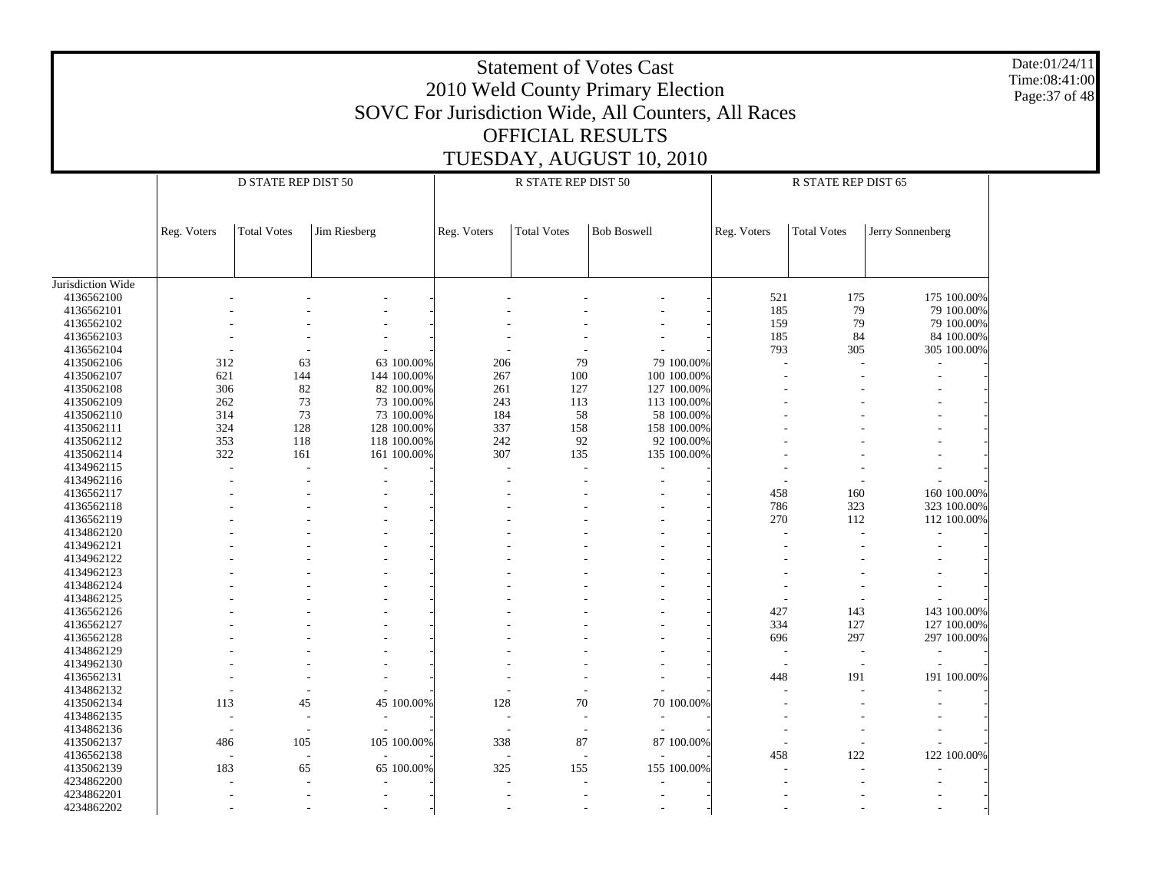|                          |                                                                                                                                                                       |                                                                   |                          |                          |     | <b>Statement of Votes Cast</b><br>2010 Weld County Primary Election |                          |             |            |                          |                          | Date:01/24/11<br>Time:08:41:00<br>Page: 37 of 48 |  |  |  |
|--------------------------|-----------------------------------------------------------------------------------------------------------------------------------------------------------------------|-------------------------------------------------------------------|--------------------------|--------------------------|-----|---------------------------------------------------------------------|--------------------------|-------------|------------|--------------------------|--------------------------|--------------------------------------------------|--|--|--|
|                          |                                                                                                                                                                       |                                                                   |                          |                          |     | SOVC For Jurisdiction Wide, All Counters, All Races                 |                          |             |            |                          |                          |                                                  |  |  |  |
|                          |                                                                                                                                                                       |                                                                   |                          |                          |     |                                                                     |                          |             |            |                          |                          |                                                  |  |  |  |
|                          |                                                                                                                                                                       |                                                                   |                          |                          |     | OFFICIAL RESULTS                                                    |                          |             |            |                          |                          |                                                  |  |  |  |
|                          |                                                                                                                                                                       |                                                                   |                          |                          |     |                                                                     |                          |             |            |                          |                          |                                                  |  |  |  |
|                          |                                                                                                                                                                       | TUESDAY, AUGUST 10, 2010                                          |                          |                          |     |                                                                     |                          |             |            |                          |                          |                                                  |  |  |  |
|                          |                                                                                                                                                                       | D STATE REP DIST 50<br>R STATE REP DIST 50<br>R STATE REP DIST 65 |                          |                          |     |                                                                     |                          |             |            |                          |                          |                                                  |  |  |  |
|                          |                                                                                                                                                                       |                                                                   |                          |                          |     |                                                                     |                          |             |            |                          |                          |                                                  |  |  |  |
|                          |                                                                                                                                                                       |                                                                   |                          |                          |     |                                                                     |                          |             |            |                          |                          |                                                  |  |  |  |
|                          | <b>Total Votes</b><br>Jim Riesberg<br><b>Total Votes</b><br><b>Bob Boswell</b><br><b>Total Votes</b><br>Jerry Sonnenberg<br>Reg. Voters<br>Reg. Voters<br>Reg. Voters |                                                                   |                          |                          |     |                                                                     |                          |             |            |                          |                          |                                                  |  |  |  |
|                          |                                                                                                                                                                       |                                                                   |                          |                          |     |                                                                     |                          |             |            |                          |                          |                                                  |  |  |  |
|                          |                                                                                                                                                                       |                                                                   |                          |                          |     |                                                                     |                          |             |            |                          |                          |                                                  |  |  |  |
|                          |                                                                                                                                                                       |                                                                   |                          |                          |     |                                                                     |                          |             |            |                          |                          |                                                  |  |  |  |
| Jurisdiction Wide        |                                                                                                                                                                       |                                                                   |                          |                          |     |                                                                     |                          |             |            |                          |                          |                                                  |  |  |  |
| 4136562100               |                                                                                                                                                                       |                                                                   |                          |                          |     |                                                                     |                          |             | 521        | 175                      | 175 100.00%              |                                                  |  |  |  |
| 4136562101               |                                                                                                                                                                       |                                                                   |                          |                          |     |                                                                     |                          |             | 185        | 79                       | 79 100.00%               |                                                  |  |  |  |
| 4136562102<br>4136562103 |                                                                                                                                                                       |                                                                   |                          |                          |     |                                                                     |                          |             | 159<br>185 | 79<br>84                 | 79 100.00%<br>84 100.00% |                                                  |  |  |  |
| 4136562104               |                                                                                                                                                                       |                                                                   |                          |                          |     |                                                                     |                          |             | 793        | 305                      | 305 100.00%              |                                                  |  |  |  |
| 4135062106               | 312                                                                                                                                                                   |                                                                   | 63                       | 63 100.00%               | 206 | 79                                                                  |                          | 79 100.00%  |            |                          |                          |                                                  |  |  |  |
| 4135062107               | 621                                                                                                                                                                   |                                                                   | 144                      | 144 100.00%              | 267 | 100                                                                 |                          | 100 100 00% |            |                          |                          |                                                  |  |  |  |
| 4135062108               | 306                                                                                                                                                                   |                                                                   | 82                       | 82 100.00%               | 261 | 127                                                                 |                          | 127 100.00% |            |                          |                          |                                                  |  |  |  |
| 4135062109               | 262                                                                                                                                                                   |                                                                   | 73                       | 73 100.00%               | 243 | 113                                                                 |                          | 113 100.00% |            |                          |                          |                                                  |  |  |  |
| 4135062110               | 314                                                                                                                                                                   |                                                                   | 73                       | 73 100.00%               | 184 | 58                                                                  |                          | 58 100.00%  |            |                          |                          |                                                  |  |  |  |
| 4135062111               | 324                                                                                                                                                                   | 128                                                               |                          | 128 100.00%              | 337 | 158                                                                 |                          | 158 100.00% |            |                          |                          |                                                  |  |  |  |
| 4135062112               | 353                                                                                                                                                                   | 118                                                               |                          | 118 100.00%              | 242 | 92                                                                  |                          | 92 100.00%  |            |                          |                          |                                                  |  |  |  |
| 4135062114               | 322                                                                                                                                                                   | 161                                                               |                          | 161 100.00%              | 307 | 135                                                                 |                          | 135 100.00% |            |                          |                          |                                                  |  |  |  |
| 4134962115               |                                                                                                                                                                       |                                                                   |                          |                          |     |                                                                     |                          |             |            |                          |                          |                                                  |  |  |  |
| 4134962116               |                                                                                                                                                                       |                                                                   |                          |                          |     |                                                                     |                          |             |            |                          |                          |                                                  |  |  |  |
| 4136562117               |                                                                                                                                                                       |                                                                   |                          |                          |     |                                                                     |                          |             | 458        | 160                      | 160 100.00%              |                                                  |  |  |  |
| 4136562118               |                                                                                                                                                                       |                                                                   |                          |                          |     |                                                                     |                          |             | 786        | 323                      | 323 100.00%              |                                                  |  |  |  |
| 4136562119               |                                                                                                                                                                       |                                                                   |                          |                          |     |                                                                     |                          |             | 270        | 112                      | 112 100.00%              |                                                  |  |  |  |
| 4134862120               |                                                                                                                                                                       |                                                                   |                          |                          |     |                                                                     |                          |             |            |                          |                          |                                                  |  |  |  |
| 4134962121               |                                                                                                                                                                       |                                                                   |                          |                          |     |                                                                     |                          |             |            |                          |                          |                                                  |  |  |  |
| 4134962122               |                                                                                                                                                                       |                                                                   |                          |                          |     |                                                                     |                          |             |            |                          |                          |                                                  |  |  |  |
| 4134962123               |                                                                                                                                                                       |                                                                   |                          |                          |     |                                                                     |                          |             |            |                          |                          |                                                  |  |  |  |
| 4134862124               |                                                                                                                                                                       |                                                                   |                          |                          |     |                                                                     |                          |             |            |                          |                          |                                                  |  |  |  |
| 4134862125<br>4136562126 |                                                                                                                                                                       |                                                                   |                          |                          |     |                                                                     |                          |             | 427        | 143                      | 143 100.00%              |                                                  |  |  |  |
| 4136562127               |                                                                                                                                                                       |                                                                   |                          |                          |     |                                                                     |                          |             | 334        | 127                      | 127 100.00%              |                                                  |  |  |  |
| 4136562128               |                                                                                                                                                                       |                                                                   |                          |                          |     |                                                                     |                          |             | 696        | 297                      | 297 100.00%              |                                                  |  |  |  |
| 4134862129               |                                                                                                                                                                       |                                                                   |                          |                          |     |                                                                     |                          |             |            |                          |                          |                                                  |  |  |  |
| 4134962130               |                                                                                                                                                                       |                                                                   |                          |                          |     |                                                                     |                          |             |            | $\overline{a}$           |                          |                                                  |  |  |  |
| 4136562131               |                                                                                                                                                                       |                                                                   |                          |                          |     |                                                                     |                          |             | 448        | 191                      | 191 100.00%              |                                                  |  |  |  |
| 4134862132               |                                                                                                                                                                       |                                                                   |                          |                          |     |                                                                     |                          |             |            |                          |                          |                                                  |  |  |  |
| 4135062134               | 113                                                                                                                                                                   |                                                                   | 45                       | 45 100.00%               | 128 | 70                                                                  |                          | 70 100.00%  |            | $\overline{\phantom{a}}$ | $\overline{\phantom{a}}$ |                                                  |  |  |  |
| 4134862135               |                                                                                                                                                                       | $\overline{\phantom{a}}$                                          | $\overline{\phantom{a}}$ | $\sim$                   |     | $\sim$<br>$\sim$                                                    |                          | $\sim$      |            |                          | $\overline{\phantom{a}}$ |                                                  |  |  |  |
| 4134862136               |                                                                                                                                                                       | $\overline{\phantom{a}}$                                          | $\overline{\phantom{a}}$ | $\sim$                   |     | $\sim$<br>$\overline{\phantom{a}}$                                  | $\overline{\phantom{a}}$ |             |            | $\overline{\phantom{a}}$ |                          |                                                  |  |  |  |
| 4135062137               | 486                                                                                                                                                                   | 105                                                               |                          | 105 100.00%              | 338 | 87                                                                  |                          | 87 100.00%  |            | $\overline{\phantom{a}}$ |                          |                                                  |  |  |  |
| 4136562138               |                                                                                                                                                                       | $\overline{\phantom{a}}$                                          | $\overline{\phantom{a}}$ | $\overline{\phantom{a}}$ |     | $\overline{\phantom{a}}$<br>$\overline{\phantom{a}}$                | $\overline{\phantom{a}}$ |             | 458        | 122                      | 122 100.00%              |                                                  |  |  |  |
| 4135062139               | 183                                                                                                                                                                   |                                                                   | 65                       | 65 100.00%               | 325 | 155                                                                 |                          | 155 100.00% |            | $\overline{\phantom{a}}$ |                          |                                                  |  |  |  |
| 4234862200               |                                                                                                                                                                       |                                                                   |                          |                          |     | $\overline{\phantom{a}}$                                            |                          |             |            | $\overline{\phantom{a}}$ | $\overline{\phantom{a}}$ |                                                  |  |  |  |
| 4234862201               |                                                                                                                                                                       |                                                                   | $\sim$                   |                          |     | $\overline{\phantom{a}}$<br>$\sim$                                  | $\sim$                   |             |            | $\overline{\phantom{a}}$ |                          |                                                  |  |  |  |
| 4234862202               |                                                                                                                                                                       |                                                                   | $\sim$                   |                          |     | $\sim$                                                              |                          |             |            | $\overline{\phantom{a}}$ |                          |                                                  |  |  |  |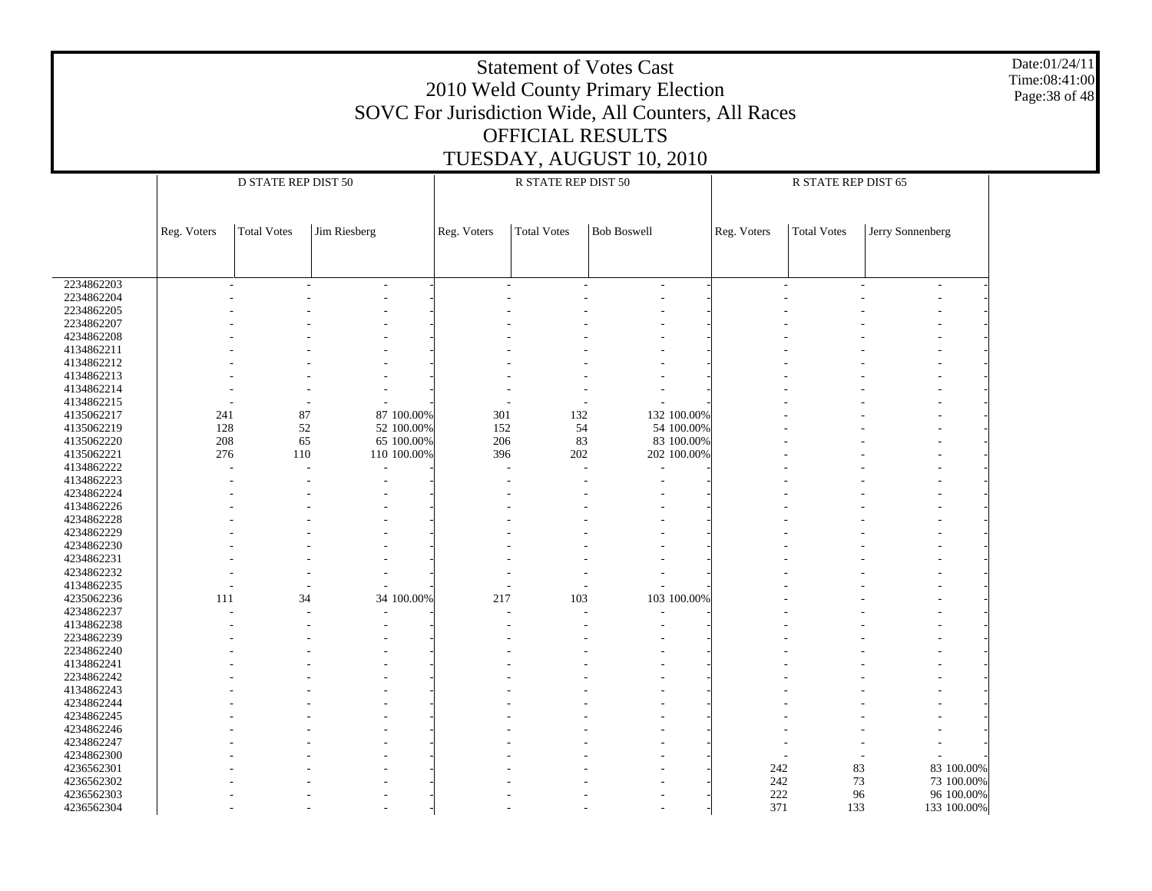|                          | <b>Statement of Votes Cast</b><br>2010 Weld County Primary Election<br>SOVC For Jurisdiction Wide, All Counters, All Races<br>OFFICIAL RESULTS<br>TUESDAY, AUGUST 10, 2010 |                     |              |             |                     |                    |  |                |                     |                                        | Date:01/24/11<br>Time:08:41:00<br>Page: 38 of 48 |
|--------------------------|----------------------------------------------------------------------------------------------------------------------------------------------------------------------------|---------------------|--------------|-------------|---------------------|--------------------|--|----------------|---------------------|----------------------------------------|--------------------------------------------------|
|                          |                                                                                                                                                                            | D STATE REP DIST 50 |              |             | R STATE REP DIST 50 |                    |  |                | R STATE REP DIST 65 |                                        |                                                  |
|                          |                                                                                                                                                                            |                     |              |             |                     |                    |  |                |                     |                                        |                                                  |
|                          | Reg. Voters                                                                                                                                                                | <b>Total Votes</b>  | Jim Riesberg | Reg. Voters | <b>Total Votes</b>  | <b>Bob Boswell</b> |  | Reg. Voters    | <b>Total Votes</b>  | Jerry Sonnenberg                       |                                                  |
|                          |                                                                                                                                                                            |                     |              |             |                     |                    |  |                |                     |                                        |                                                  |
| 2234862203               |                                                                                                                                                                            |                     |              |             |                     |                    |  |                |                     |                                        |                                                  |
| 2234862204               |                                                                                                                                                                            |                     |              |             |                     |                    |  |                |                     |                                        |                                                  |
| 2234862205               |                                                                                                                                                                            |                     |              |             |                     |                    |  |                |                     |                                        |                                                  |
| 2234862207               |                                                                                                                                                                            |                     |              |             |                     |                    |  |                |                     |                                        |                                                  |
| 4234862208               |                                                                                                                                                                            |                     |              |             |                     |                    |  |                |                     |                                        |                                                  |
| 4134862211               |                                                                                                                                                                            |                     |              |             |                     |                    |  |                |                     |                                        |                                                  |
| 4134862212               |                                                                                                                                                                            |                     |              |             |                     |                    |  |                |                     |                                        |                                                  |
| 4134862213               |                                                                                                                                                                            |                     |              |             |                     |                    |  |                |                     |                                        |                                                  |
| 4134862214<br>4134862215 |                                                                                                                                                                            |                     |              |             |                     |                    |  |                |                     |                                        |                                                  |
| 4135062217               | 241                                                                                                                                                                        | 87                  | 87 100.00%   | 301         | 132                 | 132 100.00%        |  |                |                     |                                        |                                                  |
| 4135062219               | 128                                                                                                                                                                        | 52                  | 52 100.00%   | 152         | 54                  | 54 100.00%         |  |                |                     |                                        |                                                  |
| 4135062220               | 208                                                                                                                                                                        | 65                  | 65 100.00%   | 206         | 83                  | 83 100.00%         |  |                |                     |                                        |                                                  |
| 4135062221               | 276                                                                                                                                                                        | 110                 | 110 100.00%  | 396         | 202                 | 202 100.00%        |  |                |                     |                                        |                                                  |
| 4134862222               |                                                                                                                                                                            |                     |              |             |                     |                    |  |                |                     |                                        |                                                  |
| 4134862223               |                                                                                                                                                                            |                     |              |             |                     |                    |  |                |                     |                                        |                                                  |
| 4234862224               |                                                                                                                                                                            |                     |              |             |                     |                    |  |                |                     |                                        |                                                  |
| 4134862226               |                                                                                                                                                                            |                     |              |             |                     |                    |  |                |                     |                                        |                                                  |
| 4234862228               |                                                                                                                                                                            |                     |              |             |                     |                    |  |                |                     |                                        |                                                  |
| 4234862229               |                                                                                                                                                                            |                     |              |             |                     |                    |  |                |                     |                                        |                                                  |
| 4234862230               |                                                                                                                                                                            |                     |              |             |                     |                    |  |                |                     |                                        |                                                  |
| 4234862231               |                                                                                                                                                                            |                     |              |             |                     |                    |  |                |                     |                                        |                                                  |
| 4234862232               |                                                                                                                                                                            |                     |              |             |                     |                    |  |                |                     |                                        |                                                  |
| 4134862235               |                                                                                                                                                                            |                     |              |             |                     |                    |  |                |                     |                                        |                                                  |
| 4235062236               | 111                                                                                                                                                                        | 34                  | 34 100.00%   | 217         | 103                 | 103 100.00%        |  |                |                     |                                        |                                                  |
| 4234862237               |                                                                                                                                                                            |                     |              |             |                     |                    |  |                |                     |                                        |                                                  |
| 4134862238               |                                                                                                                                                                            |                     |              |             |                     |                    |  |                |                     |                                        |                                                  |
| 2234862239               |                                                                                                                                                                            |                     |              |             |                     |                    |  |                |                     |                                        |                                                  |
| 2234862240               |                                                                                                                                                                            |                     |              |             |                     |                    |  |                |                     |                                        |                                                  |
| 4134862241               |                                                                                                                                                                            |                     |              |             |                     |                    |  |                |                     |                                        |                                                  |
| 2234862242               |                                                                                                                                                                            |                     |              |             |                     |                    |  |                |                     |                                        |                                                  |
| 4134862243               |                                                                                                                                                                            |                     |              |             |                     |                    |  |                |                     |                                        |                                                  |
| 4234862244               |                                                                                                                                                                            |                     |              |             |                     |                    |  |                |                     |                                        |                                                  |
| 4234862245               |                                                                                                                                                                            |                     |              |             |                     |                    |  |                |                     |                                        |                                                  |
| 4234862246               |                                                                                                                                                                            |                     |              |             |                     |                    |  |                |                     |                                        |                                                  |
| 4234862247               |                                                                                                                                                                            |                     |              |             |                     |                    |  |                |                     |                                        |                                                  |
| 4234862300               |                                                                                                                                                                            |                     |              |             |                     |                    |  |                |                     |                                        |                                                  |
| 4236562301               |                                                                                                                                                                            |                     |              |             |                     |                    |  | 242            |                     | 83<br>83 100.00%                       |                                                  |
| 4236562302               |                                                                                                                                                                            |                     |              |             |                     |                    |  | 242            |                     | $73\,$<br>73 100.00%                   |                                                  |
| 4236562303<br>4236562304 |                                                                                                                                                                            |                     |              |             |                     |                    |  | $222\,$<br>371 |                     | 96<br>96 100.00%<br>133<br>133 100.00% |                                                  |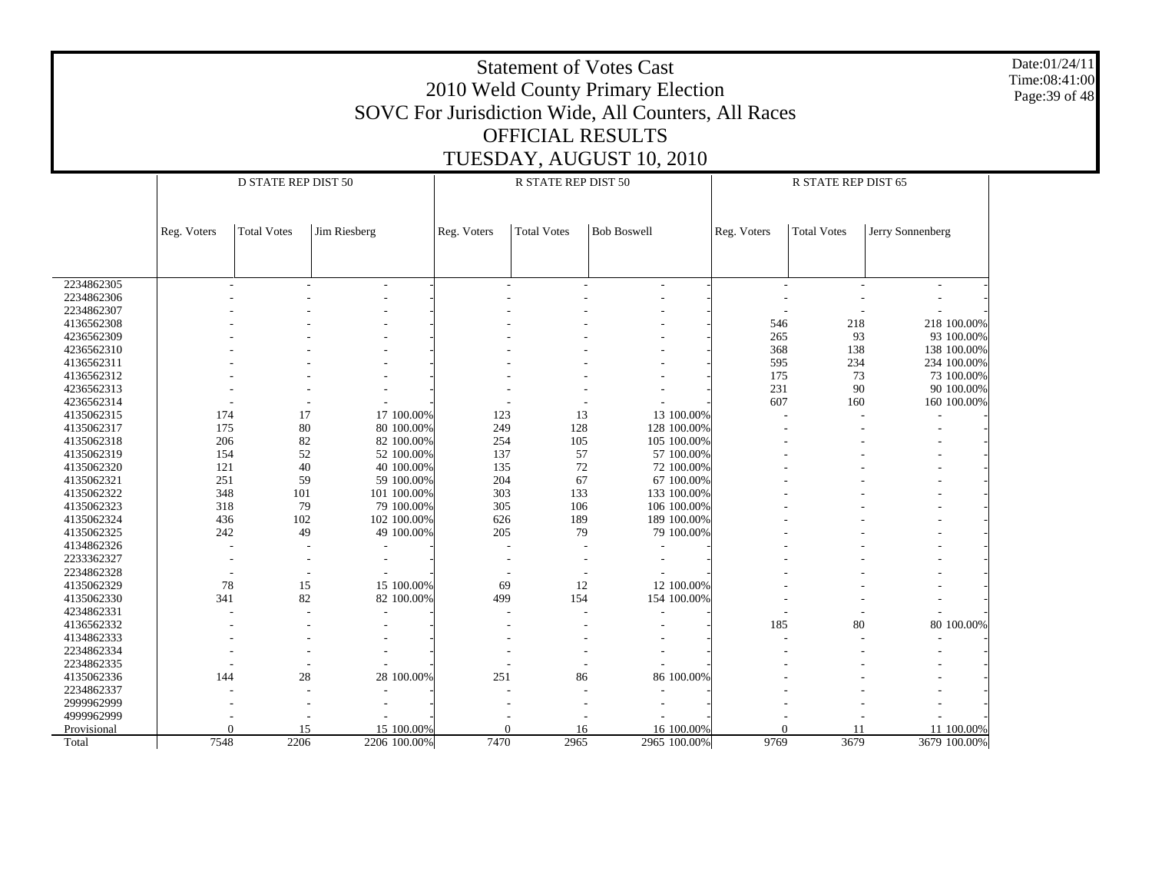|                           | <b>Statement of Votes Cast</b><br>2010 Weld County Primary Election<br>SOVC For Jurisdiction Wide, All Counters, All Races<br><b>OFFICIAL RESULTS</b><br>TUESDAY, AUGUST 10, 2010 |                     |                          |             |                     |                    |                           |             |                     |                  |  |  |
|---------------------------|-----------------------------------------------------------------------------------------------------------------------------------------------------------------------------------|---------------------|--------------------------|-------------|---------------------|--------------------|---------------------------|-------------|---------------------|------------------|--|--|
|                           |                                                                                                                                                                                   | D STATE REP DIST 50 |                          |             | R STATE REP DIST 50 |                    |                           |             | R STATE REP DIST 65 |                  |  |  |
|                           |                                                                                                                                                                                   |                     |                          |             |                     |                    |                           |             |                     |                  |  |  |
|                           | Reg. Voters                                                                                                                                                                       | <b>Total Votes</b>  | Jim Riesberg             | Reg. Voters | <b>Total Votes</b>  | <b>Bob Boswell</b> |                           | Reg. Voters | <b>Total Votes</b>  | Jerry Sonnenberg |  |  |
|                           |                                                                                                                                                                                   |                     |                          |             |                     |                    |                           |             |                     |                  |  |  |
| 2234862305                |                                                                                                                                                                                   |                     |                          |             |                     |                    |                           |             |                     |                  |  |  |
| 2234862306                |                                                                                                                                                                                   |                     |                          |             |                     |                    |                           |             |                     |                  |  |  |
| 2234862307<br>4136562308  |                                                                                                                                                                                   |                     |                          |             |                     |                    |                           | 546         | 218                 | 218 100.00%      |  |  |
| 4236562309                |                                                                                                                                                                                   |                     |                          |             |                     |                    |                           | 265         | 93                  | 93 100.00%       |  |  |
| 4236562310                |                                                                                                                                                                                   |                     |                          |             |                     |                    |                           | 368         | 138                 | 138 100.00%      |  |  |
| 4136562311                |                                                                                                                                                                                   |                     |                          |             |                     |                    |                           | 595         | 234                 | 234 100.00%      |  |  |
| 4136562312                |                                                                                                                                                                                   |                     |                          |             |                     |                    |                           | 175         | 73                  | 73 100.00%       |  |  |
| 4236562313                |                                                                                                                                                                                   |                     |                          |             |                     |                    |                           | 231         | 90                  | 90 100.00%       |  |  |
| 4236562314                |                                                                                                                                                                                   |                     |                          |             |                     |                    |                           | 607         | 160                 | 160 100.00%      |  |  |
| 4135062315<br>4135062317  | 174<br>175                                                                                                                                                                        | 17<br>80            | 17 100.00%<br>80 100.00% | 123<br>249  | 13<br>128           |                    | 13 100.00%<br>128 100.00% |             |                     |                  |  |  |
| 4135062318                | 206                                                                                                                                                                               | 82                  | 82 100.00%               | 254         | 105                 |                    | 105 100.00%               |             |                     |                  |  |  |
| 4135062319                | 154                                                                                                                                                                               | 52                  | 52 100.00%               | 137         | 57                  |                    | 57 100.00%                |             |                     |                  |  |  |
| 4135062320                | 121                                                                                                                                                                               | 40                  | 40 100.00%               | 135         | 72                  |                    | 72 100.00%                |             |                     |                  |  |  |
| 4135062321                | 251                                                                                                                                                                               | 59                  | 59 100.00%               | 204         | 67                  |                    | 67 100.00%                |             |                     |                  |  |  |
| 4135062322                | 348                                                                                                                                                                               | 101                 | 101 100.00%              | 303         | 133                 |                    | 133 100.00%               |             |                     |                  |  |  |
| 4135062323                | 318                                                                                                                                                                               | 79                  | 79 100.00%               | 305         | 106                 |                    | 106 100,00%               |             |                     |                  |  |  |
| 4135062324                | 436                                                                                                                                                                               | 102                 | 102 100.00%              | 626         | 189                 |                    | 189 100.00%               |             |                     |                  |  |  |
| 4135062325                | 242                                                                                                                                                                               | 49                  | 49 100.00%               | 205         | 79                  |                    | 79 100.00%                |             |                     |                  |  |  |
| 4134862326<br>2233362327  |                                                                                                                                                                                   |                     |                          |             |                     |                    |                           |             |                     |                  |  |  |
| 2234862328                |                                                                                                                                                                                   |                     |                          |             |                     |                    |                           |             |                     |                  |  |  |
| 4135062329                | 78                                                                                                                                                                                | 15                  | 15 100.00%               | 69          | 12                  |                    | 12 100.00%                |             |                     |                  |  |  |
| 4135062330                | 341                                                                                                                                                                               | 82                  | 82 100.00%               | 499         | 154                 |                    | 154 100.00%               |             |                     |                  |  |  |
| 4234862331                |                                                                                                                                                                                   |                     |                          |             |                     |                    |                           |             |                     |                  |  |  |
| 4136562332                |                                                                                                                                                                                   |                     |                          |             |                     |                    |                           | 185         | 80                  | 80 100.00%       |  |  |
| 4134862333                |                                                                                                                                                                                   |                     |                          |             |                     |                    |                           |             |                     |                  |  |  |
| 2234862334                |                                                                                                                                                                                   |                     |                          |             |                     |                    |                           |             |                     |                  |  |  |
| 2234862335                |                                                                                                                                                                                   |                     |                          |             |                     |                    |                           |             |                     |                  |  |  |
|                           |                                                                                                                                                                                   |                     |                          |             | 86                  |                    | 86 100.00%                |             |                     |                  |  |  |
| 4135062336                | 144                                                                                                                                                                               | 28                  | 28 100.00%               | 251         |                     |                    |                           |             |                     |                  |  |  |
| 2234862337                |                                                                                                                                                                                   |                     |                          |             |                     |                    |                           |             |                     |                  |  |  |
| 2999962999                |                                                                                                                                                                                   |                     |                          |             |                     |                    |                           |             |                     |                  |  |  |
| 4999962999<br>Provisional | $\Omega$                                                                                                                                                                          | 15                  | 15 100.00%               | $\Omega$    | 16                  |                    | 16 100.00%                | $\Omega$    | 11                  | 11 100.00%       |  |  |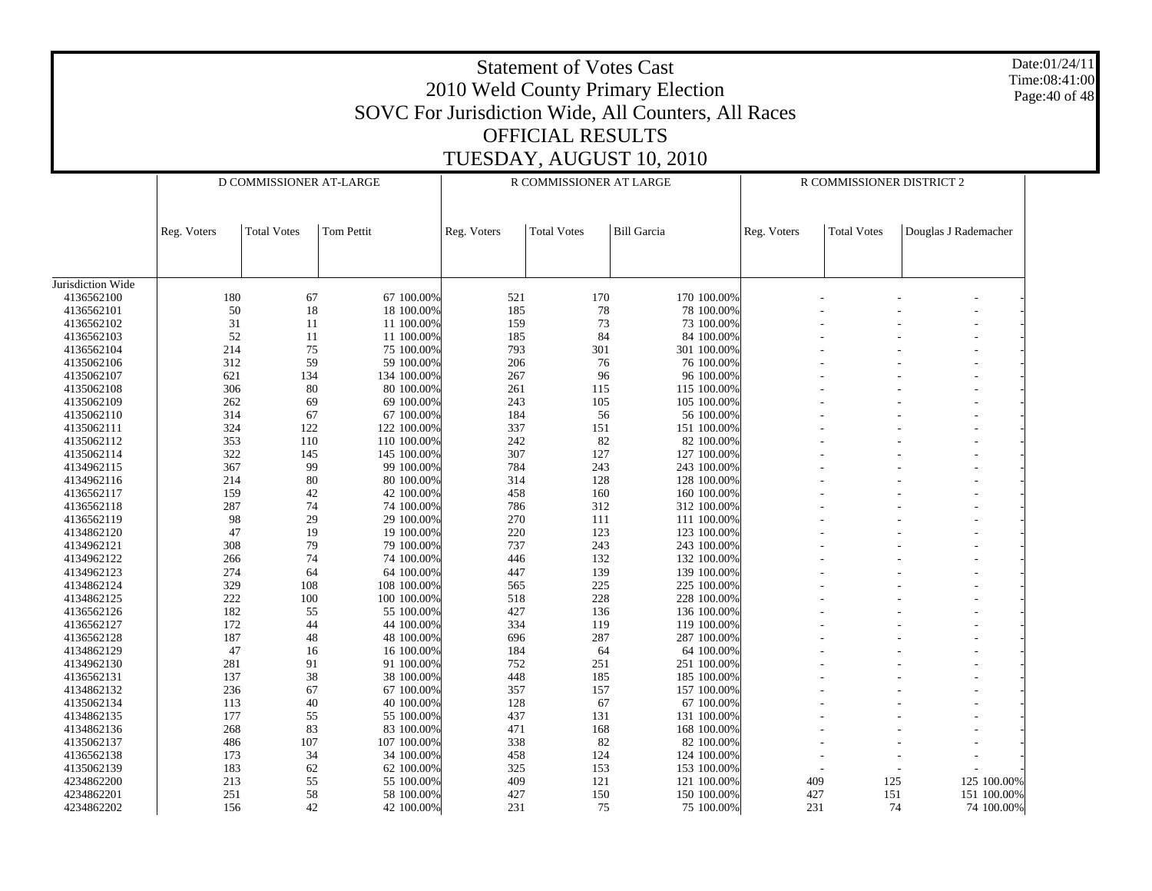|                          |             |                         |                          |             | <b>Statement of Votes Cast</b><br><b>OFFICIAL RESULTS</b> | 2010 Weld County Primary Election<br>SOVC For Jurisdiction Wide, All Counters, All Races |             |                           |                      | Date:01/24/11<br>Time:08:41:00<br>Page: 40 of 48 |
|--------------------------|-------------|-------------------------|--------------------------|-------------|-----------------------------------------------------------|------------------------------------------------------------------------------------------|-------------|---------------------------|----------------------|--------------------------------------------------|
|                          |             |                         |                          |             |                                                           | TUESDAY, AUGUST 10, 2010                                                                 |             |                           |                      |                                                  |
|                          |             | D COMMISSIONER AT-LARGE |                          |             | R COMMISSIONER AT LARGE                                   |                                                                                          |             | R COMMISSIONER DISTRICT 2 |                      |                                                  |
|                          | Reg. Voters | <b>Total Votes</b>      | Tom Pettit               | Reg. Voters | <b>Total Votes</b>                                        | <b>Bill Garcia</b>                                                                       | Reg. Voters | <b>Total Votes</b>        | Douglas J Rademacher |                                                  |
|                          |             |                         |                          |             |                                                           |                                                                                          |             |                           |                      |                                                  |
| Jurisdiction Wide        |             |                         |                          |             |                                                           |                                                                                          |             |                           |                      |                                                  |
| 4136562100               | 180         | 67                      | 67 100.00%               | 521         | 170                                                       | 170 100.00%                                                                              |             |                           |                      |                                                  |
| 4136562101               | 50          | 18                      | 18 100.00%               | 185         | 78                                                        | 78 100.00%                                                                               |             |                           |                      |                                                  |
| 4136562102               | 31          | 11                      | 11 100.00%               | 159         | 73                                                        | 73 100.00%                                                                               |             |                           |                      |                                                  |
| 4136562103               | 52          | 11                      | 11 100.00%               | 185         | 84                                                        | 84 100.00%                                                                               |             |                           |                      |                                                  |
| 4136562104               | 214         | 75                      | 75 100.00%               | 793         | 301                                                       | 301 100.00%                                                                              |             |                           |                      |                                                  |
| 4135062106               | 312         | 59                      | 59 100.00%               | 206         | 76                                                        | 76 100.00%                                                                               |             |                           |                      |                                                  |
| 4135062107               | 621         | 134                     | 134 100.00%              | 267         | 96                                                        | 96 100.00%                                                                               |             |                           |                      |                                                  |
| 4135062108               | 306         | 80                      | 80 100.00%               | 261         | 115                                                       | 115 100.00%                                                                              |             |                           |                      |                                                  |
| 4135062109               | 262         | 69                      | 69 100.00%               | 243         | 105                                                       | 105 100,00%                                                                              |             |                           |                      |                                                  |
| 4135062110               | 314         | 67                      | 67 100.00%               | 184         | 56                                                        | 56 100.00%                                                                               |             |                           |                      |                                                  |
| 4135062111               | 324         | 122                     | 122 100.00%              | 337         | 151                                                       | 151 100.00%                                                                              |             |                           |                      |                                                  |
| 4135062112               | 353<br>322  | 110                     | 110 100.00%              | 242         | 82                                                        | 82 100.00%                                                                               |             |                           |                      |                                                  |
| 4135062114               |             | 145                     | 145 100.00%              | 307         | 127                                                       | 127 100.00%                                                                              |             |                           |                      |                                                  |
| 4134962115               | 367         | 99                      | 99 100.00%               | 784         | 243                                                       | 243 100.00%                                                                              |             |                           |                      |                                                  |
| 4134962116<br>4136562117 | 214<br>159  | 80                      | 80 100.00%               | 314<br>458  | 128                                                       | 128 100.00%<br>160 100.00%                                                               |             |                           |                      |                                                  |
| 4136562118               | 287         | 42<br>74                | 42 100.00%<br>74 100.00% | 786         | 160<br>312                                                | 312 100.00%                                                                              |             |                           |                      |                                                  |
|                          | 98          | 29                      |                          | 270         |                                                           |                                                                                          |             |                           |                      |                                                  |
| 4136562119<br>4134862120 | 47          | 19                      | 29 100.00%<br>19 100.00% | 220         | 111<br>123                                                | 111 100.00%<br>123 100.00%                                                               |             |                           |                      |                                                  |
| 4134962121               | 308         | 79                      | 79 100.00%               | 737         | 243                                                       | 243 100.00%                                                                              |             |                           |                      |                                                  |
| 4134962122               | 266         | 74                      | 74 100.00%               | 446         | 132                                                       | 132 100.00%                                                                              |             |                           |                      |                                                  |
| 4134962123               | 274         | 64                      | 64 100.00%               | 447         | 139                                                       | 139 100.00%                                                                              |             |                           |                      |                                                  |
| 4134862124               | 329         | 108                     | 108 100.00%              | 565         | 225                                                       | 225 100.00%                                                                              |             |                           |                      |                                                  |
| 4134862125               | 222         | 100                     | 100 100.00%              | 518         | 228                                                       | 228 100.00%                                                                              |             |                           |                      |                                                  |
| 4136562126               | 182         | 55                      | 55 100.00%               | 427         | 136                                                       | 136 100.00%                                                                              |             |                           |                      |                                                  |
| 4136562127               | 172         | 44                      | 44 100.00%               | 334         | 119                                                       | 119 100.00%                                                                              |             |                           |                      |                                                  |
| 4136562128               | 187         | 48                      | 48 100.00%               | 696         | 287                                                       | 287 100,00%                                                                              |             |                           |                      |                                                  |
| 4134862129               | 47          | 16                      | 16 100.00%               | 184         | 64                                                        | 64 100.00%                                                                               |             |                           |                      |                                                  |
| 4134962130               | 281         | 91                      | 91 100.00%               | 752         | 251                                                       | 251 100.00%                                                                              |             |                           |                      |                                                  |
| 4136562131               | 137         | 38                      | 38 100.00%               | 448         | 185                                                       | 185 100.00%                                                                              |             |                           |                      |                                                  |
| 4134862132               | 236         | 67                      | 67 100.00%               | 357         | 157                                                       | 157 100.00%                                                                              |             |                           |                      |                                                  |
| 4135062134               | 113         | 40                      | 40 100.00%               | 128         | 67                                                        | 67 100.00%                                                                               |             |                           |                      |                                                  |
| 4134862135               | 177         | 55                      | 55 100.00%               | 437         | 131                                                       | 131 100.00%                                                                              |             |                           |                      |                                                  |
| 4134862136               | 268         | 83                      | 83 100.00%               | 471         | 168                                                       | 168 100.00%                                                                              |             |                           |                      |                                                  |
| 4135062137               | 486         | 107                     | 107 100.00%              | 338         | 82                                                        | 82 100.00%                                                                               |             |                           |                      |                                                  |
| 4136562138               | 173         | 34                      | 34 100.00%               | 458         | 124                                                       | 124 100.00%                                                                              |             |                           |                      |                                                  |
| 4135062139               | 183         | 62                      | 62 100.00%               | 325         | 153                                                       | 153 100.00%                                                                              |             |                           |                      |                                                  |
| 4234862200               | 213         | 55                      | 55 100.00%               | 409         | 121                                                       | 121 100.00%                                                                              |             | 409                       | 125<br>125 100.00%   |                                                  |
| 4234862201               | 251         | 58                      | 58 100.00%               | 427         | 150                                                       | 150 100.00%                                                                              |             | 427                       | 151<br>151 100.00%   |                                                  |
| 4234862202               | 156         | 42                      | 42 100.00%               | 231         | 75                                                        | 75 100.00%                                                                               |             | 231                       | 74<br>74 100.00%     |                                                  |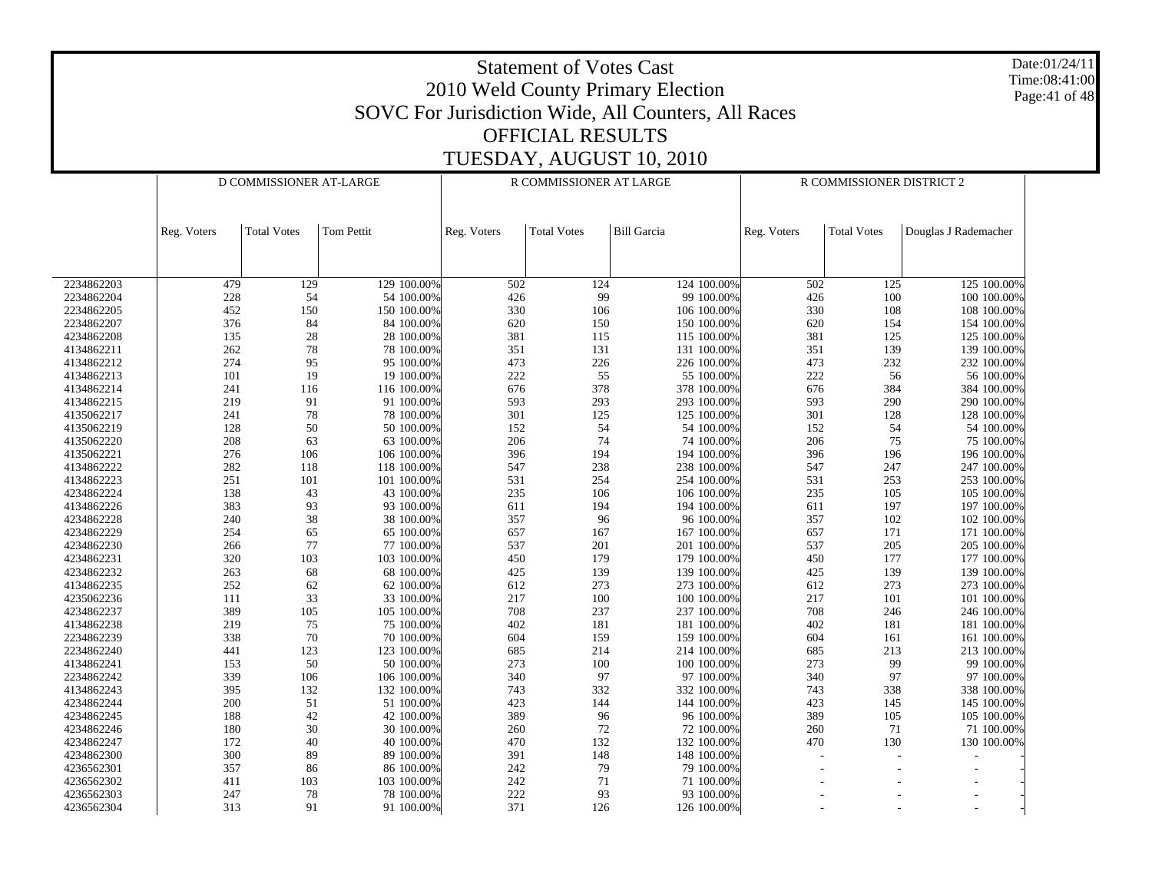Date:01/24/11 Time:08:41:00 Page:41 of 48

| <b>Bill Garcia</b><br><b>Total Votes</b><br>Tom Pettit<br><b>Total Votes</b><br><b>Total Votes</b><br>Douglas J Rademacher<br>Reg. Voters<br>Reg. Voters<br>Reg. Voters<br>2234862203<br>129 100.00%<br>502<br>124 100.00%<br>125 100.00%<br>479<br>129<br>124<br>502<br>125<br>99<br>228<br>54<br>426<br>100<br>2234862204<br>54 100.00%<br>99 100.00%<br>426<br>100 100.00%<br>2234862205<br>452<br>150<br>150 100.00%<br>330<br>106<br>330<br>108<br>108 100.00%<br>106 100.00%<br>84<br>2234862207<br>376<br>84 100.00%<br>620<br>150<br>150 100.00%<br>620<br>154<br>154 100.00%<br>28<br>4234862208<br>135<br>28 100.00%<br>381<br>115 100.00%<br>381<br>125<br>125 100.00%<br>115<br>$78\,$<br>351<br>351<br>4134862211<br>262<br>78 100.00%<br>131<br>131 100.00%<br>139<br>139 100.00%<br>274<br>95<br>473<br>4134862212<br>95 100.00%<br>226<br>226 100.00%<br>473<br>232<br>232 100.00%<br>222<br>19<br>55<br>222<br>4134862213<br>101<br>19 100.00%<br>55 100.00%<br>56<br>56 100.00%<br>4134862214<br>241<br>116<br>116 100.00%<br>676<br>378<br>378 100.00%<br>676<br>384<br>384 100.00%<br>219<br>91<br>593<br>293 100.00%<br>290 100.00%<br>4134862215<br>91 100.00%<br>293<br>593<br>290<br>78<br>301<br>125<br>301<br>4135062217<br>241<br>78 100.00%<br>125 100.00%<br>128<br>128 100.00%<br>50<br>4135062219<br>128<br>50 100.00%<br>152<br>54<br>54 100.00%<br>152<br>54<br>54 100.00%<br>63<br>206<br>208<br>74<br>206<br>$75\,$<br>4135062220<br>63 100.00%<br>74 100.00%<br>75 100.00%<br>396<br>4135062221<br>276<br>106<br>194<br>194 100.00%<br>396<br>196<br>196 100.00%<br>106 100.00%<br>282<br>547<br>238<br>4134862222<br>118<br>238 100.00%<br>547<br>247<br>118 100.00%<br>247 100.00%<br>251<br>101<br>531<br>254<br>253<br>4134862223<br>101 100.00%<br>254 100.00%<br>531<br>253 100.00%<br>43<br>4234862224<br>138<br>235<br>106<br>106 100.00%<br>235<br>105 100.00%<br>43 100.00%<br>105<br>93<br>383<br>4134862226<br>93 100.00%<br>611<br>194<br>194 100.00%<br>611<br>197<br>197 100.00%<br>38<br>357<br>4234862228<br>240<br>38 100.00%<br>96 100.00%<br>357<br>102<br>102 100.00%<br>96<br>4234862229<br>254<br>65<br>65 100.00%<br>657<br>167<br>167 100.00%<br>657<br>171<br>171 100.00%<br>77<br>4234862230<br>266<br>77 100.00%<br>537<br>201<br>201 100.00%<br>537<br>205<br>205 100.00%<br>4234862231<br>320<br>103<br>450<br>179<br>179 100.00%<br>103 100.00%<br>450<br>177<br>177 100.00%<br>4234862232<br>263<br>68<br>68 100.00%<br>425<br>139<br>139 100.00%<br>139 100.00%<br>425<br>139<br>62<br>273<br>4134862235<br>252<br>62 100.00%<br>612<br>273 100.00%<br>612<br>273<br>273 100.00%<br>217<br>33<br>100<br>100 100.00%<br>101 100.00%<br>4235062236<br>111<br>33 100.00%<br>217<br>101<br>389<br>708<br>4234862237<br>105<br>237<br>237 100.00%<br>708<br>246<br>246 100.00%<br>105 100.00%<br>4134862238<br>219<br>75<br>402<br>181<br>181 100.00%<br>402<br>75 100.00%<br>181<br>181 100.00%<br>70<br>604<br>2234862239<br>338<br>159<br>604<br>70 100.00%<br>159 100.00%<br>161<br>161 100.00%<br>123<br>685<br>214<br>2234862240<br>441<br>123 100,00%<br>214 100.00%<br>685<br>213<br>213 100.00%<br>50<br>153<br>273<br>100<br>273<br>99<br>4134862241<br>50 100.00%<br>100 100.00%<br>99 100.00%<br>339<br>97<br>2234862242<br>106<br>106 100.00%<br>340<br>97<br>97 100.00%<br>340<br>97 100.00%<br>395<br>132<br>743<br>332<br>4134862243<br>132 100.00%<br>332 100.00%<br>743<br>338<br>338 100.00%<br>4234862244<br>200<br>51<br>51 100.00%<br>423<br>144<br>144 100.00%<br>423<br>145<br>145 100.00%<br>188<br>42<br>389<br>389<br>4234862245<br>42 100.00%<br>96<br>96 100.00%<br>105<br>105 100.00%<br>30<br>4234862246<br>180<br>30 100.00%<br>260<br>72<br>72 100.00%<br>260<br>71<br>71 100.00%<br>40<br>470<br>132 100.00%<br>470<br>130<br>4234862247<br>172<br>40 100.00%<br>132<br>130 100.00%<br>89<br>300<br>391<br>148<br>148 100.00%<br>4234862300<br>89 100.00%<br>$\overline{\phantom{a}}$<br>$\overline{\phantom{a}}$<br>4236562301<br>357<br>86<br>86 100.00%<br>242<br>79<br>79 100.00%<br>$242\,$<br>71<br>4236562302<br>411<br>103<br>103 100.00%<br>71 100.00%<br>222<br>247<br>78<br>93<br>93 100.00%<br>4236562303<br>78 100.00%<br>371<br>4236562304<br>313<br>91<br>91 100.00%<br>126<br>126 100.00% | D COMMISSIONER AT-LARGE |  |  | R COMMISSIONER AT LARGE | R COMMISSIONER DISTRICT 2 |  |  |
|-------------------------------------------------------------------------------------------------------------------------------------------------------------------------------------------------------------------------------------------------------------------------------------------------------------------------------------------------------------------------------------------------------------------------------------------------------------------------------------------------------------------------------------------------------------------------------------------------------------------------------------------------------------------------------------------------------------------------------------------------------------------------------------------------------------------------------------------------------------------------------------------------------------------------------------------------------------------------------------------------------------------------------------------------------------------------------------------------------------------------------------------------------------------------------------------------------------------------------------------------------------------------------------------------------------------------------------------------------------------------------------------------------------------------------------------------------------------------------------------------------------------------------------------------------------------------------------------------------------------------------------------------------------------------------------------------------------------------------------------------------------------------------------------------------------------------------------------------------------------------------------------------------------------------------------------------------------------------------------------------------------------------------------------------------------------------------------------------------------------------------------------------------------------------------------------------------------------------------------------------------------------------------------------------------------------------------------------------------------------------------------------------------------------------------------------------------------------------------------------------------------------------------------------------------------------------------------------------------------------------------------------------------------------------------------------------------------------------------------------------------------------------------------------------------------------------------------------------------------------------------------------------------------------------------------------------------------------------------------------------------------------------------------------------------------------------------------------------------------------------------------------------------------------------------------------------------------------------------------------------------------------------------------------------------------------------------------------------------------------------------------------------------------------------------------------------------------------------------------------------------------------------------------------------------------------------------------------------------------------------------------------------------------------------------------------------------------------------------------------------------------------------------------------------------------------------------------------------------------------------------------------------------------------------------------------------------------------------------------------------------------------------------------------------------------------------------------------------------------------------------------------------------------------------------------------------------------------------------------------------------------------------------------------------------------|-------------------------|--|--|-------------------------|---------------------------|--|--|
|                                                                                                                                                                                                                                                                                                                                                                                                                                                                                                                                                                                                                                                                                                                                                                                                                                                                                                                                                                                                                                                                                                                                                                                                                                                                                                                                                                                                                                                                                                                                                                                                                                                                                                                                                                                                                                                                                                                                                                                                                                                                                                                                                                                                                                                                                                                                                                                                                                                                                                                                                                                                                                                                                                                                                                                                                                                                                                                                                                                                                                                                                                                                                                                                                                                                                                                                                                                                                                                                                                                                                                                                                                                                                                                                                                                                                                                                                                                                                                                                                                                                                                                                                                                                                                                                                                             |                         |  |  |                         |                           |  |  |
|                                                                                                                                                                                                                                                                                                                                                                                                                                                                                                                                                                                                                                                                                                                                                                                                                                                                                                                                                                                                                                                                                                                                                                                                                                                                                                                                                                                                                                                                                                                                                                                                                                                                                                                                                                                                                                                                                                                                                                                                                                                                                                                                                                                                                                                                                                                                                                                                                                                                                                                                                                                                                                                                                                                                                                                                                                                                                                                                                                                                                                                                                                                                                                                                                                                                                                                                                                                                                                                                                                                                                                                                                                                                                                                                                                                                                                                                                                                                                                                                                                                                                                                                                                                                                                                                                                             |                         |  |  |                         |                           |  |  |
|                                                                                                                                                                                                                                                                                                                                                                                                                                                                                                                                                                                                                                                                                                                                                                                                                                                                                                                                                                                                                                                                                                                                                                                                                                                                                                                                                                                                                                                                                                                                                                                                                                                                                                                                                                                                                                                                                                                                                                                                                                                                                                                                                                                                                                                                                                                                                                                                                                                                                                                                                                                                                                                                                                                                                                                                                                                                                                                                                                                                                                                                                                                                                                                                                                                                                                                                                                                                                                                                                                                                                                                                                                                                                                                                                                                                                                                                                                                                                                                                                                                                                                                                                                                                                                                                                                             |                         |  |  |                         |                           |  |  |
|                                                                                                                                                                                                                                                                                                                                                                                                                                                                                                                                                                                                                                                                                                                                                                                                                                                                                                                                                                                                                                                                                                                                                                                                                                                                                                                                                                                                                                                                                                                                                                                                                                                                                                                                                                                                                                                                                                                                                                                                                                                                                                                                                                                                                                                                                                                                                                                                                                                                                                                                                                                                                                                                                                                                                                                                                                                                                                                                                                                                                                                                                                                                                                                                                                                                                                                                                                                                                                                                                                                                                                                                                                                                                                                                                                                                                                                                                                                                                                                                                                                                                                                                                                                                                                                                                                             |                         |  |  |                         |                           |  |  |
|                                                                                                                                                                                                                                                                                                                                                                                                                                                                                                                                                                                                                                                                                                                                                                                                                                                                                                                                                                                                                                                                                                                                                                                                                                                                                                                                                                                                                                                                                                                                                                                                                                                                                                                                                                                                                                                                                                                                                                                                                                                                                                                                                                                                                                                                                                                                                                                                                                                                                                                                                                                                                                                                                                                                                                                                                                                                                                                                                                                                                                                                                                                                                                                                                                                                                                                                                                                                                                                                                                                                                                                                                                                                                                                                                                                                                                                                                                                                                                                                                                                                                                                                                                                                                                                                                                             |                         |  |  |                         |                           |  |  |
|                                                                                                                                                                                                                                                                                                                                                                                                                                                                                                                                                                                                                                                                                                                                                                                                                                                                                                                                                                                                                                                                                                                                                                                                                                                                                                                                                                                                                                                                                                                                                                                                                                                                                                                                                                                                                                                                                                                                                                                                                                                                                                                                                                                                                                                                                                                                                                                                                                                                                                                                                                                                                                                                                                                                                                                                                                                                                                                                                                                                                                                                                                                                                                                                                                                                                                                                                                                                                                                                                                                                                                                                                                                                                                                                                                                                                                                                                                                                                                                                                                                                                                                                                                                                                                                                                                             |                         |  |  |                         |                           |  |  |
|                                                                                                                                                                                                                                                                                                                                                                                                                                                                                                                                                                                                                                                                                                                                                                                                                                                                                                                                                                                                                                                                                                                                                                                                                                                                                                                                                                                                                                                                                                                                                                                                                                                                                                                                                                                                                                                                                                                                                                                                                                                                                                                                                                                                                                                                                                                                                                                                                                                                                                                                                                                                                                                                                                                                                                                                                                                                                                                                                                                                                                                                                                                                                                                                                                                                                                                                                                                                                                                                                                                                                                                                                                                                                                                                                                                                                                                                                                                                                                                                                                                                                                                                                                                                                                                                                                             |                         |  |  |                         |                           |  |  |
|                                                                                                                                                                                                                                                                                                                                                                                                                                                                                                                                                                                                                                                                                                                                                                                                                                                                                                                                                                                                                                                                                                                                                                                                                                                                                                                                                                                                                                                                                                                                                                                                                                                                                                                                                                                                                                                                                                                                                                                                                                                                                                                                                                                                                                                                                                                                                                                                                                                                                                                                                                                                                                                                                                                                                                                                                                                                                                                                                                                                                                                                                                                                                                                                                                                                                                                                                                                                                                                                                                                                                                                                                                                                                                                                                                                                                                                                                                                                                                                                                                                                                                                                                                                                                                                                                                             |                         |  |  |                         |                           |  |  |
|                                                                                                                                                                                                                                                                                                                                                                                                                                                                                                                                                                                                                                                                                                                                                                                                                                                                                                                                                                                                                                                                                                                                                                                                                                                                                                                                                                                                                                                                                                                                                                                                                                                                                                                                                                                                                                                                                                                                                                                                                                                                                                                                                                                                                                                                                                                                                                                                                                                                                                                                                                                                                                                                                                                                                                                                                                                                                                                                                                                                                                                                                                                                                                                                                                                                                                                                                                                                                                                                                                                                                                                                                                                                                                                                                                                                                                                                                                                                                                                                                                                                                                                                                                                                                                                                                                             |                         |  |  |                         |                           |  |  |
|                                                                                                                                                                                                                                                                                                                                                                                                                                                                                                                                                                                                                                                                                                                                                                                                                                                                                                                                                                                                                                                                                                                                                                                                                                                                                                                                                                                                                                                                                                                                                                                                                                                                                                                                                                                                                                                                                                                                                                                                                                                                                                                                                                                                                                                                                                                                                                                                                                                                                                                                                                                                                                                                                                                                                                                                                                                                                                                                                                                                                                                                                                                                                                                                                                                                                                                                                                                                                                                                                                                                                                                                                                                                                                                                                                                                                                                                                                                                                                                                                                                                                                                                                                                                                                                                                                             |                         |  |  |                         |                           |  |  |
|                                                                                                                                                                                                                                                                                                                                                                                                                                                                                                                                                                                                                                                                                                                                                                                                                                                                                                                                                                                                                                                                                                                                                                                                                                                                                                                                                                                                                                                                                                                                                                                                                                                                                                                                                                                                                                                                                                                                                                                                                                                                                                                                                                                                                                                                                                                                                                                                                                                                                                                                                                                                                                                                                                                                                                                                                                                                                                                                                                                                                                                                                                                                                                                                                                                                                                                                                                                                                                                                                                                                                                                                                                                                                                                                                                                                                                                                                                                                                                                                                                                                                                                                                                                                                                                                                                             |                         |  |  |                         |                           |  |  |
|                                                                                                                                                                                                                                                                                                                                                                                                                                                                                                                                                                                                                                                                                                                                                                                                                                                                                                                                                                                                                                                                                                                                                                                                                                                                                                                                                                                                                                                                                                                                                                                                                                                                                                                                                                                                                                                                                                                                                                                                                                                                                                                                                                                                                                                                                                                                                                                                                                                                                                                                                                                                                                                                                                                                                                                                                                                                                                                                                                                                                                                                                                                                                                                                                                                                                                                                                                                                                                                                                                                                                                                                                                                                                                                                                                                                                                                                                                                                                                                                                                                                                                                                                                                                                                                                                                             |                         |  |  |                         |                           |  |  |
|                                                                                                                                                                                                                                                                                                                                                                                                                                                                                                                                                                                                                                                                                                                                                                                                                                                                                                                                                                                                                                                                                                                                                                                                                                                                                                                                                                                                                                                                                                                                                                                                                                                                                                                                                                                                                                                                                                                                                                                                                                                                                                                                                                                                                                                                                                                                                                                                                                                                                                                                                                                                                                                                                                                                                                                                                                                                                                                                                                                                                                                                                                                                                                                                                                                                                                                                                                                                                                                                                                                                                                                                                                                                                                                                                                                                                                                                                                                                                                                                                                                                                                                                                                                                                                                                                                             |                         |  |  |                         |                           |  |  |
|                                                                                                                                                                                                                                                                                                                                                                                                                                                                                                                                                                                                                                                                                                                                                                                                                                                                                                                                                                                                                                                                                                                                                                                                                                                                                                                                                                                                                                                                                                                                                                                                                                                                                                                                                                                                                                                                                                                                                                                                                                                                                                                                                                                                                                                                                                                                                                                                                                                                                                                                                                                                                                                                                                                                                                                                                                                                                                                                                                                                                                                                                                                                                                                                                                                                                                                                                                                                                                                                                                                                                                                                                                                                                                                                                                                                                                                                                                                                                                                                                                                                                                                                                                                                                                                                                                             |                         |  |  |                         |                           |  |  |
|                                                                                                                                                                                                                                                                                                                                                                                                                                                                                                                                                                                                                                                                                                                                                                                                                                                                                                                                                                                                                                                                                                                                                                                                                                                                                                                                                                                                                                                                                                                                                                                                                                                                                                                                                                                                                                                                                                                                                                                                                                                                                                                                                                                                                                                                                                                                                                                                                                                                                                                                                                                                                                                                                                                                                                                                                                                                                                                                                                                                                                                                                                                                                                                                                                                                                                                                                                                                                                                                                                                                                                                                                                                                                                                                                                                                                                                                                                                                                                                                                                                                                                                                                                                                                                                                                                             |                         |  |  |                         |                           |  |  |
|                                                                                                                                                                                                                                                                                                                                                                                                                                                                                                                                                                                                                                                                                                                                                                                                                                                                                                                                                                                                                                                                                                                                                                                                                                                                                                                                                                                                                                                                                                                                                                                                                                                                                                                                                                                                                                                                                                                                                                                                                                                                                                                                                                                                                                                                                                                                                                                                                                                                                                                                                                                                                                                                                                                                                                                                                                                                                                                                                                                                                                                                                                                                                                                                                                                                                                                                                                                                                                                                                                                                                                                                                                                                                                                                                                                                                                                                                                                                                                                                                                                                                                                                                                                                                                                                                                             |                         |  |  |                         |                           |  |  |
|                                                                                                                                                                                                                                                                                                                                                                                                                                                                                                                                                                                                                                                                                                                                                                                                                                                                                                                                                                                                                                                                                                                                                                                                                                                                                                                                                                                                                                                                                                                                                                                                                                                                                                                                                                                                                                                                                                                                                                                                                                                                                                                                                                                                                                                                                                                                                                                                                                                                                                                                                                                                                                                                                                                                                                                                                                                                                                                                                                                                                                                                                                                                                                                                                                                                                                                                                                                                                                                                                                                                                                                                                                                                                                                                                                                                                                                                                                                                                                                                                                                                                                                                                                                                                                                                                                             |                         |  |  |                         |                           |  |  |
|                                                                                                                                                                                                                                                                                                                                                                                                                                                                                                                                                                                                                                                                                                                                                                                                                                                                                                                                                                                                                                                                                                                                                                                                                                                                                                                                                                                                                                                                                                                                                                                                                                                                                                                                                                                                                                                                                                                                                                                                                                                                                                                                                                                                                                                                                                                                                                                                                                                                                                                                                                                                                                                                                                                                                                                                                                                                                                                                                                                                                                                                                                                                                                                                                                                                                                                                                                                                                                                                                                                                                                                                                                                                                                                                                                                                                                                                                                                                                                                                                                                                                                                                                                                                                                                                                                             |                         |  |  |                         |                           |  |  |
|                                                                                                                                                                                                                                                                                                                                                                                                                                                                                                                                                                                                                                                                                                                                                                                                                                                                                                                                                                                                                                                                                                                                                                                                                                                                                                                                                                                                                                                                                                                                                                                                                                                                                                                                                                                                                                                                                                                                                                                                                                                                                                                                                                                                                                                                                                                                                                                                                                                                                                                                                                                                                                                                                                                                                                                                                                                                                                                                                                                                                                                                                                                                                                                                                                                                                                                                                                                                                                                                                                                                                                                                                                                                                                                                                                                                                                                                                                                                                                                                                                                                                                                                                                                                                                                                                                             |                         |  |  |                         |                           |  |  |
|                                                                                                                                                                                                                                                                                                                                                                                                                                                                                                                                                                                                                                                                                                                                                                                                                                                                                                                                                                                                                                                                                                                                                                                                                                                                                                                                                                                                                                                                                                                                                                                                                                                                                                                                                                                                                                                                                                                                                                                                                                                                                                                                                                                                                                                                                                                                                                                                                                                                                                                                                                                                                                                                                                                                                                                                                                                                                                                                                                                                                                                                                                                                                                                                                                                                                                                                                                                                                                                                                                                                                                                                                                                                                                                                                                                                                                                                                                                                                                                                                                                                                                                                                                                                                                                                                                             |                         |  |  |                         |                           |  |  |
|                                                                                                                                                                                                                                                                                                                                                                                                                                                                                                                                                                                                                                                                                                                                                                                                                                                                                                                                                                                                                                                                                                                                                                                                                                                                                                                                                                                                                                                                                                                                                                                                                                                                                                                                                                                                                                                                                                                                                                                                                                                                                                                                                                                                                                                                                                                                                                                                                                                                                                                                                                                                                                                                                                                                                                                                                                                                                                                                                                                                                                                                                                                                                                                                                                                                                                                                                                                                                                                                                                                                                                                                                                                                                                                                                                                                                                                                                                                                                                                                                                                                                                                                                                                                                                                                                                             |                         |  |  |                         |                           |  |  |
|                                                                                                                                                                                                                                                                                                                                                                                                                                                                                                                                                                                                                                                                                                                                                                                                                                                                                                                                                                                                                                                                                                                                                                                                                                                                                                                                                                                                                                                                                                                                                                                                                                                                                                                                                                                                                                                                                                                                                                                                                                                                                                                                                                                                                                                                                                                                                                                                                                                                                                                                                                                                                                                                                                                                                                                                                                                                                                                                                                                                                                                                                                                                                                                                                                                                                                                                                                                                                                                                                                                                                                                                                                                                                                                                                                                                                                                                                                                                                                                                                                                                                                                                                                                                                                                                                                             |                         |  |  |                         |                           |  |  |
|                                                                                                                                                                                                                                                                                                                                                                                                                                                                                                                                                                                                                                                                                                                                                                                                                                                                                                                                                                                                                                                                                                                                                                                                                                                                                                                                                                                                                                                                                                                                                                                                                                                                                                                                                                                                                                                                                                                                                                                                                                                                                                                                                                                                                                                                                                                                                                                                                                                                                                                                                                                                                                                                                                                                                                                                                                                                                                                                                                                                                                                                                                                                                                                                                                                                                                                                                                                                                                                                                                                                                                                                                                                                                                                                                                                                                                                                                                                                                                                                                                                                                                                                                                                                                                                                                                             |                         |  |  |                         |                           |  |  |
|                                                                                                                                                                                                                                                                                                                                                                                                                                                                                                                                                                                                                                                                                                                                                                                                                                                                                                                                                                                                                                                                                                                                                                                                                                                                                                                                                                                                                                                                                                                                                                                                                                                                                                                                                                                                                                                                                                                                                                                                                                                                                                                                                                                                                                                                                                                                                                                                                                                                                                                                                                                                                                                                                                                                                                                                                                                                                                                                                                                                                                                                                                                                                                                                                                                                                                                                                                                                                                                                                                                                                                                                                                                                                                                                                                                                                                                                                                                                                                                                                                                                                                                                                                                                                                                                                                             |                         |  |  |                         |                           |  |  |
|                                                                                                                                                                                                                                                                                                                                                                                                                                                                                                                                                                                                                                                                                                                                                                                                                                                                                                                                                                                                                                                                                                                                                                                                                                                                                                                                                                                                                                                                                                                                                                                                                                                                                                                                                                                                                                                                                                                                                                                                                                                                                                                                                                                                                                                                                                                                                                                                                                                                                                                                                                                                                                                                                                                                                                                                                                                                                                                                                                                                                                                                                                                                                                                                                                                                                                                                                                                                                                                                                                                                                                                                                                                                                                                                                                                                                                                                                                                                                                                                                                                                                                                                                                                                                                                                                                             |                         |  |  |                         |                           |  |  |
|                                                                                                                                                                                                                                                                                                                                                                                                                                                                                                                                                                                                                                                                                                                                                                                                                                                                                                                                                                                                                                                                                                                                                                                                                                                                                                                                                                                                                                                                                                                                                                                                                                                                                                                                                                                                                                                                                                                                                                                                                                                                                                                                                                                                                                                                                                                                                                                                                                                                                                                                                                                                                                                                                                                                                                                                                                                                                                                                                                                                                                                                                                                                                                                                                                                                                                                                                                                                                                                                                                                                                                                                                                                                                                                                                                                                                                                                                                                                                                                                                                                                                                                                                                                                                                                                                                             |                         |  |  |                         |                           |  |  |
|                                                                                                                                                                                                                                                                                                                                                                                                                                                                                                                                                                                                                                                                                                                                                                                                                                                                                                                                                                                                                                                                                                                                                                                                                                                                                                                                                                                                                                                                                                                                                                                                                                                                                                                                                                                                                                                                                                                                                                                                                                                                                                                                                                                                                                                                                                                                                                                                                                                                                                                                                                                                                                                                                                                                                                                                                                                                                                                                                                                                                                                                                                                                                                                                                                                                                                                                                                                                                                                                                                                                                                                                                                                                                                                                                                                                                                                                                                                                                                                                                                                                                                                                                                                                                                                                                                             |                         |  |  |                         |                           |  |  |
|                                                                                                                                                                                                                                                                                                                                                                                                                                                                                                                                                                                                                                                                                                                                                                                                                                                                                                                                                                                                                                                                                                                                                                                                                                                                                                                                                                                                                                                                                                                                                                                                                                                                                                                                                                                                                                                                                                                                                                                                                                                                                                                                                                                                                                                                                                                                                                                                                                                                                                                                                                                                                                                                                                                                                                                                                                                                                                                                                                                                                                                                                                                                                                                                                                                                                                                                                                                                                                                                                                                                                                                                                                                                                                                                                                                                                                                                                                                                                                                                                                                                                                                                                                                                                                                                                                             |                         |  |  |                         |                           |  |  |
|                                                                                                                                                                                                                                                                                                                                                                                                                                                                                                                                                                                                                                                                                                                                                                                                                                                                                                                                                                                                                                                                                                                                                                                                                                                                                                                                                                                                                                                                                                                                                                                                                                                                                                                                                                                                                                                                                                                                                                                                                                                                                                                                                                                                                                                                                                                                                                                                                                                                                                                                                                                                                                                                                                                                                                                                                                                                                                                                                                                                                                                                                                                                                                                                                                                                                                                                                                                                                                                                                                                                                                                                                                                                                                                                                                                                                                                                                                                                                                                                                                                                                                                                                                                                                                                                                                             |                         |  |  |                         |                           |  |  |
|                                                                                                                                                                                                                                                                                                                                                                                                                                                                                                                                                                                                                                                                                                                                                                                                                                                                                                                                                                                                                                                                                                                                                                                                                                                                                                                                                                                                                                                                                                                                                                                                                                                                                                                                                                                                                                                                                                                                                                                                                                                                                                                                                                                                                                                                                                                                                                                                                                                                                                                                                                                                                                                                                                                                                                                                                                                                                                                                                                                                                                                                                                                                                                                                                                                                                                                                                                                                                                                                                                                                                                                                                                                                                                                                                                                                                                                                                                                                                                                                                                                                                                                                                                                                                                                                                                             |                         |  |  |                         |                           |  |  |
|                                                                                                                                                                                                                                                                                                                                                                                                                                                                                                                                                                                                                                                                                                                                                                                                                                                                                                                                                                                                                                                                                                                                                                                                                                                                                                                                                                                                                                                                                                                                                                                                                                                                                                                                                                                                                                                                                                                                                                                                                                                                                                                                                                                                                                                                                                                                                                                                                                                                                                                                                                                                                                                                                                                                                                                                                                                                                                                                                                                                                                                                                                                                                                                                                                                                                                                                                                                                                                                                                                                                                                                                                                                                                                                                                                                                                                                                                                                                                                                                                                                                                                                                                                                                                                                                                                             |                         |  |  |                         |                           |  |  |
|                                                                                                                                                                                                                                                                                                                                                                                                                                                                                                                                                                                                                                                                                                                                                                                                                                                                                                                                                                                                                                                                                                                                                                                                                                                                                                                                                                                                                                                                                                                                                                                                                                                                                                                                                                                                                                                                                                                                                                                                                                                                                                                                                                                                                                                                                                                                                                                                                                                                                                                                                                                                                                                                                                                                                                                                                                                                                                                                                                                                                                                                                                                                                                                                                                                                                                                                                                                                                                                                                                                                                                                                                                                                                                                                                                                                                                                                                                                                                                                                                                                                                                                                                                                                                                                                                                             |                         |  |  |                         |                           |  |  |
|                                                                                                                                                                                                                                                                                                                                                                                                                                                                                                                                                                                                                                                                                                                                                                                                                                                                                                                                                                                                                                                                                                                                                                                                                                                                                                                                                                                                                                                                                                                                                                                                                                                                                                                                                                                                                                                                                                                                                                                                                                                                                                                                                                                                                                                                                                                                                                                                                                                                                                                                                                                                                                                                                                                                                                                                                                                                                                                                                                                                                                                                                                                                                                                                                                                                                                                                                                                                                                                                                                                                                                                                                                                                                                                                                                                                                                                                                                                                                                                                                                                                                                                                                                                                                                                                                                             |                         |  |  |                         |                           |  |  |
|                                                                                                                                                                                                                                                                                                                                                                                                                                                                                                                                                                                                                                                                                                                                                                                                                                                                                                                                                                                                                                                                                                                                                                                                                                                                                                                                                                                                                                                                                                                                                                                                                                                                                                                                                                                                                                                                                                                                                                                                                                                                                                                                                                                                                                                                                                                                                                                                                                                                                                                                                                                                                                                                                                                                                                                                                                                                                                                                                                                                                                                                                                                                                                                                                                                                                                                                                                                                                                                                                                                                                                                                                                                                                                                                                                                                                                                                                                                                                                                                                                                                                                                                                                                                                                                                                                             |                         |  |  |                         |                           |  |  |
|                                                                                                                                                                                                                                                                                                                                                                                                                                                                                                                                                                                                                                                                                                                                                                                                                                                                                                                                                                                                                                                                                                                                                                                                                                                                                                                                                                                                                                                                                                                                                                                                                                                                                                                                                                                                                                                                                                                                                                                                                                                                                                                                                                                                                                                                                                                                                                                                                                                                                                                                                                                                                                                                                                                                                                                                                                                                                                                                                                                                                                                                                                                                                                                                                                                                                                                                                                                                                                                                                                                                                                                                                                                                                                                                                                                                                                                                                                                                                                                                                                                                                                                                                                                                                                                                                                             |                         |  |  |                         |                           |  |  |
|                                                                                                                                                                                                                                                                                                                                                                                                                                                                                                                                                                                                                                                                                                                                                                                                                                                                                                                                                                                                                                                                                                                                                                                                                                                                                                                                                                                                                                                                                                                                                                                                                                                                                                                                                                                                                                                                                                                                                                                                                                                                                                                                                                                                                                                                                                                                                                                                                                                                                                                                                                                                                                                                                                                                                                                                                                                                                                                                                                                                                                                                                                                                                                                                                                                                                                                                                                                                                                                                                                                                                                                                                                                                                                                                                                                                                                                                                                                                                                                                                                                                                                                                                                                                                                                                                                             |                         |  |  |                         |                           |  |  |
|                                                                                                                                                                                                                                                                                                                                                                                                                                                                                                                                                                                                                                                                                                                                                                                                                                                                                                                                                                                                                                                                                                                                                                                                                                                                                                                                                                                                                                                                                                                                                                                                                                                                                                                                                                                                                                                                                                                                                                                                                                                                                                                                                                                                                                                                                                                                                                                                                                                                                                                                                                                                                                                                                                                                                                                                                                                                                                                                                                                                                                                                                                                                                                                                                                                                                                                                                                                                                                                                                                                                                                                                                                                                                                                                                                                                                                                                                                                                                                                                                                                                                                                                                                                                                                                                                                             |                         |  |  |                         |                           |  |  |
|                                                                                                                                                                                                                                                                                                                                                                                                                                                                                                                                                                                                                                                                                                                                                                                                                                                                                                                                                                                                                                                                                                                                                                                                                                                                                                                                                                                                                                                                                                                                                                                                                                                                                                                                                                                                                                                                                                                                                                                                                                                                                                                                                                                                                                                                                                                                                                                                                                                                                                                                                                                                                                                                                                                                                                                                                                                                                                                                                                                                                                                                                                                                                                                                                                                                                                                                                                                                                                                                                                                                                                                                                                                                                                                                                                                                                                                                                                                                                                                                                                                                                                                                                                                                                                                                                                             |                         |  |  |                         |                           |  |  |
|                                                                                                                                                                                                                                                                                                                                                                                                                                                                                                                                                                                                                                                                                                                                                                                                                                                                                                                                                                                                                                                                                                                                                                                                                                                                                                                                                                                                                                                                                                                                                                                                                                                                                                                                                                                                                                                                                                                                                                                                                                                                                                                                                                                                                                                                                                                                                                                                                                                                                                                                                                                                                                                                                                                                                                                                                                                                                                                                                                                                                                                                                                                                                                                                                                                                                                                                                                                                                                                                                                                                                                                                                                                                                                                                                                                                                                                                                                                                                                                                                                                                                                                                                                                                                                                                                                             |                         |  |  |                         |                           |  |  |
|                                                                                                                                                                                                                                                                                                                                                                                                                                                                                                                                                                                                                                                                                                                                                                                                                                                                                                                                                                                                                                                                                                                                                                                                                                                                                                                                                                                                                                                                                                                                                                                                                                                                                                                                                                                                                                                                                                                                                                                                                                                                                                                                                                                                                                                                                                                                                                                                                                                                                                                                                                                                                                                                                                                                                                                                                                                                                                                                                                                                                                                                                                                                                                                                                                                                                                                                                                                                                                                                                                                                                                                                                                                                                                                                                                                                                                                                                                                                                                                                                                                                                                                                                                                                                                                                                                             |                         |  |  |                         |                           |  |  |
|                                                                                                                                                                                                                                                                                                                                                                                                                                                                                                                                                                                                                                                                                                                                                                                                                                                                                                                                                                                                                                                                                                                                                                                                                                                                                                                                                                                                                                                                                                                                                                                                                                                                                                                                                                                                                                                                                                                                                                                                                                                                                                                                                                                                                                                                                                                                                                                                                                                                                                                                                                                                                                                                                                                                                                                                                                                                                                                                                                                                                                                                                                                                                                                                                                                                                                                                                                                                                                                                                                                                                                                                                                                                                                                                                                                                                                                                                                                                                                                                                                                                                                                                                                                                                                                                                                             |                         |  |  |                         |                           |  |  |
|                                                                                                                                                                                                                                                                                                                                                                                                                                                                                                                                                                                                                                                                                                                                                                                                                                                                                                                                                                                                                                                                                                                                                                                                                                                                                                                                                                                                                                                                                                                                                                                                                                                                                                                                                                                                                                                                                                                                                                                                                                                                                                                                                                                                                                                                                                                                                                                                                                                                                                                                                                                                                                                                                                                                                                                                                                                                                                                                                                                                                                                                                                                                                                                                                                                                                                                                                                                                                                                                                                                                                                                                                                                                                                                                                                                                                                                                                                                                                                                                                                                                                                                                                                                                                                                                                                             |                         |  |  |                         |                           |  |  |
|                                                                                                                                                                                                                                                                                                                                                                                                                                                                                                                                                                                                                                                                                                                                                                                                                                                                                                                                                                                                                                                                                                                                                                                                                                                                                                                                                                                                                                                                                                                                                                                                                                                                                                                                                                                                                                                                                                                                                                                                                                                                                                                                                                                                                                                                                                                                                                                                                                                                                                                                                                                                                                                                                                                                                                                                                                                                                                                                                                                                                                                                                                                                                                                                                                                                                                                                                                                                                                                                                                                                                                                                                                                                                                                                                                                                                                                                                                                                                                                                                                                                                                                                                                                                                                                                                                             |                         |  |  |                         |                           |  |  |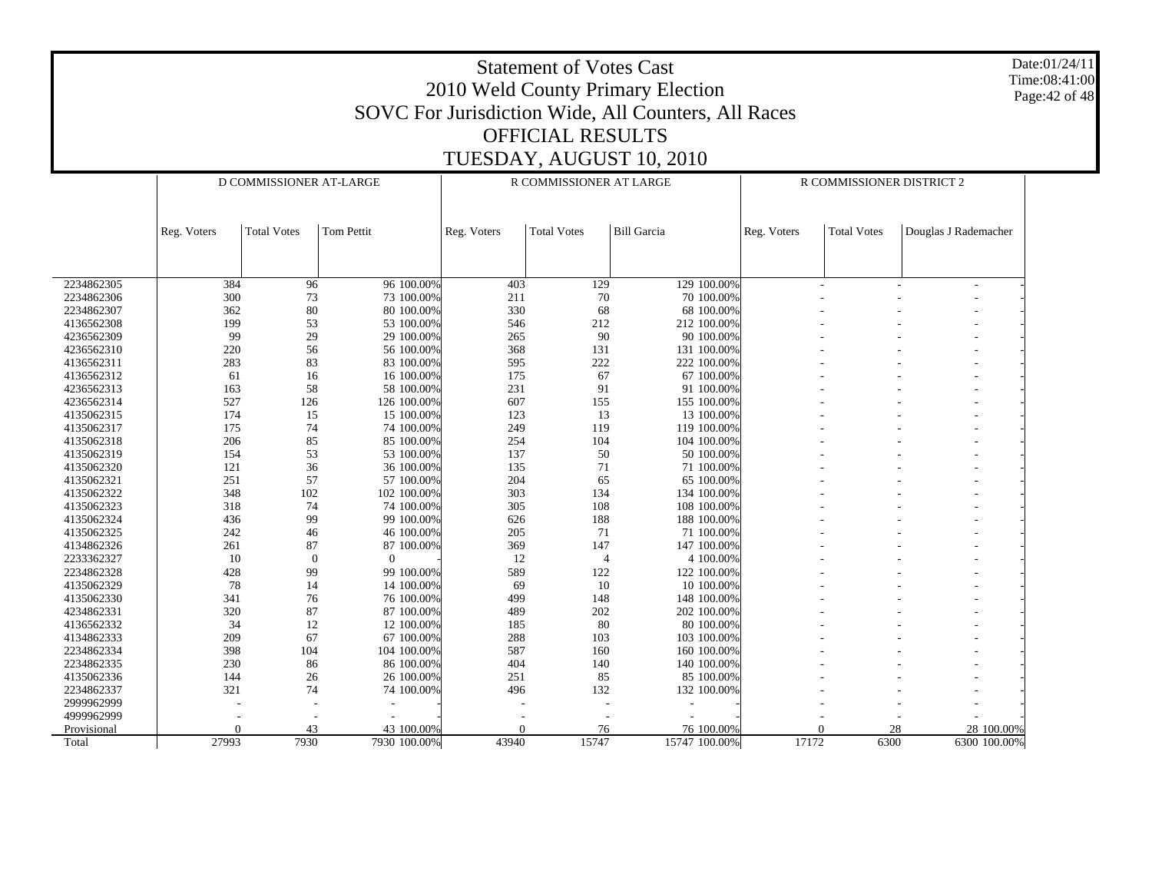Date:01/24/11 Time:08:41:00 Page:42 of 48

|             | D COMMISSIONER AT-LARGE |                    |              | R COMMISSIONER AT LARGE |                    | R COMMISSIONER DISTRICT 2 |             |                    |                      |  |
|-------------|-------------------------|--------------------|--------------|-------------------------|--------------------|---------------------------|-------------|--------------------|----------------------|--|
|             |                         |                    |              |                         |                    |                           |             |                    |                      |  |
|             |                         |                    |              |                         |                    |                           |             |                    |                      |  |
|             | Reg. Voters             | <b>Total Votes</b> | Tom Pettit   | Reg. Voters             | <b>Total Votes</b> | <b>Bill Garcia</b>        | Reg. Voters | <b>Total Votes</b> | Douglas J Rademacher |  |
|             |                         |                    |              |                         |                    |                           |             |                    |                      |  |
|             |                         |                    |              |                         |                    |                           |             |                    |                      |  |
| 2234862305  | 384                     | 96                 | 96 100.00%   | 403                     | 129                | 129 100.00%               | ÷,          |                    | ٠                    |  |
| 2234862306  | 300                     | 73                 | 73 100.00%   | 211                     | 70                 | 70 100.00%                |             |                    |                      |  |
| 2234862307  | 362                     | 80                 | 80 100,00%   | 330                     | 68                 | 68 100,00%                |             |                    |                      |  |
| 4136562308  | 199                     | 53                 | 53 100.00%   | 546                     | 212                | 212 100.00%               |             |                    |                      |  |
| 4236562309  | 99                      | 29                 | 29 100.00%   | 265                     | 90                 | 90 100.00%                |             |                    |                      |  |
| 4236562310  | 220                     | 56                 | 56 100.00%   | 368                     | 131                | 131 100.00%               |             |                    |                      |  |
| 4136562311  | 283                     | 83                 | 83 100.00%   | 595                     | 222                | 222 100.00%               |             |                    |                      |  |
| 4136562312  | 61                      | 16                 | 16 100.00%   | 175                     | 67                 | 67 100.00%                |             |                    |                      |  |
| 4236562313  | 163                     | 58                 | 58 100.00%   | 231                     | 91                 | 91 100.00%                |             |                    |                      |  |
| 4236562314  | 527                     | 126                | 126 100.00%  | 607                     | 155                | 155 100.00%               |             |                    |                      |  |
| 4135062315  | 174                     | 15                 | 15 100,00%   | 123                     | 13                 | 13 100,00%                |             |                    |                      |  |
| 4135062317  | 175                     | 74                 | 74 100.00%   | 249                     | 119                | 119 100.00%               |             |                    |                      |  |
| 4135062318  | 206                     | 85                 | 85 100.00%   | 254                     | 104                | 104 100.00%               |             |                    |                      |  |
| 4135062319  | 154                     | 53                 | 53 100.00%   | 137                     | 50                 | 50 100.00%                |             |                    |                      |  |
| 4135062320  | 121                     | 36                 | 36 100.00%   | 135                     | 71                 | 71 100.00%                |             |                    |                      |  |
| 4135062321  | 251                     | 57                 | 57 100.00%   | 204                     | 65                 | 65 100.00%                |             |                    |                      |  |
| 4135062322  | 348                     | 102                | 102 100.00%  | 303                     | 134                | 134 100.00%               |             |                    |                      |  |
| 4135062323  | 318                     | 74                 | 74 100.00%   | 305                     | 108                | 108 100.00%               |             |                    |                      |  |
| 4135062324  | 436                     | 99                 | 99 100.00%   | 626                     | 188                | 188 100.00%               |             |                    |                      |  |
| 4135062325  | 242                     | 46                 | 46 100.00%   | 205                     | 71                 | 71 100.00%                |             |                    |                      |  |
| 4134862326  | 261                     | 87                 | 87 100.00%   | 369                     | 147                | 147 100.00%               |             |                    |                      |  |
| 2233362327  | 10                      | $\theta$           | $\theta$     | 12                      | $\overline{4}$     | 4 100.00%                 |             |                    |                      |  |
| 2234862328  | 428                     | 99                 | 99 100.00%   | 589                     | 122                | 122 100,00%               |             |                    |                      |  |
| 4135062329  | 78                      | 14                 | 14 100.00%   | 69                      | 10                 | 10 100.00%                |             |                    |                      |  |
| 4135062330  | 341                     | 76                 | 76 100.00%   | 499                     | 148                | 148 100.00%               |             |                    |                      |  |
| 4234862331  | 320                     | 87                 | 87 100.00%   | 489                     | 202                | 202 100.00%               |             |                    |                      |  |
| 4136562332  | 34                      | 12                 | 12 100.00%   | 185                     | 80                 | 80 100,00%                |             |                    |                      |  |
| 4134862333  | 209                     | 67                 | 67 100.00%   | 288                     | 103                | 103 100.00%               |             |                    |                      |  |
| 2234862334  | 398                     | 104                | 104 100.00%  | 587                     | 160                | 160 100.00%               |             |                    |                      |  |
| 2234862335  | 230                     | 86                 | 86 100.00%   | 404                     | 140                | 140 100.00%               |             |                    |                      |  |
| 4135062336  | 144                     | 26                 | 26 100.00%   | 251                     | 85                 | 85 100.00%                |             |                    |                      |  |
| 2234862337  | 321                     | 74                 | 74 100.00%   | 496                     | 132                | 132 100.00%               |             |                    |                      |  |
| 2999962999  |                         |                    |              |                         |                    |                           |             |                    |                      |  |
| 4999962999  |                         |                    |              |                         |                    |                           |             |                    |                      |  |
| Provisional | 0                       | 43                 | 43 100.00%   | $\Omega$                | 76                 | 76 100.00%                | $\Omega$    |                    | 28<br>28 100.00%     |  |
| Total       | 27993                   | 7930               | 7930 100.00% | 43940                   | 15747              | 15747 100.00%             | 17172       | 6300               | 6300 100.00%         |  |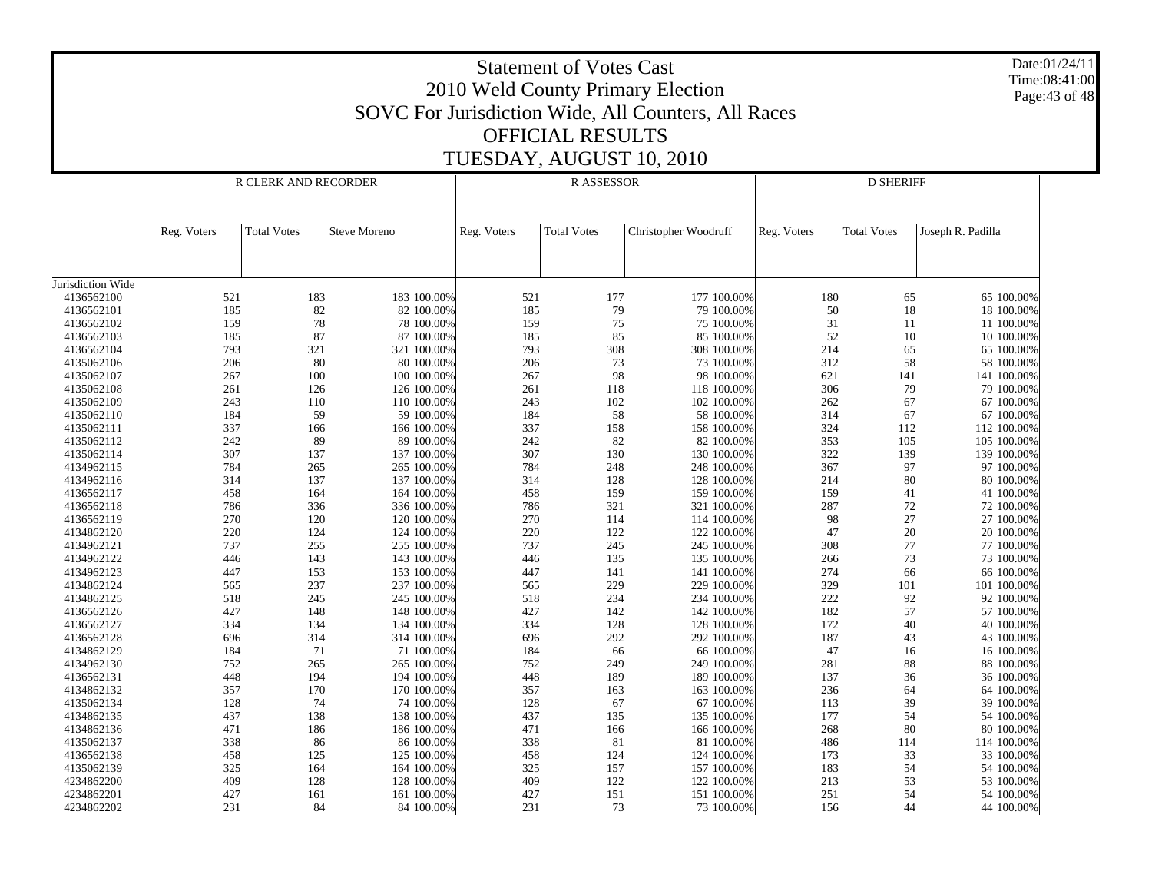Statement of Votes Cast2010 Weld County Primary Election SOVC For Jurisdiction Wide, All Counters, All Races OFFICIAL RESULTSTUESDAY, AUGUST 10, 2010 Date:01/24/11Time:08:41:00Page:43 of 48 Jurisdiction Wide 4136562100 4136562101 4136562102 4136562103 4136562104 4135062106 4135062107 4135062108 4135062109 4135062110 4135062111 4135062112 4135062114 4134962115 4134962116 4136562117 4136562118 4136562119 4134862120 4134962121 4134962122 4134962123 4134862124 4134862125 4136562126 4136562127 4136562128 4134862129 4134962130 4136562131 4134862132 4135062134 4134862135 4134862136 4135062137 4136562138 4135062139 4234862200 4234862201 4234862202Reg. Voters | Total Votes | Steve Moreno R CLERK AND RECORDERReg. Voters | Total Votes | Christopher Woodruff R ASSESSORReg. Voters | Total Votes | Joseph R. Padilla D SHERIFF521 183 183 100.00% $\%$  521 177 100.00% 180 65 65 100.00% 185 82 82 100.00% $\%$  185 79 79 100.00% 50 18 18 100.00% 159 78 78 100.00% $\%$  159 75 75 100.00% 31 11 11 100.00% 185 87 87 100.00%% 185 85 85 100.00% 52 10 10 100.00% 793 321 321 100.00% 793 308 308 100.00% 214 65 65 100.00% 206 80 80 100.00% $\%$  206 73 73 100.00% 312 58 58 100.00% 267 100 100 100.00% $\%$  267 98 98 100.00% 621 141 141 100.00% 261 126 126 100.00% $\%$  261 118 118 118 00.00% 306 79 79 100.00% 243 110 110 100.00% $\%$  243 102 102 100.00% 262 67 67 100.00% 184 59 59 100.00% $\%$  184 58 58 100.00% 314 67 67 100.00% 337 166 166 100.00% 337 158 158 100.00% 324 112 112 100.00% 242 89 89 100.00% $\%$  242 82 82 100.00% 353 105 105 100.00% 307 137 137 100.00% 307 130 130 100.00% 322 139 139 100.00% 784 265 265 100.00% 784 248 248 100.00% 367 97 97 100.00% 314 137 137 100.00% $\%$  314 128 128 100.00% 214 80 80 100.00% 458 164 164 100.00% $\%$  458 159 100.00% 159 41 41 100.00% 786 336 336 100.00% 786 321 321 100.00% 287 72 72 100.00% 270 120 120 100.00% $\%$  270 114 114 100.00% 98 27 27 100.00% 220 124 124 100.00%220 122 122 100.00% 47 20 20 100.00% 737 255 255 100.00% $\%$  737 245 245 100.00% 308 77 7100.00% 446 143 143 100.00% $\%$  446 135 100.00% 266 73 73 100.00% 447 153 153 100.00%447 141 100.00% 274 66 66 100.00% 565 237 237 100.00% 565 229 229 100.00% 329 101 101 100.00% 518 245 245 100.00% $\%$  518 234 234 234 100.00% 222 92 92 100.00% 427 148 148 100.00%427 142 142 100.00% 182 57 57 100.00% 334 134 134 100.00% $\%$  334 128 128 100.00% 172 40 40 100.00% 696 314 314 100.00% $\%$  696 292 292 100.00% 187 43 43 100.00% 184 71 71 100.00% $\%$  184 66 66 100.00% 47 16 16 100.00% 752 265 265 100.00% $\%$  752 249 249 100.00% 281 88 88 100.00% 448 194 194 100.00% $\%$  448 189 100.00% 137 36 36 100.00% 357 170 170 100.00% $\%$  357 163 163 100.00% 236 64 64 100.00% 128 74 74 100.00% $\%$  128 67 67 100.00% 113 39 39 100.00% 437 138 138 100.00% $\%$  437 135 135 100.00% 177 54 54 100.00% 471 186 186 100.00%471 166 100.00% 268 80 80 100.009 338 86 86 100.00% $\%$  338 81 81 81 100.00% 486 114 114 100.00% 458 125 125 100.00%458 124 124 100.00% 173 33 33 100.00% 325 164 164 100.00% $\%$  325 157 100.00% 183 54 54 100.00% 409 128 128 100.00% $\%$  409 122 122 100.00% 213 53 53 100.00% 427 161 161 100.00%427 151 100.00% 251 54 54 100.00% 231 84 84 100.00%231 73 73 100.00% 156 44 44 100.00%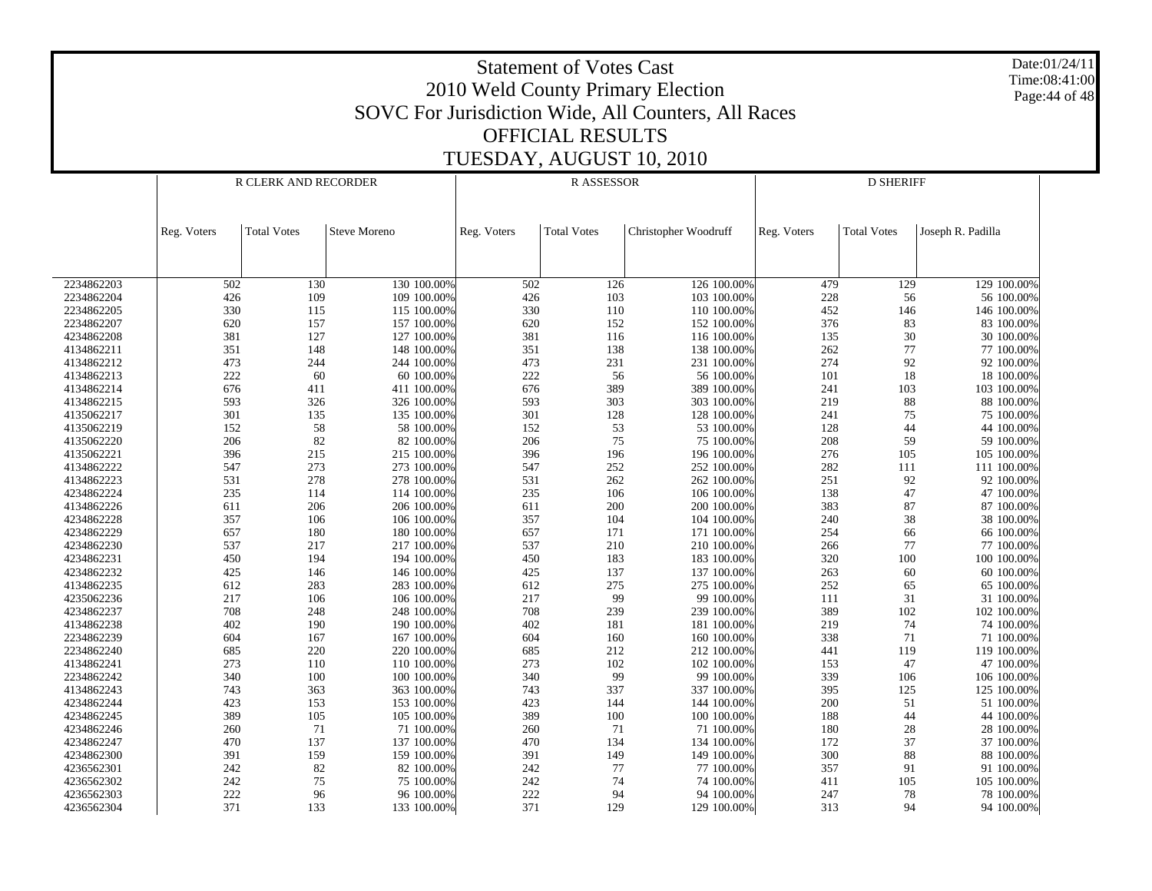Date:01/24/11 Time:08:41:00 Page:44 of 48

|            | R CLERK AND RECORDER |                    |              | <b>RASSESSOR</b> |                    | <b>D SHERIFF</b>     |             |                    |                   |
|------------|----------------------|--------------------|--------------|------------------|--------------------|----------------------|-------------|--------------------|-------------------|
|            | Reg. Voters          | <b>Total Votes</b> | Steve Moreno | Reg. Voters      | <b>Total Votes</b> | Christopher Woodruff | Reg. Voters | <b>Total Votes</b> | Joseph R. Padilla |
|            |                      |                    |              |                  |                    |                      |             |                    |                   |
|            |                      |                    |              |                  |                    |                      |             |                    |                   |
| 2234862203 | 502                  | 130                | 130 100.00%  | 502              | 126                | 126 100.00%          | 479         | 129                | 129 100.00%       |
| 2234862204 | 426                  | 109                | 109 100.00%  | 426              | 103                | 103 100.00%          | 228         | 56                 | 56 100.00%        |
| 2234862205 | 330                  | 115                | 115 100.00%  | 330              | 110                | 110 100.00%          | 452         | 146                | 146 100.00%       |
| 2234862207 | 620                  | 157                | 157 100.00%  | 620              | 152                | 152 100.00%          | 376         | 83                 | 83 100.00%        |
| 4234862208 | 381                  | 127                | 127 100.00%  | 381              | 116                | 116 100.00%          | 135         | 30                 | 30 100.00%        |
| 4134862211 | 351                  | 148                | 148 100.00%  | 351              | 138                | 138 100.00%          | 262         | 77                 | 77 100.00%        |
| 4134862212 | 473                  | 244                | 244 100.00%  | 473              | 231                | 231 100.00%          | 274         | 92                 | 92 100.00%        |
| 4134862213 | 222                  | 60                 | 60 100.00%   | 222              | 56                 | 56 100.00%           | 101         | 18                 | 18 100.00%        |
| 4134862214 | 676                  | 411                | 411 100.00%  | 676              | 389                | 389 100.00%          | 241         | 103                | 103 100.00%       |
| 4134862215 | 593                  | 326                | 326 100.00%  | 593              | 303                | 303 100.00%          | 219         | 88                 | 88 100.00%        |
| 4135062217 | 301                  | 135                | 135 100.00%  | 301              | 128                | 128 100.00%          | 241         | 75                 | 75 100.00%        |
| 4135062219 | 152                  | 58                 | 58 100.00%   | 152              | 53                 | 53 100.00%           | 128         | 44                 | 44 100.00%        |
| 4135062220 | 206                  | 82                 | 82 100.00%   | 206              | 75                 | 75 100.00%           | 208         | 59                 | 59 100.00%        |
| 4135062221 | 396                  | 215                | 215 100.00%  | 396              | 196                | 196 100.00%          | 276         | 105                | 105 100.00%       |
| 4134862222 | 547                  | 273                | 273 100.00%  | 547              | 252                | 252 100.00%          | 282         | 111                | 111 100.00%       |
| 4134862223 | 531                  | 278                | 278 100.00%  | 531              | 262                | 262 100.00%          | 251         | 92                 | 92 100.00%        |
| 4234862224 | 235                  | 114                | 114 100.00%  | 235              | 106                | 106 100.00%          | 138         | 47                 | 47 100.00%        |
| 4134862226 | 611                  | 206                | 206 100.00%  | 611              | 200                | 200 100.00%          | 383         | 87                 | 87 100.00%        |
| 4234862228 | 357                  | 106                | 106 100.00%  | 357              | 104                | 104 100.00%          | 240         | 38                 | 38 100.00%        |
| 4234862229 | 657                  | 180                | 180 100.00%  | 657              | 171                | 171 100.00%          | 254         | 66                 | 66 100.00%        |
| 4234862230 | 537                  | 217                | 217 100.00%  | 537              | 210                | 210 100.00%          | 266         | 77                 | 77 100.00%        |
| 4234862231 | 450                  | 194                | 194 100.00%  | 450              | 183                | 183 100.00%          | 320         | 100                | 100 100.00%       |
| 4234862232 | 425                  | 146                | 146 100.00%  | 425              | 137                | 137 100.00%          | 263         | 60                 | 60 100.00%        |
| 4134862235 | 612                  | 283                | 283 100.00%  | 612              | 275                | 275 100.00%          | 252         | 65                 | 65 100.00%        |
| 4235062236 | 217                  | 106                | 106 100.00%  | 217              | 99                 | 99 100,00%           | 111         | 31                 | 31 100.00%        |
| 4234862237 | 708                  | 248                | 248 100.00%  | 708              | 239                | 239 100.00%          | 389         | 102                | 102 100.00%       |
| 4134862238 | 402                  | 190                | 190 100.00%  | 402              | 181                | 181 100.00%          | 219         | 74                 | 74 100.00%        |
| 2234862239 | 604                  | 167                | 167 100.00%  | 604              | 160                | 160 100.00%          | 338         | 71                 | 71 100.00%        |
| 2234862240 | 685                  | 220                | 220 100.00%  | 685              | 212                | 212 100.00%          | 441         | 119                | 119 100.00%       |
| 4134862241 | 273                  | 110                | 110 100.00%  | 273              | 102                | 102 100.00%          | 153         | 47                 | 47 100.00%        |
| 2234862242 | 340                  | 100                | 100 100.00%  | 340              | 99                 | 99 100.00%           | 339         | 106                | 106 100.00%       |
| 4134862243 | 743                  | 363                | 363 100.00%  | 743              | 337                | 337 100.00%          | 395         | 125                | 125 100.00%       |
| 4234862244 | 423                  | 153                | 153 100.00%  | 423              | 144                | 144 100.00%          | 200         | 51                 | 51 100.00%        |
| 4234862245 | 389                  | 105                | 105 100.00%  | 389              | 100                | 100 100.00%          | 188         | 44                 | 44 100.00%        |
| 4234862246 | 260                  | 71                 | 71 100.00%   | 260              | 71                 | 71 100.00%           | 180         | $28\,$             | 28 100.00%        |
| 4234862247 | 470                  | 137                | 137 100.00%  | 470              | 134                | 134 100.00%          | 172         | 37                 | 37 100.00%        |
| 4234862300 | 391                  | 159                | 159 100.00%  | 391              | 149                | 149 100.00%          | 300         | 88                 | 88 100.00%        |
| 4236562301 | 242                  | 82                 | 82 100.00%   | 242              | 77                 | 77 100.00%           | 357         | 91                 | 91 100.00%        |
| 4236562302 | 242                  | 75                 | 75 100.00%   | 242              | 74                 | 74 100.00%           | 411         | 105                | 105 100.00%       |
| 4236562303 | 222                  | 96                 | 96 100.00%   | 222              | 94                 | 94 100.00%           | 247         | 78                 | 78 100.00%        |
|            | 371                  |                    |              | 371              | 129                |                      |             | 94                 |                   |
| 4236562304 |                      | 133                | 133 100.00%  |                  |                    | 129 100.00%          | 313         |                    | 94 100.00%        |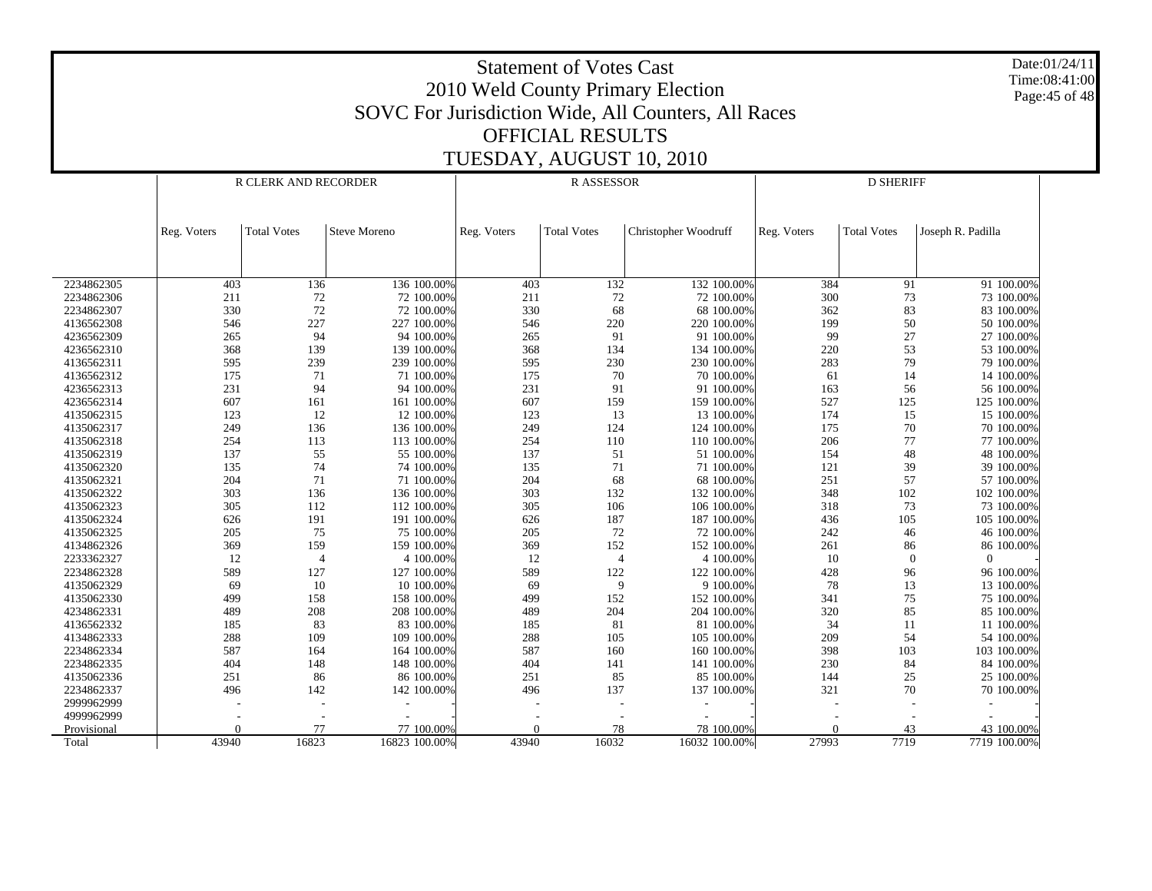Date:01/24/11 Time:08:41:00 Page:45 of 48

|             | R CLERK AND RECORDER |                    |                     | <b>RASSESSOR</b> |                    | <b>D SHERIFF</b>     |             |                    |                   |  |
|-------------|----------------------|--------------------|---------------------|------------------|--------------------|----------------------|-------------|--------------------|-------------------|--|
|             |                      |                    |                     |                  |                    |                      |             |                    |                   |  |
|             |                      |                    |                     |                  |                    |                      |             |                    |                   |  |
|             |                      | <b>Total Votes</b> | <b>Steve Moreno</b> |                  | <b>Total Votes</b> | Christopher Woodruff |             | <b>Total Votes</b> | Joseph R. Padilla |  |
|             | Reg. Voters          |                    |                     | Reg. Voters      |                    |                      | Reg. Voters |                    |                   |  |
|             |                      |                    |                     |                  |                    |                      |             |                    |                   |  |
|             |                      |                    |                     |                  |                    |                      |             |                    |                   |  |
| 2234862305  | 403                  | 136                | 136 100.00%         | 403              | 132                | 132 100.00%          | 384         | 91                 | 91 100.00%        |  |
| 2234862306  | 211                  | 72                 | 72 100.00%          | 211              | $72\,$             | 72 100.00%           | 300         | 73                 | 73 100.00%        |  |
| 2234862307  | 330                  | 72                 | 72 100.00%          | 330              | 68                 | 68 100.00%           | 362         | 83                 | 83 100.00%        |  |
| 4136562308  | 546                  | 227                | 227 100.00%         | 546              | 220                | 220 100.00%          | 199         | 50                 | 50 100.00%        |  |
| 4236562309  | 265                  | 94                 | 94 100.00%          | 265              | 91                 | 91 100.00%           | 99          | 27                 | 27 100.00%        |  |
| 4236562310  | 368                  | 139                | 139 100.00%         | 368              | 134                | 134 100.00%          | 220         | 53                 | 53 100.00%        |  |
| 4136562311  | 595                  | 239                | 239 100,00%         | 595              | 230                | 230 100,00%          | 283         | 79                 | 79 100.00%        |  |
| 4136562312  | 175                  | 71                 | 71 100.00%          | 175              | 70                 | 70 100,00%           | 61          | 14                 | 14 100.00%        |  |
| 4236562313  | 231                  | 94                 | 94 100,00%          | 231              | 91                 | 91 100,00%           | 163         | 56                 | 56 100.00%        |  |
| 4236562314  | 607                  | 161                | 161 100.00%         | 607              | 159                | 159 100.00%          | 527         | 125                | 125 100.00%       |  |
| 4135062315  | 123                  | 12                 | 12 100.00%          | 123              | 13                 | 13 100.00%           | 174         | 15                 | 15 100.00%        |  |
| 4135062317  | 249                  | 136                | 136 100.00%         | 249              | 124                | 124 100.00%          | 175         | $70\,$             | 70 100.00%        |  |
| 4135062318  | 254                  | 113                | 113 100.00%         | 254              | 110                | 110 100.00%          | 206         | 77                 | 77 100.00%        |  |
| 4135062319  | 137                  | 55                 | 55 100.00%          | 137              | 51                 | 51 100.00%           | 154         | 48                 | 48 100.00%        |  |
| 4135062320  | 135                  | 74                 | 74 100.00%          | 135              | 71                 | 71 100.00%           | 121         | 39                 | 39 100.00%        |  |
| 4135062321  | 204                  | 71                 | 71 100.00%          | 204              | 68                 | 68 100.00%           | 251         | 57                 | 57 100.00%        |  |
| 4135062322  | 303                  | 136                | 136 100.00%         | 303              | 132                | 132 100.00%          | 348         | 102                | 102 100.00%       |  |
| 4135062323  | 305                  | 112                | 112 100.00%         | 305              | 106                | 106 100.00%          | 318         | 73                 | 73 100.00%        |  |
| 4135062324  | 626                  | 191                | 191 100.00%         | 626              | 187                | 187 100,00%          | 436         | 105                | 105 100,00%       |  |
| 4135062325  | 205                  | 75                 | 75 100,00%          | 205              | 72                 | 72 100,00%           | 242         | 46                 | 46 100.00%        |  |
| 4134862326  | 369                  | 159                | 159 100.00%         | 369              | 152                | 152 100.00%          | 261         | 86                 | 86 100.00%        |  |
| 2233362327  | 12                   | $\overline{4}$     | 4 100.00%           | 12               | $\overline{4}$     | 4 100.00%            | 10          | $\theta$           | $\Omega$          |  |
| 2234862328  | 589                  | 127                | 127 100.00%         | 589              | 122                | 122 100.00%          | 428         | 96                 | 96 100.00%        |  |
| 4135062329  | 69                   | 10                 | 10 100.00%          | 69               | 9                  | 9 100.00%            | 78          | 13                 | 13 100.00%        |  |
| 4135062330  | 499                  | 158                | 158 100.00%         | 499              | 152                | 152 100.00%          | 341         | $75\,$             | 75 100.00%        |  |
| 4234862331  | 489                  | 208                | 208 100.00%         | 489              | 204                | 204 100.00%          | 320         | 85                 | 85 100.00%        |  |
| 4136562332  | 185                  | 83                 | 83 100.00%          | 185              | 81                 | 81 100.00%           | 34          | 11                 | 11 100.00%        |  |
| 4134862333  | 288                  | 109                | 109 100.00%         | 288              | 105                | 105 100.00%          | 209         | 54                 | 54 100.00%        |  |
| 2234862334  | 587                  | 164                | 164 100,00%         | 587              | 160                | 160 100,00%          | 398         | 103                | 103 100,00%       |  |
| 2234862335  | 404                  | 148                | 148 100.00%         | 404              | 141                | 141 100,00%          | 230         | 84                 | 84 100.00%        |  |
| 4135062336  | 251                  | 86                 | 86 100.00%          | 251              | 85                 | 85 100.00%           | 144         | 25                 | 25 100.00%        |  |
| 2234862337  | 496                  | 142                | 142 100.00%         | 496              | 137                | 137 100.00%          | 321         | 70                 | 70 100.00%        |  |
| 2999962999  |                      |                    |                     |                  |                    |                      |             |                    |                   |  |
| 4999962999  |                      |                    |                     |                  |                    |                      |             |                    |                   |  |
| Provisional | $\Omega$             | 77                 | 77 100,00%          | $\Omega$         | 78                 | 78 100.00%           | $\Omega$    | 43                 | 43 100.00%        |  |
| Total       | 43940                | 16823              | 16823 100.00%       | 43940            | 16032              | 16032 100.00%        | 27993       | 7719               | 7719 100.00%      |  |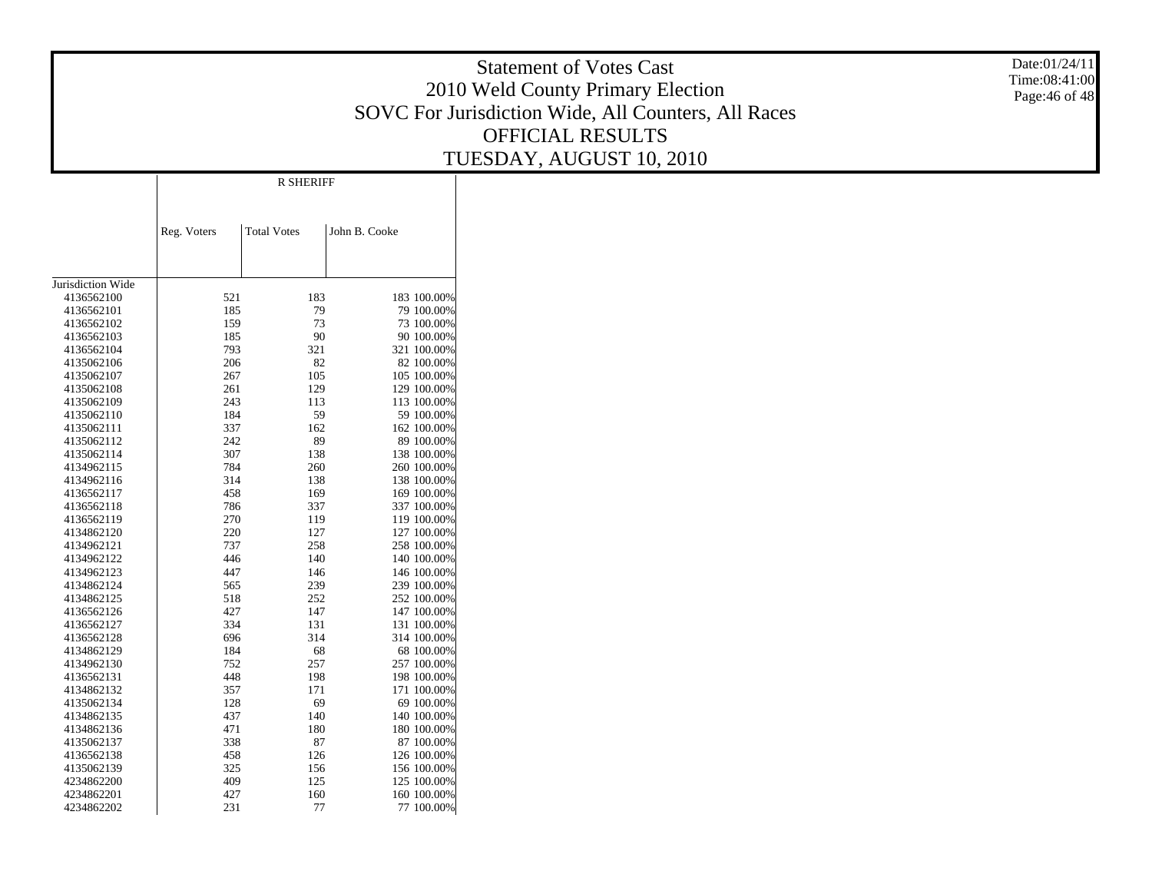Statement of Votes Cast 2010 Weld County Primary Election SOVC For Jurisdiction Wide, All Counters, All Races OFFICIAL RESULTS TUESDAY, AUGUST 10, 2010

Date:01/24/11 Time:08:41:00Page:46 of 48

|                   |             | <b>R SHERIFF</b>   |               |             |
|-------------------|-------------|--------------------|---------------|-------------|
|                   | Reg. Voters | <b>Total Votes</b> | John B. Cooke |             |
|                   |             |                    |               |             |
| Jurisdiction Wide |             |                    |               |             |
| 4136562100        | 521         | 183                |               | 183 100.00% |
| 4136562101        | 185         | 79                 |               | 79 100.00%  |
| 4136562102        | 159         | 73                 |               | 73 100.00%  |
| 4136562103        | 185         | 90                 |               | 90 100.00%  |
| 4136562104        | 793         | 321                |               | 321 100.00% |
| 4135062106        | 206         | 82                 |               | 82 100.00%  |
| 4135062107        | 267         | 105                |               | 105 100.00% |
| 4135062108        | 261         | 129                |               | 129 100.00% |
| 4135062109        | 243         | 113                |               | 113 100.00% |
| 4135062110        | 184         | 59                 |               | 59 100.00%  |
| 4135062111        | 337         | 162                |               | 162 100.00% |
| 4135062112        | 242         | 89                 |               | 89 100.00%  |
| 4135062114        | 307         | 138                |               | 138 100.00% |
| 4134962115        | 784         | 260                |               | 260 100.00% |
| 4134962116        | 314         | 138                |               | 138 100.00% |
| 4136562117        | 458         | 169                |               | 169 100.00% |
| 4136562118        | 786         | 337                |               | 337 100.00% |
| 4136562119        | 270         | 119                |               | 119 100.00% |
| 4134862120        | 220         | 127                |               | 127 100.00% |
| 4134962121        | 737         | 258                |               | 258 100.00% |
| 4134962122        | 446         | 140                |               | 140 100.00% |
| 4134962123        | 447         | 146                |               | 146 100.00% |
| 4134862124        | 565         | 239                |               | 239 100.00% |
| 4134862125        | 518         | 252                |               | 252 100.00% |
| 4136562126        | 427         | 147                |               | 147 100.00% |
| 4136562127        | 334         | 131                |               | 131 100.00% |
| 4136562128        | 696         | 314                |               | 314 100.00% |
| 4134862129        | 184         | 68                 |               | 68 100.00%  |
| 4134962130        | 752         | 257                |               | 257 100.00% |
| 4136562131        | 448         | 198                |               | 198 100.00% |
| 4134862132        | 357         | 171                |               | 171 100.00% |
| 4135062134        | 128         | 69                 |               | 69 100.00%  |
| 4134862135        | 437         | 140                |               | 140 100.00% |
| 4134862136        | 471         | 180                |               | 180 100.00% |
| 4135062137        | 338         | 87                 |               | 87 100.00%  |
| 4136562138        | 458         | 126                |               | 126 100.00% |
| 4135062139        | 325         | 156                |               | 156 100.00% |
| 4234862200        | 409         | 125                |               | 125 100.00% |
| 4234862201        | 427         | 160                |               | 160 100.00% |
| 4234862202        | 231         | 77                 |               | 77 100,00%  |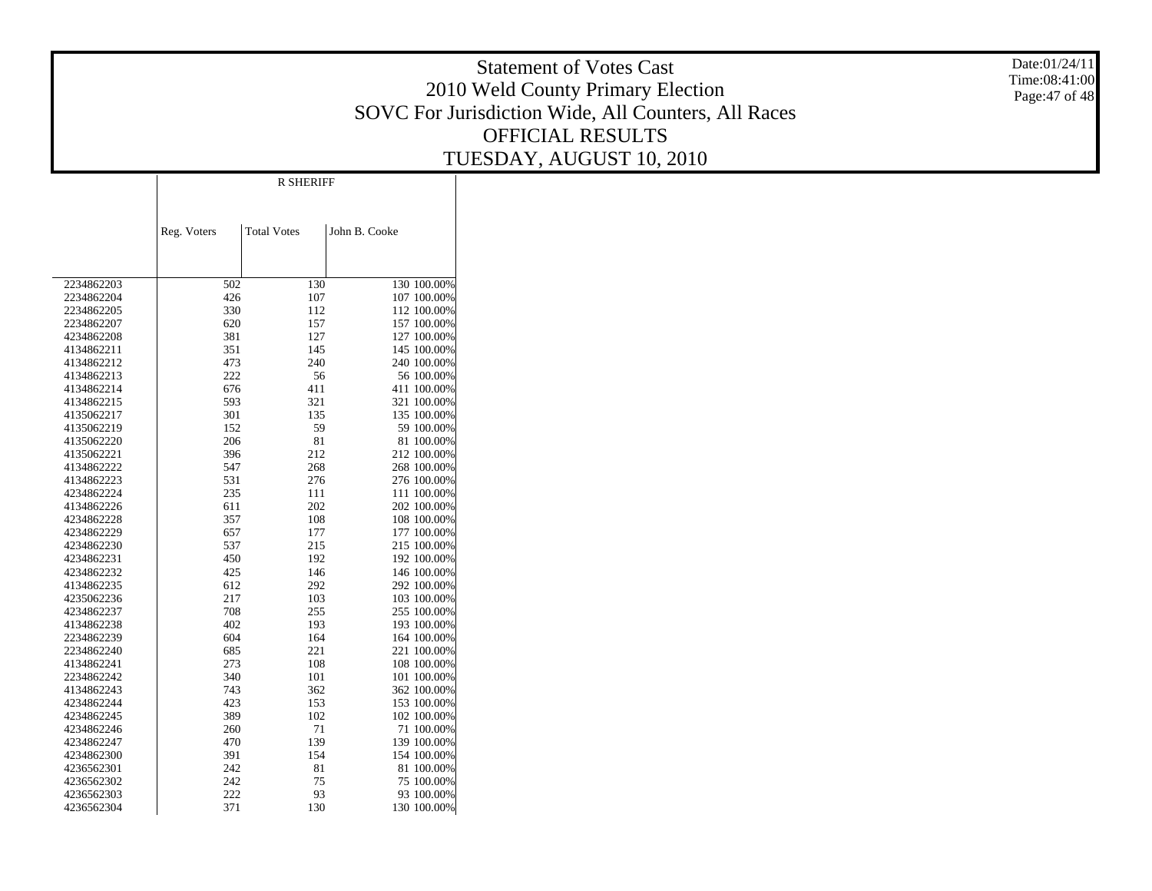Statement of Votes Cast 2010 Weld County Primary Election SOVC For Jurisdiction Wide, All Counters, All Races OFFICIAL RESULTS TUESDAY, AUGUST 10, 2010

Date:01/24/11 Time:08:41:00Page:47 of 48

|            | Reg. Voters | <b>Total Votes</b> | John B. Cooke |             |
|------------|-------------|--------------------|---------------|-------------|
|            |             |                    |               |             |
| 2234862203 | 502         | 130                |               | 130 100.00% |
| 2234862204 | 426         | 107                |               | 107 100.00% |
| 2234862205 | 330         | 112                |               | 112 100.00% |
| 2234862207 | 620         | 157                |               | 157 100.00% |
| 4234862208 | 381         | 127                |               | 127 100.00% |
| 4134862211 | 351         | 145                |               | 145 100.00% |
| 4134862212 | 473         | 240                |               | 240 100.00% |
| 4134862213 | 222         | 56                 |               | 56 100.00%  |
| 4134862214 | 676         | 411                |               | 411 100.00% |
| 4134862215 | 593         | 321                |               | 321 100.00% |
| 4135062217 | 301         | 135                |               | 135 100.00% |
| 4135062219 | 152         | 59                 |               | 59 100.00%  |
| 4135062220 | 206         | 81                 |               | 81 100.00%  |
| 4135062221 | 396         | 212                |               | 212 100.00% |
| 4134862222 | 547         | 268                |               | 268 100.00% |
| 4134862223 | 531         | 276                |               | 276 100.00% |
| 4234862224 | 235         | 111                |               | 111 100.00% |
| 4134862226 | 611         | 202                |               | 202 100.00% |
| 4234862228 | 357         | 108                |               | 108 100.00% |
| 4234862229 | 657         | 177                |               | 177 100.00% |
| 4234862230 | 537         | 215                |               | 215 100.00% |
| 4234862231 | 450         | 192                |               | 192 100.00% |
| 4234862232 | 425         | 146                |               | 146 100.00% |
| 4134862235 | 612         | 292                |               | 292 100.00% |
| 4235062236 | 217         | 103                |               | 103 100.00% |
| 4234862237 | 708         | 255                |               | 255 100.00% |
| 4134862238 | 402         | 193                |               | 193 100.00% |
| 2234862239 | 604         | 164                |               | 164 100.00% |
| 2234862240 | 685         | 221                |               | 221 100.00% |
| 4134862241 | 273         | 108                |               | 108 100.00% |
| 2234862242 | 340         | 101                |               | 101 100.00% |
| 4134862243 | 743         | 362                |               | 362 100.00% |
| 4234862244 | 423         | 153                |               | 153 100.00% |
| 4234862245 | 389         | 102                |               | 102 100.00% |
| 4234862246 | 260         | 71                 |               | 71 100.00%  |
| 4234862247 | 470         | 139                |               | 139 100.00% |
| 4234862300 | 391         | 154                |               | 154 100.00% |
| 4236562301 | 242         | 81                 |               | 81 100.00%  |
| 4236562302 | 242         | 75                 |               | 75 100.00%  |
| 4236562303 | 222         | 93                 |               | 93 100.00%  |
| 4236562304 | 371         | 130                |               | 130 100.00% |

R SHERIFF